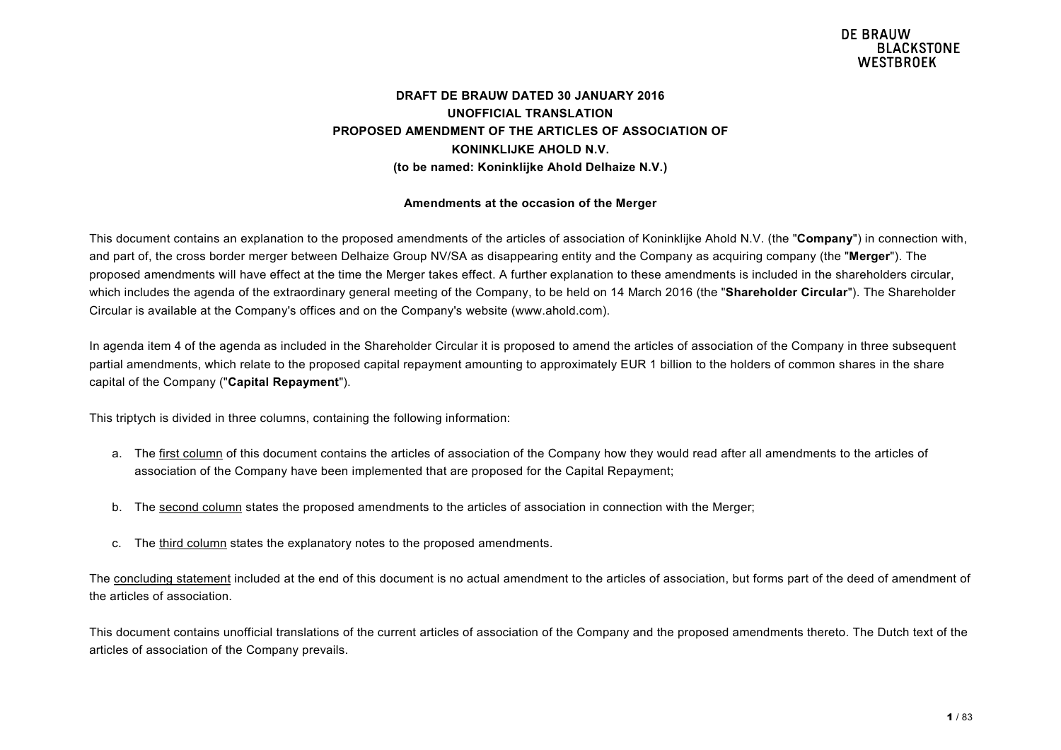#### **DRAFT DE BRAUW DATED 30 JANUARY 2016 UNOFFICIAL TRANSLATION PROPOSED AMENDMENT OF THE ARTICLES OF ASSOCIATION OF KONINKLIJKE AHOLD N.V. (to be named: Koninklijke Ahold Delhaize N.V.)**

#### **Amendments at the occasion of the Merger**

This document contains an explanation to the proposed amendments of the articles of association of Koninklijke Ahold N.V. (the "**Company**") in connection with, and part of, the cross border merger between Delhaize Group NV/SA as disappearing entity and the Company as acquiring company (the "**Merger**"). The proposed amendments will have effect at the time the Merger takes effect. A further explanation to these amendments is included in the shareholders circular, which includes the agenda of the extraordinary general meeting of the Company, to be held on 14 March 2016 (the "**Shareholder Circular**"). The Shareholder Circular is available at the Company's offices and on the Company's website (www.ahold.com).

In agenda item 4 of the agenda as included in the Shareholder Circular it is proposed to amend the articles of association of the Company in three subsequent partial amendments, which relate to the proposed capital repayment amounting to approximately EUR 1 billion to the holders of common shares in the share capital of the Company ("**Capital Repayment**").

This triptych is divided in three columns, containing the following information:

- a. The first column of this document contains the articles of association of the Company how they would read after all amendments to the articles of association of the Company have been implemented that are proposed for the Capital Repayment;
- b. The second column states the proposed amendments to the articles of association in connection with the Merger;
- c. The third column states the explanatory notes to the proposed amendments.

The concluding statement included at the end of this document is no actual amendment to the articles of association, but forms part of the deed of amendment of the articles of association.

This document contains unofficial translations of the current articles of association of the Company and the proposed amendments thereto. The Dutch text of the articles of association of the Company prevails.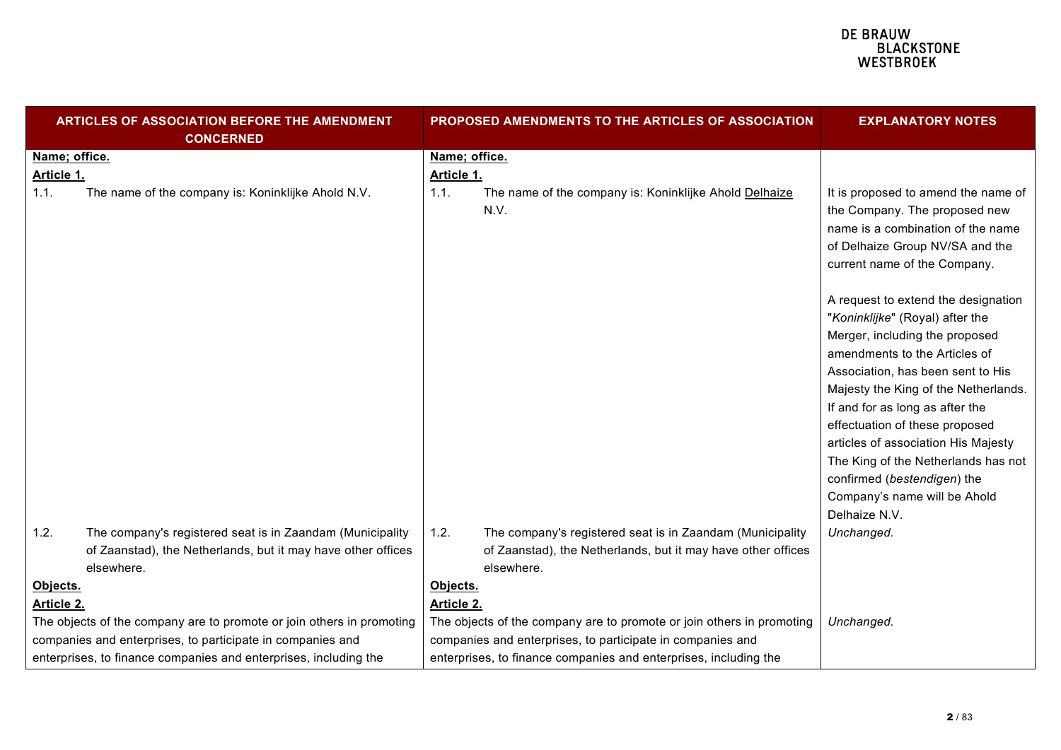#### **DE BRAUW EDINACTOR**<br>BLACKSTONE<br>WESTBROEK

| ARTICLES OF ASSOCIATION BEFORE THE AMENDMENT<br><b>CONCERNED</b>      |                                                              |                                                                  | PROPOSED AMENDMENTS TO THE ARTICLES OF ASSOCIATION<br><b>EXPLANATORY NOTES</b> |                                                                                                                                                                                                                                                                                                                                                                                                                                                           |  |  |  |
|-----------------------------------------------------------------------|--------------------------------------------------------------|------------------------------------------------------------------|--------------------------------------------------------------------------------|-----------------------------------------------------------------------------------------------------------------------------------------------------------------------------------------------------------------------------------------------------------------------------------------------------------------------------------------------------------------------------------------------------------------------------------------------------------|--|--|--|
| Name; office.                                                         |                                                              |                                                                  | Name; office.                                                                  |                                                                                                                                                                                                                                                                                                                                                                                                                                                           |  |  |  |
| Article 1.                                                            |                                                              | Article 1.                                                       |                                                                                |                                                                                                                                                                                                                                                                                                                                                                                                                                                           |  |  |  |
| 1.1.                                                                  | The name of the company is: Koninklijke Ahold N.V.           | 1.1.                                                             | The name of the company is: Koninklijke Ahold Delhaize<br>N.V.                 | It is proposed to amend the name of<br>the Company. The proposed new<br>name is a combination of the name<br>of Delhaize Group NV/SA and the<br>current name of the Company.                                                                                                                                                                                                                                                                              |  |  |  |
|                                                                       |                                                              |                                                                  |                                                                                | A request to extend the designation<br>"Koninklijke" (Royal) after the<br>Merger, including the proposed<br>amendments to the Articles of<br>Association, has been sent to His<br>Majesty the King of the Netherlands.<br>If and for as long as after the<br>effectuation of these proposed<br>articles of association His Majesty<br>The King of the Netherlands has not<br>confirmed (bestendigen) the<br>Company's name will be Ahold<br>Delhaize N.V. |  |  |  |
| 1.2.                                                                  | The company's registered seat is in Zaandam (Municipality    | 1.2.                                                             | The company's registered seat is in Zaandam (Municipality                      | Unchanged.                                                                                                                                                                                                                                                                                                                                                                                                                                                |  |  |  |
|                                                                       | of Zaanstad), the Netherlands, but it may have other offices |                                                                  | of Zaanstad), the Netherlands, but it may have other offices                   |                                                                                                                                                                                                                                                                                                                                                                                                                                                           |  |  |  |
|                                                                       | elsewhere.                                                   |                                                                  | elsewhere.                                                                     |                                                                                                                                                                                                                                                                                                                                                                                                                                                           |  |  |  |
| Objects.                                                              |                                                              | Objects.                                                         |                                                                                |                                                                                                                                                                                                                                                                                                                                                                                                                                                           |  |  |  |
| Article 2.                                                            |                                                              |                                                                  | Article 2.                                                                     |                                                                                                                                                                                                                                                                                                                                                                                                                                                           |  |  |  |
| The objects of the company are to promote or join others in promoting |                                                              |                                                                  | The objects of the company are to promote or join others in promoting          | Unchanged.                                                                                                                                                                                                                                                                                                                                                                                                                                                |  |  |  |
| companies and enterprises, to participate in companies and            |                                                              |                                                                  | companies and enterprises, to participate in companies and                     |                                                                                                                                                                                                                                                                                                                                                                                                                                                           |  |  |  |
| enterprises, to finance companies and enterprises, including the      |                                                              | enterprises, to finance companies and enterprises, including the |                                                                                |                                                                                                                                                                                                                                                                                                                                                                                                                                                           |  |  |  |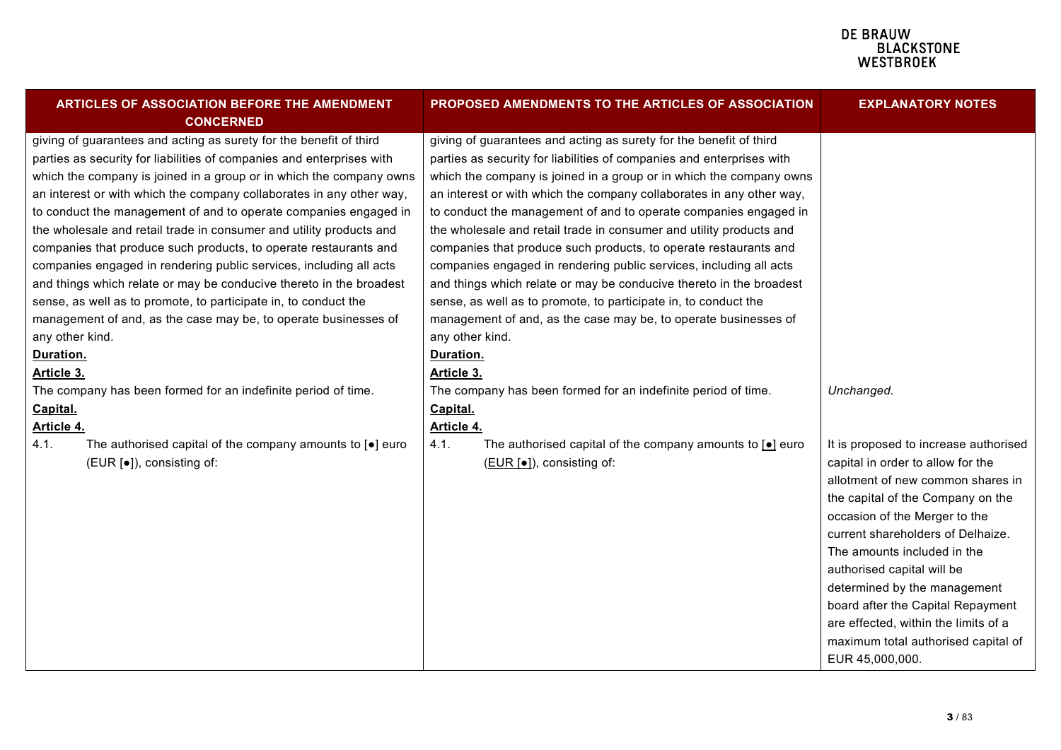| <b>ARTICLES OF ASSOCIATION BEFORE THE AMENDMENT</b><br><b>CONCERNED</b>                                                                                                                                                                                                                                                                                                                                                                                                                                                                                                                                                                                                                                                                                                                                                      | PROPOSED AMENDMENTS TO THE ARTICLES OF ASSOCIATION                                                                                                                                                                                                                                                                                                                                                                                                                                                                                                                                                                                                                                                                                                                                                                           | <b>EXPLANATORY NOTES</b>                                                                                                                                                                                                                                                                                                                                                                                                                                       |
|------------------------------------------------------------------------------------------------------------------------------------------------------------------------------------------------------------------------------------------------------------------------------------------------------------------------------------------------------------------------------------------------------------------------------------------------------------------------------------------------------------------------------------------------------------------------------------------------------------------------------------------------------------------------------------------------------------------------------------------------------------------------------------------------------------------------------|------------------------------------------------------------------------------------------------------------------------------------------------------------------------------------------------------------------------------------------------------------------------------------------------------------------------------------------------------------------------------------------------------------------------------------------------------------------------------------------------------------------------------------------------------------------------------------------------------------------------------------------------------------------------------------------------------------------------------------------------------------------------------------------------------------------------------|----------------------------------------------------------------------------------------------------------------------------------------------------------------------------------------------------------------------------------------------------------------------------------------------------------------------------------------------------------------------------------------------------------------------------------------------------------------|
| giving of guarantees and acting as surety for the benefit of third<br>parties as security for liabilities of companies and enterprises with<br>which the company is joined in a group or in which the company owns<br>an interest or with which the company collaborates in any other way,<br>to conduct the management of and to operate companies engaged in<br>the wholesale and retail trade in consumer and utility products and<br>companies that produce such products, to operate restaurants and<br>companies engaged in rendering public services, including all acts<br>and things which relate or may be conducive thereto in the broadest<br>sense, as well as to promote, to participate in, to conduct the<br>management of and, as the case may be, to operate businesses of<br>any other kind.<br>Duration. | giving of guarantees and acting as surety for the benefit of third<br>parties as security for liabilities of companies and enterprises with<br>which the company is joined in a group or in which the company owns<br>an interest or with which the company collaborates in any other way,<br>to conduct the management of and to operate companies engaged in<br>the wholesale and retail trade in consumer and utility products and<br>companies that produce such products, to operate restaurants and<br>companies engaged in rendering public services, including all acts<br>and things which relate or may be conducive thereto in the broadest<br>sense, as well as to promote, to participate in, to conduct the<br>management of and, as the case may be, to operate businesses of<br>any other kind.<br>Duration. |                                                                                                                                                                                                                                                                                                                                                                                                                                                                |
| Article 3.                                                                                                                                                                                                                                                                                                                                                                                                                                                                                                                                                                                                                                                                                                                                                                                                                   | Article 3.                                                                                                                                                                                                                                                                                                                                                                                                                                                                                                                                                                                                                                                                                                                                                                                                                   |                                                                                                                                                                                                                                                                                                                                                                                                                                                                |
| The company has been formed for an indefinite period of time.<br>Capital.<br>Article 4.                                                                                                                                                                                                                                                                                                                                                                                                                                                                                                                                                                                                                                                                                                                                      | The company has been formed for an indefinite period of time.<br>Capital.<br>Article 4.                                                                                                                                                                                                                                                                                                                                                                                                                                                                                                                                                                                                                                                                                                                                      | Unchanged.                                                                                                                                                                                                                                                                                                                                                                                                                                                     |
| The authorised capital of the company amounts to $\lceil \bullet \rceil$ euro<br>4.1.<br>(EUR [.]), consisting of:                                                                                                                                                                                                                                                                                                                                                                                                                                                                                                                                                                                                                                                                                                           | 4.1.<br>The authorised capital of the company amounts to $\lceil \bullet \rceil$ euro<br>(EUR [●]), consisting of:                                                                                                                                                                                                                                                                                                                                                                                                                                                                                                                                                                                                                                                                                                           | It is proposed to increase authorised<br>capital in order to allow for the<br>allotment of new common shares in<br>the capital of the Company on the<br>occasion of the Merger to the<br>current shareholders of Delhaize.<br>The amounts included in the<br>authorised capital will be<br>determined by the management<br>board after the Capital Repayment<br>are effected, within the limits of a<br>maximum total authorised capital of<br>EUR 45,000,000. |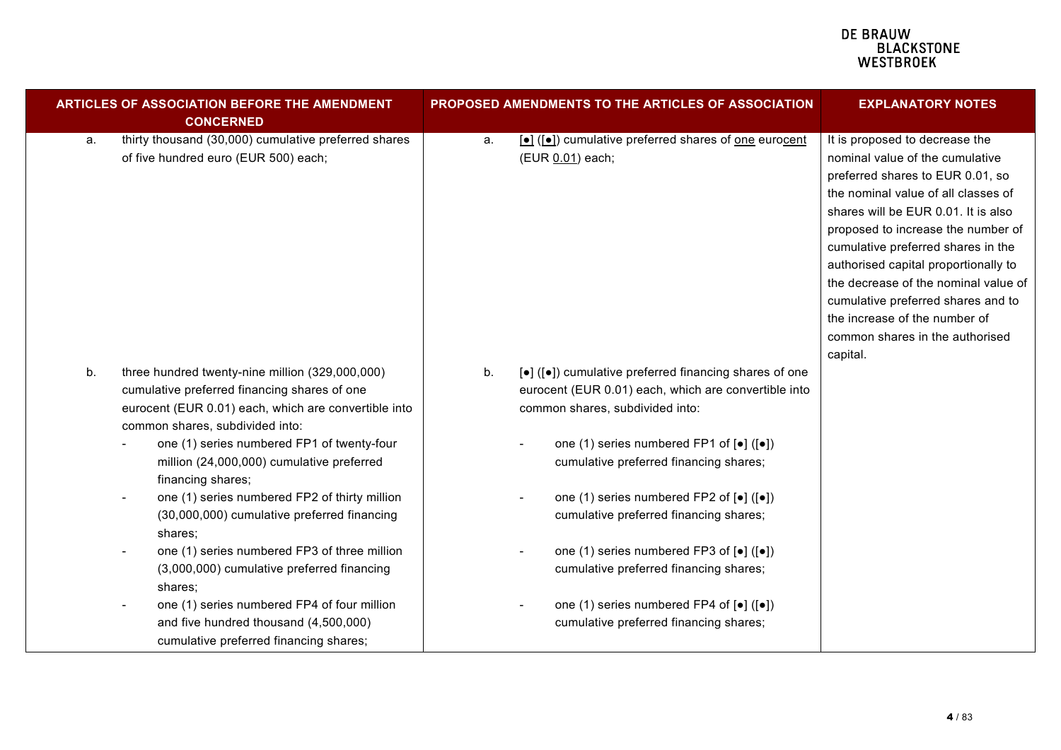| ARTICLES OF ASSOCIATION BEFORE THE AMENDMENT<br><b>CONCERNED</b>                                                                                                                                                                                                                                                                                                                                                                                                                                                                                                                                                                                                                                   | PROPOSED AMENDMENTS TO THE ARTICLES OF ASSOCIATION                                                                                                                                                                                                                                                                                                                                                                                                                                                                                                                                                                                                                                        | <b>EXPLANATORY NOTES</b>                                                                                                                                                                                                                                                                                                                                                                                                                                              |  |
|----------------------------------------------------------------------------------------------------------------------------------------------------------------------------------------------------------------------------------------------------------------------------------------------------------------------------------------------------------------------------------------------------------------------------------------------------------------------------------------------------------------------------------------------------------------------------------------------------------------------------------------------------------------------------------------------------|-------------------------------------------------------------------------------------------------------------------------------------------------------------------------------------------------------------------------------------------------------------------------------------------------------------------------------------------------------------------------------------------------------------------------------------------------------------------------------------------------------------------------------------------------------------------------------------------------------------------------------------------------------------------------------------------|-----------------------------------------------------------------------------------------------------------------------------------------------------------------------------------------------------------------------------------------------------------------------------------------------------------------------------------------------------------------------------------------------------------------------------------------------------------------------|--|
| thirty thousand (30,000) cumulative preferred shares<br>a.<br>of five hundred euro (EUR 500) each;                                                                                                                                                                                                                                                                                                                                                                                                                                                                                                                                                                                                 | [•] ([•]) cumulative preferred shares of one eurocent<br>a.<br>(EUR 0.01) each;                                                                                                                                                                                                                                                                                                                                                                                                                                                                                                                                                                                                           | It is proposed to decrease the<br>nominal value of the cumulative<br>preferred shares to EUR 0.01, so<br>the nominal value of all classes of<br>shares will be EUR 0.01. It is also<br>proposed to increase the number of<br>cumulative preferred shares in the<br>authorised capital proportionally to<br>the decrease of the nominal value of<br>cumulative preferred shares and to<br>the increase of the number of<br>common shares in the authorised<br>capital. |  |
| three hundred twenty-nine million (329,000,000)<br>b.<br>cumulative preferred financing shares of one<br>eurocent (EUR 0.01) each, which are convertible into<br>common shares, subdivided into:<br>one (1) series numbered FP1 of twenty-four<br>million (24,000,000) cumulative preferred<br>financing shares;<br>one (1) series numbered FP2 of thirty million<br>$\overline{\phantom{a}}$<br>(30,000,000) cumulative preferred financing<br>shares;<br>one (1) series numbered FP3 of three million<br>(3,000,000) cumulative preferred financing<br>shares;<br>one (1) series numbered FP4 of four million<br>and five hundred thousand (4,500,000)<br>cumulative preferred financing shares; | $\lceil \bullet \rceil$ ( $\lceil \bullet \rceil$ ) cumulative preferred financing shares of one<br>b.<br>eurocent (EUR 0.01) each, which are convertible into<br>common shares, subdivided into:<br>one (1) series numbered FP1 of $\left[\bullet\right]$ ( $\left[\bullet\right]$ )<br>cumulative preferred financing shares;<br>one (1) series numbered FP2 of [ $\bullet$ ] ([ $\bullet$ ])<br>$\overline{\phantom{a}}$<br>cumulative preferred financing shares;<br>one (1) series numbered FP3 of [ $\bullet$ ] ([ $\bullet$ ])<br>cumulative preferred financing shares;<br>one (1) series numbered FP4 of [ $\bullet$ ] ([ $\bullet$ ])<br>cumulative preferred financing shares; |                                                                                                                                                                                                                                                                                                                                                                                                                                                                       |  |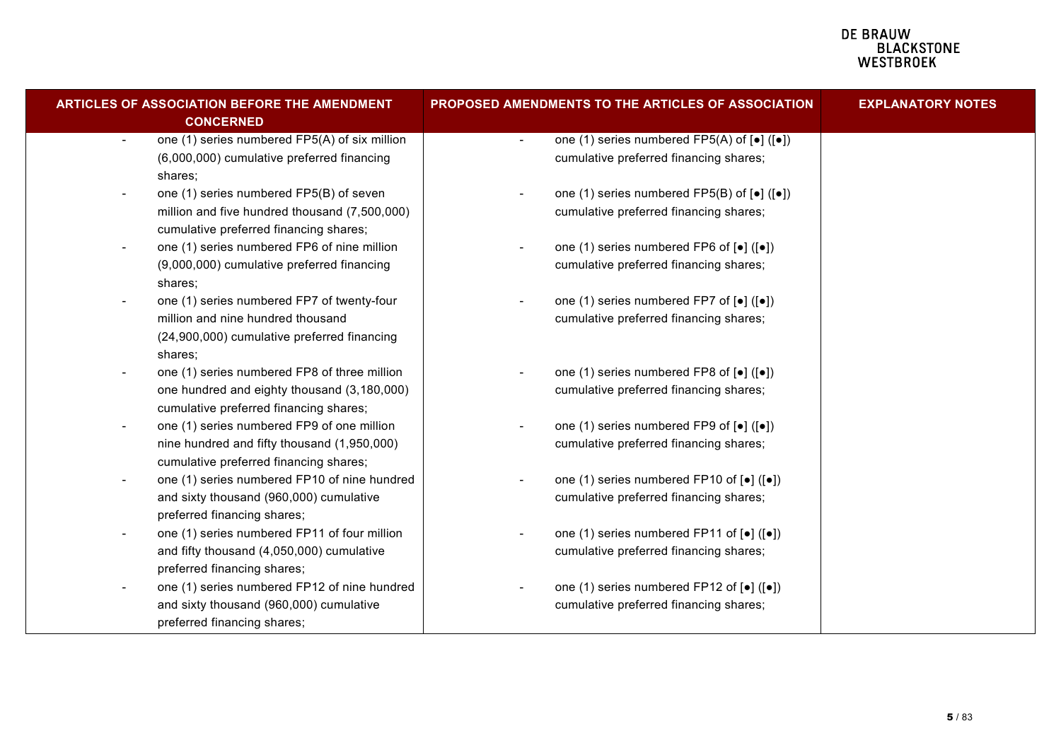| <b>ARTICLES OF ASSOCIATION BEFORE THE AMENDMENT</b><br><b>CONCERNED</b> | <b>PROPOSED AMENDMENTS TO THE ARTICLES OF ASSOCIATION</b>                                                               | <b>EXPLANATORY NOTES</b> |
|-------------------------------------------------------------------------|-------------------------------------------------------------------------------------------------------------------------|--------------------------|
| one (1) series numbered FP5(A) of six million<br>$\blacksquare$         | one (1) series numbered $FP5(A)$ of $\lbrack \bullet \rbrack$ ( $\lbrack \bullet \rbrack$ )<br>$\overline{\phantom{a}}$ |                          |
| (6,000,000) cumulative preferred financing                              | cumulative preferred financing shares;                                                                                  |                          |
| shares;                                                                 |                                                                                                                         |                          |
| one (1) series numbered FP5(B) of seven                                 | one (1) series numbered FP5(B) of $\left[ \bullet \right]$ ( $\left[ \bullet \right]$ )                                 |                          |
| million and five hundred thousand (7,500,000)                           | cumulative preferred financing shares;                                                                                  |                          |
| cumulative preferred financing shares;                                  |                                                                                                                         |                          |
| one (1) series numbered FP6 of nine million<br>$\overline{\phantom{a}}$ | one (1) series numbered FP6 of $\left[ \bullet \right]$ ( $\left[ \bullet \right]$ )                                    |                          |
| (9,000,000) cumulative preferred financing<br>shares;                   | cumulative preferred financing shares;                                                                                  |                          |
| one (1) series numbered FP7 of twenty-four                              | one (1) series numbered FP7 of [ $\bullet$ ] ([ $\bullet$ ])                                                            |                          |
| million and nine hundred thousand                                       | cumulative preferred financing shares;                                                                                  |                          |
| (24,900,000) cumulative preferred financing                             |                                                                                                                         |                          |
| shares:                                                                 |                                                                                                                         |                          |
| one (1) series numbered FP8 of three million                            | one (1) series numbered FP8 of [ $\bullet$ ] ([ $\bullet$ ])                                                            |                          |
| one hundred and eighty thousand (3,180,000)                             | cumulative preferred financing shares;                                                                                  |                          |
| cumulative preferred financing shares;                                  |                                                                                                                         |                          |
| one (1) series numbered FP9 of one million<br>$\overline{\phantom{a}}$  | one (1) series numbered FP9 of [ $\bullet$ ] ([ $\bullet$ ])                                                            |                          |
| nine hundred and fifty thousand (1,950,000)                             | cumulative preferred financing shares;                                                                                  |                          |
| cumulative preferred financing shares;                                  |                                                                                                                         |                          |
| one (1) series numbered FP10 of nine hundred                            | one (1) series numbered FP10 of [•] ([•])                                                                               |                          |
| and sixty thousand (960,000) cumulative                                 | cumulative preferred financing shares;                                                                                  |                          |
| preferred financing shares;                                             |                                                                                                                         |                          |
| one (1) series numbered FP11 of four million                            | one (1) series numbered FP11 of $[•] ([•])$                                                                             |                          |
| and fifty thousand (4,050,000) cumulative                               | cumulative preferred financing shares;                                                                                  |                          |
| preferred financing shares;                                             |                                                                                                                         |                          |
| one (1) series numbered FP12 of nine hundred                            | one (1) series numbered FP12 of [•] ([•])                                                                               |                          |
| and sixty thousand (960,000) cumulative                                 | cumulative preferred financing shares;                                                                                  |                          |
| preferred financing shares;                                             |                                                                                                                         |                          |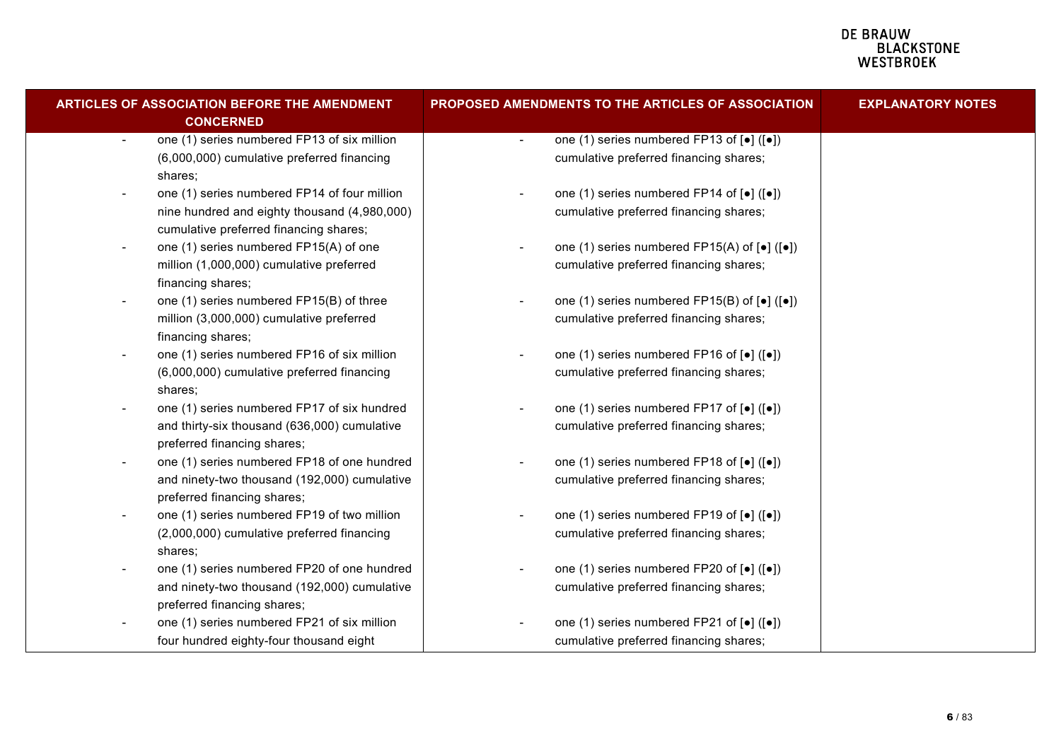| ARTICLES OF ASSOCIATION BEFORE THE AMENDMENT<br><b>CONCERNED</b>         | PROPOSED AMENDMENTS TO THE ARTICLES OF ASSOCIATION                                           | <b>EXPLANATORY NOTES</b> |
|--------------------------------------------------------------------------|----------------------------------------------------------------------------------------------|--------------------------|
| one (1) series numbered FP13 of six million<br>$\overline{\phantom{a}}$  | one (1) series numbered FP13 of [ $\bullet$ ] ([ $\bullet$ ])<br>$\overline{\phantom{a}}$    |                          |
| (6,000,000) cumulative preferred financing                               | cumulative preferred financing shares;                                                       |                          |
| shares:                                                                  |                                                                                              |                          |
| one (1) series numbered FP14 of four million<br>$\overline{\phantom{a}}$ | one (1) series numbered FP14 of [ $\bullet$ ] ([ $\bullet$ ])<br>$\overline{\phantom{a}}$    |                          |
| nine hundred and eighty thousand (4,980,000)                             | cumulative preferred financing shares;                                                       |                          |
| cumulative preferred financing shares;                                   |                                                                                              |                          |
| one (1) series numbered FP15(A) of one<br>$\overline{\phantom{a}}$       | one (1) series numbered FP15(A) of $\left[\bullet\right]$ ( $\left[\bullet\right]$ )         |                          |
| million (1,000,000) cumulative preferred                                 | cumulative preferred financing shares;                                                       |                          |
| financing shares;                                                        |                                                                                              |                          |
| one (1) series numbered FP15(B) of three<br>$\overline{\phantom{a}}$     | one (1) series numbered $FP15(B)$ of $\lbrack \bullet \rbrack$ ( $\lbrack \bullet \rbrack$ ) |                          |
| million (3,000,000) cumulative preferred                                 | cumulative preferred financing shares;                                                       |                          |
| financing shares;                                                        |                                                                                              |                          |
| one (1) series numbered FP16 of six million                              | one (1) series numbered FP16 of [ $\bullet$ ] ([ $\bullet$ ])                                |                          |
| (6,000,000) cumulative preferred financing                               | cumulative preferred financing shares;                                                       |                          |
| shares;                                                                  |                                                                                              |                          |
| one (1) series numbered FP17 of six hundred                              | one (1) series numbered FP17 of $\left[ \bullet \right]$ ( $\left[ \bullet \right]$ )        |                          |
| and thirty-six thousand (636,000) cumulative                             | cumulative preferred financing shares;                                                       |                          |
| preferred financing shares;                                              |                                                                                              |                          |
| one (1) series numbered FP18 of one hundred<br>$\overline{\phantom{a}}$  | one (1) series numbered FP18 of [•] ([•])                                                    |                          |
| and ninety-two thousand (192,000) cumulative                             | cumulative preferred financing shares;                                                       |                          |
| preferred financing shares;                                              |                                                                                              |                          |
| one (1) series numbered FP19 of two million<br>$\overline{\phantom{a}}$  | one (1) series numbered FP19 of [ $\bullet$ ] ([ $\bullet$ ])                                |                          |
| (2,000,000) cumulative preferred financing                               | cumulative preferred financing shares;                                                       |                          |
| shares;                                                                  |                                                                                              |                          |
| one (1) series numbered FP20 of one hundred<br>$\overline{\phantom{a}}$  | one (1) series numbered FP20 of [ $\bullet$ ] ([ $\bullet$ ])                                |                          |
| and ninety-two thousand (192,000) cumulative                             | cumulative preferred financing shares;                                                       |                          |
| preferred financing shares;                                              |                                                                                              |                          |
| one (1) series numbered FP21 of six million                              | one (1) series numbered FP21 of [ $\bullet$ ] ( $[\bullet]$ )                                |                          |
| four hundred eighty-four thousand eight                                  | cumulative preferred financing shares;                                                       |                          |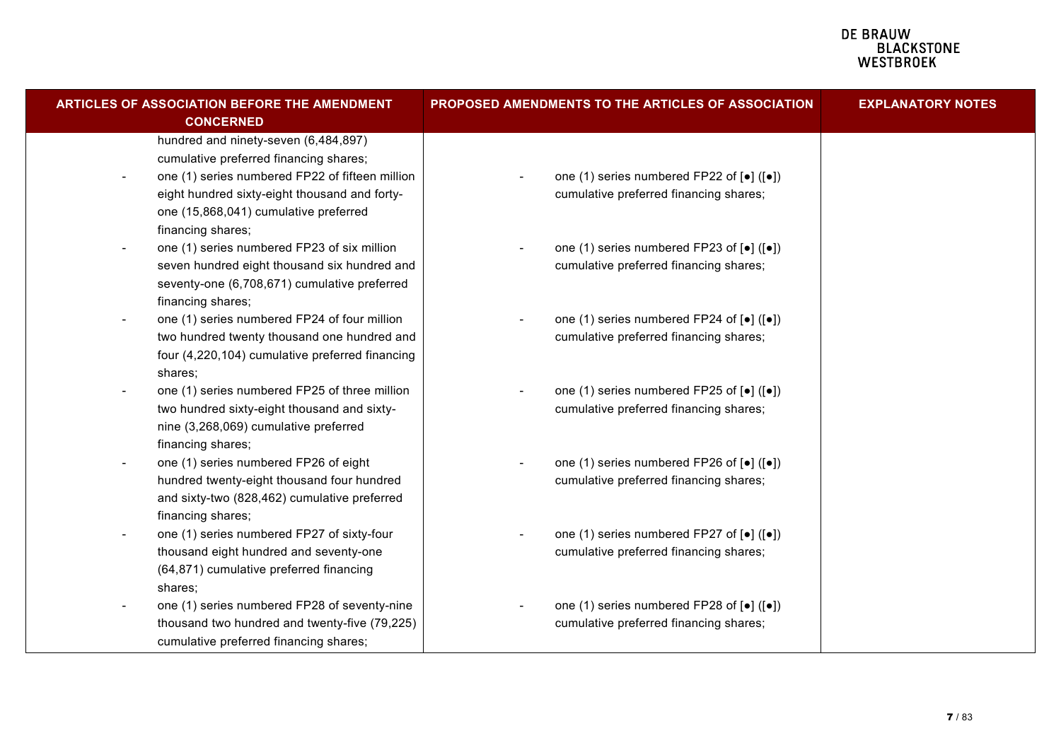| ARTICLES OF ASSOCIATION BEFORE THE AMENDMENT<br><b>CONCERNED</b>                                                                                                                                                            | PROPOSED AMENDMENTS TO THE ARTICLES OF ASSOCIATION                                                                    | <b>EXPLANATORY NOTES</b> |  |
|-----------------------------------------------------------------------------------------------------------------------------------------------------------------------------------------------------------------------------|-----------------------------------------------------------------------------------------------------------------------|--------------------------|--|
| hundred and ninety-seven (6,484,897)<br>cumulative preferred financing shares;<br>one (1) series numbered FP22 of fifteen million<br>eight hundred sixty-eight thousand and forty-<br>one (15,868,041) cumulative preferred | one (1) series numbered FP22 of [•] ([•])<br>cumulative preferred financing shares;                                   |                          |  |
| financing shares;<br>one (1) series numbered FP23 of six million<br>$\overline{\phantom{a}}$<br>seven hundred eight thousand six hundred and<br>seventy-one (6,708,671) cumulative preferred<br>financing shares;           | one (1) series numbered FP23 of [ $\bullet$ ] ( $\lbrack \bullet \rbrack$ )<br>cumulative preferred financing shares; |                          |  |
| one (1) series numbered FP24 of four million<br>$\overline{\phantom{a}}$<br>two hundred twenty thousand one hundred and<br>four (4,220,104) cumulative preferred financing<br>shares:                                       | one (1) series numbered FP24 of [ $\bullet$ ] ([ $\bullet$ ])<br>cumulative preferred financing shares;               |                          |  |
| one (1) series numbered FP25 of three million<br>two hundred sixty-eight thousand and sixty-<br>nine (3,268,069) cumulative preferred<br>financing shares;                                                                  | one (1) series numbered FP25 of [ $\bullet$ ] ([ $\bullet$ ])<br>cumulative preferred financing shares;               |                          |  |
| one (1) series numbered FP26 of eight<br>$\overline{\phantom{a}}$<br>hundred twenty-eight thousand four hundred<br>and sixty-two (828,462) cumulative preferred<br>financing shares;                                        | one (1) series numbered FP26 of [ $\bullet$ ] ( $\lbrack \bullet \rbrack$ )<br>cumulative preferred financing shares; |                          |  |
| one (1) series numbered FP27 of sixty-four<br>thousand eight hundred and seventy-one<br>(64,871) cumulative preferred financing<br>shares;                                                                                  | one (1) series numbered FP27 of [•] ([•])<br>cumulative preferred financing shares;                                   |                          |  |
| one (1) series numbered FP28 of seventy-nine<br>thousand two hundred and twenty-five (79,225)<br>cumulative preferred financing shares;                                                                                     | one (1) series numbered FP28 of [ $\bullet$ ] ( $\lbrack \bullet \rbrack$ )<br>cumulative preferred financing shares; |                          |  |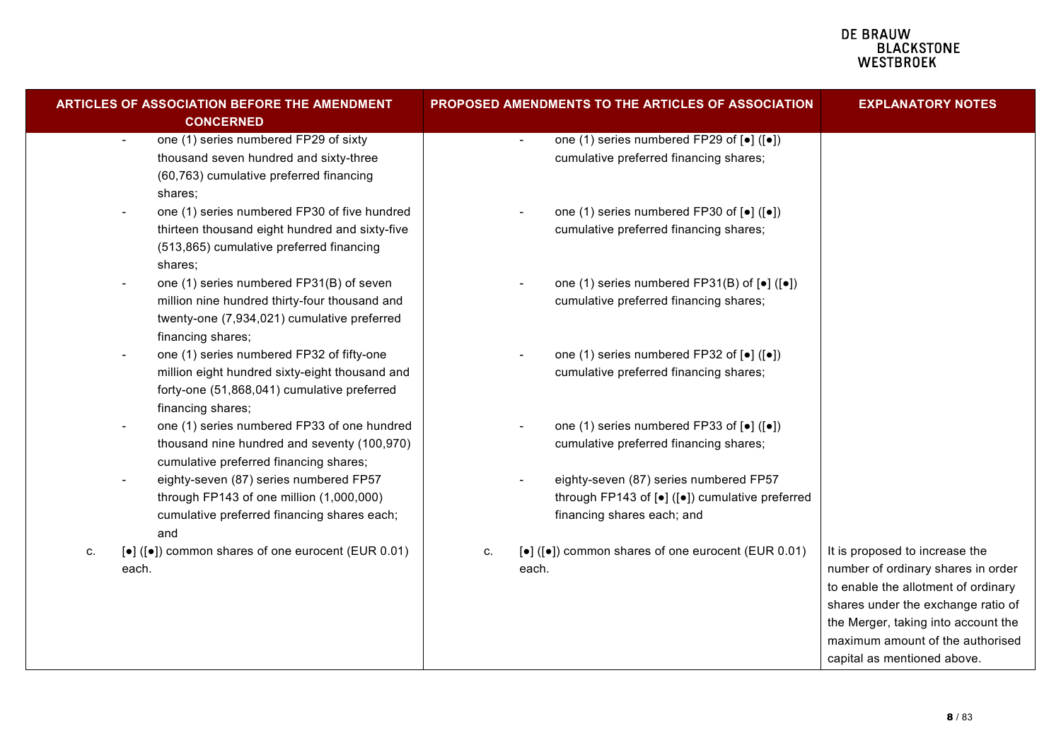| <b>ARTICLES OF ASSOCIATION BEFORE THE AMENDMENT</b><br><b>CONCERNED</b>                                   | PROPOSED AMENDMENTS TO THE ARTICLES OF ASSOCIATION                                                  | <b>EXPLANATORY NOTES</b>                                             |  |
|-----------------------------------------------------------------------------------------------------------|-----------------------------------------------------------------------------------------------------|----------------------------------------------------------------------|--|
| one (1) series numbered FP29 of sixty<br>$\overline{\phantom{a}}$                                         | one (1) series numbered FP29 of [ $\bullet$ ] ( $\lceil\bullet\rceil$ )<br>$\overline{\phantom{a}}$ |                                                                      |  |
| thousand seven hundred and sixty-three                                                                    | cumulative preferred financing shares;                                                              |                                                                      |  |
| (60,763) cumulative preferred financing                                                                   |                                                                                                     |                                                                      |  |
| shares;                                                                                                   |                                                                                                     |                                                                      |  |
| one (1) series numbered FP30 of five hundred                                                              | one (1) series numbered FP30 of [ $\bullet$ ] ([ $\bullet$ ])                                       |                                                                      |  |
| thirteen thousand eight hundred and sixty-five                                                            | cumulative preferred financing shares;                                                              |                                                                      |  |
| (513,865) cumulative preferred financing                                                                  |                                                                                                     |                                                                      |  |
| shares;                                                                                                   |                                                                                                     |                                                                      |  |
| one (1) series numbered FP31(B) of seven                                                                  | one (1) series numbered FP31(B) of $\left[\bullet\right]$ ( $\left[\bullet\right]$ )                |                                                                      |  |
| million nine hundred thirty-four thousand and                                                             | cumulative preferred financing shares;                                                              |                                                                      |  |
| twenty-one (7,934,021) cumulative preferred                                                               |                                                                                                     |                                                                      |  |
| financing shares;                                                                                         |                                                                                                     |                                                                      |  |
| one (1) series numbered FP32 of fifty-one<br>$\overline{\phantom{a}}$                                     | one (1) series numbered FP32 of [ $\bullet$ ] ( $\lbrack \bullet \rbrack$ )                         |                                                                      |  |
| million eight hundred sixty-eight thousand and                                                            | cumulative preferred financing shares;                                                              |                                                                      |  |
| forty-one (51,868,041) cumulative preferred                                                               |                                                                                                     |                                                                      |  |
| financing shares;                                                                                         |                                                                                                     |                                                                      |  |
| one (1) series numbered FP33 of one hundred<br>$\overline{\phantom{a}}$                                   | one (1) series numbered FP33 of [ $\bullet$ ] ([ $\bullet$ ])                                       |                                                                      |  |
| thousand nine hundred and seventy (100,970)                                                               | cumulative preferred financing shares;                                                              |                                                                      |  |
| cumulative preferred financing shares;                                                                    |                                                                                                     |                                                                      |  |
| eighty-seven (87) series numbered FP57<br>$\overline{\phantom{a}}$                                        | eighty-seven (87) series numbered FP57                                                              |                                                                      |  |
| through FP143 of one million (1,000,000)                                                                  | through FP143 of $[e]$ ( $[e]$ ) cumulative preferred                                               |                                                                      |  |
| cumulative preferred financing shares each;                                                               | financing shares each; and                                                                          |                                                                      |  |
| and                                                                                                       |                                                                                                     |                                                                      |  |
| $\left[\bullet\right]$ ( $\left[\bullet\right]$ ) common shares of one eurocent (EUR 0.01)<br>c.<br>each. | $[e]$ ( $[e]$ ) common shares of one eurocent (EUR 0.01)<br>C.<br>each.                             | It is proposed to increase the<br>number of ordinary shares in order |  |
|                                                                                                           |                                                                                                     | to enable the allotment of ordinary                                  |  |
|                                                                                                           |                                                                                                     | shares under the exchange ratio of                                   |  |
|                                                                                                           |                                                                                                     | the Merger, taking into account the                                  |  |
|                                                                                                           |                                                                                                     | maximum amount of the authorised                                     |  |
|                                                                                                           |                                                                                                     | capital as mentioned above.                                          |  |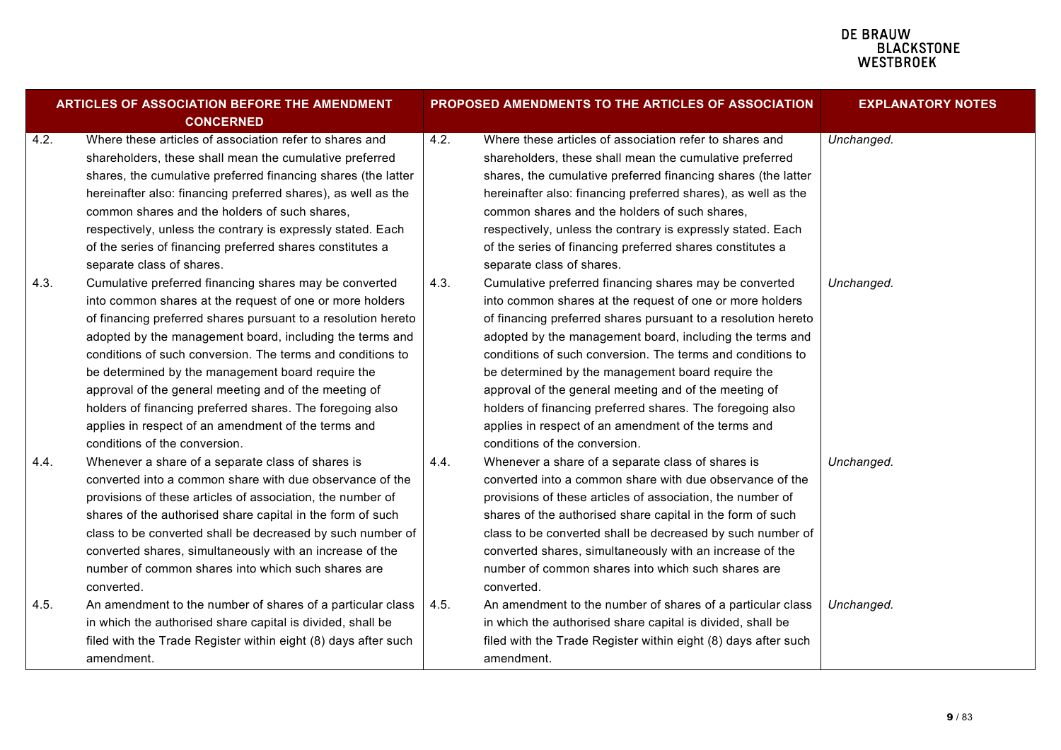| <b>ARTICLES OF ASSOCIATION BEFORE THE AMENDMENT</b><br><b>CONCERNED</b> |                                                                                                                                                                                                                                                                                                                                                                                                                                                                                                                                                                                  |      | PROPOSED AMENDMENTS TO THE ARTICLES OF ASSOCIATION                                                                                                                                                                                                                                                                                                                                                                                                                                                                                                                               | <b>EXPLANATORY NOTES</b> |  |
|-------------------------------------------------------------------------|----------------------------------------------------------------------------------------------------------------------------------------------------------------------------------------------------------------------------------------------------------------------------------------------------------------------------------------------------------------------------------------------------------------------------------------------------------------------------------------------------------------------------------------------------------------------------------|------|----------------------------------------------------------------------------------------------------------------------------------------------------------------------------------------------------------------------------------------------------------------------------------------------------------------------------------------------------------------------------------------------------------------------------------------------------------------------------------------------------------------------------------------------------------------------------------|--------------------------|--|
| 4.2.                                                                    | Where these articles of association refer to shares and<br>shareholders, these shall mean the cumulative preferred<br>shares, the cumulative preferred financing shares (the latter<br>hereinafter also: financing preferred shares), as well as the<br>common shares and the holders of such shares.<br>respectively, unless the contrary is expressly stated. Each<br>of the series of financing preferred shares constitutes a<br>separate class of shares.                                                                                                                   | 4.2. | Where these articles of association refer to shares and<br>shareholders, these shall mean the cumulative preferred<br>shares, the cumulative preferred financing shares (the latter<br>hereinafter also: financing preferred shares), as well as the<br>common shares and the holders of such shares,<br>respectively, unless the contrary is expressly stated. Each<br>of the series of financing preferred shares constitutes a<br>separate class of shares.                                                                                                                   | Unchanged.               |  |
| 4.3.                                                                    | Cumulative preferred financing shares may be converted<br>into common shares at the request of one or more holders<br>of financing preferred shares pursuant to a resolution hereto<br>adopted by the management board, including the terms and<br>conditions of such conversion. The terms and conditions to<br>be determined by the management board require the<br>approval of the general meeting and of the meeting of<br>holders of financing preferred shares. The foregoing also<br>applies in respect of an amendment of the terms and<br>conditions of the conversion. | 4.3. | Cumulative preferred financing shares may be converted<br>into common shares at the request of one or more holders<br>of financing preferred shares pursuant to a resolution hereto<br>adopted by the management board, including the terms and<br>conditions of such conversion. The terms and conditions to<br>be determined by the management board require the<br>approval of the general meeting and of the meeting of<br>holders of financing preferred shares. The foregoing also<br>applies in respect of an amendment of the terms and<br>conditions of the conversion. | Unchanged.               |  |
| 4.4.                                                                    | Whenever a share of a separate class of shares is<br>converted into a common share with due observance of the<br>provisions of these articles of association, the number of<br>shares of the authorised share capital in the form of such<br>class to be converted shall be decreased by such number of<br>converted shares, simultaneously with an increase of the<br>number of common shares into which such shares are<br>converted.                                                                                                                                          | 4.4. | Whenever a share of a separate class of shares is<br>converted into a common share with due observance of the<br>provisions of these articles of association, the number of<br>shares of the authorised share capital in the form of such<br>class to be converted shall be decreased by such number of<br>converted shares, simultaneously with an increase of the<br>number of common shares into which such shares are<br>converted.                                                                                                                                          | Unchanged.               |  |
| 4.5.                                                                    | An amendment to the number of shares of a particular class<br>in which the authorised share capital is divided, shall be<br>filed with the Trade Register within eight (8) days after such<br>amendment.                                                                                                                                                                                                                                                                                                                                                                         | 4.5. | An amendment to the number of shares of a particular class<br>in which the authorised share capital is divided, shall be<br>filed with the Trade Register within eight (8) days after such<br>amendment.                                                                                                                                                                                                                                                                                                                                                                         | Unchanged.               |  |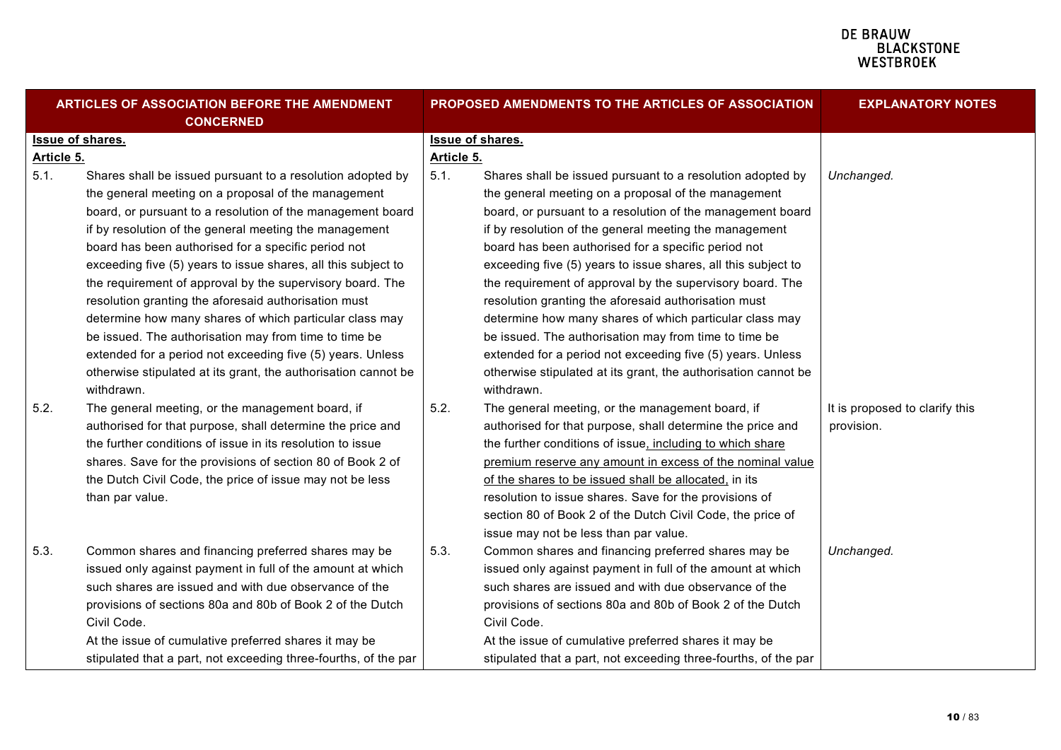| <b>ARTICLES OF ASSOCIATION BEFORE THE AMENDMENT</b><br><b>CONCERNED</b> |                                                                 | PROPOSED AMENDMENTS TO THE ARTICLES OF ASSOCIATION |                                                                 | <b>EXPLANATORY NOTES</b>       |
|-------------------------------------------------------------------------|-----------------------------------------------------------------|----------------------------------------------------|-----------------------------------------------------------------|--------------------------------|
|                                                                         | <b>Issue of shares.</b>                                         |                                                    | <b>Issue of shares.</b>                                         |                                |
| Article 5.                                                              |                                                                 | Article 5.                                         |                                                                 |                                |
| 5.1.                                                                    | Shares shall be issued pursuant to a resolution adopted by      | 5.1.                                               | Shares shall be issued pursuant to a resolution adopted by      | Unchanged.                     |
|                                                                         | the general meeting on a proposal of the management             |                                                    | the general meeting on a proposal of the management             |                                |
|                                                                         | board, or pursuant to a resolution of the management board      |                                                    | board, or pursuant to a resolution of the management board      |                                |
|                                                                         | if by resolution of the general meeting the management          |                                                    | if by resolution of the general meeting the management          |                                |
|                                                                         | board has been authorised for a specific period not             |                                                    | board has been authorised for a specific period not             |                                |
|                                                                         | exceeding five (5) years to issue shares, all this subject to   |                                                    | exceeding five (5) years to issue shares, all this subject to   |                                |
|                                                                         | the requirement of approval by the supervisory board. The       |                                                    | the requirement of approval by the supervisory board. The       |                                |
|                                                                         | resolution granting the aforesaid authorisation must            |                                                    | resolution granting the aforesaid authorisation must            |                                |
|                                                                         | determine how many shares of which particular class may         |                                                    | determine how many shares of which particular class may         |                                |
|                                                                         | be issued. The authorisation may from time to time be           |                                                    | be issued. The authorisation may from time to time be           |                                |
|                                                                         | extended for a period not exceeding five (5) years. Unless      |                                                    | extended for a period not exceeding five (5) years. Unless      |                                |
|                                                                         | otherwise stipulated at its grant, the authorisation cannot be  |                                                    | otherwise stipulated at its grant, the authorisation cannot be  |                                |
|                                                                         | withdrawn.                                                      |                                                    | withdrawn.                                                      |                                |
| 5.2.                                                                    | The general meeting, or the management board, if                | 5.2.                                               | The general meeting, or the management board, if                | It is proposed to clarify this |
|                                                                         | authorised for that purpose, shall determine the price and      |                                                    | authorised for that purpose, shall determine the price and      | provision.                     |
|                                                                         | the further conditions of issue in its resolution to issue      |                                                    | the further conditions of issue, including to which share       |                                |
|                                                                         | shares. Save for the provisions of section 80 of Book 2 of      |                                                    | premium reserve any amount in excess of the nominal value       |                                |
|                                                                         | the Dutch Civil Code, the price of issue may not be less        |                                                    | of the shares to be issued shall be allocated, in its           |                                |
|                                                                         | than par value.                                                 |                                                    | resolution to issue shares. Save for the provisions of          |                                |
|                                                                         |                                                                 |                                                    | section 80 of Book 2 of the Dutch Civil Code, the price of      |                                |
|                                                                         |                                                                 |                                                    | issue may not be less than par value.                           |                                |
| 5.3.                                                                    | Common shares and financing preferred shares may be             | 5.3.                                               | Common shares and financing preferred shares may be             | Unchanged.                     |
|                                                                         | issued only against payment in full of the amount at which      |                                                    | issued only against payment in full of the amount at which      |                                |
|                                                                         | such shares are issued and with due observance of the           |                                                    | such shares are issued and with due observance of the           |                                |
|                                                                         | provisions of sections 80a and 80b of Book 2 of the Dutch       |                                                    | provisions of sections 80a and 80b of Book 2 of the Dutch       |                                |
|                                                                         | Civil Code.                                                     |                                                    | Civil Code.                                                     |                                |
|                                                                         | At the issue of cumulative preferred shares it may be           |                                                    | At the issue of cumulative preferred shares it may be           |                                |
|                                                                         | stipulated that a part, not exceeding three-fourths, of the par |                                                    | stipulated that a part, not exceeding three-fourths, of the par |                                |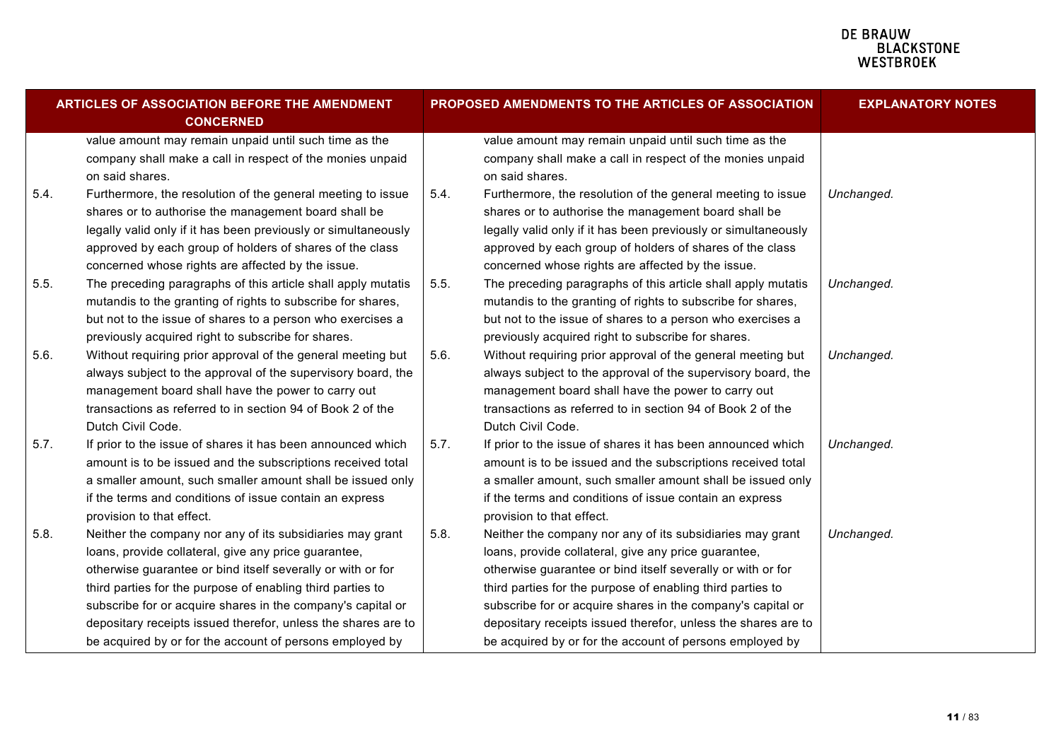|      | ARTICLES OF ASSOCIATION BEFORE THE AMENDMENT<br><b>CONCERNED</b>                                                                                                                                                                                                                                                                                                                                                                           |      | PROPOSED AMENDMENTS TO THE ARTICLES OF ASSOCIATION                                                                                                                                                                                                                                                                                                                                                                                         | <b>EXPLANATORY NOTES</b> |  |
|------|--------------------------------------------------------------------------------------------------------------------------------------------------------------------------------------------------------------------------------------------------------------------------------------------------------------------------------------------------------------------------------------------------------------------------------------------|------|--------------------------------------------------------------------------------------------------------------------------------------------------------------------------------------------------------------------------------------------------------------------------------------------------------------------------------------------------------------------------------------------------------------------------------------------|--------------------------|--|
|      | value amount may remain unpaid until such time as the<br>company shall make a call in respect of the monies unpaid<br>on said shares.                                                                                                                                                                                                                                                                                                      |      | value amount may remain unpaid until such time as the<br>company shall make a call in respect of the monies unpaid<br>on said shares.                                                                                                                                                                                                                                                                                                      |                          |  |
| 5.4. | Furthermore, the resolution of the general meeting to issue<br>shares or to authorise the management board shall be<br>legally valid only if it has been previously or simultaneously<br>approved by each group of holders of shares of the class<br>concerned whose rights are affected by the issue.                                                                                                                                     | 5.4. | Furthermore, the resolution of the general meeting to issue<br>shares or to authorise the management board shall be<br>legally valid only if it has been previously or simultaneously<br>approved by each group of holders of shares of the class<br>concerned whose rights are affected by the issue.                                                                                                                                     | Unchanged.               |  |
| 5.5. | The preceding paragraphs of this article shall apply mutatis<br>mutandis to the granting of rights to subscribe for shares,<br>but not to the issue of shares to a person who exercises a<br>previously acquired right to subscribe for shares.                                                                                                                                                                                            | 5.5. | The preceding paragraphs of this article shall apply mutatis<br>mutandis to the granting of rights to subscribe for shares,<br>but not to the issue of shares to a person who exercises a<br>previously acquired right to subscribe for shares.                                                                                                                                                                                            | Unchanged.               |  |
| 5.6. | Without requiring prior approval of the general meeting but<br>always subject to the approval of the supervisory board, the<br>management board shall have the power to carry out<br>transactions as referred to in section 94 of Book 2 of the<br>Dutch Civil Code.                                                                                                                                                                       | 5.6. | Without requiring prior approval of the general meeting but<br>always subject to the approval of the supervisory board, the<br>management board shall have the power to carry out<br>transactions as referred to in section 94 of Book 2 of the<br>Dutch Civil Code.                                                                                                                                                                       | Unchanged.               |  |
| 5.7. | If prior to the issue of shares it has been announced which<br>amount is to be issued and the subscriptions received total<br>a smaller amount, such smaller amount shall be issued only<br>if the terms and conditions of issue contain an express<br>provision to that effect.                                                                                                                                                           | 5.7. | If prior to the issue of shares it has been announced which<br>amount is to be issued and the subscriptions received total<br>a smaller amount, such smaller amount shall be issued only<br>if the terms and conditions of issue contain an express<br>provision to that effect.                                                                                                                                                           | Unchanged.               |  |
| 5.8. | Neither the company nor any of its subsidiaries may grant<br>loans, provide collateral, give any price guarantee,<br>otherwise guarantee or bind itself severally or with or for<br>third parties for the purpose of enabling third parties to<br>subscribe for or acquire shares in the company's capital or<br>depositary receipts issued therefor, unless the shares are to<br>be acquired by or for the account of persons employed by | 5.8. | Neither the company nor any of its subsidiaries may grant<br>loans, provide collateral, give any price guarantee,<br>otherwise guarantee or bind itself severally or with or for<br>third parties for the purpose of enabling third parties to<br>subscribe for or acquire shares in the company's capital or<br>depositary receipts issued therefor, unless the shares are to<br>be acquired by or for the account of persons employed by | Unchanged.               |  |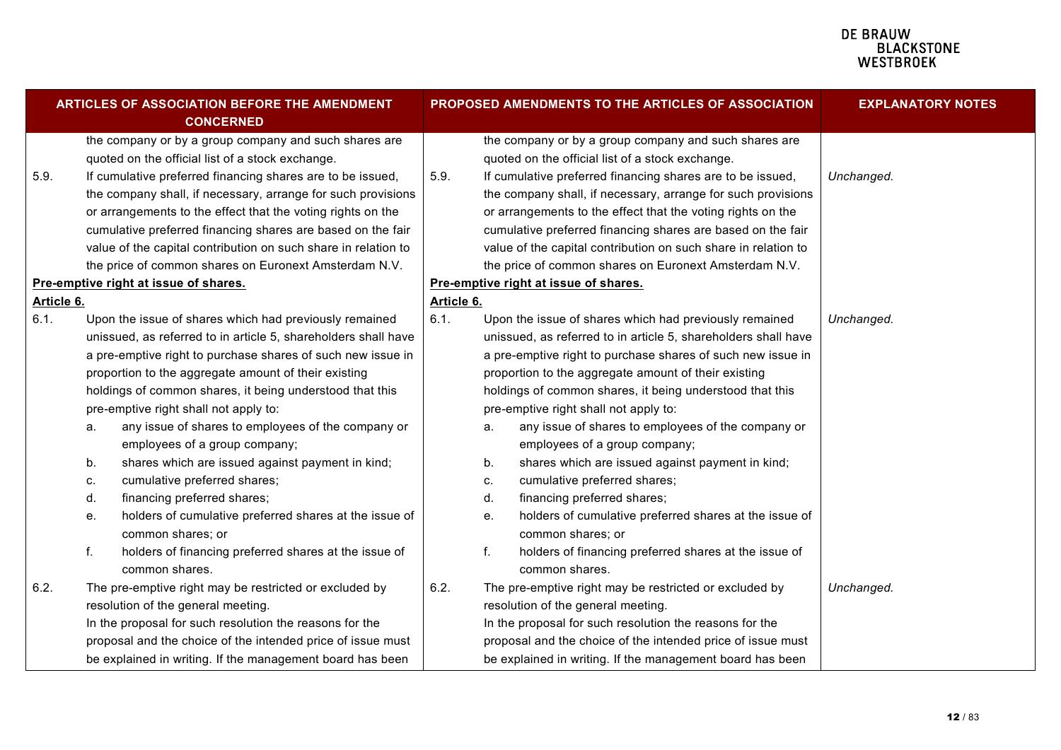#### **DE BRAUW EDINACTOR**<br>BLACKSTONE<br>WESTBROEK

| ARTICLES OF ASSOCIATION BEFORE THE AMENDMENT<br><b>CONCERNED</b> |                                  |                                                                                                                                                                                                                                                                                                                                                                                                                                                                                                                                                                                                                                                                                                                          | PROPOSED AMENDMENTS TO THE ARTICLES OF ASSOCIATION |                                  |                                                                                                                                                                                                                                                                                                                                                                                                                                                                                                                                                                                                                                                                                                                          | <b>EXPLANATORY NOTES</b> |
|------------------------------------------------------------------|----------------------------------|--------------------------------------------------------------------------------------------------------------------------------------------------------------------------------------------------------------------------------------------------------------------------------------------------------------------------------------------------------------------------------------------------------------------------------------------------------------------------------------------------------------------------------------------------------------------------------------------------------------------------------------------------------------------------------------------------------------------------|----------------------------------------------------|----------------------------------|--------------------------------------------------------------------------------------------------------------------------------------------------------------------------------------------------------------------------------------------------------------------------------------------------------------------------------------------------------------------------------------------------------------------------------------------------------------------------------------------------------------------------------------------------------------------------------------------------------------------------------------------------------------------------------------------------------------------------|--------------------------|
| 5.9.                                                             |                                  | the company or by a group company and such shares are<br>quoted on the official list of a stock exchange.<br>If cumulative preferred financing shares are to be issued,<br>the company shall, if necessary, arrange for such provisions<br>or arrangements to the effect that the voting rights on the<br>cumulative preferred financing shares are based on the fair<br>value of the capital contribution on such share in relation to                                                                                                                                                                                                                                                                                  | 5.9.                                               |                                  | the company or by a group company and such shares are<br>quoted on the official list of a stock exchange.<br>If cumulative preferred financing shares are to be issued,<br>the company shall, if necessary, arrange for such provisions<br>or arrangements to the effect that the voting rights on the<br>cumulative preferred financing shares are based on the fair<br>value of the capital contribution on such share in relation to                                                                                                                                                                                                                                                                                  | Unchanged.               |
|                                                                  |                                  | the price of common shares on Euronext Amsterdam N.V.                                                                                                                                                                                                                                                                                                                                                                                                                                                                                                                                                                                                                                                                    |                                                    |                                  | the price of common shares on Euronext Amsterdam N.V.                                                                                                                                                                                                                                                                                                                                                                                                                                                                                                                                                                                                                                                                    |                          |
|                                                                  |                                  | Pre-emptive right at issue of shares.                                                                                                                                                                                                                                                                                                                                                                                                                                                                                                                                                                                                                                                                                    |                                                    |                                  | Pre-emptive right at issue of shares.                                                                                                                                                                                                                                                                                                                                                                                                                                                                                                                                                                                                                                                                                    |                          |
| Article 6.<br>6.1.                                               | a.<br>b.<br>c.<br>d.<br>е.<br>f. | Upon the issue of shares which had previously remained<br>unissued, as referred to in article 5, shareholders shall have<br>a pre-emptive right to purchase shares of such new issue in<br>proportion to the aggregate amount of their existing<br>holdings of common shares, it being understood that this<br>pre-emptive right shall not apply to:<br>any issue of shares to employees of the company or<br>employees of a group company;<br>shares which are issued against payment in kind;<br>cumulative preferred shares;<br>financing preferred shares;<br>holders of cumulative preferred shares at the issue of<br>common shares; or<br>holders of financing preferred shares at the issue of<br>common shares. | Article 6.<br>6.1.                                 | a.<br>b.<br>c.<br>d.<br>e.<br>f. | Upon the issue of shares which had previously remained<br>unissued, as referred to in article 5, shareholders shall have<br>a pre-emptive right to purchase shares of such new issue in<br>proportion to the aggregate amount of their existing<br>holdings of common shares, it being understood that this<br>pre-emptive right shall not apply to:<br>any issue of shares to employees of the company or<br>employees of a group company;<br>shares which are issued against payment in kind;<br>cumulative preferred shares;<br>financing preferred shares;<br>holders of cumulative preferred shares at the issue of<br>common shares; or<br>holders of financing preferred shares at the issue of<br>common shares. | Unchanged.               |
| 6.2.                                                             |                                  | The pre-emptive right may be restricted or excluded by<br>resolution of the general meeting.<br>In the proposal for such resolution the reasons for the<br>proposal and the choice of the intended price of issue must<br>be explained in writing. If the management board has been                                                                                                                                                                                                                                                                                                                                                                                                                                      | 6.2.                                               |                                  | The pre-emptive right may be restricted or excluded by<br>resolution of the general meeting.<br>In the proposal for such resolution the reasons for the<br>proposal and the choice of the intended price of issue must<br>be explained in writing. If the management board has been                                                                                                                                                                                                                                                                                                                                                                                                                                      | Unchanged.               |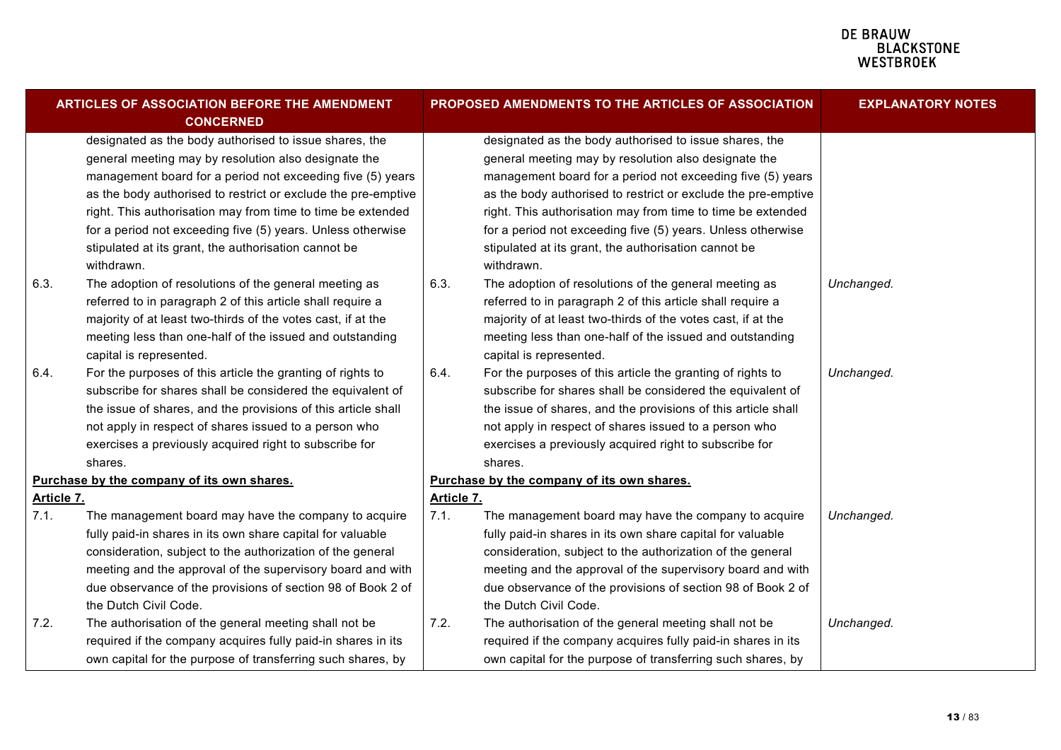| <b>ARTICLES OF ASSOCIATION BEFORE THE AMENDMENT</b><br><b>CONCERNED</b> |                                                               |            | PROPOSED AMENDMENTS TO THE ARTICLES OF ASSOCIATION            | <b>EXPLANATORY NOTES</b> |  |
|-------------------------------------------------------------------------|---------------------------------------------------------------|------------|---------------------------------------------------------------|--------------------------|--|
|                                                                         | designated as the body authorised to issue shares, the        |            | designated as the body authorised to issue shares, the        |                          |  |
|                                                                         | general meeting may by resolution also designate the          |            | general meeting may by resolution also designate the          |                          |  |
|                                                                         | management board for a period not exceeding five (5) years    |            | management board for a period not exceeding five (5) years    |                          |  |
|                                                                         | as the body authorised to restrict or exclude the pre-emptive |            | as the body authorised to restrict or exclude the pre-emptive |                          |  |
|                                                                         | right. This authorisation may from time to time be extended   |            | right. This authorisation may from time to time be extended   |                          |  |
|                                                                         | for a period not exceeding five (5) years. Unless otherwise   |            | for a period not exceeding five (5) years. Unless otherwise   |                          |  |
|                                                                         | stipulated at its grant, the authorisation cannot be          |            | stipulated at its grant, the authorisation cannot be          |                          |  |
|                                                                         | withdrawn.                                                    |            | withdrawn.                                                    |                          |  |
| 6.3.                                                                    | The adoption of resolutions of the general meeting as         | 6.3.       | The adoption of resolutions of the general meeting as         | Unchanged.               |  |
|                                                                         | referred to in paragraph 2 of this article shall require a    |            | referred to in paragraph 2 of this article shall require a    |                          |  |
|                                                                         | majority of at least two-thirds of the votes cast, if at the  |            | majority of at least two-thirds of the votes cast, if at the  |                          |  |
|                                                                         | meeting less than one-half of the issued and outstanding      |            | meeting less than one-half of the issued and outstanding      |                          |  |
|                                                                         | capital is represented.                                       |            | capital is represented.                                       |                          |  |
| 6.4.                                                                    | For the purposes of this article the granting of rights to    | 6.4.       | For the purposes of this article the granting of rights to    | Unchanged.               |  |
|                                                                         | subscribe for shares shall be considered the equivalent of    |            | subscribe for shares shall be considered the equivalent of    |                          |  |
|                                                                         | the issue of shares, and the provisions of this article shall |            | the issue of shares, and the provisions of this article shall |                          |  |
|                                                                         | not apply in respect of shares issued to a person who         |            | not apply in respect of shares issued to a person who         |                          |  |
|                                                                         | exercises a previously acquired right to subscribe for        |            | exercises a previously acquired right to subscribe for        |                          |  |
|                                                                         | shares.                                                       |            | shares.                                                       |                          |  |
|                                                                         | Purchase by the company of its own shares.                    |            | Purchase by the company of its own shares.                    |                          |  |
| <u>Article 7.</u>                                                       |                                                               | Article 7. |                                                               |                          |  |
| 7.1.                                                                    | The management board may have the company to acquire          | 7.1.       | The management board may have the company to acquire          | Unchanged.               |  |
|                                                                         | fully paid-in shares in its own share capital for valuable    |            | fully paid-in shares in its own share capital for valuable    |                          |  |
|                                                                         | consideration, subject to the authorization of the general    |            | consideration, subject to the authorization of the general    |                          |  |
|                                                                         | meeting and the approval of the supervisory board and with    |            | meeting and the approval of the supervisory board and with    |                          |  |
|                                                                         | due observance of the provisions of section 98 of Book 2 of   |            | due observance of the provisions of section 98 of Book 2 of   |                          |  |
|                                                                         | the Dutch Civil Code.                                         |            | the Dutch Civil Code.                                         |                          |  |
| 7.2.                                                                    | The authorisation of the general meeting shall not be         | 7.2.       | The authorisation of the general meeting shall not be         | Unchanged.               |  |
|                                                                         | required if the company acquires fully paid-in shares in its  |            | required if the company acquires fully paid-in shares in its  |                          |  |
|                                                                         | own capital for the purpose of transferring such shares, by   |            | own capital for the purpose of transferring such shares, by   |                          |  |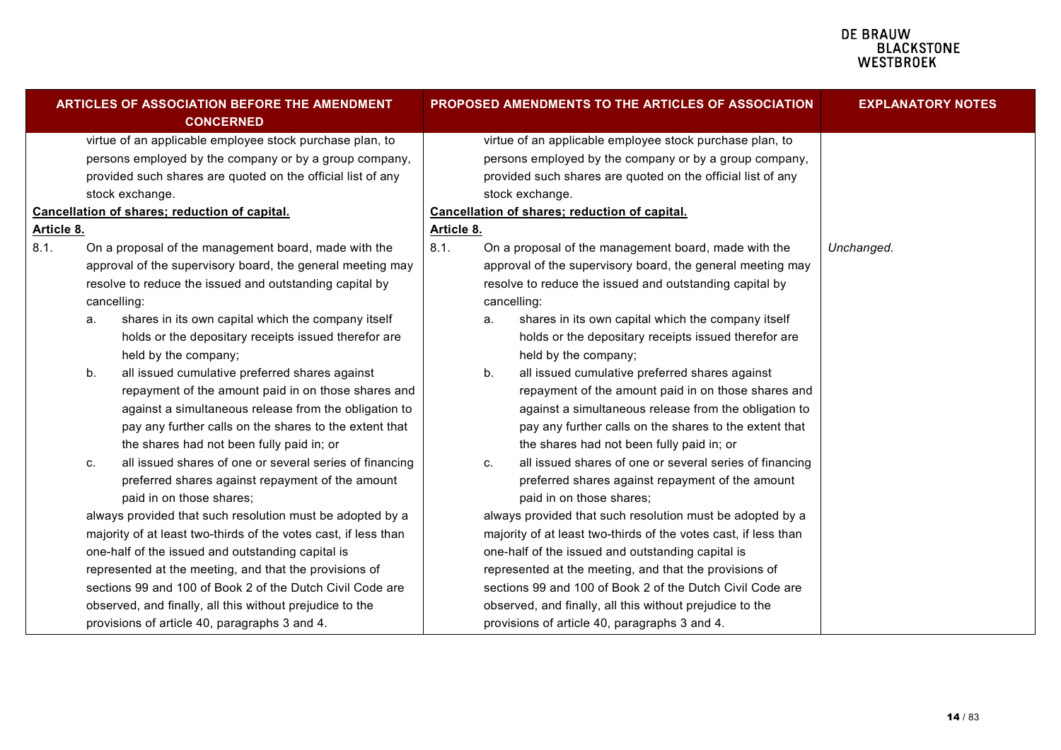| <b>ARTICLES OF ASSOCIATION BEFORE THE AMENDMENT</b><br><b>CONCERNED</b> |    |                                                                 |            |    | PROPOSED AMENDMENTS TO THE ARTICLES OF ASSOCIATION              | <b>EXPLANATORY NOTES</b> |
|-------------------------------------------------------------------------|----|-----------------------------------------------------------------|------------|----|-----------------------------------------------------------------|--------------------------|
|                                                                         |    | virtue of an applicable employee stock purchase plan, to        |            |    | virtue of an applicable employee stock purchase plan, to        |                          |
|                                                                         |    | persons employed by the company or by a group company,          |            |    | persons employed by the company or by a group company,          |                          |
|                                                                         |    | provided such shares are quoted on the official list of any     |            |    | provided such shares are quoted on the official list of any     |                          |
|                                                                         |    | stock exchange.                                                 |            |    | stock exchange.                                                 |                          |
|                                                                         |    | Cancellation of shares; reduction of capital.                   |            |    | Cancellation of shares; reduction of capital.                   |                          |
| <u>Article 8.</u>                                                       |    |                                                                 | Article 8. |    |                                                                 |                          |
| 8.1.                                                                    |    | On a proposal of the management board, made with the            | 8.1.       |    | On a proposal of the management board, made with the            | Unchanged.               |
|                                                                         |    | approval of the supervisory board, the general meeting may      |            |    | approval of the supervisory board, the general meeting may      |                          |
|                                                                         |    | resolve to reduce the issued and outstanding capital by         |            |    | resolve to reduce the issued and outstanding capital by         |                          |
|                                                                         |    | cancelling:                                                     |            |    | cancelling:                                                     |                          |
|                                                                         | a. | shares in its own capital which the company itself              |            | a. | shares in its own capital which the company itself              |                          |
|                                                                         |    | holds or the depositary receipts issued therefor are            |            |    | holds or the depositary receipts issued therefor are            |                          |
|                                                                         |    | held by the company;                                            |            |    | held by the company;                                            |                          |
|                                                                         | b. | all issued cumulative preferred shares against                  |            | b. | all issued cumulative preferred shares against                  |                          |
|                                                                         |    | repayment of the amount paid in on those shares and             |            |    | repayment of the amount paid in on those shares and             |                          |
|                                                                         |    | against a simultaneous release from the obligation to           |            |    | against a simultaneous release from the obligation to           |                          |
|                                                                         |    | pay any further calls on the shares to the extent that          |            |    | pay any further calls on the shares to the extent that          |                          |
|                                                                         |    | the shares had not been fully paid in; or                       |            |    | the shares had not been fully paid in; or                       |                          |
|                                                                         | C. | all issued shares of one or several series of financing         |            | c. | all issued shares of one or several series of financing         |                          |
|                                                                         |    | preferred shares against repayment of the amount                |            |    | preferred shares against repayment of the amount                |                          |
|                                                                         |    | paid in on those shares;                                        |            |    | paid in on those shares;                                        |                          |
|                                                                         |    | always provided that such resolution must be adopted by a       |            |    | always provided that such resolution must be adopted by a       |                          |
|                                                                         |    | majority of at least two-thirds of the votes cast, if less than |            |    | majority of at least two-thirds of the votes cast, if less than |                          |
|                                                                         |    | one-half of the issued and outstanding capital is               |            |    | one-half of the issued and outstanding capital is               |                          |
|                                                                         |    | represented at the meeting, and that the provisions of          |            |    | represented at the meeting, and that the provisions of          |                          |
|                                                                         |    | sections 99 and 100 of Book 2 of the Dutch Civil Code are       |            |    | sections 99 and 100 of Book 2 of the Dutch Civil Code are       |                          |
|                                                                         |    | observed, and finally, all this without prejudice to the        |            |    | observed, and finally, all this without prejudice to the        |                          |
|                                                                         |    | provisions of article 40, paragraphs 3 and 4.                   |            |    | provisions of article 40, paragraphs 3 and 4.                   |                          |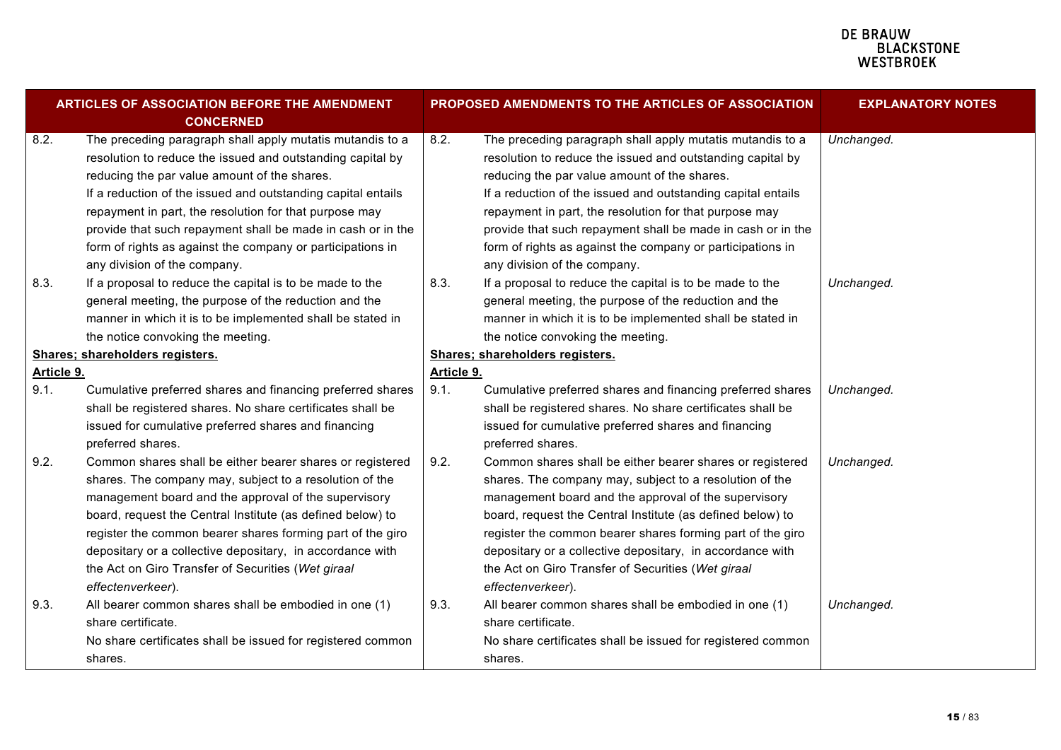| ARTICLES OF ASSOCIATION BEFORE THE AMENDMENT<br><b>CONCERNED</b> |                                                              |            | <b>PROPOSED AMENDMENTS TO THE ARTICLES OF ASSOCIATION</b>    | <b>EXPLANATORY NOTES</b> |
|------------------------------------------------------------------|--------------------------------------------------------------|------------|--------------------------------------------------------------|--------------------------|
| 8.2.                                                             | The preceding paragraph shall apply mutatis mutandis to a    | 8.2.       | The preceding paragraph shall apply mutatis mutandis to a    | Unchanged.               |
|                                                                  | resolution to reduce the issued and outstanding capital by   |            | resolution to reduce the issued and outstanding capital by   |                          |
|                                                                  | reducing the par value amount of the shares.                 |            | reducing the par value amount of the shares.                 |                          |
|                                                                  | If a reduction of the issued and outstanding capital entails |            | If a reduction of the issued and outstanding capital entails |                          |
|                                                                  | repayment in part, the resolution for that purpose may       |            | repayment in part, the resolution for that purpose may       |                          |
|                                                                  | provide that such repayment shall be made in cash or in the  |            | provide that such repayment shall be made in cash or in the  |                          |
|                                                                  | form of rights as against the company or participations in   |            | form of rights as against the company or participations in   |                          |
|                                                                  | any division of the company.                                 |            | any division of the company.                                 |                          |
| 8.3.                                                             | If a proposal to reduce the capital is to be made to the     | 8.3.       | If a proposal to reduce the capital is to be made to the     | Unchanged.               |
|                                                                  | general meeting, the purpose of the reduction and the        |            | general meeting, the purpose of the reduction and the        |                          |
|                                                                  | manner in which it is to be implemented shall be stated in   |            | manner in which it is to be implemented shall be stated in   |                          |
|                                                                  | the notice convoking the meeting.                            |            | the notice convoking the meeting.                            |                          |
| Shares; shareholders registers.                                  |                                                              |            | Shares; shareholders registers.                              |                          |
| Article 9.                                                       |                                                              | Article 9. |                                                              |                          |
| 9.1.                                                             | Cumulative preferred shares and financing preferred shares   | 9.1.       | Cumulative preferred shares and financing preferred shares   | Unchanged.               |
|                                                                  | shall be registered shares. No share certificates shall be   |            | shall be registered shares. No share certificates shall be   |                          |
|                                                                  | issued for cumulative preferred shares and financing         |            | issued for cumulative preferred shares and financing         |                          |
|                                                                  | preferred shares.                                            |            | preferred shares.                                            |                          |
| 9.2.                                                             | Common shares shall be either bearer shares or registered    | 9.2.       | Common shares shall be either bearer shares or registered    | Unchanged.               |
|                                                                  | shares. The company may, subject to a resolution of the      |            | shares. The company may, subject to a resolution of the      |                          |
|                                                                  | management board and the approval of the supervisory         |            | management board and the approval of the supervisory         |                          |
|                                                                  | board, request the Central Institute (as defined below) to   |            | board, request the Central Institute (as defined below) to   |                          |
|                                                                  | register the common bearer shares forming part of the giro   |            | register the common bearer shares forming part of the giro   |                          |
|                                                                  | depositary or a collective depositary, in accordance with    |            | depositary or a collective depositary, in accordance with    |                          |
|                                                                  | the Act on Giro Transfer of Securities (Wet giraal           |            | the Act on Giro Transfer of Securities (Wet giraal           |                          |
|                                                                  | effectenverkeer).                                            |            | effectenverkeer).                                            |                          |
| 9.3.                                                             | All bearer common shares shall be embodied in one (1)        | 9.3.       | All bearer common shares shall be embodied in one (1)        | Unchanged.               |
|                                                                  | share certificate.                                           |            | share certificate.                                           |                          |
|                                                                  | No share certificates shall be issued for registered common  |            | No share certificates shall be issued for registered common  |                          |
|                                                                  | shares.                                                      |            | shares.                                                      |                          |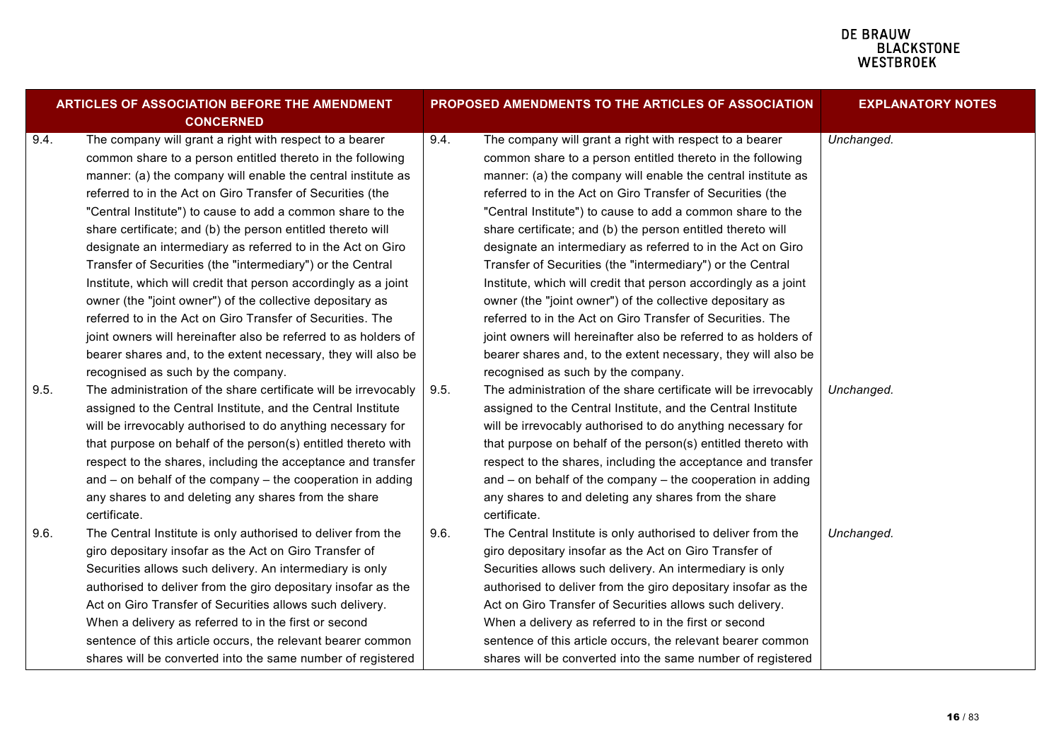| <b>ARTICLES OF ASSOCIATION BEFORE THE AMENDMENT</b><br><b>CONCERNED</b> |                                                                 |      | PROPOSED AMENDMENTS TO THE ARTICLES OF ASSOCIATION              | <b>EXPLANATORY NOTES</b> |
|-------------------------------------------------------------------------|-----------------------------------------------------------------|------|-----------------------------------------------------------------|--------------------------|
| 9.4.                                                                    | The company will grant a right with respect to a bearer         | 9.4. | The company will grant a right with respect to a bearer         | Unchanged.               |
|                                                                         | common share to a person entitled thereto in the following      |      | common share to a person entitled thereto in the following      |                          |
|                                                                         | manner: (a) the company will enable the central institute as    |      | manner: (a) the company will enable the central institute as    |                          |
|                                                                         | referred to in the Act on Giro Transfer of Securities (the      |      | referred to in the Act on Giro Transfer of Securities (the      |                          |
|                                                                         | "Central Institute") to cause to add a common share to the      |      | "Central Institute") to cause to add a common share to the      |                          |
|                                                                         | share certificate; and (b) the person entitled thereto will     |      | share certificate; and (b) the person entitled thereto will     |                          |
|                                                                         | designate an intermediary as referred to in the Act on Giro     |      | designate an intermediary as referred to in the Act on Giro     |                          |
|                                                                         | Transfer of Securities (the "intermediary") or the Central      |      | Transfer of Securities (the "intermediary") or the Central      |                          |
|                                                                         | Institute, which will credit that person accordingly as a joint |      | Institute, which will credit that person accordingly as a joint |                          |
|                                                                         | owner (the "joint owner") of the collective depositary as       |      | owner (the "joint owner") of the collective depositary as       |                          |
|                                                                         | referred to in the Act on Giro Transfer of Securities. The      |      | referred to in the Act on Giro Transfer of Securities. The      |                          |
|                                                                         | joint owners will hereinafter also be referred to as holders of |      | joint owners will hereinafter also be referred to as holders of |                          |
|                                                                         | bearer shares and, to the extent necessary, they will also be   |      | bearer shares and, to the extent necessary, they will also be   |                          |
|                                                                         | recognised as such by the company.                              |      | recognised as such by the company.                              |                          |
| 9.5.                                                                    | The administration of the share certificate will be irrevocably | 9.5. | The administration of the share certificate will be irrevocably | Unchanged.               |
|                                                                         | assigned to the Central Institute, and the Central Institute    |      | assigned to the Central Institute, and the Central Institute    |                          |
|                                                                         | will be irrevocably authorised to do anything necessary for     |      | will be irrevocably authorised to do anything necessary for     |                          |
|                                                                         | that purpose on behalf of the person(s) entitled thereto with   |      | that purpose on behalf of the person(s) entitled thereto with   |                          |
|                                                                         | respect to the shares, including the acceptance and transfer    |      | respect to the shares, including the acceptance and transfer    |                          |
|                                                                         | and $-$ on behalf of the company $-$ the cooperation in adding  |      | and – on behalf of the company – the cooperation in adding      |                          |
|                                                                         | any shares to and deleting any shares from the share            |      | any shares to and deleting any shares from the share            |                          |
|                                                                         | certificate.                                                    |      | certificate.                                                    |                          |
| 9.6.                                                                    | The Central Institute is only authorised to deliver from the    | 9.6. | The Central Institute is only authorised to deliver from the    | Unchanged.               |
|                                                                         | giro depositary insofar as the Act on Giro Transfer of          |      | giro depositary insofar as the Act on Giro Transfer of          |                          |
|                                                                         | Securities allows such delivery. An intermediary is only        |      | Securities allows such delivery. An intermediary is only        |                          |
|                                                                         | authorised to deliver from the giro depositary insofar as the   |      | authorised to deliver from the giro depositary insofar as the   |                          |
|                                                                         | Act on Giro Transfer of Securities allows such delivery.        |      | Act on Giro Transfer of Securities allows such delivery.        |                          |
|                                                                         | When a delivery as referred to in the first or second           |      | When a delivery as referred to in the first or second           |                          |
|                                                                         | sentence of this article occurs, the relevant bearer common     |      | sentence of this article occurs, the relevant bearer common     |                          |
|                                                                         | shares will be converted into the same number of registered     |      | shares will be converted into the same number of registered     |                          |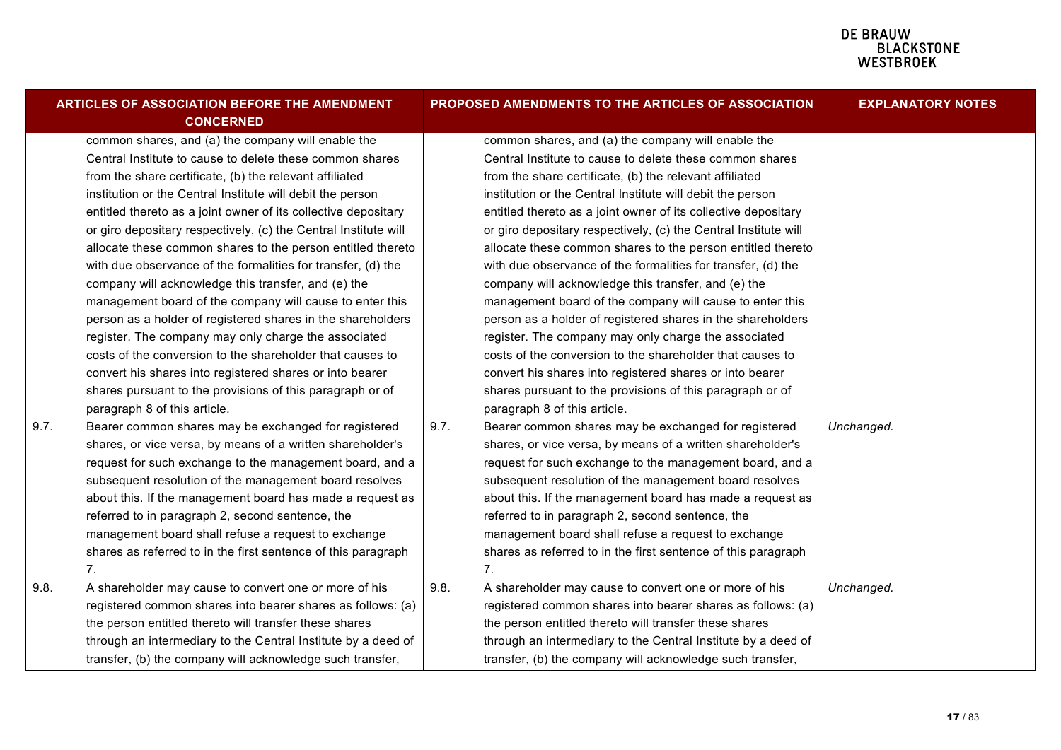|      | <b>ARTICLES OF ASSOCIATION BEFORE THE AMENDMENT</b><br><b>CONCERNED</b> |      | PROPOSED AMENDMENTS TO THE ARTICLES OF ASSOCIATION              | <b>EXPLANATORY NOTES</b> |
|------|-------------------------------------------------------------------------|------|-----------------------------------------------------------------|--------------------------|
|      | common shares, and (a) the company will enable the                      |      | common shares, and (a) the company will enable the              |                          |
|      | Central Institute to cause to delete these common shares                |      | Central Institute to cause to delete these common shares        |                          |
|      | from the share certificate, (b) the relevant affiliated                 |      | from the share certificate, (b) the relevant affiliated         |                          |
|      | institution or the Central Institute will debit the person              |      | institution or the Central Institute will debit the person      |                          |
|      | entitled thereto as a joint owner of its collective depositary          |      | entitled thereto as a joint owner of its collective depositary  |                          |
|      | or giro depositary respectively, (c) the Central Institute will         |      | or giro depositary respectively, (c) the Central Institute will |                          |
|      | allocate these common shares to the person entitled thereto             |      | allocate these common shares to the person entitled thereto     |                          |
|      | with due observance of the formalities for transfer, (d) the            |      | with due observance of the formalities for transfer, (d) the    |                          |
|      | company will acknowledge this transfer, and (e) the                     |      | company will acknowledge this transfer, and (e) the             |                          |
|      | management board of the company will cause to enter this                |      | management board of the company will cause to enter this        |                          |
|      | person as a holder of registered shares in the shareholders             |      | person as a holder of registered shares in the shareholders     |                          |
|      | register. The company may only charge the associated                    |      | register. The company may only charge the associated            |                          |
|      | costs of the conversion to the shareholder that causes to               |      | costs of the conversion to the shareholder that causes to       |                          |
|      | convert his shares into registered shares or into bearer                |      | convert his shares into registered shares or into bearer        |                          |
|      | shares pursuant to the provisions of this paragraph or of               |      | shares pursuant to the provisions of this paragraph or of       |                          |
|      | paragraph 8 of this article.                                            |      | paragraph 8 of this article.                                    |                          |
| 9.7. | Bearer common shares may be exchanged for registered                    | 9.7. | Bearer common shares may be exchanged for registered            | Unchanged.               |
|      | shares, or vice versa, by means of a written shareholder's              |      | shares, or vice versa, by means of a written shareholder's      |                          |
|      | request for such exchange to the management board, and a                |      | request for such exchange to the management board, and a        |                          |
|      | subsequent resolution of the management board resolves                  |      | subsequent resolution of the management board resolves          |                          |
|      | about this. If the management board has made a request as               |      | about this. If the management board has made a request as       |                          |
|      | referred to in paragraph 2, second sentence, the                        |      | referred to in paragraph 2, second sentence, the                |                          |
|      | management board shall refuse a request to exchange                     |      | management board shall refuse a request to exchange             |                          |
|      | shares as referred to in the first sentence of this paragraph           |      | shares as referred to in the first sentence of this paragraph   |                          |
|      | 7.                                                                      |      | 7.                                                              |                          |
| 9.8. | A shareholder may cause to convert one or more of his                   | 9.8. | A shareholder may cause to convert one or more of his           | Unchanged.               |
|      | registered common shares into bearer shares as follows: (a)             |      | registered common shares into bearer shares as follows: (a)     |                          |
|      | the person entitled thereto will transfer these shares                  |      | the person entitled thereto will transfer these shares          |                          |
|      | through an intermediary to the Central Institute by a deed of           |      | through an intermediary to the Central Institute by a deed of   |                          |
|      | transfer, (b) the company will acknowledge such transfer,               |      | transfer, (b) the company will acknowledge such transfer,       |                          |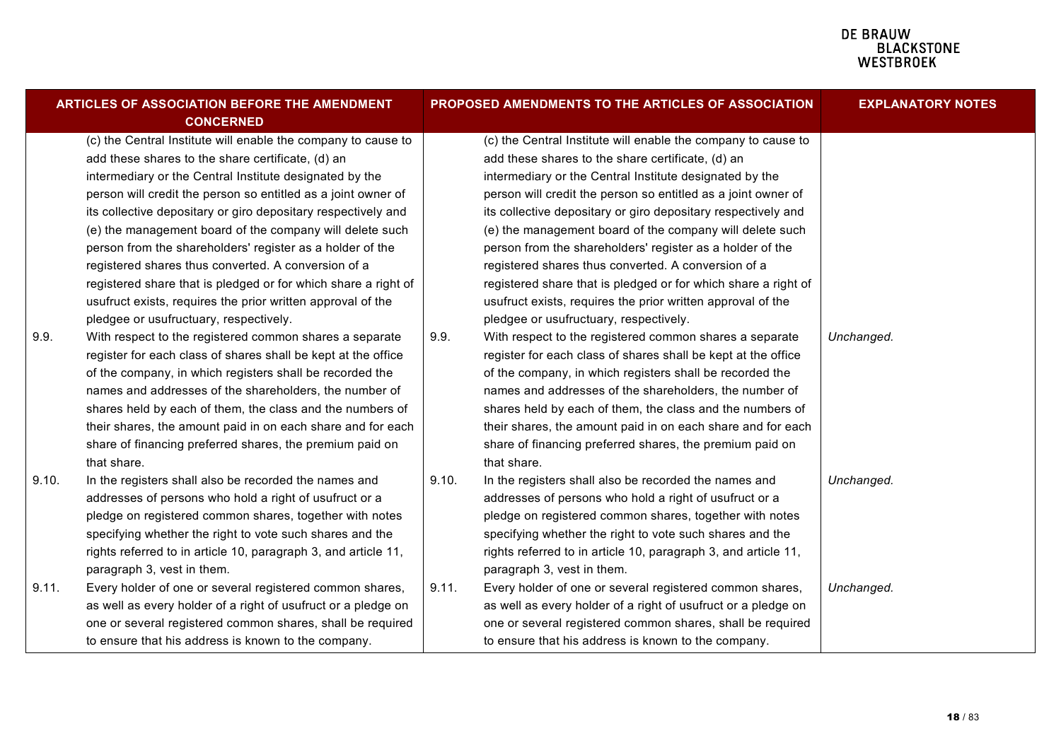#### **DE BRAUW EDINACTOR**<br>BLACKSTONE<br>WESTBROEK

|       | ARTICLES OF ASSOCIATION BEFORE THE AMENDMENT<br><b>CONCERNED</b> |       | PROPOSED AMENDMENTS TO THE ARTICLES OF ASSOCIATION             | <b>EXPLANATORY NOTES</b> |
|-------|------------------------------------------------------------------|-------|----------------------------------------------------------------|--------------------------|
|       | (c) the Central Institute will enable the company to cause to    |       | (c) the Central Institute will enable the company to cause to  |                          |
|       | add these shares to the share certificate, (d) an                |       | add these shares to the share certificate, (d) an              |                          |
|       | intermediary or the Central Institute designated by the          |       | intermediary or the Central Institute designated by the        |                          |
|       | person will credit the person so entitled as a joint owner of    |       | person will credit the person so entitled as a joint owner of  |                          |
|       | its collective depositary or giro depositary respectively and    |       | its collective depositary or giro depositary respectively and  |                          |
|       | (e) the management board of the company will delete such         |       | (e) the management board of the company will delete such       |                          |
|       | person from the shareholders' register as a holder of the        |       | person from the shareholders' register as a holder of the      |                          |
|       | registered shares thus converted. A conversion of a              |       | registered shares thus converted. A conversion of a            |                          |
|       | registered share that is pledged or for which share a right of   |       | registered share that is pledged or for which share a right of |                          |
|       | usufruct exists, requires the prior written approval of the      |       | usufruct exists, requires the prior written approval of the    |                          |
|       | pledgee or usufructuary, respectively.                           |       | pledgee or usufructuary, respectively.                         |                          |
| 9.9.  | With respect to the registered common shares a separate          | 9.9.  | With respect to the registered common shares a separate        | Unchanged.               |
|       | register for each class of shares shall be kept at the office    |       | register for each class of shares shall be kept at the office  |                          |
|       | of the company, in which registers shall be recorded the         |       | of the company, in which registers shall be recorded the       |                          |
|       | names and addresses of the shareholders, the number of           |       | names and addresses of the shareholders, the number of         |                          |
|       | shares held by each of them, the class and the numbers of        |       | shares held by each of them, the class and the numbers of      |                          |
|       | their shares, the amount paid in on each share and for each      |       | their shares, the amount paid in on each share and for each    |                          |
|       | share of financing preferred shares, the premium paid on         |       | share of financing preferred shares, the premium paid on       |                          |
|       | that share.                                                      |       | that share.                                                    |                          |
| 9.10. | In the registers shall also be recorded the names and            | 9.10. | In the registers shall also be recorded the names and          | Unchanged.               |
|       | addresses of persons who hold a right of usufruct or a           |       | addresses of persons who hold a right of usufruct or a         |                          |
|       | pledge on registered common shares, together with notes          |       | pledge on registered common shares, together with notes        |                          |
|       | specifying whether the right to vote such shares and the         |       | specifying whether the right to vote such shares and the       |                          |
|       | rights referred to in article 10, paragraph 3, and article 11,   |       | rights referred to in article 10, paragraph 3, and article 11, |                          |
|       | paragraph 3, vest in them.                                       |       | paragraph 3, vest in them.                                     |                          |
| 9.11. | Every holder of one or several registered common shares,         | 9.11. | Every holder of one or several registered common shares,       | Unchanged.               |
|       | as well as every holder of a right of usufruct or a pledge on    |       | as well as every holder of a right of usufruct or a pledge on  |                          |
|       | one or several registered common shares, shall be required       |       | one or several registered common shares, shall be required     |                          |
|       | to ensure that his address is known to the company.              |       | to ensure that his address is known to the company.            |                          |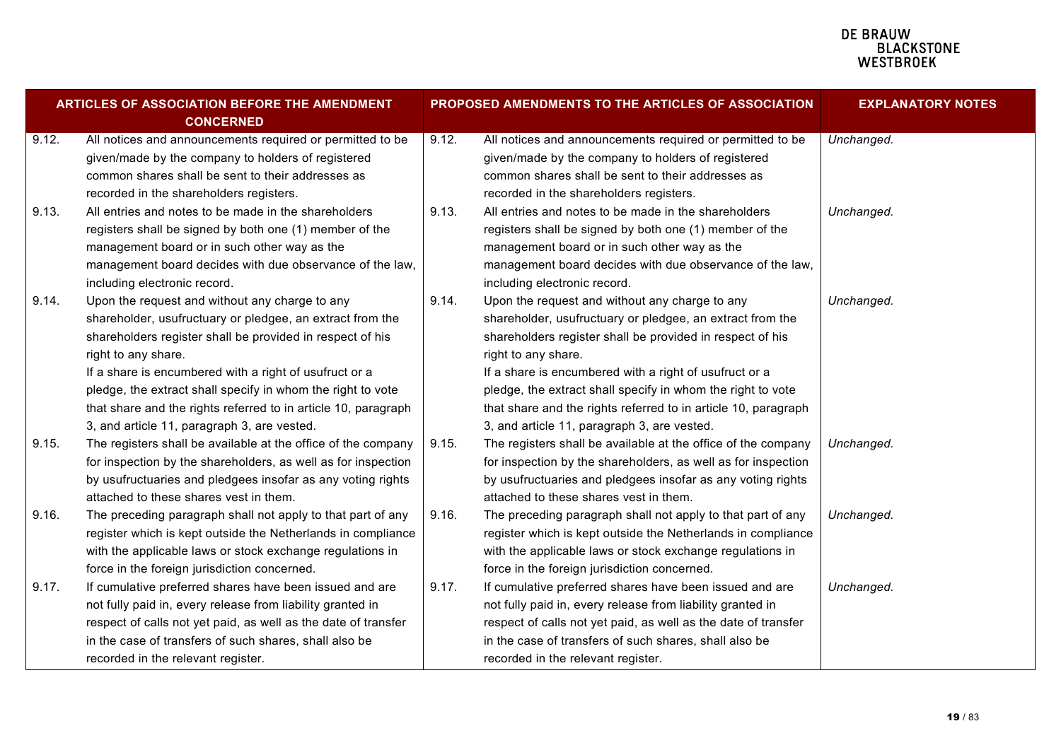| ARTICLES OF ASSOCIATION BEFORE THE AMENDMENT<br><b>CONCERNED</b> |                                                                |       | <b>PROPOSED AMENDMENTS TO THE ARTICLES OF ASSOCIATION</b>      | <b>EXPLANATORY NOTES</b> |
|------------------------------------------------------------------|----------------------------------------------------------------|-------|----------------------------------------------------------------|--------------------------|
| 9.12.                                                            | All notices and announcements required or permitted to be      | 9.12. | All notices and announcements required or permitted to be      | Unchanged.               |
|                                                                  | given/made by the company to holders of registered             |       | given/made by the company to holders of registered             |                          |
|                                                                  | common shares shall be sent to their addresses as              |       | common shares shall be sent to their addresses as              |                          |
|                                                                  | recorded in the shareholders registers.                        |       | recorded in the shareholders registers.                        |                          |
| 9.13.                                                            | All entries and notes to be made in the shareholders           | 9.13. | All entries and notes to be made in the shareholders           | Unchanged.               |
|                                                                  | registers shall be signed by both one (1) member of the        |       | registers shall be signed by both one (1) member of the        |                          |
|                                                                  | management board or in such other way as the                   |       | management board or in such other way as the                   |                          |
|                                                                  | management board decides with due observance of the law,       |       | management board decides with due observance of the law,       |                          |
|                                                                  | including electronic record.                                   |       | including electronic record.                                   |                          |
| 9.14.                                                            | Upon the request and without any charge to any                 | 9.14. | Upon the request and without any charge to any                 | Unchanged.               |
|                                                                  | shareholder, usufructuary or pledgee, an extract from the      |       | shareholder, usufructuary or pledgee, an extract from the      |                          |
|                                                                  | shareholders register shall be provided in respect of his      |       | shareholders register shall be provided in respect of his      |                          |
|                                                                  | right to any share.                                            |       | right to any share.                                            |                          |
|                                                                  | If a share is encumbered with a right of usufruct or a         |       | If a share is encumbered with a right of usufruct or a         |                          |
|                                                                  | pledge, the extract shall specify in whom the right to vote    |       | pledge, the extract shall specify in whom the right to vote    |                          |
|                                                                  | that share and the rights referred to in article 10, paragraph |       | that share and the rights referred to in article 10, paragraph |                          |
|                                                                  | 3, and article 11, paragraph 3, are vested.                    |       | 3, and article 11, paragraph 3, are vested.                    |                          |
| 9.15.                                                            | The registers shall be available at the office of the company  | 9.15. | The registers shall be available at the office of the company  | Unchanged.               |
|                                                                  | for inspection by the shareholders, as well as for inspection  |       | for inspection by the shareholders, as well as for inspection  |                          |
|                                                                  | by usufructuaries and pledgees insofar as any voting rights    |       | by usufructuaries and pledgees insofar as any voting rights    |                          |
|                                                                  | attached to these shares vest in them.                         |       | attached to these shares vest in them.                         |                          |
| 9.16.                                                            | The preceding paragraph shall not apply to that part of any    | 9.16. | The preceding paragraph shall not apply to that part of any    | Unchanged.               |
|                                                                  | register which is kept outside the Netherlands in compliance   |       | register which is kept outside the Netherlands in compliance   |                          |
|                                                                  | with the applicable laws or stock exchange regulations in      |       | with the applicable laws or stock exchange regulations in      |                          |
|                                                                  | force in the foreign jurisdiction concerned.                   |       | force in the foreign jurisdiction concerned.                   |                          |
| 9.17.                                                            | If cumulative preferred shares have been issued and are        | 9.17. | If cumulative preferred shares have been issued and are        | Unchanged.               |
|                                                                  | not fully paid in, every release from liability granted in     |       | not fully paid in, every release from liability granted in     |                          |
|                                                                  | respect of calls not yet paid, as well as the date of transfer |       | respect of calls not yet paid, as well as the date of transfer |                          |
|                                                                  | in the case of transfers of such shares, shall also be         |       | in the case of transfers of such shares, shall also be         |                          |
|                                                                  | recorded in the relevant register.                             |       | recorded in the relevant register.                             |                          |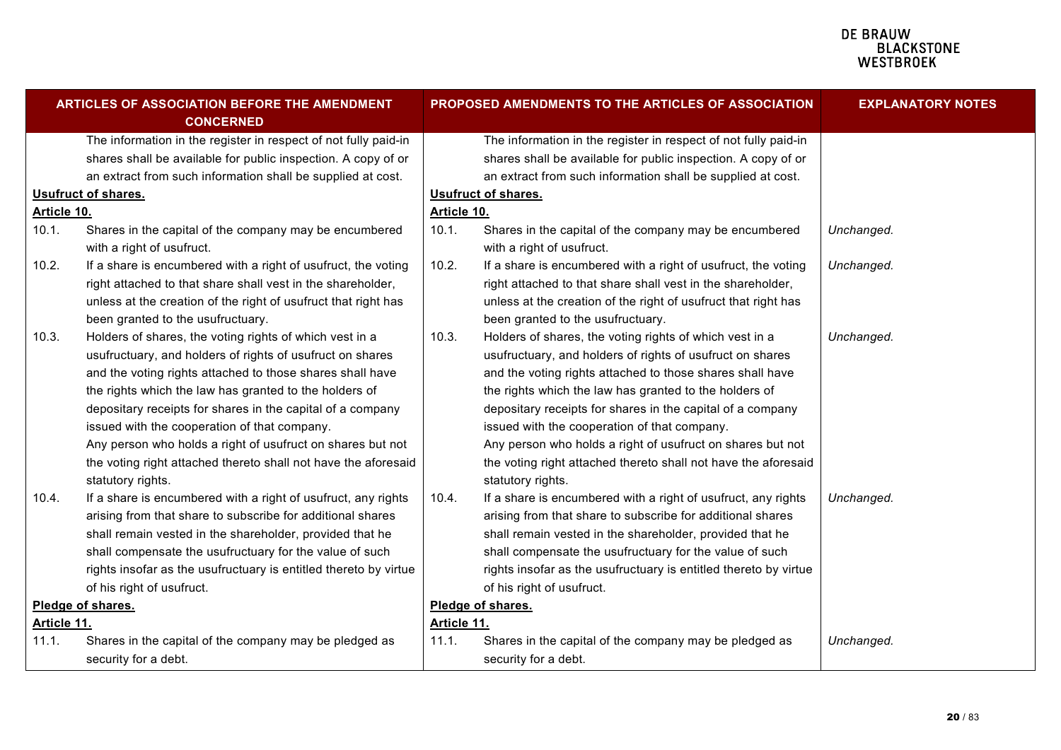| <b>ARTICLES OF ASSOCIATION BEFORE THE AMENDMENT</b><br><b>CONCERNED</b> |                                                                  |             | PROPOSED AMENDMENTS TO THE ARTICLES OF ASSOCIATION               | <b>EXPLANATORY NOTES</b> |
|-------------------------------------------------------------------------|------------------------------------------------------------------|-------------|------------------------------------------------------------------|--------------------------|
|                                                                         | The information in the register in respect of not fully paid-in  |             | The information in the register in respect of not fully paid-in  |                          |
|                                                                         | shares shall be available for public inspection. A copy of or    |             | shares shall be available for public inspection. A copy of or    |                          |
|                                                                         | an extract from such information shall be supplied at cost.      |             | an extract from such information shall be supplied at cost.      |                          |
|                                                                         | Usufruct of shares.                                              |             | <b>Usufruct of shares.</b>                                       |                          |
| Article 10.                                                             |                                                                  | Article 10. |                                                                  |                          |
| 10.1.                                                                   | Shares in the capital of the company may be encumbered           | 10.1.       | Shares in the capital of the company may be encumbered           | Unchanged.               |
|                                                                         | with a right of usufruct.                                        |             | with a right of usufruct.                                        |                          |
| 10.2.                                                                   | If a share is encumbered with a right of usufruct, the voting    | 10.2.       | If a share is encumbered with a right of usufruct, the voting    | Unchanged.               |
|                                                                         | right attached to that share shall vest in the shareholder,      |             | right attached to that share shall vest in the shareholder,      |                          |
|                                                                         | unless at the creation of the right of usufruct that right has   |             | unless at the creation of the right of usufruct that right has   |                          |
|                                                                         | been granted to the usufructuary.                                |             | been granted to the usufructuary.                                |                          |
| 10.3.                                                                   | Holders of shares, the voting rights of which vest in a          | 10.3.       | Holders of shares, the voting rights of which vest in a          | Unchanged.               |
|                                                                         | usufructuary, and holders of rights of usufruct on shares        |             | usufructuary, and holders of rights of usufruct on shares        |                          |
|                                                                         | and the voting rights attached to those shares shall have        |             | and the voting rights attached to those shares shall have        |                          |
|                                                                         | the rights which the law has granted to the holders of           |             | the rights which the law has granted to the holders of           |                          |
|                                                                         | depositary receipts for shares in the capital of a company       |             | depositary receipts for shares in the capital of a company       |                          |
|                                                                         | issued with the cooperation of that company.                     |             | issued with the cooperation of that company.                     |                          |
|                                                                         | Any person who holds a right of usufruct on shares but not       |             | Any person who holds a right of usufruct on shares but not       |                          |
|                                                                         | the voting right attached thereto shall not have the aforesaid   |             | the voting right attached thereto shall not have the aforesaid   |                          |
|                                                                         | statutory rights.                                                |             | statutory rights.                                                |                          |
| 10.4.                                                                   | If a share is encumbered with a right of usufruct, any rights    | 10.4.       | If a share is encumbered with a right of usufruct, any rights    | Unchanged.               |
|                                                                         | arising from that share to subscribe for additional shares       |             | arising from that share to subscribe for additional shares       |                          |
|                                                                         | shall remain vested in the shareholder, provided that he         |             | shall remain vested in the shareholder, provided that he         |                          |
|                                                                         | shall compensate the usufructuary for the value of such          |             | shall compensate the usufructuary for the value of such          |                          |
|                                                                         | rights insofar as the usufructuary is entitled thereto by virtue |             | rights insofar as the usufructuary is entitled thereto by virtue |                          |
|                                                                         | of his right of usufruct.                                        |             | of his right of usufruct.                                        |                          |
| Pledge of shares.                                                       |                                                                  |             | Pledge of shares.                                                |                          |
| Article 11.                                                             |                                                                  | Article 11. |                                                                  |                          |
| 11.1.                                                                   | Shares in the capital of the company may be pledged as           | 11.1.       | Shares in the capital of the company may be pledged as           | Unchanged.               |
|                                                                         | security for a debt.                                             |             | security for a debt.                                             |                          |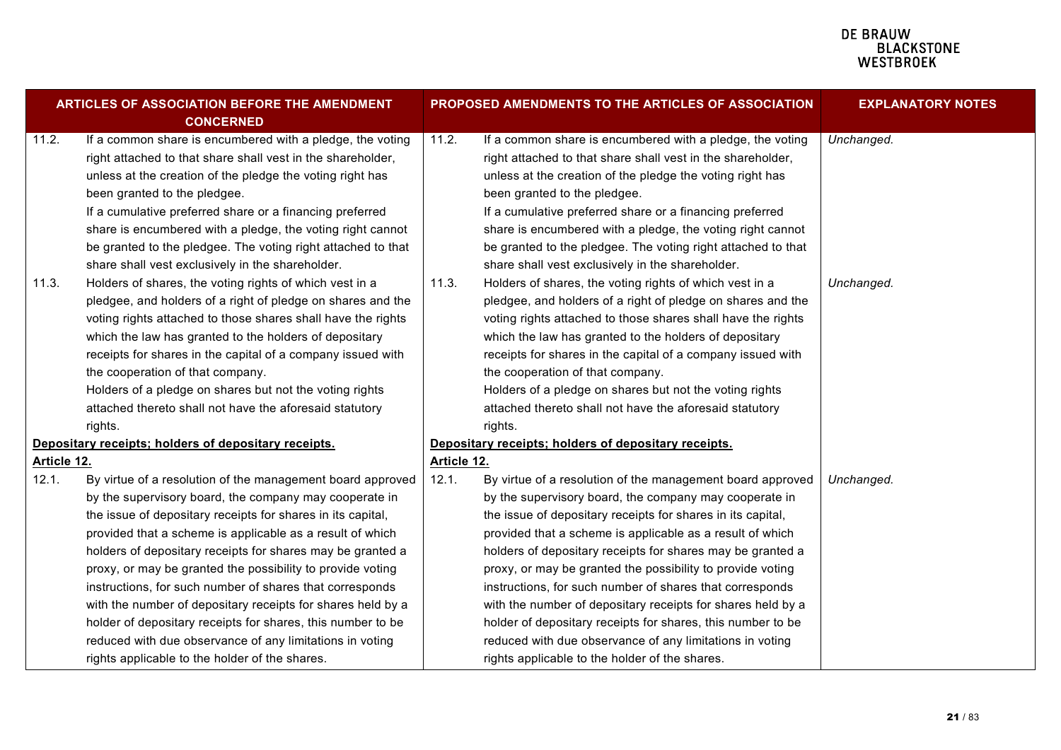| ARTICLES OF ASSOCIATION BEFORE THE AMENDMENT<br><b>CONCERNED</b> |                                                                                                                          |                                                      | <b>PROPOSED AMENDMENTS TO THE ARTICLES OF ASSOCIATION</b>                                                                | <b>EXPLANATORY NOTES</b> |
|------------------------------------------------------------------|--------------------------------------------------------------------------------------------------------------------------|------------------------------------------------------|--------------------------------------------------------------------------------------------------------------------------|--------------------------|
| 11.2.                                                            | If a common share is encumbered with a pledge, the voting<br>right attached to that share shall vest in the shareholder, | 11.2.                                                | If a common share is encumbered with a pledge, the voting<br>right attached to that share shall vest in the shareholder, | Unchanged.               |
|                                                                  | unless at the creation of the pledge the voting right has                                                                |                                                      | unless at the creation of the pledge the voting right has                                                                |                          |
|                                                                  | been granted to the pledgee.                                                                                             |                                                      | been granted to the pledgee.                                                                                             |                          |
|                                                                  | If a cumulative preferred share or a financing preferred                                                                 |                                                      | If a cumulative preferred share or a financing preferred                                                                 |                          |
|                                                                  | share is encumbered with a pledge, the voting right cannot                                                               |                                                      | share is encumbered with a pledge, the voting right cannot                                                               |                          |
|                                                                  | be granted to the pledgee. The voting right attached to that                                                             |                                                      | be granted to the pledgee. The voting right attached to that                                                             |                          |
|                                                                  | share shall vest exclusively in the shareholder.                                                                         |                                                      | share shall vest exclusively in the shareholder.                                                                         |                          |
| 11.3.                                                            | Holders of shares, the voting rights of which vest in a                                                                  | 11.3.                                                | Holders of shares, the voting rights of which vest in a                                                                  | Unchanged.               |
|                                                                  | pledgee, and holders of a right of pledge on shares and the                                                              |                                                      | pledgee, and holders of a right of pledge on shares and the                                                              |                          |
|                                                                  | voting rights attached to those shares shall have the rights                                                             |                                                      | voting rights attached to those shares shall have the rights                                                             |                          |
|                                                                  | which the law has granted to the holders of depositary                                                                   |                                                      | which the law has granted to the holders of depositary                                                                   |                          |
|                                                                  | receipts for shares in the capital of a company issued with                                                              |                                                      | receipts for shares in the capital of a company issued with                                                              |                          |
|                                                                  | the cooperation of that company.                                                                                         |                                                      | the cooperation of that company.                                                                                         |                          |
|                                                                  | Holders of a pledge on shares but not the voting rights                                                                  |                                                      | Holders of a pledge on shares but not the voting rights                                                                  |                          |
|                                                                  | attached thereto shall not have the aforesaid statutory                                                                  |                                                      | attached thereto shall not have the aforesaid statutory                                                                  |                          |
|                                                                  | rights.                                                                                                                  |                                                      | rights.                                                                                                                  |                          |
|                                                                  | Depositary receipts; holders of depositary receipts.                                                                     | Depositary receipts; holders of depositary receipts. |                                                                                                                          |                          |
| Article 12.                                                      |                                                                                                                          | Article 12.                                          |                                                                                                                          |                          |
| 12.1.                                                            | By virtue of a resolution of the management board approved                                                               | 12.1.                                                | By virtue of a resolution of the management board approved                                                               | Unchanged.               |
|                                                                  | by the supervisory board, the company may cooperate in                                                                   |                                                      | by the supervisory board, the company may cooperate in                                                                   |                          |
|                                                                  | the issue of depositary receipts for shares in its capital,                                                              |                                                      | the issue of depositary receipts for shares in its capital,                                                              |                          |
|                                                                  | provided that a scheme is applicable as a result of which                                                                |                                                      | provided that a scheme is applicable as a result of which                                                                |                          |
|                                                                  | holders of depositary receipts for shares may be granted a                                                               |                                                      | holders of depositary receipts for shares may be granted a                                                               |                          |
|                                                                  | proxy, or may be granted the possibility to provide voting                                                               |                                                      | proxy, or may be granted the possibility to provide voting                                                               |                          |
|                                                                  | instructions, for such number of shares that corresponds                                                                 |                                                      | instructions, for such number of shares that corresponds                                                                 |                          |
|                                                                  | with the number of depositary receipts for shares held by a                                                              |                                                      | with the number of depositary receipts for shares held by a                                                              |                          |
|                                                                  | holder of depositary receipts for shares, this number to be                                                              |                                                      | holder of depositary receipts for shares, this number to be                                                              |                          |
|                                                                  | reduced with due observance of any limitations in voting                                                                 |                                                      | reduced with due observance of any limitations in voting                                                                 |                          |
|                                                                  | rights applicable to the holder of the shares.                                                                           |                                                      | rights applicable to the holder of the shares.                                                                           |                          |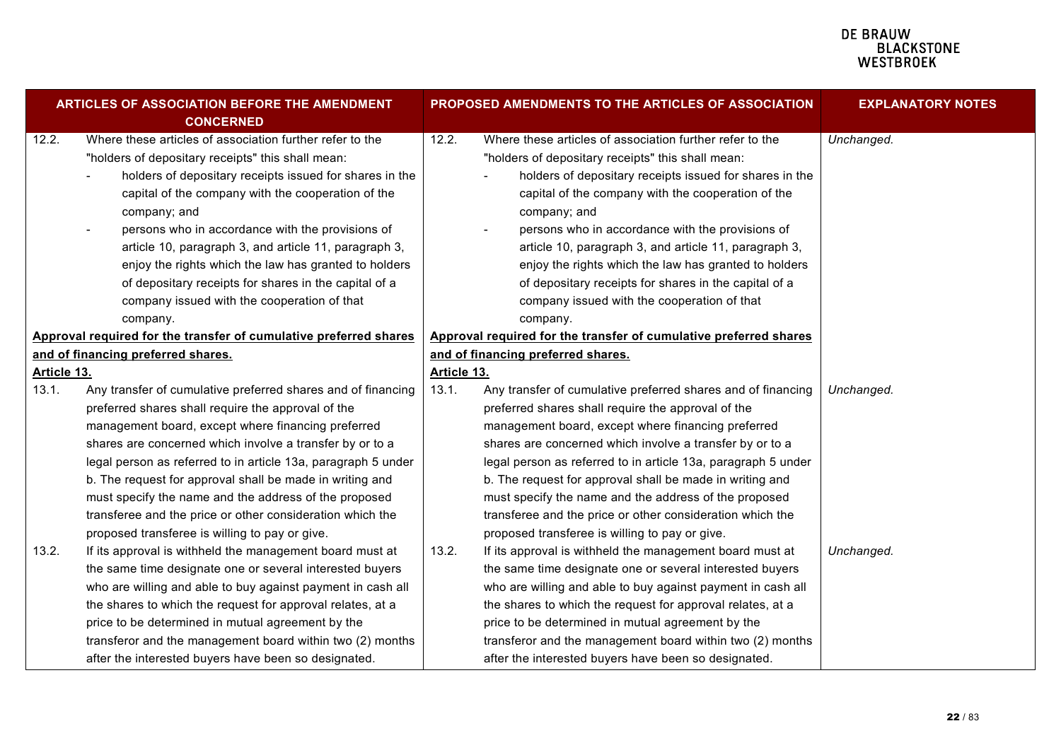| ARTICLES OF ASSOCIATION BEFORE THE AMENDMENT<br><b>CONCERNED</b> |                                                                                                                                                                                                                                                                                                                                                                                                                                                                                                                                                                                                               |                                    | <b>PROPOSED AMENDMENTS TO THE ARTICLES OF ASSOCIATION</b>                                                                                                                                                                                                                                                                                                                                                                                                                                                                                                                                                     | <b>EXPLANATORY NOTES</b> |
|------------------------------------------------------------------|---------------------------------------------------------------------------------------------------------------------------------------------------------------------------------------------------------------------------------------------------------------------------------------------------------------------------------------------------------------------------------------------------------------------------------------------------------------------------------------------------------------------------------------------------------------------------------------------------------------|------------------------------------|---------------------------------------------------------------------------------------------------------------------------------------------------------------------------------------------------------------------------------------------------------------------------------------------------------------------------------------------------------------------------------------------------------------------------------------------------------------------------------------------------------------------------------------------------------------------------------------------------------------|--------------------------|
| 12.2.                                                            | Where these articles of association further refer to the<br>"holders of depositary receipts" this shall mean:<br>holders of depositary receipts issued for shares in the<br>capital of the company with the cooperation of the<br>company; and<br>persons who in accordance with the provisions of<br>article 10, paragraph 3, and article 11, paragraph 3,<br>enjoy the rights which the law has granted to holders<br>of depositary receipts for shares in the capital of a<br>company issued with the cooperation of that<br>company.<br>Approval required for the transfer of cumulative preferred shares | 12.2.                              | Where these articles of association further refer to the<br>"holders of depositary receipts" this shall mean:<br>holders of depositary receipts issued for shares in the<br>capital of the company with the cooperation of the<br>company; and<br>persons who in accordance with the provisions of<br>article 10, paragraph 3, and article 11, paragraph 3,<br>enjoy the rights which the law has granted to holders<br>of depositary receipts for shares in the capital of a<br>company issued with the cooperation of that<br>company.<br>Approval required for the transfer of cumulative preferred shares | Unchanged.               |
| and of financing preferred shares.                               |                                                                                                                                                                                                                                                                                                                                                                                                                                                                                                                                                                                                               | and of financing preferred shares. |                                                                                                                                                                                                                                                                                                                                                                                                                                                                                                                                                                                                               |                          |
| Article 13.                                                      |                                                                                                                                                                                                                                                                                                                                                                                                                                                                                                                                                                                                               | Article 13.                        |                                                                                                                                                                                                                                                                                                                                                                                                                                                                                                                                                                                                               |                          |
| 13.1.                                                            | Any transfer of cumulative preferred shares and of financing<br>preferred shares shall require the approval of the<br>management board, except where financing preferred<br>shares are concerned which involve a transfer by or to a<br>legal person as referred to in article 13a, paragraph 5 under<br>b. The request for approval shall be made in writing and<br>must specify the name and the address of the proposed<br>transferee and the price or other consideration which the<br>proposed transferee is willing to pay or give.                                                                     | 13.1.                              | Any transfer of cumulative preferred shares and of financing<br>preferred shares shall require the approval of the<br>management board, except where financing preferred<br>shares are concerned which involve a transfer by or to a<br>legal person as referred to in article 13a, paragraph 5 under<br>b. The request for approval shall be made in writing and<br>must specify the name and the address of the proposed<br>transferee and the price or other consideration which the<br>proposed transferee is willing to pay or give.                                                                     | Unchanged.               |
| 13.2.                                                            | If its approval is withheld the management board must at<br>the same time designate one or several interested buyers<br>who are willing and able to buy against payment in cash all<br>the shares to which the request for approval relates, at a<br>price to be determined in mutual agreement by the<br>transferor and the management board within two (2) months<br>after the interested buyers have been so designated.                                                                                                                                                                                   | 13.2.                              | If its approval is withheld the management board must at<br>the same time designate one or several interested buyers<br>who are willing and able to buy against payment in cash all<br>the shares to which the request for approval relates, at a<br>price to be determined in mutual agreement by the<br>transferor and the management board within two (2) months<br>after the interested buyers have been so designated.                                                                                                                                                                                   | Unchanged.               |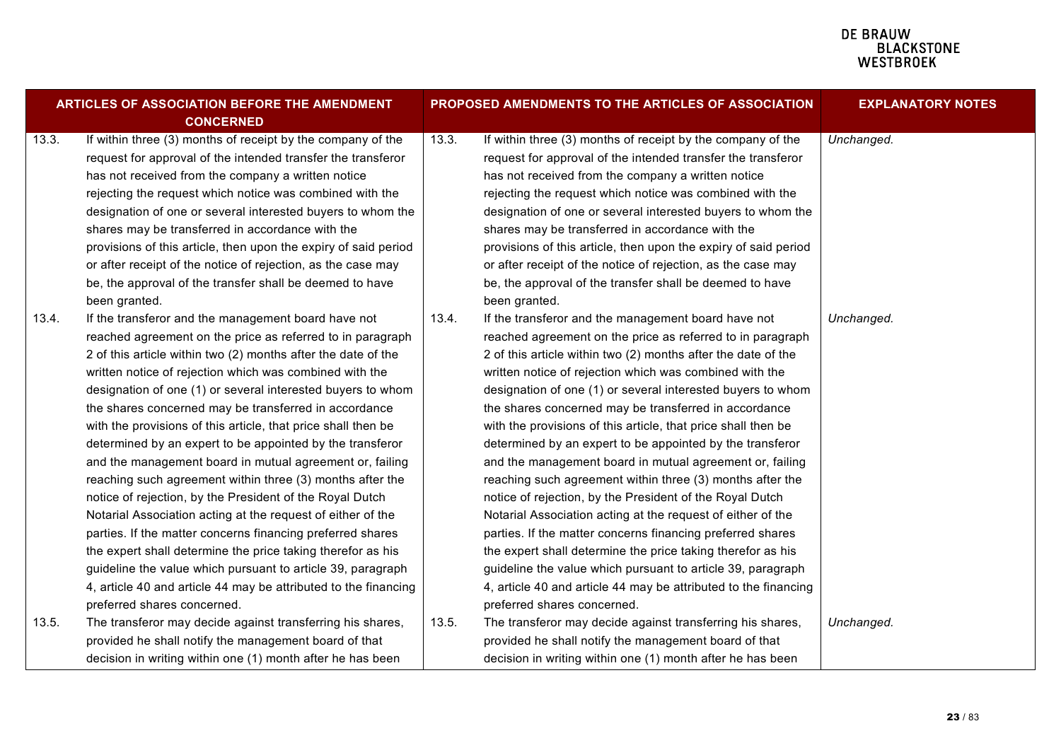| <b>ARTICLES OF ASSOCIATION BEFORE THE AMENDMENT</b><br><b>CONCERNED</b> |                                                                 |       | PROPOSED AMENDMENTS TO THE ARTICLES OF ASSOCIATION              | <b>EXPLANATORY NOTES</b> |
|-------------------------------------------------------------------------|-----------------------------------------------------------------|-------|-----------------------------------------------------------------|--------------------------|
| 13.3.                                                                   | If within three (3) months of receipt by the company of the     | 13.3. | If within three (3) months of receipt by the company of the     | Unchanged.               |
|                                                                         | request for approval of the intended transfer the transferor    |       | request for approval of the intended transfer the transferor    |                          |
|                                                                         | has not received from the company a written notice              |       | has not received from the company a written notice              |                          |
|                                                                         | rejecting the request which notice was combined with the        |       | rejecting the request which notice was combined with the        |                          |
|                                                                         | designation of one or several interested buyers to whom the     |       | designation of one or several interested buyers to whom the     |                          |
|                                                                         | shares may be transferred in accordance with the                |       | shares may be transferred in accordance with the                |                          |
|                                                                         | provisions of this article, then upon the expiry of said period |       | provisions of this article, then upon the expiry of said period |                          |
|                                                                         | or after receipt of the notice of rejection, as the case may    |       | or after receipt of the notice of rejection, as the case may    |                          |
|                                                                         | be, the approval of the transfer shall be deemed to have        |       | be, the approval of the transfer shall be deemed to have        |                          |
|                                                                         | been granted.                                                   |       | been granted.                                                   |                          |
| 13.4.                                                                   | If the transferor and the management board have not             | 13.4. | If the transferor and the management board have not             | Unchanged.               |
|                                                                         | reached agreement on the price as referred to in paragraph      |       | reached agreement on the price as referred to in paragraph      |                          |
|                                                                         | 2 of this article within two (2) months after the date of the   |       | 2 of this article within two (2) months after the date of the   |                          |
|                                                                         | written notice of rejection which was combined with the         |       | written notice of rejection which was combined with the         |                          |
|                                                                         | designation of one (1) or several interested buyers to whom     |       | designation of one (1) or several interested buyers to whom     |                          |
|                                                                         | the shares concerned may be transferred in accordance           |       | the shares concerned may be transferred in accordance           |                          |
|                                                                         | with the provisions of this article, that price shall then be   |       | with the provisions of this article, that price shall then be   |                          |
|                                                                         | determined by an expert to be appointed by the transferor       |       | determined by an expert to be appointed by the transferor       |                          |
|                                                                         | and the management board in mutual agreement or, failing        |       | and the management board in mutual agreement or, failing        |                          |
|                                                                         | reaching such agreement within three (3) months after the       |       | reaching such agreement within three (3) months after the       |                          |
|                                                                         | notice of rejection, by the President of the Royal Dutch        |       | notice of rejection, by the President of the Royal Dutch        |                          |
|                                                                         | Notarial Association acting at the request of either of the     |       | Notarial Association acting at the request of either of the     |                          |
|                                                                         | parties. If the matter concerns financing preferred shares      |       | parties. If the matter concerns financing preferred shares      |                          |
|                                                                         | the expert shall determine the price taking therefor as his     |       | the expert shall determine the price taking therefor as his     |                          |
|                                                                         | guideline the value which pursuant to article 39, paragraph     |       | guideline the value which pursuant to article 39, paragraph     |                          |
|                                                                         | 4, article 40 and article 44 may be attributed to the financing |       | 4, article 40 and article 44 may be attributed to the financing |                          |
|                                                                         | preferred shares concerned.                                     |       | preferred shares concerned.                                     |                          |
| 13.5.                                                                   | The transferor may decide against transferring his shares,      | 13.5. | The transferor may decide against transferring his shares,      | Unchanged.               |
|                                                                         | provided he shall notify the management board of that           |       | provided he shall notify the management board of that           |                          |
|                                                                         | decision in writing within one (1) month after he has been      |       | decision in writing within one (1) month after he has been      |                          |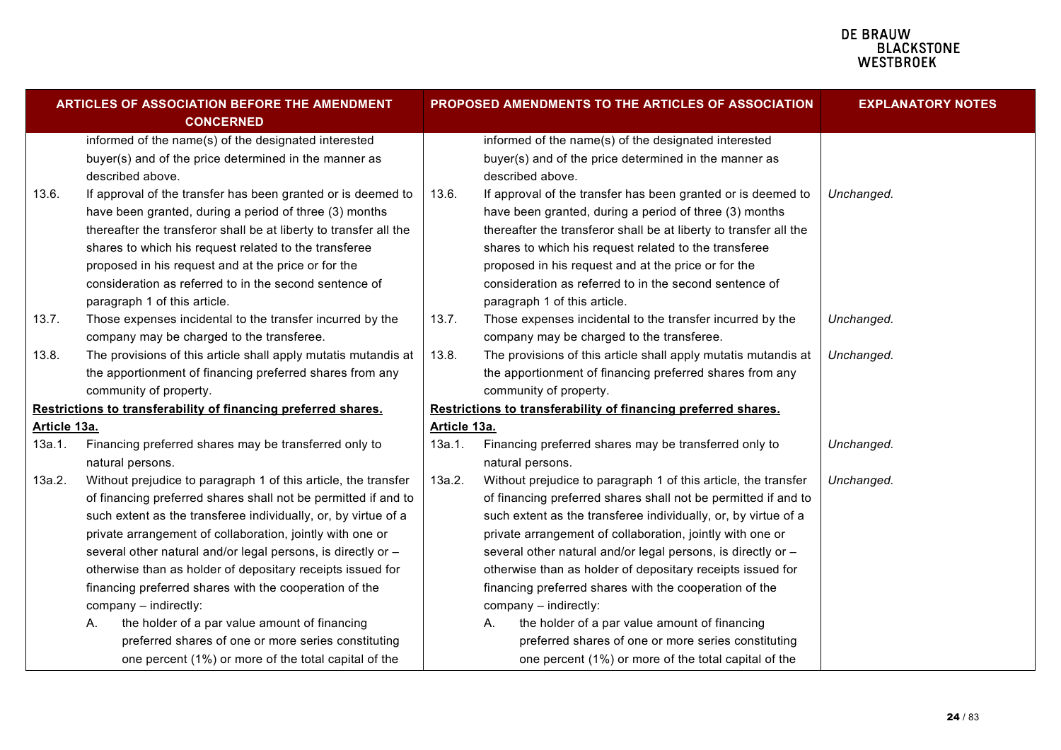| ARTICLES OF ASSOCIATION BEFORE THE AMENDMENT<br><b>CONCERNED</b>               |                                                                                                                                                                                                                                                                                                                                                                                                                                                                                                                                                                                                                                                        |                        | PROPOSED AMENDMENTS TO THE ARTICLES OF ASSOCIATION                                                                                                                                                                                                                                                                                                                                                                                                                                                                                                                                                                                                     | <b>EXPLANATORY NOTES</b> |
|--------------------------------------------------------------------------------|--------------------------------------------------------------------------------------------------------------------------------------------------------------------------------------------------------------------------------------------------------------------------------------------------------------------------------------------------------------------------------------------------------------------------------------------------------------------------------------------------------------------------------------------------------------------------------------------------------------------------------------------------------|------------------------|--------------------------------------------------------------------------------------------------------------------------------------------------------------------------------------------------------------------------------------------------------------------------------------------------------------------------------------------------------------------------------------------------------------------------------------------------------------------------------------------------------------------------------------------------------------------------------------------------------------------------------------------------------|--------------------------|
|                                                                                | informed of the name(s) of the designated interested<br>buyer(s) and of the price determined in the manner as<br>described above.                                                                                                                                                                                                                                                                                                                                                                                                                                                                                                                      |                        | informed of the name(s) of the designated interested<br>buyer(s) and of the price determined in the manner as<br>described above.                                                                                                                                                                                                                                                                                                                                                                                                                                                                                                                      |                          |
| 13.6.                                                                          | If approval of the transfer has been granted or is deemed to<br>have been granted, during a period of three (3) months<br>thereafter the transferor shall be at liberty to transfer all the<br>shares to which his request related to the transferee<br>proposed in his request and at the price or for the<br>consideration as referred to in the second sentence of<br>paragraph 1 of this article.                                                                                                                                                                                                                                                  | 13.6.                  | If approval of the transfer has been granted or is deemed to<br>have been granted, during a period of three (3) months<br>thereafter the transferor shall be at liberty to transfer all the<br>shares to which his request related to the transferee<br>proposed in his request and at the price or for the<br>consideration as referred to in the second sentence of<br>paragraph 1 of this article.                                                                                                                                                                                                                                                  | Unchanged.               |
| 13.7.                                                                          | Those expenses incidental to the transfer incurred by the<br>company may be charged to the transferee.                                                                                                                                                                                                                                                                                                                                                                                                                                                                                                                                                 | 13.7.                  | Those expenses incidental to the transfer incurred by the<br>company may be charged to the transferee.                                                                                                                                                                                                                                                                                                                                                                                                                                                                                                                                                 | Unchanged.               |
| 13.8.                                                                          | The provisions of this article shall apply mutatis mutandis at<br>the apportionment of financing preferred shares from any<br>community of property.                                                                                                                                                                                                                                                                                                                                                                                                                                                                                                   | 13.8.                  | The provisions of this article shall apply mutatis mutandis at<br>the apportionment of financing preferred shares from any<br>community of property.                                                                                                                                                                                                                                                                                                                                                                                                                                                                                                   | Unchanged.               |
| Restrictions to transferability of financing preferred shares.<br>Article 13a. |                                                                                                                                                                                                                                                                                                                                                                                                                                                                                                                                                                                                                                                        |                        | Restrictions to transferability of financing preferred shares.                                                                                                                                                                                                                                                                                                                                                                                                                                                                                                                                                                                         |                          |
| 13a.1.                                                                         | Financing preferred shares may be transferred only to<br>natural persons.                                                                                                                                                                                                                                                                                                                                                                                                                                                                                                                                                                              | Article 13a.<br>13a.1. | Financing preferred shares may be transferred only to<br>natural persons.                                                                                                                                                                                                                                                                                                                                                                                                                                                                                                                                                                              | Unchanged.               |
| 13a.2.                                                                         | Without prejudice to paragraph 1 of this article, the transfer<br>of financing preferred shares shall not be permitted if and to<br>such extent as the transferee individually, or, by virtue of a<br>private arrangement of collaboration, jointly with one or<br>several other natural and/or legal persons, is directly or -<br>otherwise than as holder of depositary receipts issued for<br>financing preferred shares with the cooperation of the<br>company - indirectly:<br>the holder of a par value amount of financing<br>Α.<br>preferred shares of one or more series constituting<br>one percent (1%) or more of the total capital of the | 13a.2.                 | Without prejudice to paragraph 1 of this article, the transfer<br>of financing preferred shares shall not be permitted if and to<br>such extent as the transferee individually, or, by virtue of a<br>private arrangement of collaboration, jointly with one or<br>several other natural and/or legal persons, is directly or -<br>otherwise than as holder of depositary receipts issued for<br>financing preferred shares with the cooperation of the<br>company - indirectly:<br>the holder of a par value amount of financing<br>А.<br>preferred shares of one or more series constituting<br>one percent (1%) or more of the total capital of the | Unchanged.               |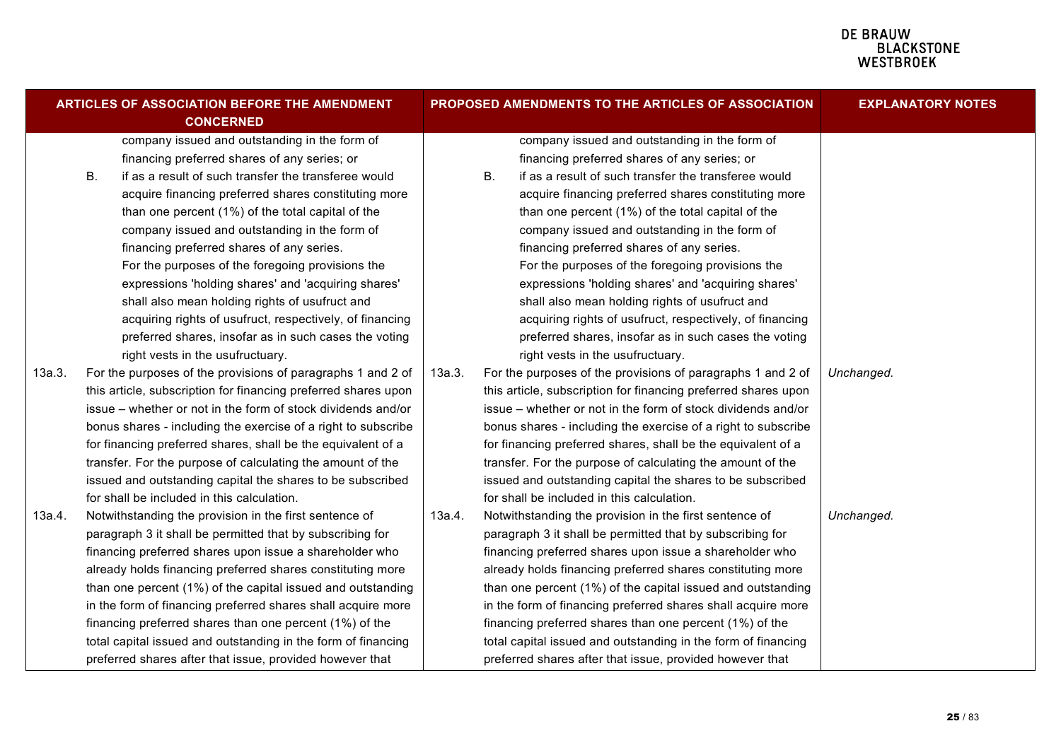| <b>ARTICLES OF ASSOCIATION BEFORE THE AMENDMENT</b><br><b>CONCERNED</b> |    |                                                                |        |           | <b>PROPOSED AMENDMENTS TO THE ARTICLES OF ASSOCIATION</b>      | <b>EXPLANATORY NOTES</b> |
|-------------------------------------------------------------------------|----|----------------------------------------------------------------|--------|-----------|----------------------------------------------------------------|--------------------------|
|                                                                         |    | company issued and outstanding in the form of                  |        |           | company issued and outstanding in the form of                  |                          |
|                                                                         |    | financing preferred shares of any series; or                   |        |           | financing preferred shares of any series; or                   |                          |
|                                                                         | Β. | if as a result of such transfer the transferee would           |        | <b>B.</b> | if as a result of such transfer the transferee would           |                          |
|                                                                         |    | acquire financing preferred shares constituting more           |        |           | acquire financing preferred shares constituting more           |                          |
|                                                                         |    | than one percent (1%) of the total capital of the              |        |           | than one percent (1%) of the total capital of the              |                          |
|                                                                         |    | company issued and outstanding in the form of                  |        |           | company issued and outstanding in the form of                  |                          |
|                                                                         |    | financing preferred shares of any series.                      |        |           | financing preferred shares of any series.                      |                          |
|                                                                         |    | For the purposes of the foregoing provisions the               |        |           | For the purposes of the foregoing provisions the               |                          |
|                                                                         |    | expressions 'holding shares' and 'acquiring shares'            |        |           | expressions 'holding shares' and 'acquiring shares'            |                          |
|                                                                         |    | shall also mean holding rights of usufruct and                 |        |           | shall also mean holding rights of usufruct and                 |                          |
|                                                                         |    | acquiring rights of usufruct, respectively, of financing       |        |           | acquiring rights of usufruct, respectively, of financing       |                          |
|                                                                         |    | preferred shares, insofar as in such cases the voting          |        |           | preferred shares, insofar as in such cases the voting          |                          |
|                                                                         |    | right vests in the usufructuary.                               |        |           | right vests in the usufructuary.                               |                          |
| 13a.3.                                                                  |    | For the purposes of the provisions of paragraphs 1 and 2 of    | 13a.3. |           | For the purposes of the provisions of paragraphs 1 and 2 of    | Unchanged.               |
|                                                                         |    | this article, subscription for financing preferred shares upon |        |           | this article, subscription for financing preferred shares upon |                          |
|                                                                         |    | issue – whether or not in the form of stock dividends and/or   |        |           | issue – whether or not in the form of stock dividends and/or   |                          |
|                                                                         |    | bonus shares - including the exercise of a right to subscribe  |        |           | bonus shares - including the exercise of a right to subscribe  |                          |
|                                                                         |    | for financing preferred shares, shall be the equivalent of a   |        |           | for financing preferred shares, shall be the equivalent of a   |                          |
|                                                                         |    | transfer. For the purpose of calculating the amount of the     |        |           | transfer. For the purpose of calculating the amount of the     |                          |
|                                                                         |    | issued and outstanding capital the shares to be subscribed     |        |           | issued and outstanding capital the shares to be subscribed     |                          |
|                                                                         |    | for shall be included in this calculation.                     |        |           | for shall be included in this calculation.                     |                          |
| 13a.4.                                                                  |    | Notwithstanding the provision in the first sentence of         | 13a.4. |           | Notwithstanding the provision in the first sentence of         | Unchanged.               |
|                                                                         |    | paragraph 3 it shall be permitted that by subscribing for      |        |           | paragraph 3 it shall be permitted that by subscribing for      |                          |
|                                                                         |    | financing preferred shares upon issue a shareholder who        |        |           | financing preferred shares upon issue a shareholder who        |                          |
|                                                                         |    | already holds financing preferred shares constituting more     |        |           | already holds financing preferred shares constituting more     |                          |
|                                                                         |    | than one percent (1%) of the capital issued and outstanding    |        |           | than one percent (1%) of the capital issued and outstanding    |                          |
|                                                                         |    | in the form of financing preferred shares shall acquire more   |        |           | in the form of financing preferred shares shall acquire more   |                          |
|                                                                         |    | financing preferred shares than one percent (1%) of the        |        |           | financing preferred shares than one percent (1%) of the        |                          |
|                                                                         |    | total capital issued and outstanding in the form of financing  |        |           | total capital issued and outstanding in the form of financing  |                          |
|                                                                         |    | preferred shares after that issue, provided however that       |        |           | preferred shares after that issue, provided however that       |                          |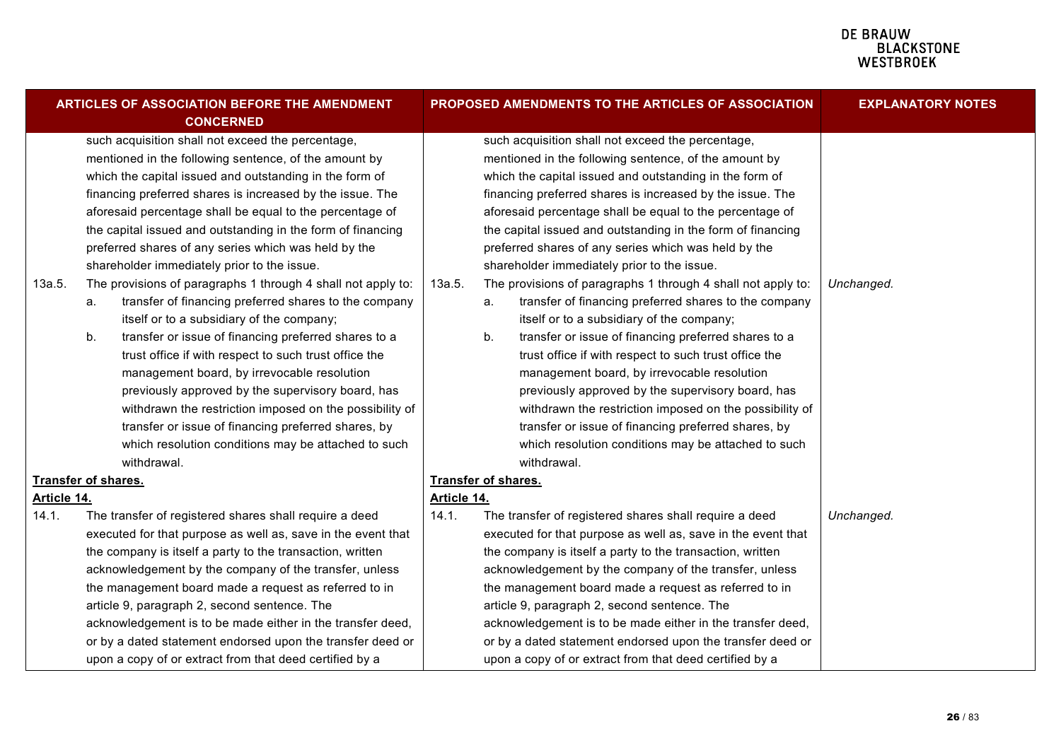| <b>ARTICLES OF ASSOCIATION BEFORE THE AMENDMENT</b><br><b>CONCERNED</b> |                                                                                                                                                                                                                                                                                                                                                                                                                                                                                                                                                                                                                                                                                                                                                                                                                                                                                                                                                                                                                                                      |                                           |          | PROPOSED AMENDMENTS TO THE ARTICLES OF ASSOCIATION                                                                                                                                                                                                                                                                                                                                                                                                                                                                                                                                                                                                                                                                                                                                                                                                                                                                                                                                                                                       | <b>EXPLANATORY NOTES</b> |
|-------------------------------------------------------------------------|------------------------------------------------------------------------------------------------------------------------------------------------------------------------------------------------------------------------------------------------------------------------------------------------------------------------------------------------------------------------------------------------------------------------------------------------------------------------------------------------------------------------------------------------------------------------------------------------------------------------------------------------------------------------------------------------------------------------------------------------------------------------------------------------------------------------------------------------------------------------------------------------------------------------------------------------------------------------------------------------------------------------------------------------------|-------------------------------------------|----------|------------------------------------------------------------------------------------------------------------------------------------------------------------------------------------------------------------------------------------------------------------------------------------------------------------------------------------------------------------------------------------------------------------------------------------------------------------------------------------------------------------------------------------------------------------------------------------------------------------------------------------------------------------------------------------------------------------------------------------------------------------------------------------------------------------------------------------------------------------------------------------------------------------------------------------------------------------------------------------------------------------------------------------------|--------------------------|
| 13a.5.                                                                  | such acquisition shall not exceed the percentage,<br>mentioned in the following sentence, of the amount by<br>which the capital issued and outstanding in the form of<br>financing preferred shares is increased by the issue. The<br>aforesaid percentage shall be equal to the percentage of<br>the capital issued and outstanding in the form of financing<br>preferred shares of any series which was held by the<br>shareholder immediately prior to the issue.<br>The provisions of paragraphs 1 through 4 shall not apply to:<br>transfer of financing preferred shares to the company<br>a.<br>itself or to a subsidiary of the company;<br>transfer or issue of financing preferred shares to a<br>b.<br>trust office if with respect to such trust office the<br>management board, by irrevocable resolution<br>previously approved by the supervisory board, has<br>withdrawn the restriction imposed on the possibility of<br>transfer or issue of financing preferred shares, by<br>which resolution conditions may be attached to such | 13a.5.                                    | a.<br>b. | such acquisition shall not exceed the percentage,<br>mentioned in the following sentence, of the amount by<br>which the capital issued and outstanding in the form of<br>financing preferred shares is increased by the issue. The<br>aforesaid percentage shall be equal to the percentage of<br>the capital issued and outstanding in the form of financing<br>preferred shares of any series which was held by the<br>shareholder immediately prior to the issue.<br>The provisions of paragraphs 1 through 4 shall not apply to:<br>transfer of financing preferred shares to the company<br>itself or to a subsidiary of the company;<br>transfer or issue of financing preferred shares to a<br>trust office if with respect to such trust office the<br>management board, by irrevocable resolution<br>previously approved by the supervisory board, has<br>withdrawn the restriction imposed on the possibility of<br>transfer or issue of financing preferred shares, by<br>which resolution conditions may be attached to such | Unchanged.               |
|                                                                         | withdrawal.                                                                                                                                                                                                                                                                                                                                                                                                                                                                                                                                                                                                                                                                                                                                                                                                                                                                                                                                                                                                                                          |                                           |          | withdrawal.                                                                                                                                                                                                                                                                                                                                                                                                                                                                                                                                                                                                                                                                                                                                                                                                                                                                                                                                                                                                                              |                          |
| <u>Article 14.</u>                                                      | <b>Transfer of shares.</b>                                                                                                                                                                                                                                                                                                                                                                                                                                                                                                                                                                                                                                                                                                                                                                                                                                                                                                                                                                                                                           | <b>Transfer of shares.</b><br>Article 14. |          |                                                                                                                                                                                                                                                                                                                                                                                                                                                                                                                                                                                                                                                                                                                                                                                                                                                                                                                                                                                                                                          |                          |
| 14.1.                                                                   | The transfer of registered shares shall require a deed<br>executed for that purpose as well as, save in the event that<br>the company is itself a party to the transaction, written<br>acknowledgement by the company of the transfer, unless<br>the management board made a request as referred to in<br>article 9, paragraph 2, second sentence. The<br>acknowledgement is to be made either in the transfer deed,<br>or by a dated statement endorsed upon the transfer deed or<br>upon a copy of or extract from that deed certified by a                                                                                                                                                                                                                                                                                                                                                                                                                                                                                                        | 14.1.                                     |          | The transfer of registered shares shall require a deed<br>executed for that purpose as well as, save in the event that<br>the company is itself a party to the transaction, written<br>acknowledgement by the company of the transfer, unless<br>the management board made a request as referred to in<br>article 9, paragraph 2, second sentence. The<br>acknowledgement is to be made either in the transfer deed,<br>or by a dated statement endorsed upon the transfer deed or<br>upon a copy of or extract from that deed certified by a                                                                                                                                                                                                                                                                                                                                                                                                                                                                                            | Unchanged.               |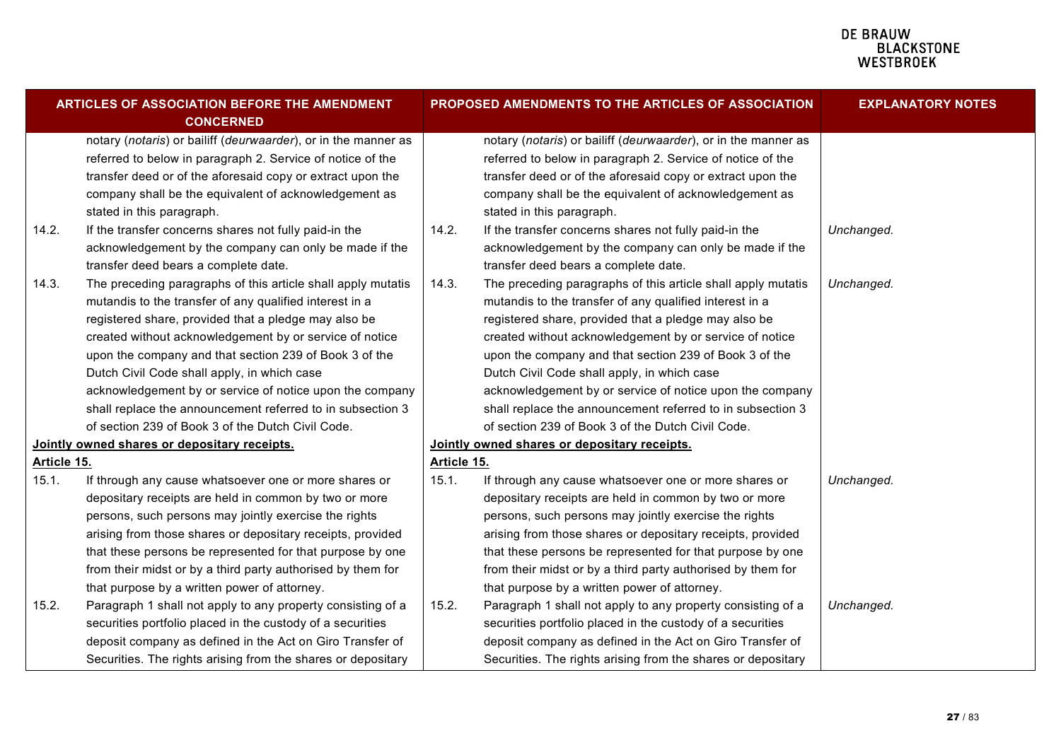| <b>ARTICLES OF ASSOCIATION BEFORE THE AMENDMENT</b><br><b>CONCERNED</b> |                                                                                                                                                                                                                                                                                                                                                                                                                                                                                                                                                                                    |             | <b>PROPOSED AMENDMENTS TO THE ARTICLES OF ASSOCIATION</b>                                                                                                                                                                                                                                                                                                                                                                                                                                                                                                                          | <b>EXPLANATORY NOTES</b> |
|-------------------------------------------------------------------------|------------------------------------------------------------------------------------------------------------------------------------------------------------------------------------------------------------------------------------------------------------------------------------------------------------------------------------------------------------------------------------------------------------------------------------------------------------------------------------------------------------------------------------------------------------------------------------|-------------|------------------------------------------------------------------------------------------------------------------------------------------------------------------------------------------------------------------------------------------------------------------------------------------------------------------------------------------------------------------------------------------------------------------------------------------------------------------------------------------------------------------------------------------------------------------------------------|--------------------------|
|                                                                         | notary (notaris) or bailiff (deurwaarder), or in the manner as<br>referred to below in paragraph 2. Service of notice of the<br>transfer deed or of the aforesaid copy or extract upon the<br>company shall be the equivalent of acknowledgement as<br>stated in this paragraph.                                                                                                                                                                                                                                                                                                   |             | notary (notaris) or bailiff (deurwaarder), or in the manner as<br>referred to below in paragraph 2. Service of notice of the<br>transfer deed or of the aforesaid copy or extract upon the<br>company shall be the equivalent of acknowledgement as<br>stated in this paragraph.                                                                                                                                                                                                                                                                                                   |                          |
| 14.2.                                                                   | If the transfer concerns shares not fully paid-in the<br>acknowledgement by the company can only be made if the<br>transfer deed bears a complete date.                                                                                                                                                                                                                                                                                                                                                                                                                            | 14.2.       | If the transfer concerns shares not fully paid-in the<br>acknowledgement by the company can only be made if the<br>transfer deed bears a complete date.                                                                                                                                                                                                                                                                                                                                                                                                                            | Unchanged.               |
| 14.3.                                                                   | The preceding paragraphs of this article shall apply mutatis<br>mutandis to the transfer of any qualified interest in a<br>registered share, provided that a pledge may also be<br>created without acknowledgement by or service of notice<br>upon the company and that section 239 of Book 3 of the<br>Dutch Civil Code shall apply, in which case<br>acknowledgement by or service of notice upon the company<br>shall replace the announcement referred to in subsection 3<br>of section 239 of Book 3 of the Dutch Civil Code.<br>Jointly owned shares or depositary receipts. | 14.3.       | The preceding paragraphs of this article shall apply mutatis<br>mutandis to the transfer of any qualified interest in a<br>registered share, provided that a pledge may also be<br>created without acknowledgement by or service of notice<br>upon the company and that section 239 of Book 3 of the<br>Dutch Civil Code shall apply, in which case<br>acknowledgement by or service of notice upon the company<br>shall replace the announcement referred to in subsection 3<br>of section 239 of Book 3 of the Dutch Civil Code.<br>Jointly owned shares or depositary receipts. | Unchanged.               |
| Article 15.                                                             |                                                                                                                                                                                                                                                                                                                                                                                                                                                                                                                                                                                    | Article 15. |                                                                                                                                                                                                                                                                                                                                                                                                                                                                                                                                                                                    |                          |
| 15.1.                                                                   | If through any cause whatsoever one or more shares or<br>depositary receipts are held in common by two or more<br>persons, such persons may jointly exercise the rights<br>arising from those shares or depositary receipts, provided<br>that these persons be represented for that purpose by one<br>from their midst or by a third party authorised by them for<br>that purpose by a written power of attorney.                                                                                                                                                                  | 15.1.       | If through any cause whatsoever one or more shares or<br>depositary receipts are held in common by two or more<br>persons, such persons may jointly exercise the rights<br>arising from those shares or depositary receipts, provided<br>that these persons be represented for that purpose by one<br>from their midst or by a third party authorised by them for<br>that purpose by a written power of attorney.                                                                                                                                                                  | Unchanged.               |
| 15.2.                                                                   | Paragraph 1 shall not apply to any property consisting of a<br>securities portfolio placed in the custody of a securities<br>deposit company as defined in the Act on Giro Transfer of<br>Securities. The rights arising from the shares or depositary                                                                                                                                                                                                                                                                                                                             | 15.2.       | Paragraph 1 shall not apply to any property consisting of a<br>securities portfolio placed in the custody of a securities<br>deposit company as defined in the Act on Giro Transfer of<br>Securities. The rights arising from the shares or depositary                                                                                                                                                                                                                                                                                                                             | Unchanged.               |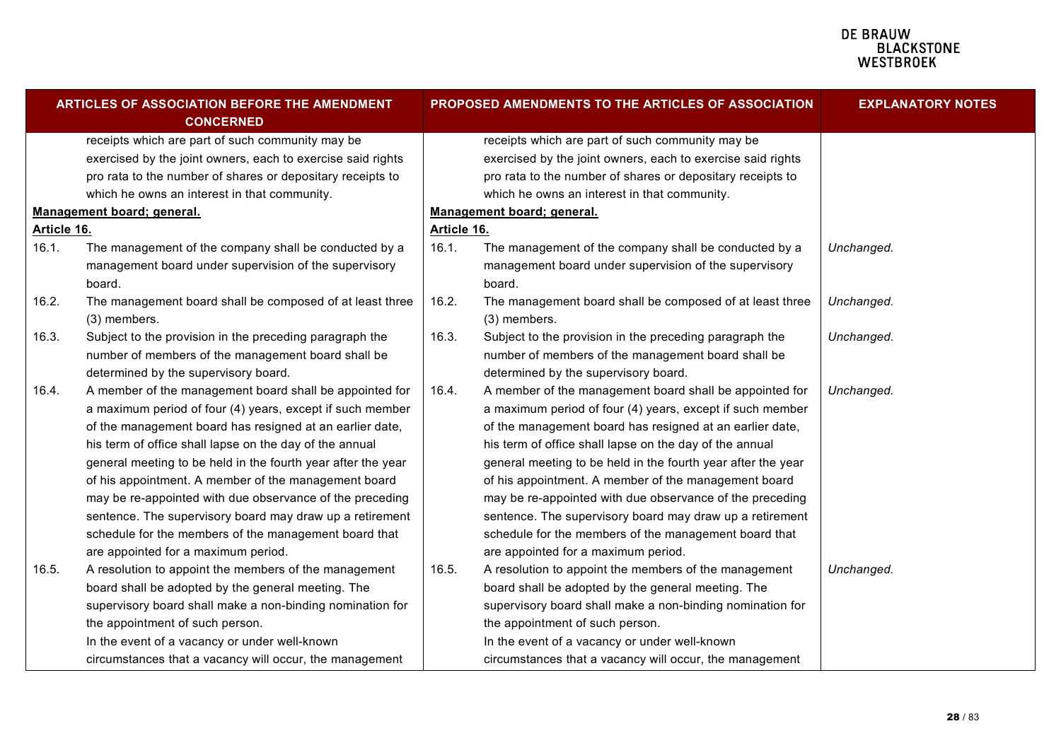| <b>ARTICLES OF ASSOCIATION BEFORE THE AMENDMENT</b><br><b>CONCERNED</b> |                                                              |             | PROPOSED AMENDMENTS TO THE ARTICLES OF ASSOCIATION           | <b>EXPLANATORY NOTES</b> |
|-------------------------------------------------------------------------|--------------------------------------------------------------|-------------|--------------------------------------------------------------|--------------------------|
|                                                                         | receipts which are part of such community may be             |             | receipts which are part of such community may be             |                          |
|                                                                         | exercised by the joint owners, each to exercise said rights  |             | exercised by the joint owners, each to exercise said rights  |                          |
|                                                                         | pro rata to the number of shares or depositary receipts to   |             | pro rata to the number of shares or depositary receipts to   |                          |
|                                                                         | which he owns an interest in that community.                 |             | which he owns an interest in that community.                 |                          |
|                                                                         | Management board; general.                                   |             | Management board; general.                                   |                          |
| Article 16.                                                             |                                                              | Article 16. |                                                              |                          |
| 16.1.                                                                   | The management of the company shall be conducted by a        | 16.1.       | The management of the company shall be conducted by a        | Unchanged.               |
|                                                                         | management board under supervision of the supervisory        |             | management board under supervision of the supervisory        |                          |
|                                                                         | board.                                                       |             | board.                                                       |                          |
| 16.2.                                                                   | The management board shall be composed of at least three     | 16.2.       | The management board shall be composed of at least three     | Unchanged.               |
|                                                                         | (3) members.                                                 |             | (3) members.                                                 |                          |
| 16.3.                                                                   | Subject to the provision in the preceding paragraph the      | 16.3.       | Subject to the provision in the preceding paragraph the      | Unchanged.               |
|                                                                         | number of members of the management board shall be           |             | number of members of the management board shall be           |                          |
|                                                                         | determined by the supervisory board.                         |             | determined by the supervisory board.                         |                          |
| 16.4.                                                                   | A member of the management board shall be appointed for      | 16.4.       | A member of the management board shall be appointed for      | Unchanged.               |
|                                                                         | a maximum period of four (4) years, except if such member    |             | a maximum period of four (4) years, except if such member    |                          |
|                                                                         | of the management board has resigned at an earlier date,     |             | of the management board has resigned at an earlier date,     |                          |
|                                                                         | his term of office shall lapse on the day of the annual      |             | his term of office shall lapse on the day of the annual      |                          |
|                                                                         | general meeting to be held in the fourth year after the year |             | general meeting to be held in the fourth year after the year |                          |
|                                                                         | of his appointment. A member of the management board         |             | of his appointment. A member of the management board         |                          |
|                                                                         | may be re-appointed with due observance of the preceding     |             | may be re-appointed with due observance of the preceding     |                          |
|                                                                         | sentence. The supervisory board may draw up a retirement     |             | sentence. The supervisory board may draw up a retirement     |                          |
|                                                                         | schedule for the members of the management board that        |             | schedule for the members of the management board that        |                          |
|                                                                         | are appointed for a maximum period.                          |             | are appointed for a maximum period.                          |                          |
| 16.5.                                                                   | A resolution to appoint the members of the management        | 16.5.       | A resolution to appoint the members of the management        | Unchanged.               |
|                                                                         | board shall be adopted by the general meeting. The           |             | board shall be adopted by the general meeting. The           |                          |
|                                                                         | supervisory board shall make a non-binding nomination for    |             | supervisory board shall make a non-binding nomination for    |                          |
|                                                                         | the appointment of such person.                              |             | the appointment of such person.                              |                          |
|                                                                         | In the event of a vacancy or under well-known                |             | In the event of a vacancy or under well-known                |                          |
|                                                                         | circumstances that a vacancy will occur, the management      |             | circumstances that a vacancy will occur, the management      |                          |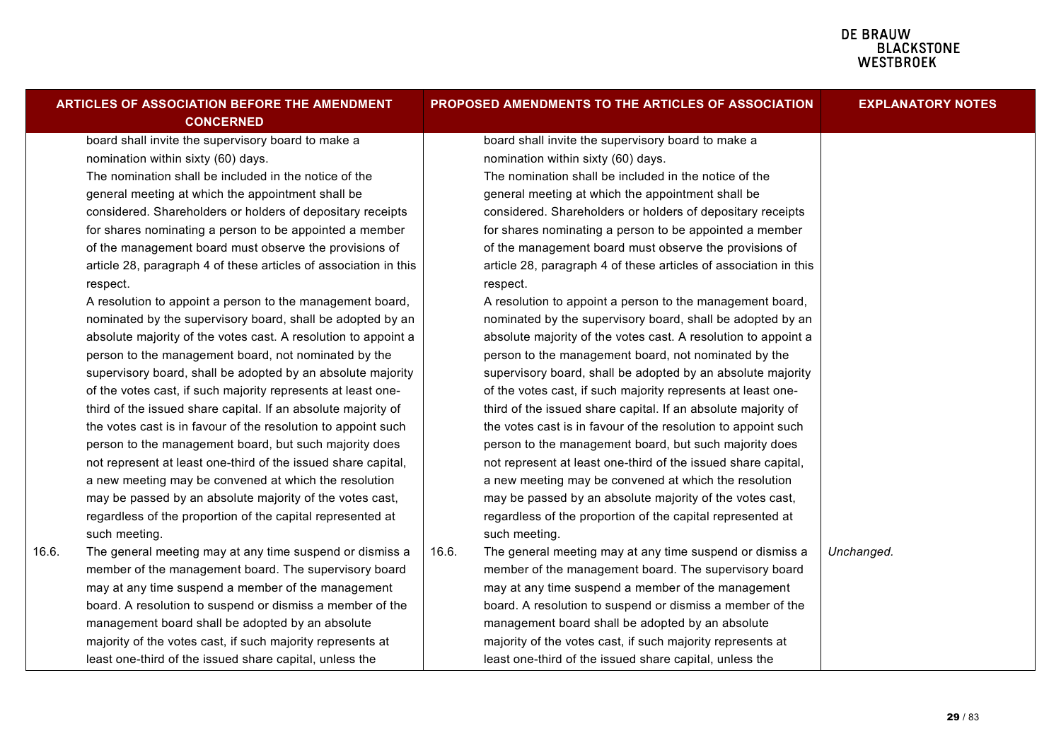| ARTICLES OF ASSOCIATION BEFORE THE AMENDMENT<br><b>CONCERNED</b> |                                                                  |       | PROPOSED AMENDMENTS TO THE ARTICLES OF ASSOCIATION               | <b>EXPLANATORY NOTES</b> |
|------------------------------------------------------------------|------------------------------------------------------------------|-------|------------------------------------------------------------------|--------------------------|
|                                                                  | board shall invite the supervisory board to make a               |       | board shall invite the supervisory board to make a               |                          |
|                                                                  | nomination within sixty (60) days.                               |       | nomination within sixty (60) days.                               |                          |
|                                                                  | The nomination shall be included in the notice of the            |       | The nomination shall be included in the notice of the            |                          |
|                                                                  | general meeting at which the appointment shall be                |       | general meeting at which the appointment shall be                |                          |
|                                                                  | considered. Shareholders or holders of depositary receipts       |       | considered. Shareholders or holders of depositary receipts       |                          |
|                                                                  | for shares nominating a person to be appointed a member          |       | for shares nominating a person to be appointed a member          |                          |
|                                                                  | of the management board must observe the provisions of           |       | of the management board must observe the provisions of           |                          |
|                                                                  | article 28, paragraph 4 of these articles of association in this |       | article 28, paragraph 4 of these articles of association in this |                          |
|                                                                  | respect.                                                         |       | respect.                                                         |                          |
|                                                                  | A resolution to appoint a person to the management board,        |       | A resolution to appoint a person to the management board,        |                          |
|                                                                  | nominated by the supervisory board, shall be adopted by an       |       | nominated by the supervisory board, shall be adopted by an       |                          |
|                                                                  | absolute majority of the votes cast. A resolution to appoint a   |       | absolute majority of the votes cast. A resolution to appoint a   |                          |
|                                                                  | person to the management board, not nominated by the             |       | person to the management board, not nominated by the             |                          |
|                                                                  | supervisory board, shall be adopted by an absolute majority      |       | supervisory board, shall be adopted by an absolute majority      |                          |
|                                                                  | of the votes cast, if such majority represents at least one-     |       | of the votes cast, if such majority represents at least one-     |                          |
|                                                                  | third of the issued share capital. If an absolute majority of    |       | third of the issued share capital. If an absolute majority of    |                          |
|                                                                  | the votes cast is in favour of the resolution to appoint such    |       | the votes cast is in favour of the resolution to appoint such    |                          |
|                                                                  | person to the management board, but such majority does           |       | person to the management board, but such majority does           |                          |
|                                                                  | not represent at least one-third of the issued share capital,    |       | not represent at least one-third of the issued share capital,    |                          |
|                                                                  | a new meeting may be convened at which the resolution            |       | a new meeting may be convened at which the resolution            |                          |
|                                                                  | may be passed by an absolute majority of the votes cast,         |       | may be passed by an absolute majority of the votes cast,         |                          |
|                                                                  | regardless of the proportion of the capital represented at       |       | regardless of the proportion of the capital represented at       |                          |
|                                                                  | such meeting.                                                    |       | such meeting.                                                    |                          |
| 16.6.                                                            | The general meeting may at any time suspend or dismiss a         | 16.6. | The general meeting may at any time suspend or dismiss a         | Unchanged.               |
|                                                                  | member of the management board. The supervisory board            |       | member of the management board. The supervisory board            |                          |
|                                                                  | may at any time suspend a member of the management               |       | may at any time suspend a member of the management               |                          |
|                                                                  | board. A resolution to suspend or dismiss a member of the        |       | board. A resolution to suspend or dismiss a member of the        |                          |
|                                                                  | management board shall be adopted by an absolute                 |       | management board shall be adopted by an absolute                 |                          |
|                                                                  | majority of the votes cast, if such majority represents at       |       | majority of the votes cast, if such majority represents at       |                          |
|                                                                  | least one-third of the issued share capital, unless the          |       | least one-third of the issued share capital, unless the          |                          |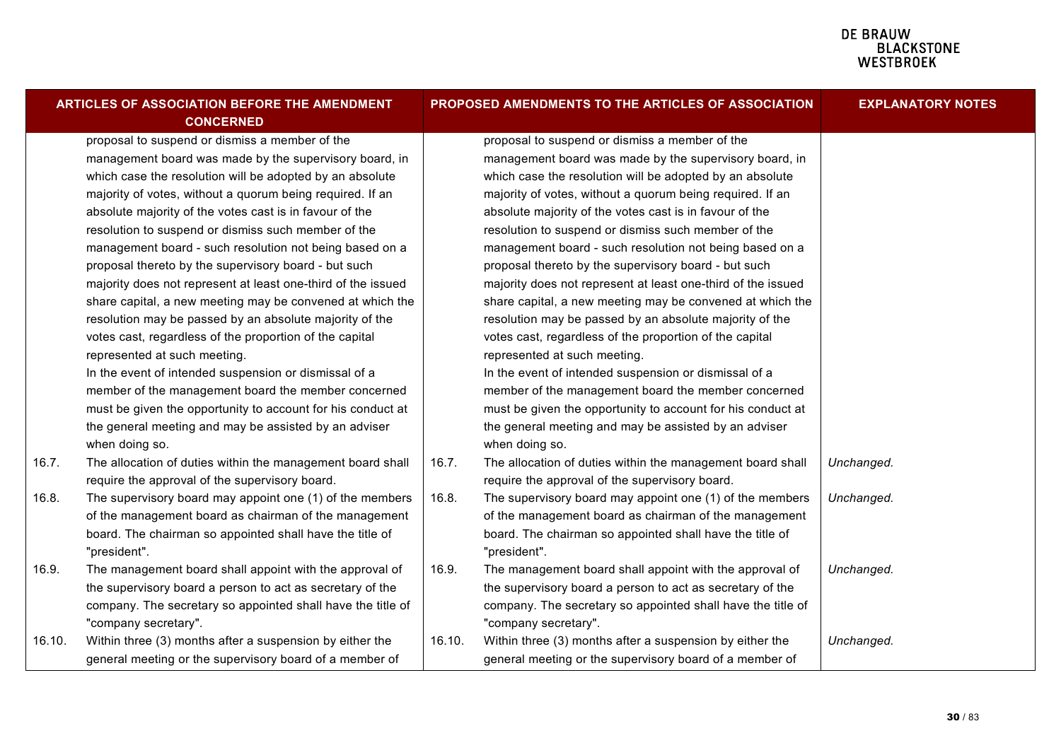| ARTICLES OF ASSOCIATION BEFORE THE AMENDMENT<br><b>CONCERNED</b> |                                                              |        | PROPOSED AMENDMENTS TO THE ARTICLES OF ASSOCIATION           | <b>EXPLANATORY NOTES</b> |
|------------------------------------------------------------------|--------------------------------------------------------------|--------|--------------------------------------------------------------|--------------------------|
|                                                                  | proposal to suspend or dismiss a member of the               |        | proposal to suspend or dismiss a member of the               |                          |
|                                                                  | management board was made by the supervisory board, in       |        | management board was made by the supervisory board, in       |                          |
|                                                                  | which case the resolution will be adopted by an absolute     |        | which case the resolution will be adopted by an absolute     |                          |
|                                                                  | majority of votes, without a quorum being required. If an    |        | majority of votes, without a quorum being required. If an    |                          |
|                                                                  | absolute majority of the votes cast is in favour of the      |        | absolute majority of the votes cast is in favour of the      |                          |
|                                                                  | resolution to suspend or dismiss such member of the          |        | resolution to suspend or dismiss such member of the          |                          |
|                                                                  | management board - such resolution not being based on a      |        | management board - such resolution not being based on a      |                          |
|                                                                  | proposal thereto by the supervisory board - but such         |        | proposal thereto by the supervisory board - but such         |                          |
|                                                                  | majority does not represent at least one-third of the issued |        | majority does not represent at least one-third of the issued |                          |
|                                                                  | share capital, a new meeting may be convened at which the    |        | share capital, a new meeting may be convened at which the    |                          |
|                                                                  | resolution may be passed by an absolute majority of the      |        | resolution may be passed by an absolute majority of the      |                          |
|                                                                  | votes cast, regardless of the proportion of the capital      |        | votes cast, regardless of the proportion of the capital      |                          |
|                                                                  | represented at such meeting.                                 |        | represented at such meeting.                                 |                          |
|                                                                  | In the event of intended suspension or dismissal of a        |        | In the event of intended suspension or dismissal of a        |                          |
|                                                                  | member of the management board the member concerned          |        | member of the management board the member concerned          |                          |
|                                                                  | must be given the opportunity to account for his conduct at  |        | must be given the opportunity to account for his conduct at  |                          |
|                                                                  | the general meeting and may be assisted by an adviser        |        | the general meeting and may be assisted by an adviser        |                          |
|                                                                  | when doing so.                                               |        | when doing so.                                               |                          |
| 16.7.                                                            | The allocation of duties within the management board shall   | 16.7.  | The allocation of duties within the management board shall   | Unchanged.               |
|                                                                  | require the approval of the supervisory board.               |        | require the approval of the supervisory board.               |                          |
| 16.8.                                                            | The supervisory board may appoint one (1) of the members     | 16.8.  | The supervisory board may appoint one (1) of the members     | Unchanged.               |
|                                                                  | of the management board as chairman of the management        |        | of the management board as chairman of the management        |                          |
|                                                                  | board. The chairman so appointed shall have the title of     |        | board. The chairman so appointed shall have the title of     |                          |
|                                                                  | "president".                                                 |        | "president".                                                 |                          |
| 16.9.                                                            | The management board shall appoint with the approval of      | 16.9.  | The management board shall appoint with the approval of      | Unchanged.               |
|                                                                  | the supervisory board a person to act as secretary of the    |        | the supervisory board a person to act as secretary of the    |                          |
|                                                                  | company. The secretary so appointed shall have the title of  |        | company. The secretary so appointed shall have the title of  |                          |
|                                                                  | "company secretary".                                         |        | "company secretary".                                         |                          |
| 16.10.                                                           | Within three (3) months after a suspension by either the     | 16.10. | Within three (3) months after a suspension by either the     | Unchanged.               |
|                                                                  | general meeting or the supervisory board of a member of      |        | general meeting or the supervisory board of a member of      |                          |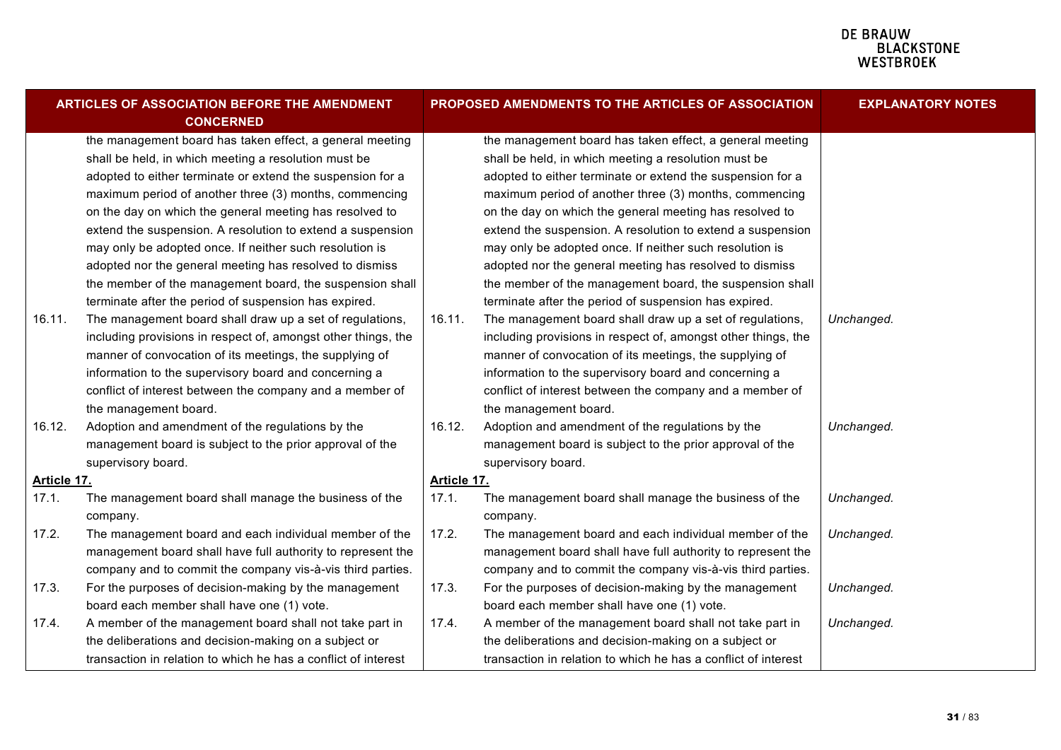| <b>ARTICLES OF ASSOCIATION BEFORE THE AMENDMENT</b><br><b>CONCERNED</b> |                                                                |             | <b>PROPOSED AMENDMENTS TO THE ARTICLES OF ASSOCIATION</b>      | <b>EXPLANATORY NOTES</b> |
|-------------------------------------------------------------------------|----------------------------------------------------------------|-------------|----------------------------------------------------------------|--------------------------|
|                                                                         | the management board has taken effect, a general meeting       |             | the management board has taken effect, a general meeting       |                          |
|                                                                         | shall be held, in which meeting a resolution must be           |             | shall be held, in which meeting a resolution must be           |                          |
|                                                                         | adopted to either terminate or extend the suspension for a     |             | adopted to either terminate or extend the suspension for a     |                          |
|                                                                         | maximum period of another three (3) months, commencing         |             | maximum period of another three (3) months, commencing         |                          |
|                                                                         | on the day on which the general meeting has resolved to        |             | on the day on which the general meeting has resolved to        |                          |
|                                                                         | extend the suspension. A resolution to extend a suspension     |             | extend the suspension. A resolution to extend a suspension     |                          |
|                                                                         | may only be adopted once. If neither such resolution is        |             | may only be adopted once. If neither such resolution is        |                          |
|                                                                         | adopted nor the general meeting has resolved to dismiss        |             | adopted nor the general meeting has resolved to dismiss        |                          |
|                                                                         | the member of the management board, the suspension shall       |             | the member of the management board, the suspension shall       |                          |
|                                                                         | terminate after the period of suspension has expired.          |             | terminate after the period of suspension has expired.          |                          |
| 16.11.                                                                  | The management board shall draw up a set of regulations,       | 16.11.      | The management board shall draw up a set of regulations,       | Unchanged.               |
|                                                                         | including provisions in respect of, amongst other things, the  |             | including provisions in respect of, amongst other things, the  |                          |
|                                                                         | manner of convocation of its meetings, the supplying of        |             | manner of convocation of its meetings, the supplying of        |                          |
|                                                                         | information to the supervisory board and concerning a          |             | information to the supervisory board and concerning a          |                          |
|                                                                         | conflict of interest between the company and a member of       |             | conflict of interest between the company and a member of       |                          |
|                                                                         | the management board.                                          |             | the management board.                                          |                          |
| 16.12.                                                                  | Adoption and amendment of the regulations by the               | 16.12.      | Adoption and amendment of the regulations by the               | Unchanged.               |
|                                                                         | management board is subject to the prior approval of the       |             | management board is subject to the prior approval of the       |                          |
|                                                                         | supervisory board.                                             |             | supervisory board.                                             |                          |
| <u> Article 17.</u>                                                     |                                                                | Article 17. |                                                                |                          |
| 17.1.                                                                   | The management board shall manage the business of the          | 17.1.       | The management board shall manage the business of the          | Unchanged.               |
|                                                                         | company.                                                       |             | company.                                                       |                          |
| 17.2.                                                                   | The management board and each individual member of the         | 17.2.       | The management board and each individual member of the         | Unchanged.               |
|                                                                         | management board shall have full authority to represent the    |             | management board shall have full authority to represent the    |                          |
|                                                                         | company and to commit the company vis-à-vis third parties.     |             | company and to commit the company vis-à-vis third parties.     |                          |
| 17.3.                                                                   | For the purposes of decision-making by the management          | 17.3.       | For the purposes of decision-making by the management          | Unchanged.               |
|                                                                         | board each member shall have one (1) vote.                     |             | board each member shall have one (1) vote.                     |                          |
| 17.4.                                                                   | A member of the management board shall not take part in        | 17.4.       | A member of the management board shall not take part in        | Unchanged.               |
|                                                                         | the deliberations and decision-making on a subject or          |             | the deliberations and decision-making on a subject or          |                          |
|                                                                         | transaction in relation to which he has a conflict of interest |             | transaction in relation to which he has a conflict of interest |                          |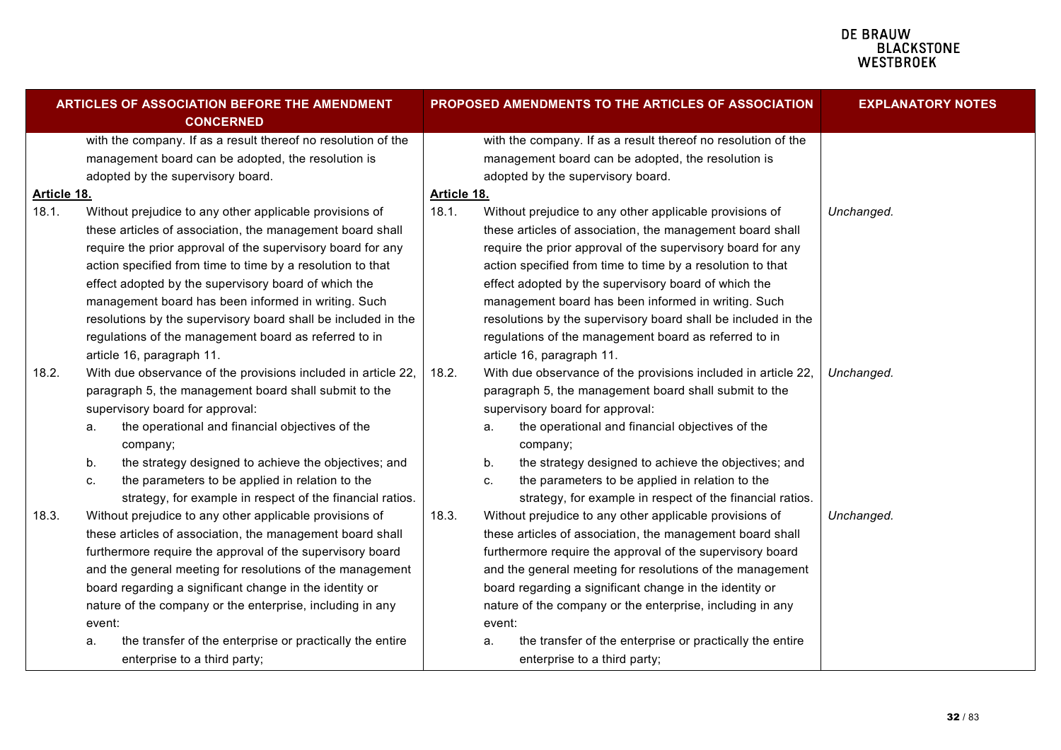| <b>ARTICLES OF ASSOCIATION BEFORE THE AMENDMENT</b><br><b>CONCERNED</b> |                                                           |                                                               |             |        | PROPOSED AMENDMENTS TO THE ARTICLES OF ASSOCIATION            | <b>EXPLANATORY NOTES</b> |
|-------------------------------------------------------------------------|-----------------------------------------------------------|---------------------------------------------------------------|-------------|--------|---------------------------------------------------------------|--------------------------|
|                                                                         |                                                           | with the company. If as a result thereof no resolution of the |             |        | with the company. If as a result thereof no resolution of the |                          |
|                                                                         |                                                           | management board can be adopted, the resolution is            |             |        | management board can be adopted, the resolution is            |                          |
|                                                                         |                                                           | adopted by the supervisory board.                             |             |        | adopted by the supervisory board.                             |                          |
| Article 18.                                                             |                                                           |                                                               | Article 18. |        |                                                               |                          |
| 18.1.                                                                   |                                                           | Without prejudice to any other applicable provisions of       | 18.1.       |        | Without prejudice to any other applicable provisions of       | Unchanged.               |
|                                                                         |                                                           | these articles of association, the management board shall     |             |        | these articles of association, the management board shall     |                          |
|                                                                         |                                                           | require the prior approval of the supervisory board for any   |             |        | require the prior approval of the supervisory board for any   |                          |
|                                                                         |                                                           | action specified from time to time by a resolution to that    |             |        | action specified from time to time by a resolution to that    |                          |
|                                                                         |                                                           | effect adopted by the supervisory board of which the          |             |        | effect adopted by the supervisory board of which the          |                          |
|                                                                         |                                                           | management board has been informed in writing. Such           |             |        | management board has been informed in writing. Such           |                          |
|                                                                         |                                                           | resolutions by the supervisory board shall be included in the |             |        | resolutions by the supervisory board shall be included in the |                          |
|                                                                         |                                                           | regulations of the management board as referred to in         |             |        | regulations of the management board as referred to in         |                          |
|                                                                         |                                                           | article 16, paragraph 11.                                     |             |        | article 16, paragraph 11.                                     |                          |
| 18.2.                                                                   |                                                           | With due observance of the provisions included in article 22, | 18.2.       |        | With due observance of the provisions included in article 22, | Unchanged.               |
|                                                                         |                                                           | paragraph 5, the management board shall submit to the         |             |        | paragraph 5, the management board shall submit to the         |                          |
|                                                                         |                                                           | supervisory board for approval:                               |             |        | supervisory board for approval:                               |                          |
|                                                                         | a.                                                        | the operational and financial objectives of the               |             | а.     | the operational and financial objectives of the               |                          |
|                                                                         |                                                           | company;                                                      |             |        | company;                                                      |                          |
|                                                                         | b.                                                        | the strategy designed to achieve the objectives; and          |             | b.     | the strategy designed to achieve the objectives; and          |                          |
|                                                                         | c.                                                        | the parameters to be applied in relation to the               |             | C.     | the parameters to be applied in relation to the               |                          |
|                                                                         |                                                           | strategy, for example in respect of the financial ratios.     |             |        | strategy, for example in respect of the financial ratios.     |                          |
| 18.3.                                                                   |                                                           | Without prejudice to any other applicable provisions of       | 18.3.       |        | Without prejudice to any other applicable provisions of       | Unchanged.               |
|                                                                         |                                                           | these articles of association, the management board shall     |             |        | these articles of association, the management board shall     |                          |
|                                                                         |                                                           | furthermore require the approval of the supervisory board     |             |        | furthermore require the approval of the supervisory board     |                          |
|                                                                         |                                                           | and the general meeting for resolutions of the management     |             |        | and the general meeting for resolutions of the management     |                          |
|                                                                         |                                                           | board regarding a significant change in the identity or       |             |        | board regarding a significant change in the identity or       |                          |
|                                                                         | nature of the company or the enterprise, including in any |                                                               |             |        | nature of the company or the enterprise, including in any     |                          |
|                                                                         | event:                                                    |                                                               |             | event: |                                                               |                          |
|                                                                         | a.                                                        | the transfer of the enterprise or practically the entire      |             | a.     | the transfer of the enterprise or practically the entire      |                          |
|                                                                         |                                                           | enterprise to a third party;                                  |             |        | enterprise to a third party;                                  |                          |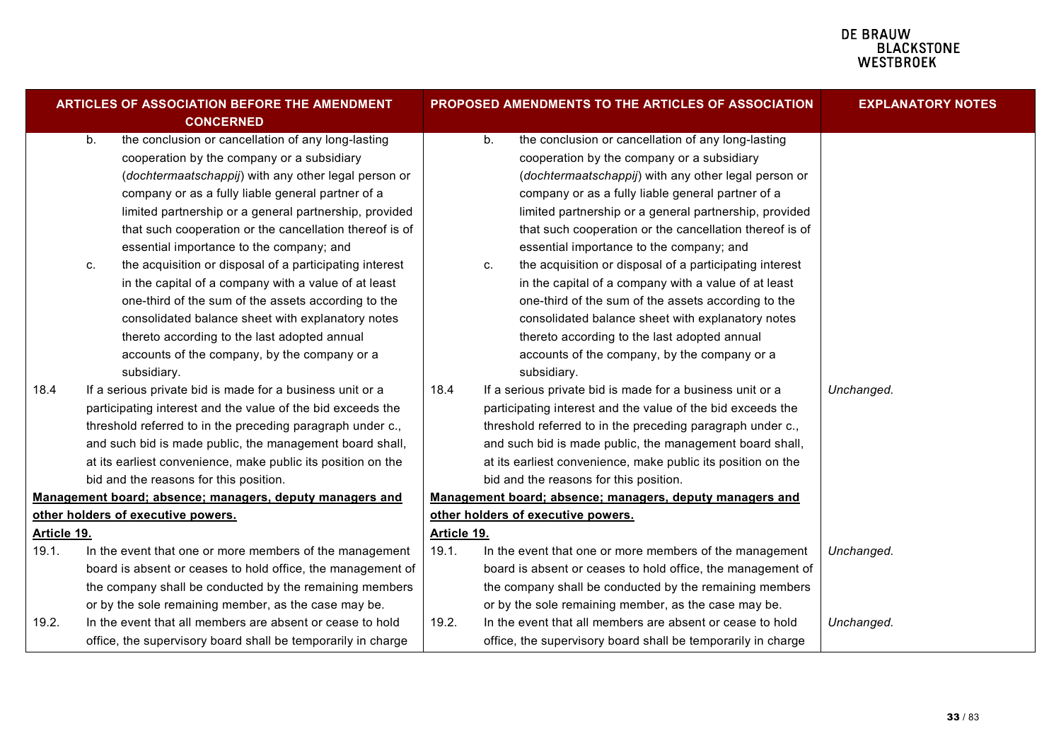| ARTICLES OF ASSOCIATION BEFORE THE AMENDMENT<br><b>CONCERNED</b> |          |                                                                                                                                                                                                                                                                                                                                                                                                                                                                                                                                                                                                                                                                                                               | PROPOSED AMENDMENTS TO THE ARTICLES OF ASSOCIATION |          |                                                                                                                                                                                                                                                                                                                                                                                                                                                                                                                                                                                                                                                                                                               | <b>EXPLANATORY NOTES</b> |
|------------------------------------------------------------------|----------|---------------------------------------------------------------------------------------------------------------------------------------------------------------------------------------------------------------------------------------------------------------------------------------------------------------------------------------------------------------------------------------------------------------------------------------------------------------------------------------------------------------------------------------------------------------------------------------------------------------------------------------------------------------------------------------------------------------|----------------------------------------------------|----------|---------------------------------------------------------------------------------------------------------------------------------------------------------------------------------------------------------------------------------------------------------------------------------------------------------------------------------------------------------------------------------------------------------------------------------------------------------------------------------------------------------------------------------------------------------------------------------------------------------------------------------------------------------------------------------------------------------------|--------------------------|
|                                                                  | b.<br>c. | the conclusion or cancellation of any long-lasting<br>cooperation by the company or a subsidiary<br>(dochtermaatschappij) with any other legal person or<br>company or as a fully liable general partner of a<br>limited partnership or a general partnership, provided<br>that such cooperation or the cancellation thereof is of<br>essential importance to the company; and<br>the acquisition or disposal of a participating interest<br>in the capital of a company with a value of at least<br>one-third of the sum of the assets according to the<br>consolidated balance sheet with explanatory notes<br>thereto according to the last adopted annual<br>accounts of the company, by the company or a |                                                    | b.<br>c. | the conclusion or cancellation of any long-lasting<br>cooperation by the company or a subsidiary<br>(dochtermaatschappij) with any other legal person or<br>company or as a fully liable general partner of a<br>limited partnership or a general partnership, provided<br>that such cooperation or the cancellation thereof is of<br>essential importance to the company; and<br>the acquisition or disposal of a participating interest<br>in the capital of a company with a value of at least<br>one-third of the sum of the assets according to the<br>consolidated balance sheet with explanatory notes<br>thereto according to the last adopted annual<br>accounts of the company, by the company or a |                          |
| 18.4                                                             |          | subsidiary.<br>If a serious private bid is made for a business unit or a<br>participating interest and the value of the bid exceeds the<br>threshold referred to in the preceding paragraph under c.,<br>and such bid is made public, the management board shall,<br>at its earliest convenience, make public its position on the<br>bid and the reasons for this position.<br>Management board; absence; managers, deputy managers and                                                                                                                                                                                                                                                                       | 18.4                                               |          | subsidiary.<br>If a serious private bid is made for a business unit or a<br>participating interest and the value of the bid exceeds the<br>threshold referred to in the preceding paragraph under c.,<br>and such bid is made public, the management board shall,<br>at its earliest convenience, make public its position on the<br>bid and the reasons for this position.<br>Management board; absence; managers, deputy managers and                                                                                                                                                                                                                                                                       | Unchanged.               |
| other holders of executive powers.<br>Article 19.                |          | Article 19.                                                                                                                                                                                                                                                                                                                                                                                                                                                                                                                                                                                                                                                                                                   | other holders of executive powers.                 |          |                                                                                                                                                                                                                                                                                                                                                                                                                                                                                                                                                                                                                                                                                                               |                          |
| 19.1.                                                            |          | In the event that one or more members of the management<br>board is absent or ceases to hold office, the management of<br>the company shall be conducted by the remaining members<br>or by the sole remaining member, as the case may be.                                                                                                                                                                                                                                                                                                                                                                                                                                                                     | 19.1.                                              |          | In the event that one or more members of the management<br>board is absent or ceases to hold office, the management of<br>the company shall be conducted by the remaining members<br>or by the sole remaining member, as the case may be.                                                                                                                                                                                                                                                                                                                                                                                                                                                                     | Unchanged.               |
| 19.2.                                                            |          | In the event that all members are absent or cease to hold<br>office, the supervisory board shall be temporarily in charge                                                                                                                                                                                                                                                                                                                                                                                                                                                                                                                                                                                     | 19.2.                                              |          | In the event that all members are absent or cease to hold<br>office, the supervisory board shall be temporarily in charge                                                                                                                                                                                                                                                                                                                                                                                                                                                                                                                                                                                     | Unchanged.               |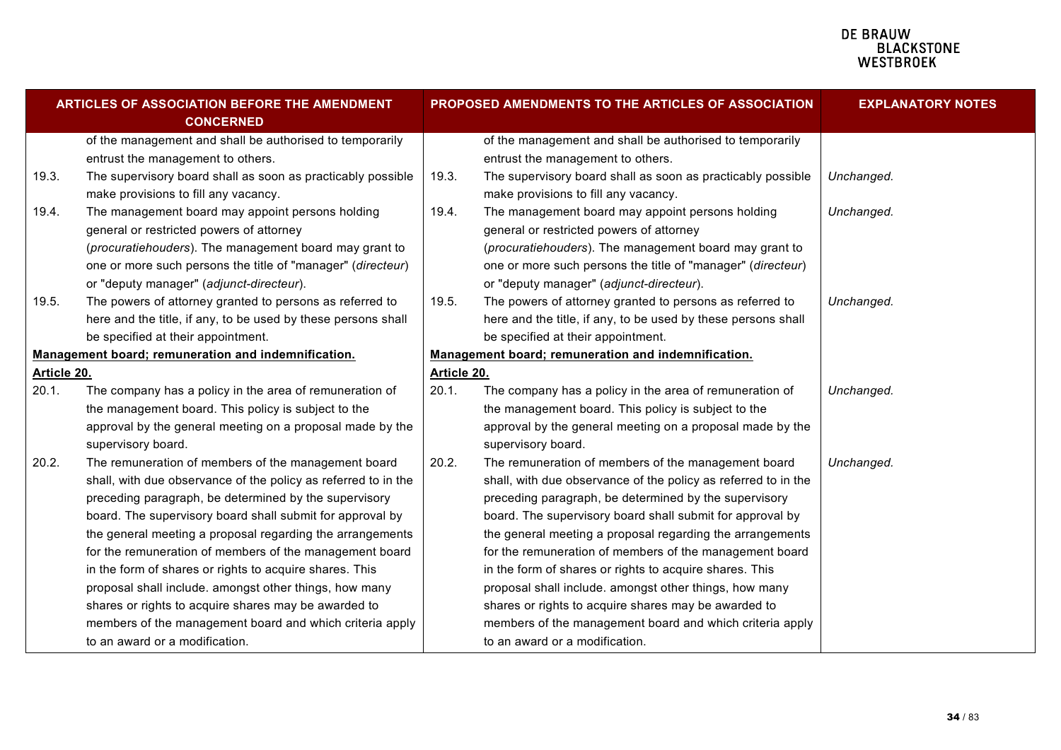| ARTICLES OF ASSOCIATION BEFORE THE AMENDMENT<br><b>CONCERNED</b> |                                                                                                                                                                                                                                                                                                                                                                                                                                                                                                                                                                                                              |             | PROPOSED AMENDMENTS TO THE ARTICLES OF ASSOCIATION                                                                                                                                                                                                                                                                                                                                                                                                                                                                                                                                                           | <b>EXPLANATORY NOTES</b> |
|------------------------------------------------------------------|--------------------------------------------------------------------------------------------------------------------------------------------------------------------------------------------------------------------------------------------------------------------------------------------------------------------------------------------------------------------------------------------------------------------------------------------------------------------------------------------------------------------------------------------------------------------------------------------------------------|-------------|--------------------------------------------------------------------------------------------------------------------------------------------------------------------------------------------------------------------------------------------------------------------------------------------------------------------------------------------------------------------------------------------------------------------------------------------------------------------------------------------------------------------------------------------------------------------------------------------------------------|--------------------------|
|                                                                  | of the management and shall be authorised to temporarily<br>entrust the management to others.                                                                                                                                                                                                                                                                                                                                                                                                                                                                                                                |             | of the management and shall be authorised to temporarily<br>entrust the management to others.                                                                                                                                                                                                                                                                                                                                                                                                                                                                                                                |                          |
| 19.3.                                                            | The supervisory board shall as soon as practicably possible<br>make provisions to fill any vacancy.                                                                                                                                                                                                                                                                                                                                                                                                                                                                                                          | 19.3.       | The supervisory board shall as soon as practicably possible<br>make provisions to fill any vacancy.                                                                                                                                                                                                                                                                                                                                                                                                                                                                                                          | Unchanged.               |
| 19.4.                                                            | The management board may appoint persons holding<br>general or restricted powers of attorney                                                                                                                                                                                                                                                                                                                                                                                                                                                                                                                 | 19.4.       | The management board may appoint persons holding<br>general or restricted powers of attorney                                                                                                                                                                                                                                                                                                                                                                                                                                                                                                                 | Unchanged.               |
|                                                                  | (procuratiehouders). The management board may grant to<br>one or more such persons the title of "manager" (directeur)<br>or "deputy manager" (adjunct-directeur).                                                                                                                                                                                                                                                                                                                                                                                                                                            |             | (procuratiehouders). The management board may grant to<br>one or more such persons the title of "manager" (directeur)<br>or "deputy manager" (adjunct-directeur).                                                                                                                                                                                                                                                                                                                                                                                                                                            |                          |
| 19.5.                                                            | The powers of attorney granted to persons as referred to<br>here and the title, if any, to be used by these persons shall<br>be specified at their appointment.                                                                                                                                                                                                                                                                                                                                                                                                                                              | 19.5.       | The powers of attorney granted to persons as referred to<br>here and the title, if any, to be used by these persons shall<br>be specified at their appointment.                                                                                                                                                                                                                                                                                                                                                                                                                                              | Unchanged.               |
| Management board; remuneration and indemnification.              |                                                                                                                                                                                                                                                                                                                                                                                                                                                                                                                                                                                                              |             | Management board; remuneration and indemnification.                                                                                                                                                                                                                                                                                                                                                                                                                                                                                                                                                          |                          |
| Article 20.                                                      |                                                                                                                                                                                                                                                                                                                                                                                                                                                                                                                                                                                                              | Article 20. |                                                                                                                                                                                                                                                                                                                                                                                                                                                                                                                                                                                                              |                          |
| 20.1.                                                            | The company has a policy in the area of remuneration of<br>the management board. This policy is subject to the<br>approval by the general meeting on a proposal made by the<br>supervisory board.                                                                                                                                                                                                                                                                                                                                                                                                            | 20.1.       | The company has a policy in the area of remuneration of<br>the management board. This policy is subject to the<br>approval by the general meeting on a proposal made by the<br>supervisory board.                                                                                                                                                                                                                                                                                                                                                                                                            | Unchanged.               |
| 20.2.                                                            | The remuneration of members of the management board<br>shall, with due observance of the policy as referred to in the<br>preceding paragraph, be determined by the supervisory<br>board. The supervisory board shall submit for approval by<br>the general meeting a proposal regarding the arrangements<br>for the remuneration of members of the management board<br>in the form of shares or rights to acquire shares. This<br>proposal shall include. amongst other things, how many<br>shares or rights to acquire shares may be awarded to<br>members of the management board and which criteria apply | 20.2.       | The remuneration of members of the management board<br>shall, with due observance of the policy as referred to in the<br>preceding paragraph, be determined by the supervisory<br>board. The supervisory board shall submit for approval by<br>the general meeting a proposal regarding the arrangements<br>for the remuneration of members of the management board<br>in the form of shares or rights to acquire shares. This<br>proposal shall include. amongst other things, how many<br>shares or rights to acquire shares may be awarded to<br>members of the management board and which criteria apply | Unchanged.               |
|                                                                  | to an award or a modification.                                                                                                                                                                                                                                                                                                                                                                                                                                                                                                                                                                               |             | to an award or a modification.                                                                                                                                                                                                                                                                                                                                                                                                                                                                                                                                                                               |                          |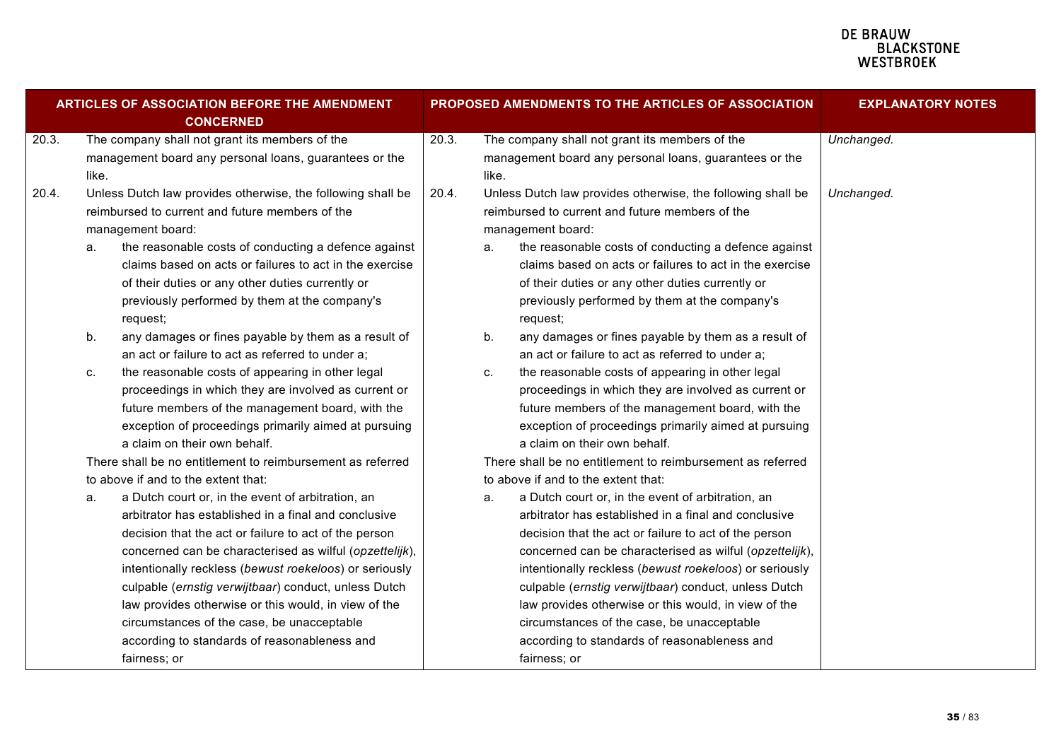| <b>ARTICLES OF ASSOCIATION BEFORE THE AMENDMENT</b><br><b>CONCERNED</b> |                                                            |                                                                                                                                                                                                                                                                                                                                                                                                                                                                                                                       |       |       | PROPOSED AMENDMENTS TO THE ARTICLES OF ASSOCIATION                                                                                                                                                                                                                                                                                                                                                                                                                                                                    | <b>EXPLANATORY NOTES</b> |
|-------------------------------------------------------------------------|------------------------------------------------------------|-----------------------------------------------------------------------------------------------------------------------------------------------------------------------------------------------------------------------------------------------------------------------------------------------------------------------------------------------------------------------------------------------------------------------------------------------------------------------------------------------------------------------|-------|-------|-----------------------------------------------------------------------------------------------------------------------------------------------------------------------------------------------------------------------------------------------------------------------------------------------------------------------------------------------------------------------------------------------------------------------------------------------------------------------------------------------------------------------|--------------------------|
| 20.3.                                                                   | like.                                                      | The company shall not grant its members of the<br>management board any personal loans, guarantees or the                                                                                                                                                                                                                                                                                                                                                                                                              | 20.3. | like. | The company shall not grant its members of the<br>management board any personal loans, guarantees or the                                                                                                                                                                                                                                                                                                                                                                                                              | Unchanged.               |
| 20.4.                                                                   |                                                            | Unless Dutch law provides otherwise, the following shall be<br>reimbursed to current and future members of the<br>management board:                                                                                                                                                                                                                                                                                                                                                                                   | 20.4. |       | Unless Dutch law provides otherwise, the following shall be<br>reimbursed to current and future members of the<br>management board:                                                                                                                                                                                                                                                                                                                                                                                   | Unchanged.               |
|                                                                         | a.                                                         | the reasonable costs of conducting a defence against<br>claims based on acts or failures to act in the exercise<br>of their duties or any other duties currently or<br>previously performed by them at the company's<br>request;                                                                                                                                                                                                                                                                                      |       | a.    | the reasonable costs of conducting a defence against<br>claims based on acts or failures to act in the exercise<br>of their duties or any other duties currently or<br>previously performed by them at the company's<br>request;                                                                                                                                                                                                                                                                                      |                          |
|                                                                         | b.                                                         | any damages or fines payable by them as a result of<br>an act or failure to act as referred to under a;                                                                                                                                                                                                                                                                                                                                                                                                               |       | b.    | any damages or fines payable by them as a result of<br>an act or failure to act as referred to under a;                                                                                                                                                                                                                                                                                                                                                                                                               |                          |
|                                                                         | c.                                                         | the reasonable costs of appearing in other legal<br>proceedings in which they are involved as current or<br>future members of the management board, with the<br>exception of proceedings primarily aimed at pursuing<br>a claim on their own behalf.                                                                                                                                                                                                                                                                  |       | C.    | the reasonable costs of appearing in other legal<br>proceedings in which they are involved as current or<br>future members of the management board, with the<br>exception of proceedings primarily aimed at pursuing<br>a claim on their own behalf.                                                                                                                                                                                                                                                                  |                          |
|                                                                         | There shall be no entitlement to reimbursement as referred |                                                                                                                                                                                                                                                                                                                                                                                                                                                                                                                       |       |       | There shall be no entitlement to reimbursement as referred                                                                                                                                                                                                                                                                                                                                                                                                                                                            |                          |
|                                                                         |                                                            | to above if and to the extent that:                                                                                                                                                                                                                                                                                                                                                                                                                                                                                   |       |       | to above if and to the extent that:                                                                                                                                                                                                                                                                                                                                                                                                                                                                                   |                          |
|                                                                         | a.                                                         | a Dutch court or, in the event of arbitration, an<br>arbitrator has established in a final and conclusive<br>decision that the act or failure to act of the person<br>concerned can be characterised as wilful (opzettelijk),<br>intentionally reckless (bewust roekeloos) or seriously<br>culpable (ernstig verwijtbaar) conduct, unless Dutch<br>law provides otherwise or this would, in view of the<br>circumstances of the case, be unacceptable<br>according to standards of reasonableness and<br>fairness; or |       | a.    | a Dutch court or, in the event of arbitration, an<br>arbitrator has established in a final and conclusive<br>decision that the act or failure to act of the person<br>concerned can be characterised as wilful (opzettelijk),<br>intentionally reckless (bewust roekeloos) or seriously<br>culpable (ernstig verwijtbaar) conduct, unless Dutch<br>law provides otherwise or this would, in view of the<br>circumstances of the case, be unacceptable<br>according to standards of reasonableness and<br>fairness; or |                          |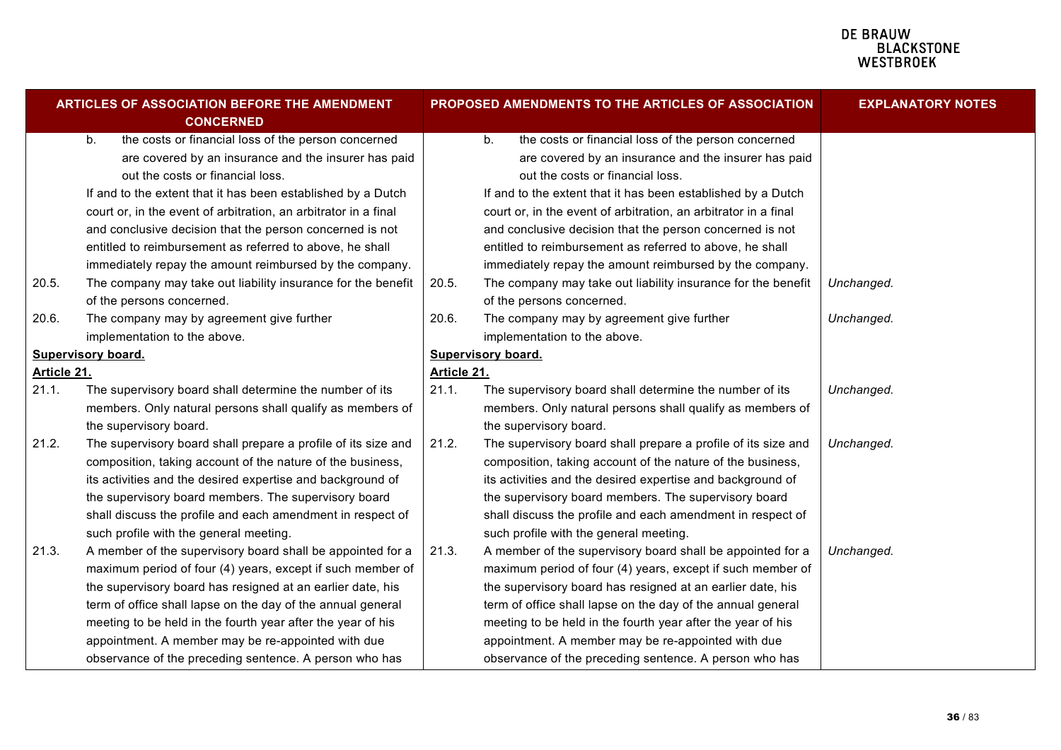| <b>ARTICLES OF ASSOCIATION BEFORE THE AMENDMENT</b><br><b>CONCERNED</b> |                                                                                                                                                                                                                                                                                                                                                                                                                                                                             |             | <b>PROPOSED AMENDMENTS TO THE ARTICLES OF ASSOCIATION</b>                                                                                                                                                                                                                                                                                                                                                                                                                   | <b>EXPLANATORY NOTES</b> |  |
|-------------------------------------------------------------------------|-----------------------------------------------------------------------------------------------------------------------------------------------------------------------------------------------------------------------------------------------------------------------------------------------------------------------------------------------------------------------------------------------------------------------------------------------------------------------------|-------------|-----------------------------------------------------------------------------------------------------------------------------------------------------------------------------------------------------------------------------------------------------------------------------------------------------------------------------------------------------------------------------------------------------------------------------------------------------------------------------|--------------------------|--|
|                                                                         | the costs or financial loss of the person concerned<br>b.<br>are covered by an insurance and the insurer has paid<br>out the costs or financial loss.<br>If and to the extent that it has been established by a Dutch<br>court or, in the event of arbitration, an arbitrator in a final<br>and conclusive decision that the person concerned is not<br>entitled to reimbursement as referred to above, he shall<br>immediately repay the amount reimbursed by the company. |             | b.<br>the costs or financial loss of the person concerned<br>are covered by an insurance and the insurer has paid<br>out the costs or financial loss.<br>If and to the extent that it has been established by a Dutch<br>court or, in the event of arbitration, an arbitrator in a final<br>and conclusive decision that the person concerned is not<br>entitled to reimbursement as referred to above, he shall<br>immediately repay the amount reimbursed by the company. |                          |  |
| 20.5.                                                                   | The company may take out liability insurance for the benefit                                                                                                                                                                                                                                                                                                                                                                                                                | 20.5.       | The company may take out liability insurance for the benefit                                                                                                                                                                                                                                                                                                                                                                                                                | Unchanged.               |  |
| 20.6.                                                                   | of the persons concerned.<br>The company may by agreement give further<br>implementation to the above.                                                                                                                                                                                                                                                                                                                                                                      | 20.6.       | of the persons concerned.<br>The company may by agreement give further<br>implementation to the above.                                                                                                                                                                                                                                                                                                                                                                      | Unchanged.               |  |
|                                                                         | <b>Supervisory board.</b>                                                                                                                                                                                                                                                                                                                                                                                                                                                   |             | <b>Supervisory board.</b>                                                                                                                                                                                                                                                                                                                                                                                                                                                   |                          |  |
| Article 21.                                                             |                                                                                                                                                                                                                                                                                                                                                                                                                                                                             | Article 21. |                                                                                                                                                                                                                                                                                                                                                                                                                                                                             |                          |  |
| 21.1.                                                                   | The supervisory board shall determine the number of its<br>members. Only natural persons shall qualify as members of<br>the supervisory board.                                                                                                                                                                                                                                                                                                                              | 21.1.       | The supervisory board shall determine the number of its<br>members. Only natural persons shall qualify as members of<br>the supervisory board.                                                                                                                                                                                                                                                                                                                              | Unchanged.               |  |
| 21.2.                                                                   | The supervisory board shall prepare a profile of its size and<br>composition, taking account of the nature of the business,<br>its activities and the desired expertise and background of<br>the supervisory board members. The supervisory board<br>shall discuss the profile and each amendment in respect of<br>such profile with the general meeting.                                                                                                                   | 21.2.       | The supervisory board shall prepare a profile of its size and<br>composition, taking account of the nature of the business,<br>its activities and the desired expertise and background of<br>the supervisory board members. The supervisory board<br>shall discuss the profile and each amendment in respect of<br>such profile with the general meeting.                                                                                                                   | Unchanged.               |  |
| 21.3.                                                                   | A member of the supervisory board shall be appointed for a<br>maximum period of four (4) years, except if such member of<br>the supervisory board has resigned at an earlier date, his<br>term of office shall lapse on the day of the annual general<br>meeting to be held in the fourth year after the year of his<br>appointment. A member may be re-appointed with due<br>observance of the preceding sentence. A person who has                                        | 21.3.       | A member of the supervisory board shall be appointed for a<br>maximum period of four (4) years, except if such member of<br>the supervisory board has resigned at an earlier date, his<br>term of office shall lapse on the day of the annual general<br>meeting to be held in the fourth year after the year of his<br>appointment. A member may be re-appointed with due<br>observance of the preceding sentence. A person who has                                        | Unchanged.               |  |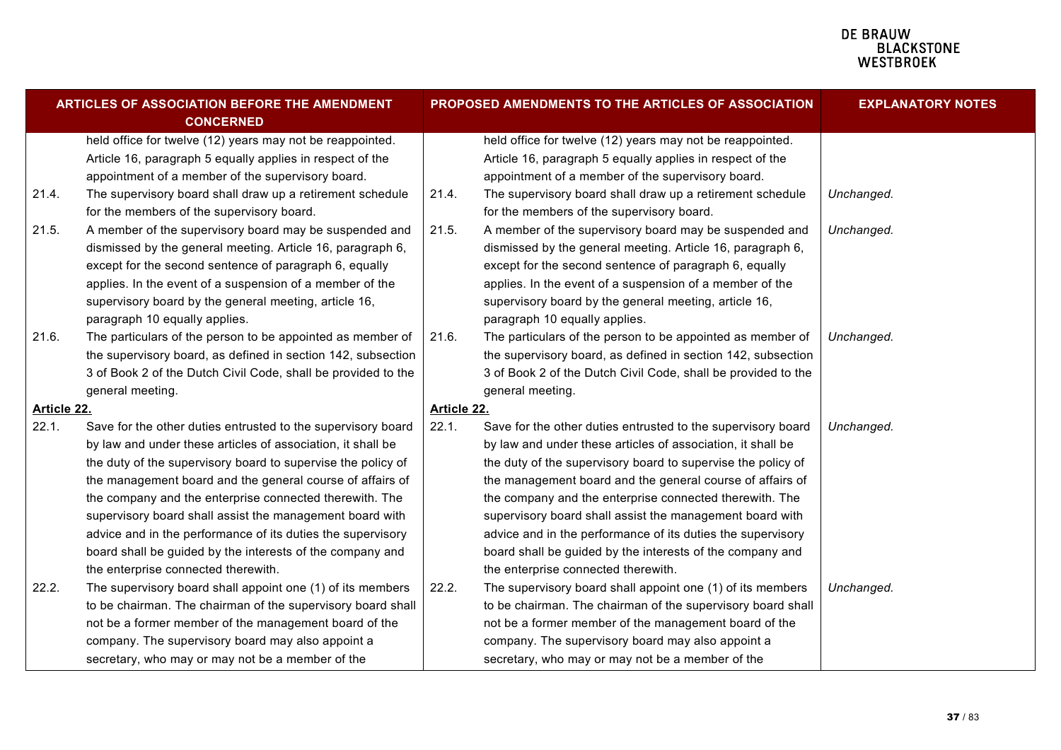| <b>ARTICLES OF ASSOCIATION BEFORE THE AMENDMENT</b><br><b>CONCERNED</b> |                                                                                                                                                                                                                                                                                                                                                                                                                                                                                                             |             | PROPOSED AMENDMENTS TO THE ARTICLES OF ASSOCIATION                                                                                                                                                                                                                                                                                                                                                                                                                                                          | <b>EXPLANATORY NOTES</b> |
|-------------------------------------------------------------------------|-------------------------------------------------------------------------------------------------------------------------------------------------------------------------------------------------------------------------------------------------------------------------------------------------------------------------------------------------------------------------------------------------------------------------------------------------------------------------------------------------------------|-------------|-------------------------------------------------------------------------------------------------------------------------------------------------------------------------------------------------------------------------------------------------------------------------------------------------------------------------------------------------------------------------------------------------------------------------------------------------------------------------------------------------------------|--------------------------|
|                                                                         | held office for twelve (12) years may not be reappointed.<br>Article 16, paragraph 5 equally applies in respect of the<br>appointment of a member of the supervisory board.                                                                                                                                                                                                                                                                                                                                 |             | held office for twelve (12) years may not be reappointed.<br>Article 16, paragraph 5 equally applies in respect of the<br>appointment of a member of the supervisory board.                                                                                                                                                                                                                                                                                                                                 |                          |
| 21.4.                                                                   | The supervisory board shall draw up a retirement schedule<br>for the members of the supervisory board.                                                                                                                                                                                                                                                                                                                                                                                                      | 21.4.       | The supervisory board shall draw up a retirement schedule<br>for the members of the supervisory board.                                                                                                                                                                                                                                                                                                                                                                                                      | Unchanged.               |
| 21.5.                                                                   | A member of the supervisory board may be suspended and<br>dismissed by the general meeting. Article 16, paragraph 6,<br>except for the second sentence of paragraph 6, equally<br>applies. In the event of a suspension of a member of the<br>supervisory board by the general meeting, article 16,<br>paragraph 10 equally applies.                                                                                                                                                                        | 21.5.       | A member of the supervisory board may be suspended and<br>dismissed by the general meeting. Article 16, paragraph 6,<br>except for the second sentence of paragraph 6, equally<br>applies. In the event of a suspension of a member of the<br>supervisory board by the general meeting, article 16,<br>paragraph 10 equally applies.                                                                                                                                                                        | Unchanged.               |
| 21.6.                                                                   | The particulars of the person to be appointed as member of<br>the supervisory board, as defined in section 142, subsection<br>3 of Book 2 of the Dutch Civil Code, shall be provided to the<br>general meeting.                                                                                                                                                                                                                                                                                             | 21.6.       | The particulars of the person to be appointed as member of<br>the supervisory board, as defined in section 142, subsection<br>3 of Book 2 of the Dutch Civil Code, shall be provided to the<br>general meeting.                                                                                                                                                                                                                                                                                             | Unchanged.               |
| Article 22.                                                             |                                                                                                                                                                                                                                                                                                                                                                                                                                                                                                             | Article 22. |                                                                                                                                                                                                                                                                                                                                                                                                                                                                                                             |                          |
| 22.1.                                                                   | Save for the other duties entrusted to the supervisory board<br>by law and under these articles of association, it shall be<br>the duty of the supervisory board to supervise the policy of<br>the management board and the general course of affairs of<br>the company and the enterprise connected therewith. The<br>supervisory board shall assist the management board with<br>advice and in the performance of its duties the supervisory<br>board shall be guided by the interests of the company and | 22.1.       | Save for the other duties entrusted to the supervisory board<br>by law and under these articles of association, it shall be<br>the duty of the supervisory board to supervise the policy of<br>the management board and the general course of affairs of<br>the company and the enterprise connected therewith. The<br>supervisory board shall assist the management board with<br>advice and in the performance of its duties the supervisory<br>board shall be guided by the interests of the company and | Unchanged.               |
| 22.2.                                                                   | the enterprise connected therewith.<br>The supervisory board shall appoint one (1) of its members<br>to be chairman. The chairman of the supervisory board shall<br>not be a former member of the management board of the<br>company. The supervisory board may also appoint a<br>secretary, who may or may not be a member of the                                                                                                                                                                          | 22.2.       | the enterprise connected therewith.<br>The supervisory board shall appoint one (1) of its members<br>to be chairman. The chairman of the supervisory board shall<br>not be a former member of the management board of the<br>company. The supervisory board may also appoint a<br>secretary, who may or may not be a member of the                                                                                                                                                                          | Unchanged.               |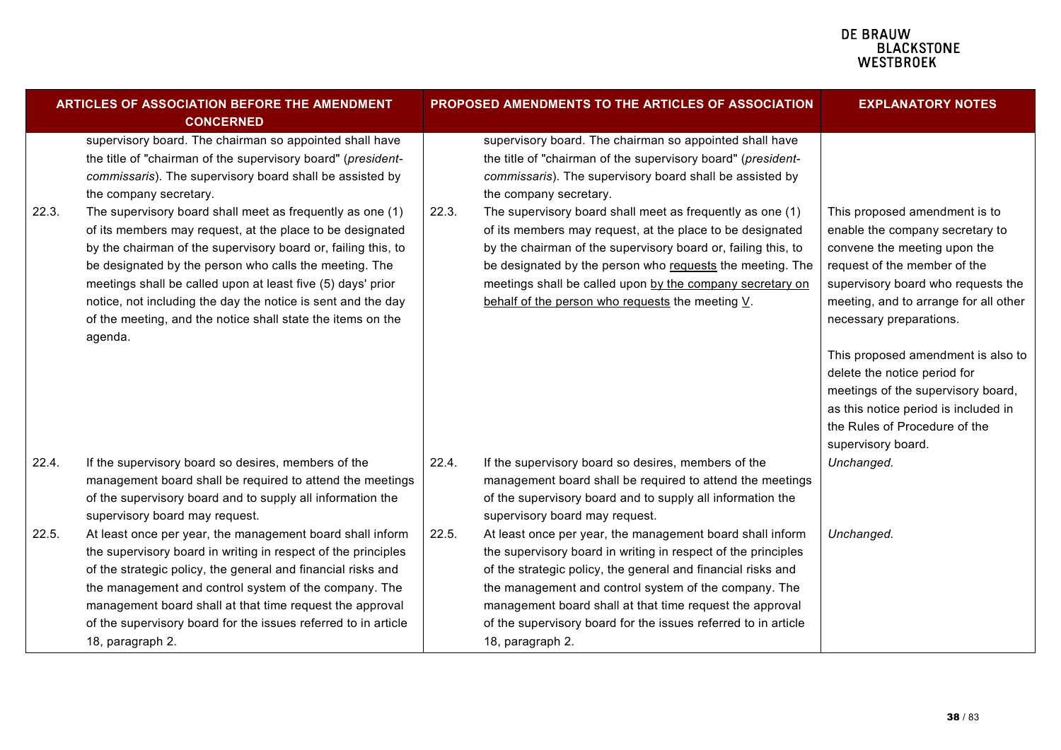| <b>ARTICLES OF ASSOCIATION BEFORE THE AMENDMENT</b><br><b>CONCERNED</b> |                                                                                                                                                                                                                                                                                                                                                                                                                                                            |       | PROPOSED AMENDMENTS TO THE ARTICLES OF ASSOCIATION                                                                                                                                                                                                                                                                                                                                                    | <b>EXPLANATORY NOTES</b>                                                                                                                                                                                                                   |
|-------------------------------------------------------------------------|------------------------------------------------------------------------------------------------------------------------------------------------------------------------------------------------------------------------------------------------------------------------------------------------------------------------------------------------------------------------------------------------------------------------------------------------------------|-------|-------------------------------------------------------------------------------------------------------------------------------------------------------------------------------------------------------------------------------------------------------------------------------------------------------------------------------------------------------------------------------------------------------|--------------------------------------------------------------------------------------------------------------------------------------------------------------------------------------------------------------------------------------------|
|                                                                         | supervisory board. The chairman so appointed shall have<br>the title of "chairman of the supervisory board" (president-<br>commissaris). The supervisory board shall be assisted by<br>the company secretary.                                                                                                                                                                                                                                              |       | supervisory board. The chairman so appointed shall have<br>the title of "chairman of the supervisory board" (president-<br>commissaris). The supervisory board shall be assisted by<br>the company secretary.                                                                                                                                                                                         |                                                                                                                                                                                                                                            |
| 22.3.                                                                   | The supervisory board shall meet as frequently as one (1)<br>of its members may request, at the place to be designated<br>by the chairman of the supervisory board or, failing this, to<br>be designated by the person who calls the meeting. The<br>meetings shall be called upon at least five (5) days' prior<br>notice, not including the day the notice is sent and the day<br>of the meeting, and the notice shall state the items on the<br>agenda. | 22.3. | The supervisory board shall meet as frequently as one (1)<br>of its members may request, at the place to be designated<br>by the chairman of the supervisory board or, failing this, to<br>be designated by the person who requests the meeting. The<br>meetings shall be called upon by the company secretary on<br>behalf of the person who requests the meeting V.                                 | This proposed amendment is to<br>enable the company secretary to<br>convene the meeting upon the<br>request of the member of the<br>supervisory board who requests the<br>meeting, and to arrange for all other<br>necessary preparations. |
|                                                                         |                                                                                                                                                                                                                                                                                                                                                                                                                                                            |       |                                                                                                                                                                                                                                                                                                                                                                                                       | This proposed amendment is also to<br>delete the notice period for<br>meetings of the supervisory board,<br>as this notice period is included in<br>the Rules of Procedure of the<br>supervisory board.                                    |
| 22.4.                                                                   | If the supervisory board so desires, members of the<br>management board shall be required to attend the meetings<br>of the supervisory board and to supply all information the<br>supervisory board may request.                                                                                                                                                                                                                                           | 22.4. | If the supervisory board so desires, members of the<br>management board shall be required to attend the meetings<br>of the supervisory board and to supply all information the<br>supervisory board may request.                                                                                                                                                                                      | Unchanged.                                                                                                                                                                                                                                 |
| 22.5.                                                                   | At least once per year, the management board shall inform<br>the supervisory board in writing in respect of the principles<br>of the strategic policy, the general and financial risks and<br>the management and control system of the company. The<br>management board shall at that time request the approval<br>of the supervisory board for the issues referred to in article<br>18, paragraph 2.                                                      | 22.5. | At least once per year, the management board shall inform<br>the supervisory board in writing in respect of the principles<br>of the strategic policy, the general and financial risks and<br>the management and control system of the company. The<br>management board shall at that time request the approval<br>of the supervisory board for the issues referred to in article<br>18, paragraph 2. | Unchanged.                                                                                                                                                                                                                                 |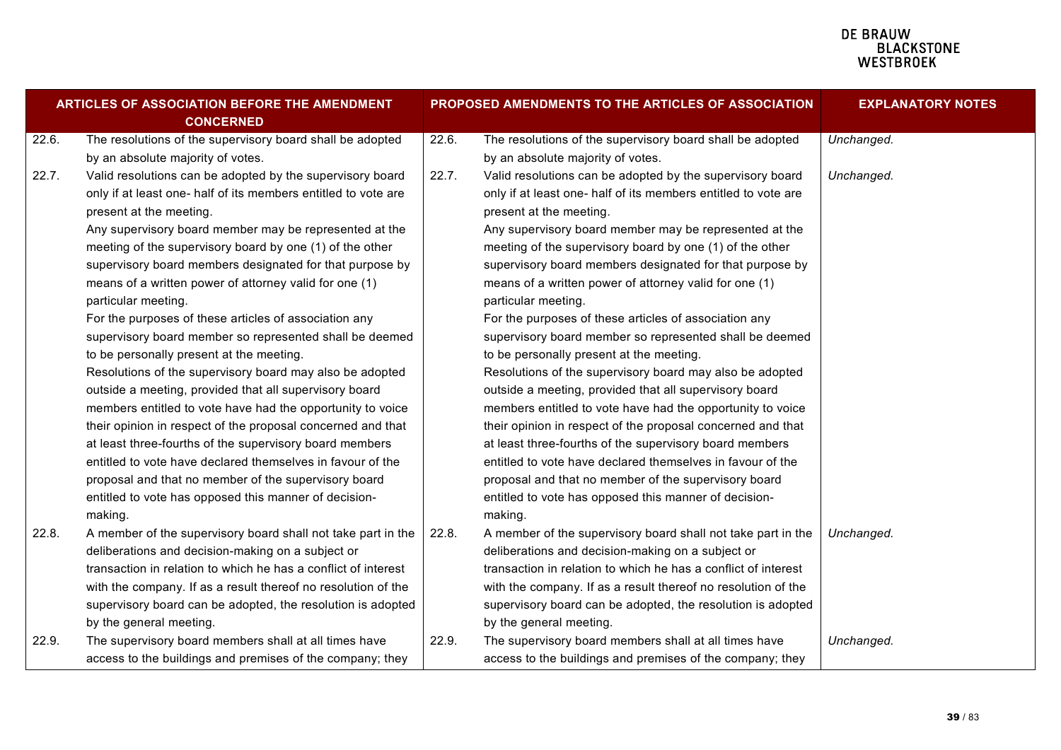| <b>ARTICLES OF ASSOCIATION BEFORE THE AMENDMENT</b><br><b>CONCERNED</b> |                                                                | PROPOSED AMENDMENTS TO THE ARTICLES OF ASSOCIATION |                                                                | <b>EXPLANATORY NOTES</b> |
|-------------------------------------------------------------------------|----------------------------------------------------------------|----------------------------------------------------|----------------------------------------------------------------|--------------------------|
| 22.6.                                                                   | The resolutions of the supervisory board shall be adopted      | 22.6.                                              | The resolutions of the supervisory board shall be adopted      | Unchanged.               |
|                                                                         | by an absolute majority of votes.                              |                                                    | by an absolute majority of votes.                              |                          |
| 22.7.                                                                   | Valid resolutions can be adopted by the supervisory board      | 22.7.                                              | Valid resolutions can be adopted by the supervisory board      | Unchanged.               |
|                                                                         | only if at least one- half of its members entitled to vote are |                                                    | only if at least one- half of its members entitled to vote are |                          |
|                                                                         | present at the meeting.                                        |                                                    | present at the meeting.                                        |                          |
|                                                                         | Any supervisory board member may be represented at the         |                                                    | Any supervisory board member may be represented at the         |                          |
|                                                                         | meeting of the supervisory board by one (1) of the other       |                                                    | meeting of the supervisory board by one (1) of the other       |                          |
|                                                                         | supervisory board members designated for that purpose by       |                                                    | supervisory board members designated for that purpose by       |                          |
|                                                                         | means of a written power of attorney valid for one (1)         |                                                    | means of a written power of attorney valid for one (1)         |                          |
|                                                                         | particular meeting.                                            |                                                    | particular meeting.                                            |                          |
|                                                                         | For the purposes of these articles of association any          |                                                    | For the purposes of these articles of association any          |                          |
|                                                                         | supervisory board member so represented shall be deemed        |                                                    | supervisory board member so represented shall be deemed        |                          |
|                                                                         | to be personally present at the meeting.                       |                                                    | to be personally present at the meeting.                       |                          |
|                                                                         | Resolutions of the supervisory board may also be adopted       |                                                    | Resolutions of the supervisory board may also be adopted       |                          |
|                                                                         | outside a meeting, provided that all supervisory board         |                                                    | outside a meeting, provided that all supervisory board         |                          |
|                                                                         | members entitled to vote have had the opportunity to voice     |                                                    | members entitled to vote have had the opportunity to voice     |                          |
|                                                                         | their opinion in respect of the proposal concerned and that    |                                                    | their opinion in respect of the proposal concerned and that    |                          |
|                                                                         | at least three-fourths of the supervisory board members        |                                                    | at least three-fourths of the supervisory board members        |                          |
|                                                                         | entitled to vote have declared themselves in favour of the     |                                                    | entitled to vote have declared themselves in favour of the     |                          |
|                                                                         | proposal and that no member of the supervisory board           |                                                    | proposal and that no member of the supervisory board           |                          |
|                                                                         | entitled to vote has opposed this manner of decision-          |                                                    | entitled to vote has opposed this manner of decision-          |                          |
|                                                                         | making.                                                        |                                                    | making.                                                        |                          |
| 22.8.                                                                   | A member of the supervisory board shall not take part in the   | 22.8.                                              | A member of the supervisory board shall not take part in the   | Unchanged.               |
|                                                                         | deliberations and decision-making on a subject or              |                                                    | deliberations and decision-making on a subject or              |                          |
|                                                                         | transaction in relation to which he has a conflict of interest |                                                    | transaction in relation to which he has a conflict of interest |                          |
|                                                                         | with the company. If as a result thereof no resolution of the  |                                                    | with the company. If as a result thereof no resolution of the  |                          |
|                                                                         | supervisory board can be adopted, the resolution is adopted    |                                                    | supervisory board can be adopted, the resolution is adopted    |                          |
|                                                                         | by the general meeting.                                        |                                                    | by the general meeting.                                        |                          |
| 22.9.                                                                   | The supervisory board members shall at all times have          | 22.9.                                              | The supervisory board members shall at all times have          | Unchanged.               |
|                                                                         | access to the buildings and premises of the company; they      |                                                    | access to the buildings and premises of the company; they      |                          |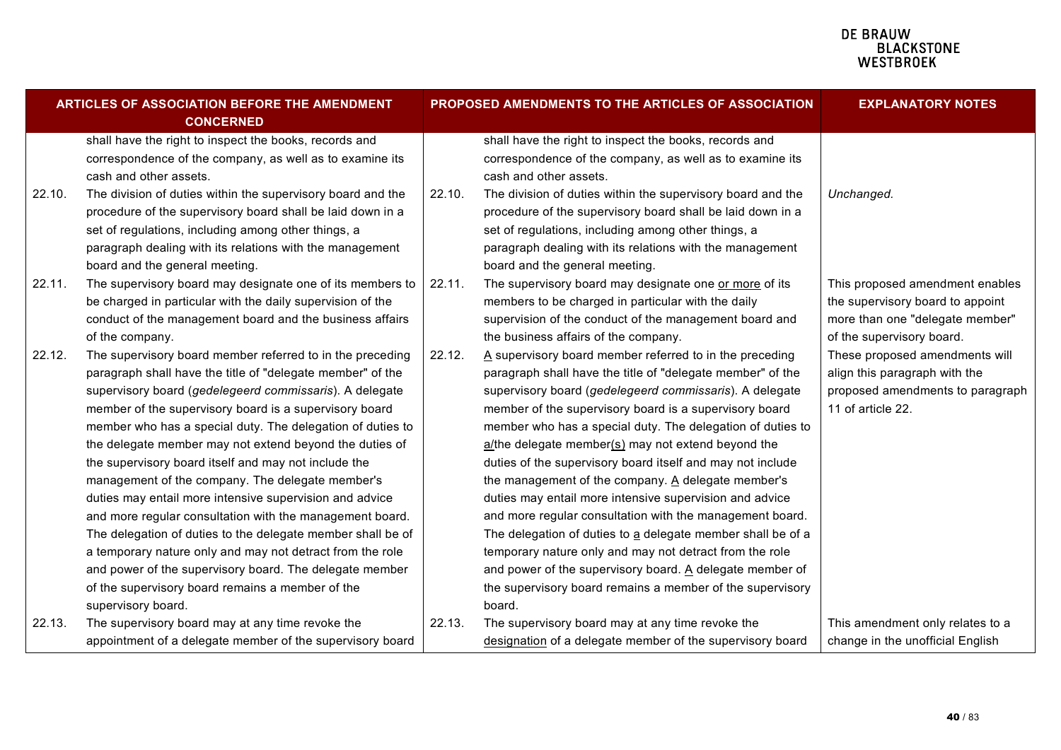|        | <b>ARTICLES OF ASSOCIATION BEFORE THE AMENDMENT</b><br><b>CONCERNED</b>                                            |        | PROPOSED AMENDMENTS TO THE ARTICLES OF ASSOCIATION                                                                 | <b>EXPLANATORY NOTES</b>         |
|--------|--------------------------------------------------------------------------------------------------------------------|--------|--------------------------------------------------------------------------------------------------------------------|----------------------------------|
|        | shall have the right to inspect the books, records and<br>correspondence of the company, as well as to examine its |        | shall have the right to inspect the books, records and<br>correspondence of the company, as well as to examine its |                                  |
|        | cash and other assets.                                                                                             |        | cash and other assets.                                                                                             |                                  |
| 22.10. | The division of duties within the supervisory board and the                                                        | 22.10. | The division of duties within the supervisory board and the                                                        | Unchanged.                       |
|        | procedure of the supervisory board shall be laid down in a                                                         |        | procedure of the supervisory board shall be laid down in a                                                         |                                  |
|        | set of regulations, including among other things, a                                                                |        | set of regulations, including among other things, a                                                                |                                  |
|        | paragraph dealing with its relations with the management                                                           |        | paragraph dealing with its relations with the management                                                           |                                  |
|        | board and the general meeting.                                                                                     |        | board and the general meeting.                                                                                     |                                  |
| 22.11. | The supervisory board may designate one of its members to                                                          | 22.11. | The supervisory board may designate one or more of its                                                             | This proposed amendment enables  |
|        | be charged in particular with the daily supervision of the                                                         |        | members to be charged in particular with the daily                                                                 | the supervisory board to appoint |
|        | conduct of the management board and the business affairs                                                           |        | supervision of the conduct of the management board and                                                             | more than one "delegate member"  |
|        | of the company.                                                                                                    |        | the business affairs of the company.                                                                               | of the supervisory board.        |
| 22.12. | The supervisory board member referred to in the preceding                                                          | 22.12. | $\underline{A}$ supervisory board member referred to in the preceding                                              | These proposed amendments will   |
|        | paragraph shall have the title of "delegate member" of the                                                         |        | paragraph shall have the title of "delegate member" of the                                                         | align this paragraph with the    |
|        | supervisory board (gedelegeerd commissaris). A delegate                                                            |        | supervisory board (gedelegeerd commissaris). A delegate                                                            | proposed amendments to paragraph |
|        | member of the supervisory board is a supervisory board                                                             |        | member of the supervisory board is a supervisory board                                                             | 11 of article 22.                |
|        | member who has a special duty. The delegation of duties to                                                         |        | member who has a special duty. The delegation of duties to                                                         |                                  |
|        | the delegate member may not extend beyond the duties of                                                            |        | $a$ /the delegate member(s) may not extend beyond the                                                              |                                  |
|        | the supervisory board itself and may not include the                                                               |        | duties of the supervisory board itself and may not include                                                         |                                  |
|        | management of the company. The delegate member's                                                                   |        | the management of the company. A delegate member's                                                                 |                                  |
|        | duties may entail more intensive supervision and advice                                                            |        | duties may entail more intensive supervision and advice                                                            |                                  |
|        | and more regular consultation with the management board.                                                           |        | and more regular consultation with the management board.                                                           |                                  |
|        | The delegation of duties to the delegate member shall be of                                                        |        | The delegation of duties to a delegate member shall be of a                                                        |                                  |
|        | a temporary nature only and may not detract from the role                                                          |        | temporary nature only and may not detract from the role                                                            |                                  |
|        | and power of the supervisory board. The delegate member                                                            |        | and power of the supervisory board. A delegate member of                                                           |                                  |
|        | of the supervisory board remains a member of the                                                                   |        | the supervisory board remains a member of the supervisory                                                          |                                  |
|        | supervisory board.                                                                                                 |        | board.                                                                                                             |                                  |
| 22.13. | The supervisory board may at any time revoke the                                                                   | 22.13. | The supervisory board may at any time revoke the                                                                   | This amendment only relates to a |
|        | appointment of a delegate member of the supervisory board                                                          |        | designation of a delegate member of the supervisory board                                                          | change in the unofficial English |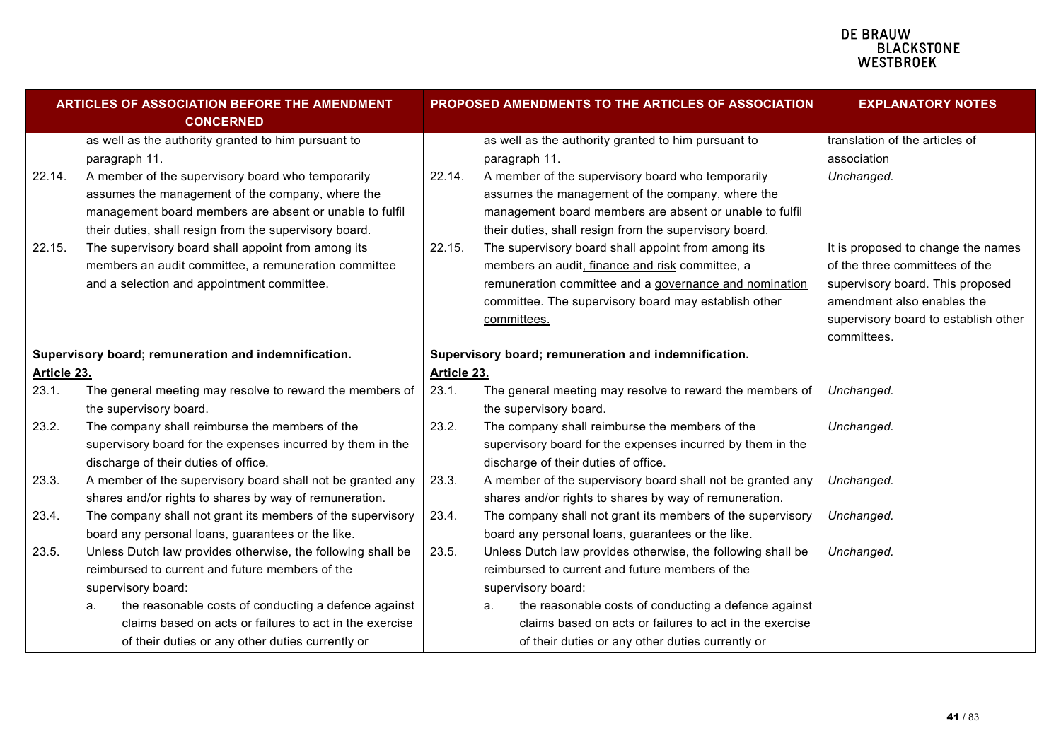### **DE BRAUW EDINACTOR**<br>BLACKSTONE<br>WESTBROEK

| ARTICLES OF ASSOCIATION BEFORE THE AMENDMENT<br><b>CONCERNED</b> |                                                                                                                                                                                                                                                                                                                   |                      | PROPOSED AMENDMENTS TO THE ARTICLES OF ASSOCIATION                                                                                                                                                                                                                                                                | <b>EXPLANATORY NOTES</b>                                                                                                                                                                      |
|------------------------------------------------------------------|-------------------------------------------------------------------------------------------------------------------------------------------------------------------------------------------------------------------------------------------------------------------------------------------------------------------|----------------------|-------------------------------------------------------------------------------------------------------------------------------------------------------------------------------------------------------------------------------------------------------------------------------------------------------------------|-----------------------------------------------------------------------------------------------------------------------------------------------------------------------------------------------|
| 22.14.                                                           | as well as the authority granted to him pursuant to<br>paragraph 11.<br>A member of the supervisory board who temporarily<br>assumes the management of the company, where the<br>management board members are absent or unable to fulfil<br>their duties, shall resign from the supervisory board.                | 22.14.               | as well as the authority granted to him pursuant to<br>paragraph 11.<br>A member of the supervisory board who temporarily<br>assumes the management of the company, where the<br>management board members are absent or unable to fulfil<br>their duties, shall resign from the supervisory board.                | translation of the articles of<br>association<br>Unchanged.                                                                                                                                   |
| 22.15.                                                           | The supervisory board shall appoint from among its<br>members an audit committee, a remuneration committee<br>and a selection and appointment committee.                                                                                                                                                          | 22.15.               | The supervisory board shall appoint from among its<br>members an audit, finance and risk committee, a<br>remuneration committee and a governance and nomination<br>committee. The supervisory board may establish other<br>committees.                                                                            | It is proposed to change the names<br>of the three committees of the<br>supervisory board. This proposed<br>amendment also enables the<br>supervisory board to establish other<br>committees. |
| Supervisory board; remuneration and indemnification.             |                                                                                                                                                                                                                                                                                                                   |                      | Supervisory board; remuneration and indemnification.                                                                                                                                                                                                                                                              |                                                                                                                                                                                               |
| Article 23.<br>23.1.                                             | The general meeting may resolve to reward the members of<br>the supervisory board.                                                                                                                                                                                                                                | Article 23.<br>23.1. | The general meeting may resolve to reward the members of<br>the supervisory board.                                                                                                                                                                                                                                | Unchanged.                                                                                                                                                                                    |
| 23.2.                                                            | The company shall reimburse the members of the<br>supervisory board for the expenses incurred by them in the<br>discharge of their duties of office.                                                                                                                                                              | 23.2.                | The company shall reimburse the members of the<br>supervisory board for the expenses incurred by them in the<br>discharge of their duties of office.                                                                                                                                                              | Unchanged.                                                                                                                                                                                    |
| 23.3.                                                            | A member of the supervisory board shall not be granted any<br>shares and/or rights to shares by way of remuneration.                                                                                                                                                                                              | 23.3.                | A member of the supervisory board shall not be granted any<br>shares and/or rights to shares by way of remuneration.                                                                                                                                                                                              | Unchanged.                                                                                                                                                                                    |
| 23.4.                                                            | The company shall not grant its members of the supervisory<br>board any personal loans, guarantees or the like.                                                                                                                                                                                                   | 23.4.                | The company shall not grant its members of the supervisory<br>board any personal loans, guarantees or the like.                                                                                                                                                                                                   | Unchanged.                                                                                                                                                                                    |
| 23.5.                                                            | Unless Dutch law provides otherwise, the following shall be<br>reimbursed to current and future members of the<br>supervisory board:<br>the reasonable costs of conducting a defence against<br>а.<br>claims based on acts or failures to act in the exercise<br>of their duties or any other duties currently or | 23.5.                | Unless Dutch law provides otherwise, the following shall be<br>reimbursed to current and future members of the<br>supervisory board:<br>the reasonable costs of conducting a defence against<br>a.<br>claims based on acts or failures to act in the exercise<br>of their duties or any other duties currently or | Unchanged.                                                                                                                                                                                    |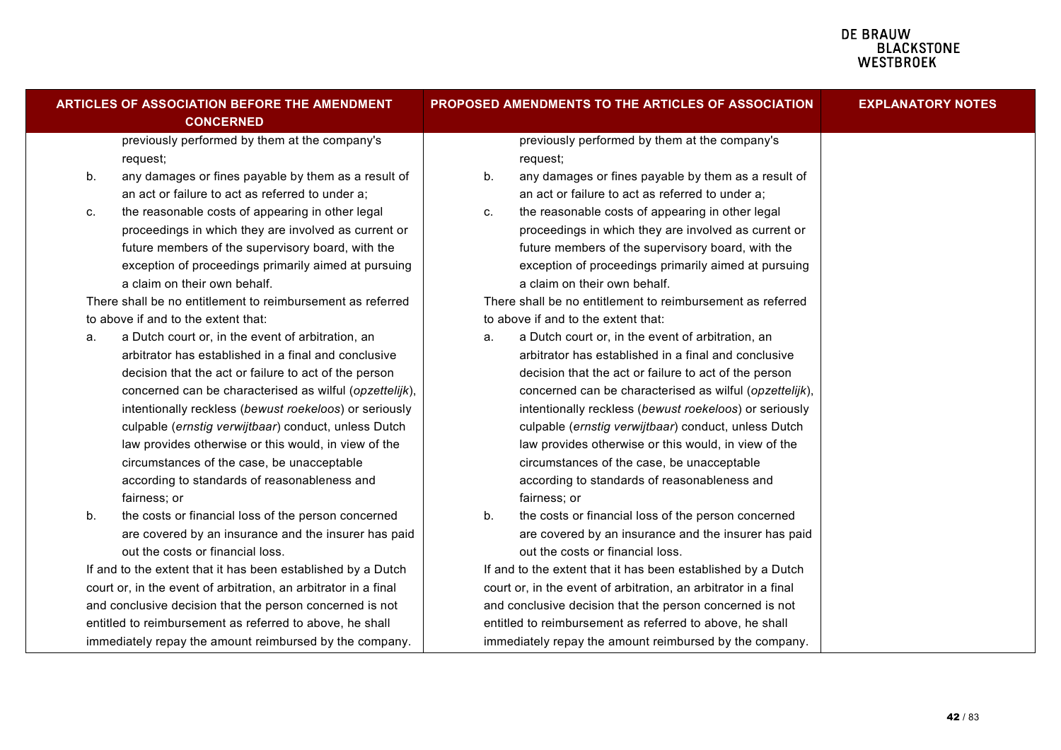| <b>ARTICLES OF ASSOCIATION BEFORE THE AMENDMENT</b><br><b>CONCERNED</b>                                                                                                                                                                                                                                                                                                                                                                                                                                                     | PROPOSED AMENDMENTS TO THE ARTICLES OF ASSOCIATION                                                                                                                                                                                                                                                                                                                                                                                                                                                                          | <b>EXPLANATORY NOTES</b> |
|-----------------------------------------------------------------------------------------------------------------------------------------------------------------------------------------------------------------------------------------------------------------------------------------------------------------------------------------------------------------------------------------------------------------------------------------------------------------------------------------------------------------------------|-----------------------------------------------------------------------------------------------------------------------------------------------------------------------------------------------------------------------------------------------------------------------------------------------------------------------------------------------------------------------------------------------------------------------------------------------------------------------------------------------------------------------------|--------------------------|
| previously performed by them at the company's<br>request;                                                                                                                                                                                                                                                                                                                                                                                                                                                                   | previously performed by them at the company's<br>request;                                                                                                                                                                                                                                                                                                                                                                                                                                                                   |                          |
| any damages or fines payable by them as a result of<br>b.<br>an act or failure to act as referred to under a;                                                                                                                                                                                                                                                                                                                                                                                                               | any damages or fines payable by them as a result of<br>b.<br>an act or failure to act as referred to under a;                                                                                                                                                                                                                                                                                                                                                                                                               |                          |
| the reasonable costs of appearing in other legal<br>c.<br>proceedings in which they are involved as current or<br>future members of the supervisory board, with the<br>exception of proceedings primarily aimed at pursuing                                                                                                                                                                                                                                                                                                 | the reasonable costs of appearing in other legal<br>C.<br>proceedings in which they are involved as current or<br>future members of the supervisory board, with the<br>exception of proceedings primarily aimed at pursuing                                                                                                                                                                                                                                                                                                 |                          |
| a claim on their own behalf.<br>There shall be no entitlement to reimbursement as referred                                                                                                                                                                                                                                                                                                                                                                                                                                  | a claim on their own behalf.<br>There shall be no entitlement to reimbursement as referred                                                                                                                                                                                                                                                                                                                                                                                                                                  |                          |
| to above if and to the extent that:                                                                                                                                                                                                                                                                                                                                                                                                                                                                                         | to above if and to the extent that:                                                                                                                                                                                                                                                                                                                                                                                                                                                                                         |                          |
| a Dutch court or, in the event of arbitration, an<br>a.<br>arbitrator has established in a final and conclusive<br>decision that the act or failure to act of the person<br>concerned can be characterised as wilful (opzettelijk),<br>intentionally reckless (bewust roekeloos) or seriously<br>culpable (ernstig verwijtbaar) conduct, unless Dutch<br>law provides otherwise or this would, in view of the<br>circumstances of the case, be unacceptable<br>according to standards of reasonableness and<br>fairness; or | a Dutch court or, in the event of arbitration, an<br>а.<br>arbitrator has established in a final and conclusive<br>decision that the act or failure to act of the person<br>concerned can be characterised as wilful (opzettelijk),<br>intentionally reckless (bewust roekeloos) or seriously<br>culpable (ernstig verwijtbaar) conduct, unless Dutch<br>law provides otherwise or this would, in view of the<br>circumstances of the case, be unacceptable<br>according to standards of reasonableness and<br>fairness; or |                          |
| the costs or financial loss of the person concerned<br>b.<br>are covered by an insurance and the insurer has paid<br>out the costs or financial loss.                                                                                                                                                                                                                                                                                                                                                                       | the costs or financial loss of the person concerned<br>b.<br>are covered by an insurance and the insurer has paid<br>out the costs or financial loss.                                                                                                                                                                                                                                                                                                                                                                       |                          |
| If and to the extent that it has been established by a Dutch<br>court or, in the event of arbitration, an arbitrator in a final                                                                                                                                                                                                                                                                                                                                                                                             | If and to the extent that it has been established by a Dutch<br>court or, in the event of arbitration, an arbitrator in a final                                                                                                                                                                                                                                                                                                                                                                                             |                          |
| and conclusive decision that the person concerned is not                                                                                                                                                                                                                                                                                                                                                                                                                                                                    | and conclusive decision that the person concerned is not                                                                                                                                                                                                                                                                                                                                                                                                                                                                    |                          |
| entitled to reimbursement as referred to above, he shall                                                                                                                                                                                                                                                                                                                                                                                                                                                                    | entitled to reimbursement as referred to above, he shall                                                                                                                                                                                                                                                                                                                                                                                                                                                                    |                          |
| immediately repay the amount reimbursed by the company.                                                                                                                                                                                                                                                                                                                                                                                                                                                                     | immediately repay the amount reimbursed by the company.                                                                                                                                                                                                                                                                                                                                                                                                                                                                     |                          |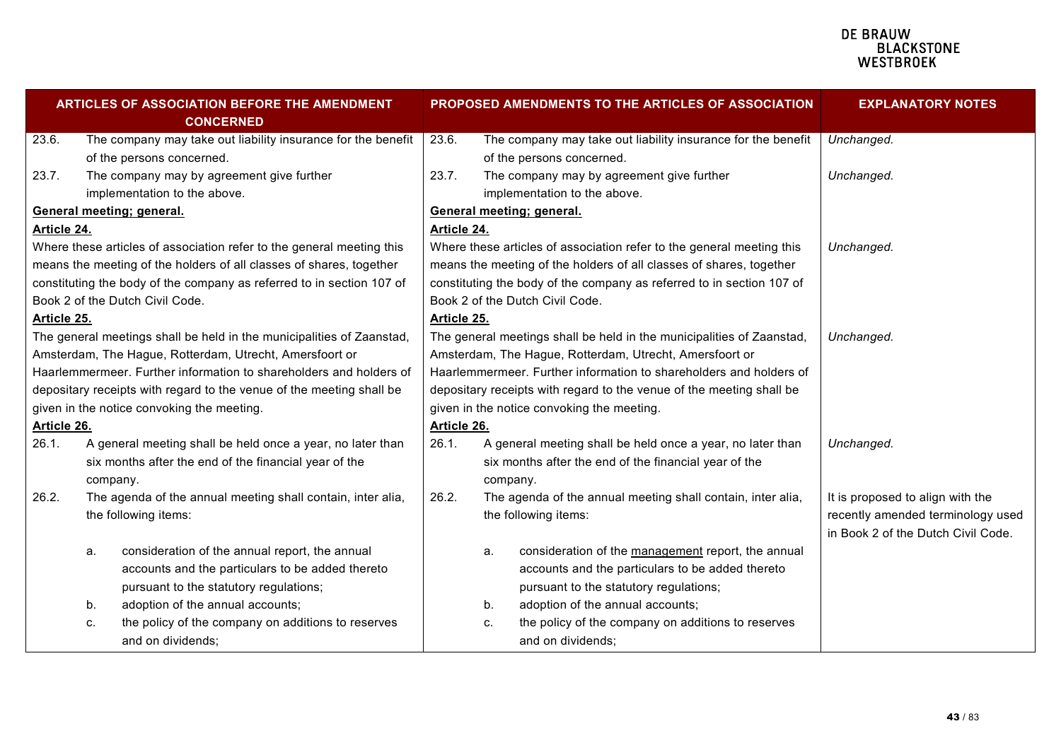| ARTICLES OF ASSOCIATION BEFORE THE AMENDMENT<br><b>CONCERNED</b> |          |                                                                                                                     | PROPOSED AMENDMENTS TO THE ARTICLES OF ASSOCIATION |                      |                                                                                                                     | <b>EXPLANATORY NOTES</b>           |
|------------------------------------------------------------------|----------|---------------------------------------------------------------------------------------------------------------------|----------------------------------------------------|----------------------|---------------------------------------------------------------------------------------------------------------------|------------------------------------|
| 23.6.                                                            |          | The company may take out liability insurance for the benefit                                                        | 23.6.                                              |                      | The company may take out liability insurance for the benefit                                                        | Unchanged.                         |
|                                                                  |          | of the persons concerned.                                                                                           |                                                    |                      | of the persons concerned.                                                                                           |                                    |
| 23.7.                                                            |          | The company may by agreement give further                                                                           | 23.7.                                              |                      | The company may by agreement give further                                                                           | Unchanged.                         |
|                                                                  |          | implementation to the above.                                                                                        |                                                    |                      | implementation to the above.                                                                                        |                                    |
|                                                                  |          | General meeting; general.                                                                                           |                                                    |                      | General meeting; general.                                                                                           |                                    |
| Article 24.                                                      |          |                                                                                                                     | Article 24.                                        |                      |                                                                                                                     |                                    |
|                                                                  |          | Where these articles of association refer to the general meeting this                                               |                                                    |                      | Where these articles of association refer to the general meeting this                                               | Unchanged.                         |
|                                                                  |          | means the meeting of the holders of all classes of shares, together                                                 |                                                    |                      | means the meeting of the holders of all classes of shares, together                                                 |                                    |
|                                                                  |          | constituting the body of the company as referred to in section 107 of                                               |                                                    |                      | constituting the body of the company as referred to in section 107 of                                               |                                    |
|                                                                  |          | Book 2 of the Dutch Civil Code.                                                                                     |                                                    |                      | Book 2 of the Dutch Civil Code.                                                                                     |                                    |
| Article 25.                                                      |          |                                                                                                                     | Article 25.                                        |                      |                                                                                                                     |                                    |
|                                                                  |          | The general meetings shall be held in the municipalities of Zaanstad,                                               |                                                    |                      | The general meetings shall be held in the municipalities of Zaanstad,                                               | Unchanged.                         |
|                                                                  |          | Amsterdam, The Hague, Rotterdam, Utrecht, Amersfoort or                                                             |                                                    |                      | Amsterdam, The Hague, Rotterdam, Utrecht, Amersfoort or                                                             |                                    |
|                                                                  |          | Haarlemmermeer. Further information to shareholders and holders of                                                  |                                                    |                      | Haarlemmermeer. Further information to shareholders and holders of                                                  |                                    |
|                                                                  |          | depositary receipts with regard to the venue of the meeting shall be                                                |                                                    |                      | depositary receipts with regard to the venue of the meeting shall be                                                |                                    |
|                                                                  |          | given in the notice convoking the meeting.                                                                          |                                                    |                      | given in the notice convoking the meeting.                                                                          |                                    |
| Article 26.                                                      |          |                                                                                                                     | Article 26.                                        |                      |                                                                                                                     |                                    |
| 26.1.                                                            |          | A general meeting shall be held once a year, no later than<br>six months after the end of the financial year of the | 26.1.                                              |                      | A general meeting shall be held once a year, no later than<br>six months after the end of the financial year of the | Unchanged.                         |
|                                                                  | company. |                                                                                                                     |                                                    | company.             |                                                                                                                     |                                    |
| 26.2.                                                            |          | The agenda of the annual meeting shall contain, inter alia,                                                         | 26.2.                                              |                      | The agenda of the annual meeting shall contain, inter alia,                                                         | It is proposed to align with the   |
|                                                                  |          | the following items:                                                                                                |                                                    | the following items: |                                                                                                                     | recently amended terminology used  |
|                                                                  |          |                                                                                                                     |                                                    |                      |                                                                                                                     | in Book 2 of the Dutch Civil Code. |
|                                                                  | a.       | consideration of the annual report, the annual                                                                      |                                                    | a.                   | consideration of the management report, the annual                                                                  |                                    |
|                                                                  |          | accounts and the particulars to be added thereto                                                                    |                                                    |                      | accounts and the particulars to be added thereto                                                                    |                                    |
|                                                                  |          | pursuant to the statutory regulations;                                                                              |                                                    |                      | pursuant to the statutory regulations;                                                                              |                                    |
|                                                                  | b.       | adoption of the annual accounts;                                                                                    |                                                    | b.                   | adoption of the annual accounts;                                                                                    |                                    |
|                                                                  | C.       | the policy of the company on additions to reserves                                                                  |                                                    | C.                   | the policy of the company on additions to reserves                                                                  |                                    |
|                                                                  |          | and on dividends;                                                                                                   |                                                    |                      | and on dividends;                                                                                                   |                                    |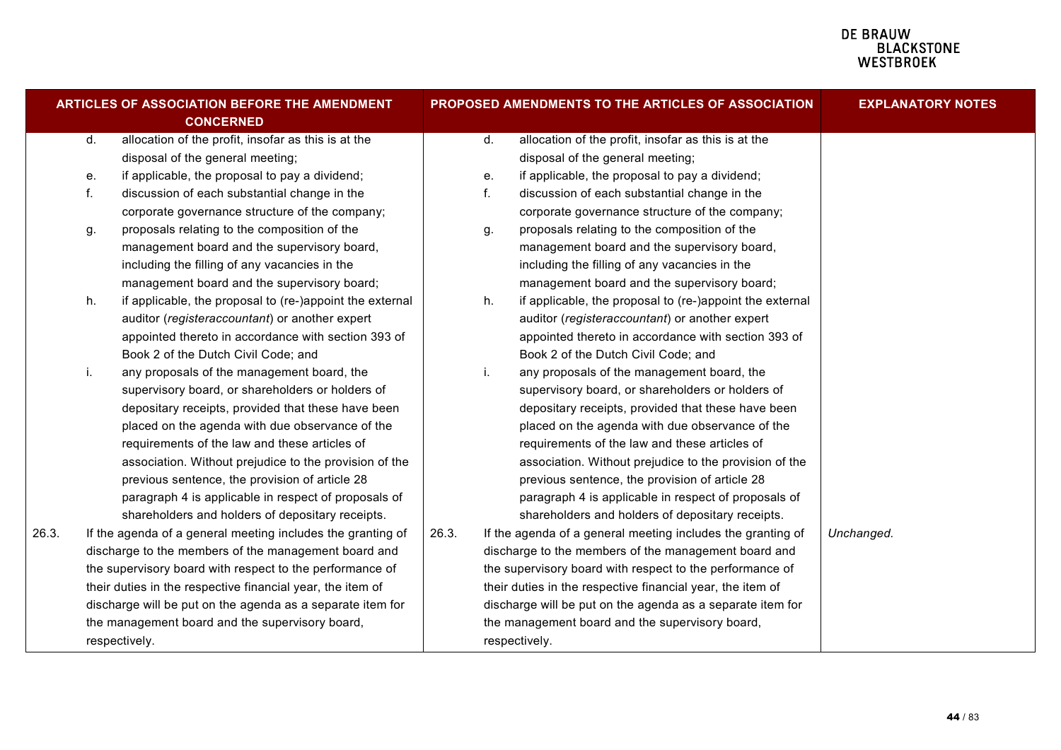| ARTICLES OF ASSOCIATION BEFORE THE AMENDMENT<br><b>CONCERNED</b> |    |                                                             |       |    | PROPOSED AMENDMENTS TO THE ARTICLES OF ASSOCIATION          | <b>EXPLANATORY NOTES</b> |
|------------------------------------------------------------------|----|-------------------------------------------------------------|-------|----|-------------------------------------------------------------|--------------------------|
|                                                                  | d. | allocation of the profit, insofar as this is at the         |       | d. | allocation of the profit, insofar as this is at the         |                          |
|                                                                  |    | disposal of the general meeting;                            |       |    | disposal of the general meeting;                            |                          |
|                                                                  | е. | if applicable, the proposal to pay a dividend;              |       | е. | if applicable, the proposal to pay a dividend;              |                          |
|                                                                  | f. | discussion of each substantial change in the                |       | f. | discussion of each substantial change in the                |                          |
|                                                                  |    | corporate governance structure of the company;              |       |    | corporate governance structure of the company;              |                          |
|                                                                  | g. | proposals relating to the composition of the                |       | g. | proposals relating to the composition of the                |                          |
|                                                                  |    | management board and the supervisory board,                 |       |    | management board and the supervisory board,                 |                          |
|                                                                  |    | including the filling of any vacancies in the               |       |    | including the filling of any vacancies in the               |                          |
|                                                                  |    | management board and the supervisory board;                 |       |    | management board and the supervisory board;                 |                          |
|                                                                  | h. | if applicable, the proposal to (re-)appoint the external    |       | h. | if applicable, the proposal to (re-)appoint the external    |                          |
|                                                                  |    | auditor (registeraccountant) or another expert              |       |    | auditor (registeraccountant) or another expert              |                          |
|                                                                  |    | appointed thereto in accordance with section 393 of         |       |    | appointed thereto in accordance with section 393 of         |                          |
|                                                                  |    | Book 2 of the Dutch Civil Code; and                         |       |    | Book 2 of the Dutch Civil Code; and                         |                          |
|                                                                  | j. | any proposals of the management board, the                  |       | i. | any proposals of the management board, the                  |                          |
|                                                                  |    | supervisory board, or shareholders or holders of            |       |    | supervisory board, or shareholders or holders of            |                          |
|                                                                  |    | depositary receipts, provided that these have been          |       |    | depositary receipts, provided that these have been          |                          |
|                                                                  |    | placed on the agenda with due observance of the             |       |    | placed on the agenda with due observance of the             |                          |
|                                                                  |    | requirements of the law and these articles of               |       |    | requirements of the law and these articles of               |                          |
|                                                                  |    | association. Without prejudice to the provision of the      |       |    | association. Without prejudice to the provision of the      |                          |
|                                                                  |    | previous sentence, the provision of article 28              |       |    | previous sentence, the provision of article 28              |                          |
|                                                                  |    | paragraph 4 is applicable in respect of proposals of        |       |    | paragraph 4 is applicable in respect of proposals of        |                          |
|                                                                  |    | shareholders and holders of depositary receipts.            |       |    | shareholders and holders of depositary receipts.            |                          |
| 26.3.                                                            |    | If the agenda of a general meeting includes the granting of | 26.3. |    | If the agenda of a general meeting includes the granting of | Unchanged.               |
|                                                                  |    | discharge to the members of the management board and        |       |    | discharge to the members of the management board and        |                          |
|                                                                  |    | the supervisory board with respect to the performance of    |       |    | the supervisory board with respect to the performance of    |                          |
|                                                                  |    | their duties in the respective financial year, the item of  |       |    | their duties in the respective financial year, the item of  |                          |
|                                                                  |    | discharge will be put on the agenda as a separate item for  |       |    | discharge will be put on the agenda as a separate item for  |                          |
|                                                                  |    | the management board and the supervisory board,             |       |    | the management board and the supervisory board,             |                          |
|                                                                  |    | respectively.                                               |       |    | respectively.                                               |                          |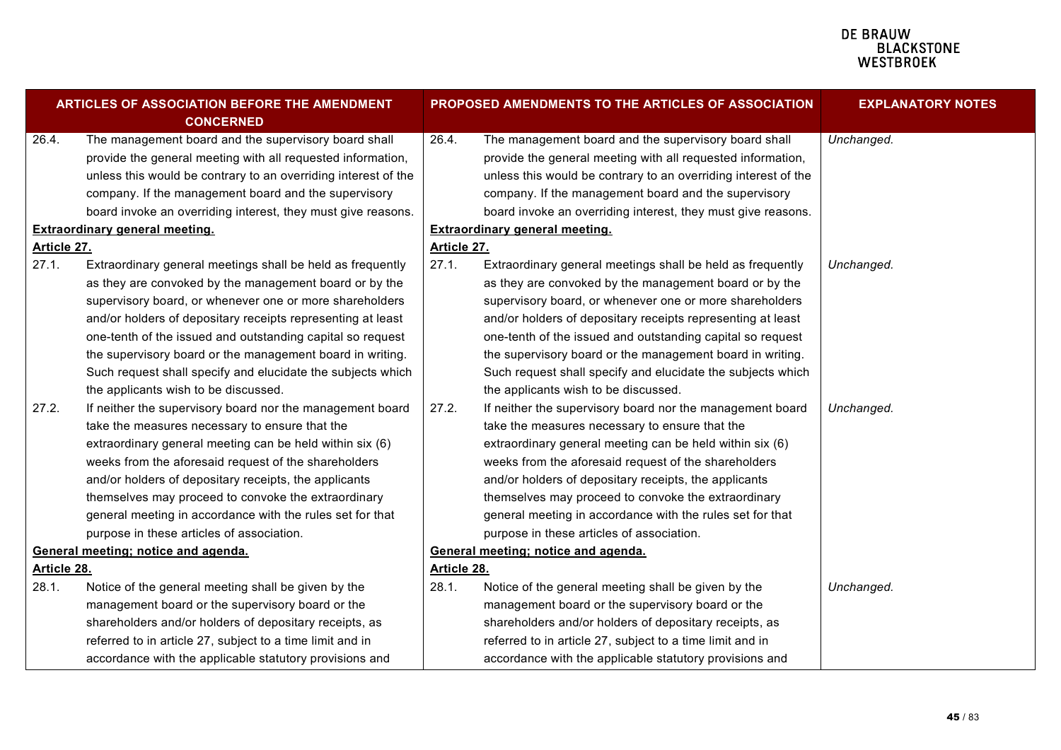### **DE BRAUW EDINACTOR**<br>BLACKSTONE<br>WESTBROEK

| ARTICLES OF ASSOCIATION BEFORE THE AMENDMENT<br><b>CONCERNED</b> |                                                                |             | PROPOSED AMENDMENTS TO THE ARTICLES OF ASSOCIATION             | <b>EXPLANATORY NOTES</b> |
|------------------------------------------------------------------|----------------------------------------------------------------|-------------|----------------------------------------------------------------|--------------------------|
| 26.4.                                                            | The management board and the supervisory board shall           | 26.4.       | The management board and the supervisory board shall           | Unchanged.               |
|                                                                  | provide the general meeting with all requested information,    |             | provide the general meeting with all requested information,    |                          |
|                                                                  | unless this would be contrary to an overriding interest of the |             | unless this would be contrary to an overriding interest of the |                          |
|                                                                  | company. If the management board and the supervisory           |             | company. If the management board and the supervisory           |                          |
|                                                                  | board invoke an overriding interest, they must give reasons.   |             | board invoke an overriding interest, they must give reasons.   |                          |
|                                                                  | <b>Extraordinary general meeting.</b>                          |             | <b>Extraordinary general meeting.</b>                          |                          |
| Article 27.                                                      |                                                                | Article 27. |                                                                |                          |
| 27.1.                                                            | Extraordinary general meetings shall be held as frequently     | 27.1.       | Extraordinary general meetings shall be held as frequently     | Unchanged.               |
|                                                                  | as they are convoked by the management board or by the         |             | as they are convoked by the management board or by the         |                          |
|                                                                  | supervisory board, or whenever one or more shareholders        |             | supervisory board, or whenever one or more shareholders        |                          |
|                                                                  | and/or holders of depositary receipts representing at least    |             | and/or holders of depositary receipts representing at least    |                          |
|                                                                  | one-tenth of the issued and outstanding capital so request     |             | one-tenth of the issued and outstanding capital so request     |                          |
|                                                                  | the supervisory board or the management board in writing.      |             | the supervisory board or the management board in writing.      |                          |
|                                                                  | Such request shall specify and elucidate the subjects which    |             | Such request shall specify and elucidate the subjects which    |                          |
|                                                                  | the applicants wish to be discussed.                           |             | the applicants wish to be discussed.                           |                          |
| 27.2.                                                            | If neither the supervisory board nor the management board      | 27.2.       | If neither the supervisory board nor the management board      | Unchanged.               |
|                                                                  | take the measures necessary to ensure that the                 |             | take the measures necessary to ensure that the                 |                          |
|                                                                  | extraordinary general meeting can be held within six (6)       |             | extraordinary general meeting can be held within six (6)       |                          |
|                                                                  | weeks from the aforesaid request of the shareholders           |             | weeks from the aforesaid request of the shareholders           |                          |
|                                                                  | and/or holders of depositary receipts, the applicants          |             | and/or holders of depositary receipts, the applicants          |                          |
|                                                                  | themselves may proceed to convoke the extraordinary            |             | themselves may proceed to convoke the extraordinary            |                          |
|                                                                  | general meeting in accordance with the rules set for that      |             | general meeting in accordance with the rules set for that      |                          |
|                                                                  | purpose in these articles of association.                      |             | purpose in these articles of association.                      |                          |
|                                                                  | General meeting; notice and agenda.                            |             | General meeting; notice and agenda.                            |                          |
| Article 28.                                                      |                                                                | Article 28. |                                                                |                          |
| 28.1.                                                            | Notice of the general meeting shall be given by the            | 28.1.       | Notice of the general meeting shall be given by the            | Unchanged.               |
|                                                                  | management board or the supervisory board or the               |             | management board or the supervisory board or the               |                          |
|                                                                  | shareholders and/or holders of depositary receipts, as         |             | shareholders and/or holders of depositary receipts, as         |                          |
|                                                                  | referred to in article 27, subject to a time limit and in      |             | referred to in article 27, subject to a time limit and in      |                          |
|                                                                  | accordance with the applicable statutory provisions and        |             | accordance with the applicable statutory provisions and        |                          |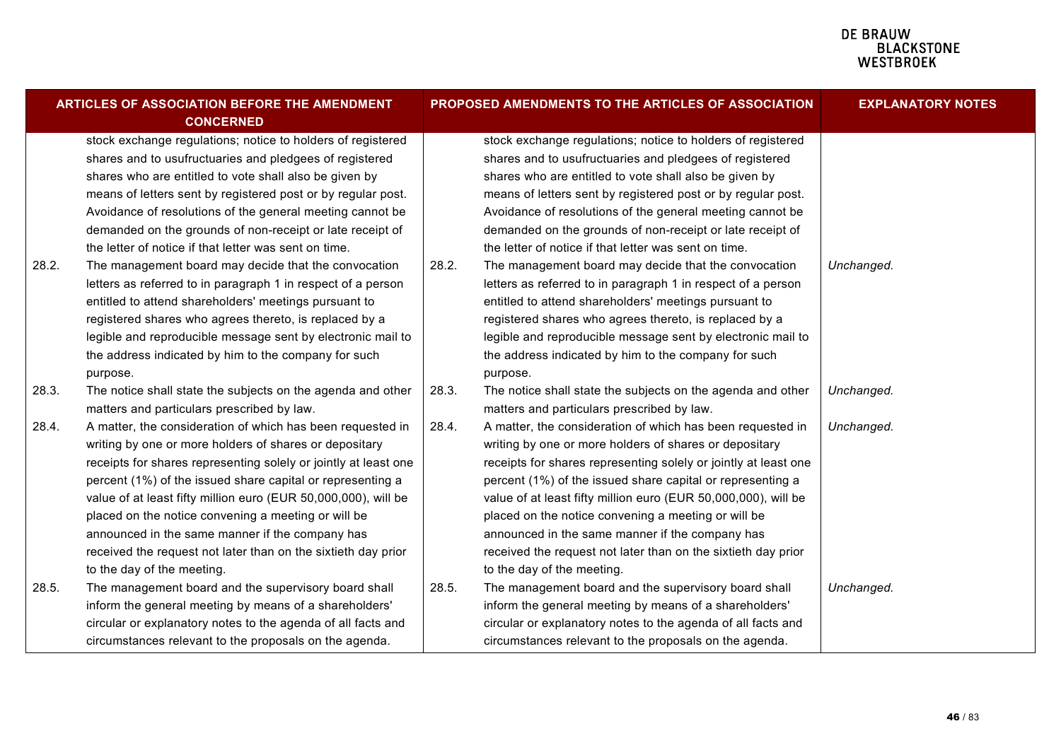| ARTICLES OF ASSOCIATION BEFORE THE AMENDMENT<br><b>CONCERNED</b> |                                                                                                                        |       | PROPOSED AMENDMENTS TO THE ARTICLES OF ASSOCIATION                                                                     | <b>EXPLANATORY NOTES</b> |
|------------------------------------------------------------------|------------------------------------------------------------------------------------------------------------------------|-------|------------------------------------------------------------------------------------------------------------------------|--------------------------|
|                                                                  | stock exchange regulations; notice to holders of registered<br>shares and to usufructuaries and pledgees of registered |       | stock exchange regulations; notice to holders of registered<br>shares and to usufructuaries and pledgees of registered |                          |
|                                                                  | shares who are entitled to vote shall also be given by                                                                 |       | shares who are entitled to vote shall also be given by                                                                 |                          |
|                                                                  | means of letters sent by registered post or by regular post.                                                           |       | means of letters sent by registered post or by regular post.                                                           |                          |
|                                                                  | Avoidance of resolutions of the general meeting cannot be                                                              |       | Avoidance of resolutions of the general meeting cannot be                                                              |                          |
|                                                                  | demanded on the grounds of non-receipt or late receipt of                                                              |       | demanded on the grounds of non-receipt or late receipt of                                                              |                          |
|                                                                  | the letter of notice if that letter was sent on time.                                                                  |       | the letter of notice if that letter was sent on time.                                                                  |                          |
| 28.2.                                                            | The management board may decide that the convocation                                                                   | 28.2. | The management board may decide that the convocation                                                                   | Unchanged.               |
|                                                                  | letters as referred to in paragraph 1 in respect of a person                                                           |       | letters as referred to in paragraph 1 in respect of a person                                                           |                          |
|                                                                  | entitled to attend shareholders' meetings pursuant to                                                                  |       | entitled to attend shareholders' meetings pursuant to                                                                  |                          |
|                                                                  | registered shares who agrees thereto, is replaced by a                                                                 |       | registered shares who agrees thereto, is replaced by a                                                                 |                          |
|                                                                  | legible and reproducible message sent by electronic mail to                                                            |       | legible and reproducible message sent by electronic mail to                                                            |                          |
|                                                                  | the address indicated by him to the company for such                                                                   |       | the address indicated by him to the company for such                                                                   |                          |
|                                                                  | purpose.                                                                                                               |       | purpose.                                                                                                               |                          |
| 28.3.                                                            | The notice shall state the subjects on the agenda and other                                                            | 28.3. | The notice shall state the subjects on the agenda and other                                                            | Unchanged.               |
|                                                                  | matters and particulars prescribed by law.                                                                             |       | matters and particulars prescribed by law.                                                                             |                          |
| 28.4.                                                            | A matter, the consideration of which has been requested in                                                             | 28.4. | A matter, the consideration of which has been requested in                                                             | Unchanged.               |
|                                                                  | writing by one or more holders of shares or depositary                                                                 |       | writing by one or more holders of shares or depositary                                                                 |                          |
|                                                                  | receipts for shares representing solely or jointly at least one                                                        |       | receipts for shares representing solely or jointly at least one                                                        |                          |
|                                                                  | percent (1%) of the issued share capital or representing a                                                             |       | percent (1%) of the issued share capital or representing a                                                             |                          |
|                                                                  | value of at least fifty million euro (EUR 50,000,000), will be                                                         |       | value of at least fifty million euro (EUR 50,000,000), will be                                                         |                          |
|                                                                  | placed on the notice convening a meeting or will be                                                                    |       | placed on the notice convening a meeting or will be                                                                    |                          |
|                                                                  | announced in the same manner if the company has                                                                        |       | announced in the same manner if the company has                                                                        |                          |
|                                                                  | received the request not later than on the sixtieth day prior                                                          |       | received the request not later than on the sixtieth day prior                                                          |                          |
|                                                                  | to the day of the meeting.                                                                                             |       | to the day of the meeting.                                                                                             |                          |
| 28.5.                                                            | The management board and the supervisory board shall                                                                   | 28.5. | The management board and the supervisory board shall                                                                   | Unchanged.               |
|                                                                  | inform the general meeting by means of a shareholders'                                                                 |       | inform the general meeting by means of a shareholders'                                                                 |                          |
|                                                                  | circular or explanatory notes to the agenda of all facts and                                                           |       | circular or explanatory notes to the agenda of all facts and                                                           |                          |
|                                                                  | circumstances relevant to the proposals on the agenda.                                                                 |       | circumstances relevant to the proposals on the agenda.                                                                 |                          |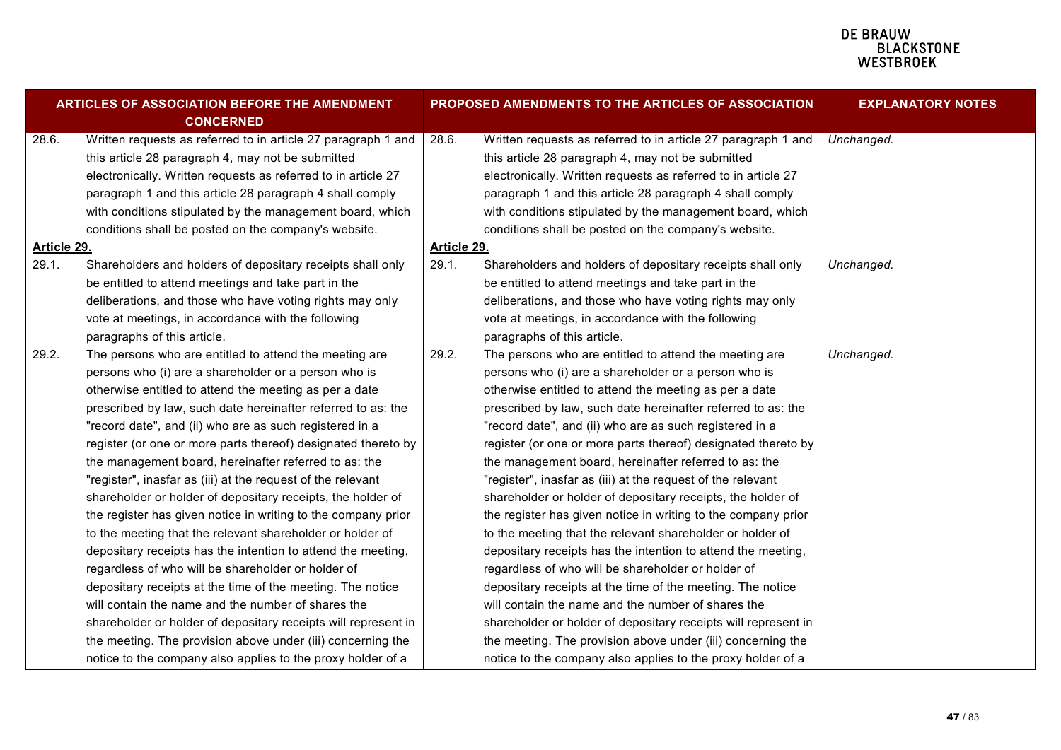| ARTICLES OF ASSOCIATION BEFORE THE AMENDMENT<br><b>CONCERNED</b> |                                                                |             | PROPOSED AMENDMENTS TO THE ARTICLES OF ASSOCIATION             | <b>EXPLANATORY NOTES</b> |
|------------------------------------------------------------------|----------------------------------------------------------------|-------------|----------------------------------------------------------------|--------------------------|
| 28.6.                                                            | Written requests as referred to in article 27 paragraph 1 and  | 28.6.       | Written requests as referred to in article 27 paragraph 1 and  | Unchanged.               |
|                                                                  | this article 28 paragraph 4, may not be submitted              |             | this article 28 paragraph 4, may not be submitted              |                          |
|                                                                  | electronically. Written requests as referred to in article 27  |             | electronically. Written requests as referred to in article 27  |                          |
|                                                                  | paragraph 1 and this article 28 paragraph 4 shall comply       |             | paragraph 1 and this article 28 paragraph 4 shall comply       |                          |
|                                                                  | with conditions stipulated by the management board, which      |             | with conditions stipulated by the management board, which      |                          |
|                                                                  | conditions shall be posted on the company's website.           |             | conditions shall be posted on the company's website.           |                          |
| Article 29.                                                      |                                                                | Article 29. |                                                                |                          |
| 29.1.                                                            | Shareholders and holders of depositary receipts shall only     | 29.1.       | Shareholders and holders of depositary receipts shall only     | Unchanged.               |
|                                                                  | be entitled to attend meetings and take part in the            |             | be entitled to attend meetings and take part in the            |                          |
|                                                                  | deliberations, and those who have voting rights may only       |             | deliberations, and those who have voting rights may only       |                          |
|                                                                  | vote at meetings, in accordance with the following             |             | vote at meetings, in accordance with the following             |                          |
|                                                                  | paragraphs of this article.                                    |             | paragraphs of this article.                                    |                          |
| 29.2.                                                            | The persons who are entitled to attend the meeting are         | 29.2.       | The persons who are entitled to attend the meeting are         | Unchanged.               |
|                                                                  | persons who (i) are a shareholder or a person who is           |             | persons who (i) are a shareholder or a person who is           |                          |
|                                                                  | otherwise entitled to attend the meeting as per a date         |             | otherwise entitled to attend the meeting as per a date         |                          |
|                                                                  | prescribed by law, such date hereinafter referred to as: the   |             | prescribed by law, such date hereinafter referred to as: the   |                          |
|                                                                  | "record date", and (ii) who are as such registered in a        |             | "record date", and (ii) who are as such registered in a        |                          |
|                                                                  | register (or one or more parts thereof) designated thereto by  |             | register (or one or more parts thereof) designated thereto by  |                          |
|                                                                  | the management board, hereinafter referred to as: the          |             | the management board, hereinafter referred to as: the          |                          |
|                                                                  | "register", inasfar as (iii) at the request of the relevant    |             | "register", inasfar as (iii) at the request of the relevant    |                          |
|                                                                  | shareholder or holder of depositary receipts, the holder of    |             | shareholder or holder of depositary receipts, the holder of    |                          |
|                                                                  | the register has given notice in writing to the company prior  |             | the register has given notice in writing to the company prior  |                          |
|                                                                  | to the meeting that the relevant shareholder or holder of      |             | to the meeting that the relevant shareholder or holder of      |                          |
|                                                                  | depositary receipts has the intention to attend the meeting,   |             | depositary receipts has the intention to attend the meeting,   |                          |
|                                                                  | regardless of who will be shareholder or holder of             |             | regardless of who will be shareholder or holder of             |                          |
|                                                                  | depositary receipts at the time of the meeting. The notice     |             | depositary receipts at the time of the meeting. The notice     |                          |
|                                                                  | will contain the name and the number of shares the             |             | will contain the name and the number of shares the             |                          |
|                                                                  | shareholder or holder of depositary receipts will represent in |             | shareholder or holder of depositary receipts will represent in |                          |
|                                                                  | the meeting. The provision above under (iii) concerning the    |             | the meeting. The provision above under (iii) concerning the    |                          |
|                                                                  | notice to the company also applies to the proxy holder of a    |             | notice to the company also applies to the proxy holder of a    |                          |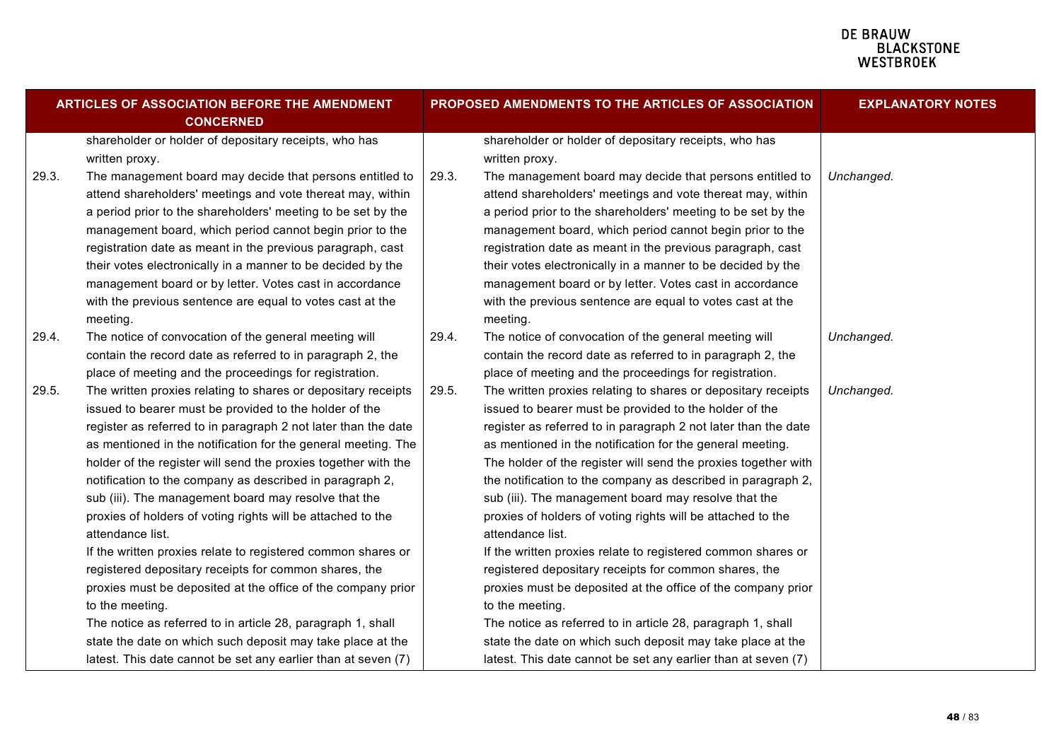### **DE BRAUW EDINACTOR**<br>BLACKSTONE<br>WESTBROEK

| <b>ARTICLES OF ASSOCIATION BEFORE THE AMENDMENT</b><br><b>CONCERNED</b> |                                                                                                                                                                                                                                                                                                                                                                                                                                                                                                                                                                                                                                                                                                                                                 |       | PROPOSED AMENDMENTS TO THE ARTICLES OF ASSOCIATION                                                                                                                                                                                                                                                                                                                                                                                                                                                                                                                                                                                                                                                                                              | <b>EXPLANATORY NOTES</b> |
|-------------------------------------------------------------------------|-------------------------------------------------------------------------------------------------------------------------------------------------------------------------------------------------------------------------------------------------------------------------------------------------------------------------------------------------------------------------------------------------------------------------------------------------------------------------------------------------------------------------------------------------------------------------------------------------------------------------------------------------------------------------------------------------------------------------------------------------|-------|-------------------------------------------------------------------------------------------------------------------------------------------------------------------------------------------------------------------------------------------------------------------------------------------------------------------------------------------------------------------------------------------------------------------------------------------------------------------------------------------------------------------------------------------------------------------------------------------------------------------------------------------------------------------------------------------------------------------------------------------------|--------------------------|
|                                                                         | shareholder or holder of depositary receipts, who has<br>written proxy.                                                                                                                                                                                                                                                                                                                                                                                                                                                                                                                                                                                                                                                                         |       | shareholder or holder of depositary receipts, who has<br>written proxy.                                                                                                                                                                                                                                                                                                                                                                                                                                                                                                                                                                                                                                                                         |                          |
| 29.3.                                                                   | The management board may decide that persons entitled to<br>attend shareholders' meetings and vote thereat may, within<br>a period prior to the shareholders' meeting to be set by the<br>management board, which period cannot begin prior to the<br>registration date as meant in the previous paragraph, cast<br>their votes electronically in a manner to be decided by the<br>management board or by letter. Votes cast in accordance                                                                                                                                                                                                                                                                                                      | 29.3. | The management board may decide that persons entitled to<br>attend shareholders' meetings and vote thereat may, within<br>a period prior to the shareholders' meeting to be set by the<br>management board, which period cannot begin prior to the<br>registration date as meant in the previous paragraph, cast<br>their votes electronically in a manner to be decided by the<br>management board or by letter. Votes cast in accordance                                                                                                                                                                                                                                                                                                      | Unchanged.               |
|                                                                         | with the previous sentence are equal to votes cast at the<br>meeting.                                                                                                                                                                                                                                                                                                                                                                                                                                                                                                                                                                                                                                                                           |       | with the previous sentence are equal to votes cast at the<br>meeting.                                                                                                                                                                                                                                                                                                                                                                                                                                                                                                                                                                                                                                                                           |                          |
| 29.4.                                                                   | The notice of convocation of the general meeting will<br>contain the record date as referred to in paragraph 2, the<br>place of meeting and the proceedings for registration.                                                                                                                                                                                                                                                                                                                                                                                                                                                                                                                                                                   | 29.4. | The notice of convocation of the general meeting will<br>contain the record date as referred to in paragraph 2, the<br>place of meeting and the proceedings for registration.                                                                                                                                                                                                                                                                                                                                                                                                                                                                                                                                                                   | Unchanged.               |
| 29.5.                                                                   | The written proxies relating to shares or depositary receipts<br>issued to bearer must be provided to the holder of the<br>register as referred to in paragraph 2 not later than the date<br>as mentioned in the notification for the general meeting. The<br>holder of the register will send the proxies together with the<br>notification to the company as described in paragraph 2,<br>sub (iii). The management board may resolve that the<br>proxies of holders of voting rights will be attached to the<br>attendance list.<br>If the written proxies relate to registered common shares or<br>registered depositary receipts for common shares, the<br>proxies must be deposited at the office of the company prior<br>to the meeting. | 29.5. | The written proxies relating to shares or depositary receipts<br>issued to bearer must be provided to the holder of the<br>register as referred to in paragraph 2 not later than the date<br>as mentioned in the notification for the general meeting.<br>The holder of the register will send the proxies together with<br>the notification to the company as described in paragraph 2,<br>sub (iii). The management board may resolve that the<br>proxies of holders of voting rights will be attached to the<br>attendance list.<br>If the written proxies relate to registered common shares or<br>registered depositary receipts for common shares, the<br>proxies must be deposited at the office of the company prior<br>to the meeting. | Unchanged.               |
|                                                                         | The notice as referred to in article 28, paragraph 1, shall<br>state the date on which such deposit may take place at the<br>latest. This date cannot be set any earlier than at seven (7)                                                                                                                                                                                                                                                                                                                                                                                                                                                                                                                                                      |       | The notice as referred to in article 28, paragraph 1, shall<br>state the date on which such deposit may take place at the<br>latest. This date cannot be set any earlier than at seven (7)                                                                                                                                                                                                                                                                                                                                                                                                                                                                                                                                                      |                          |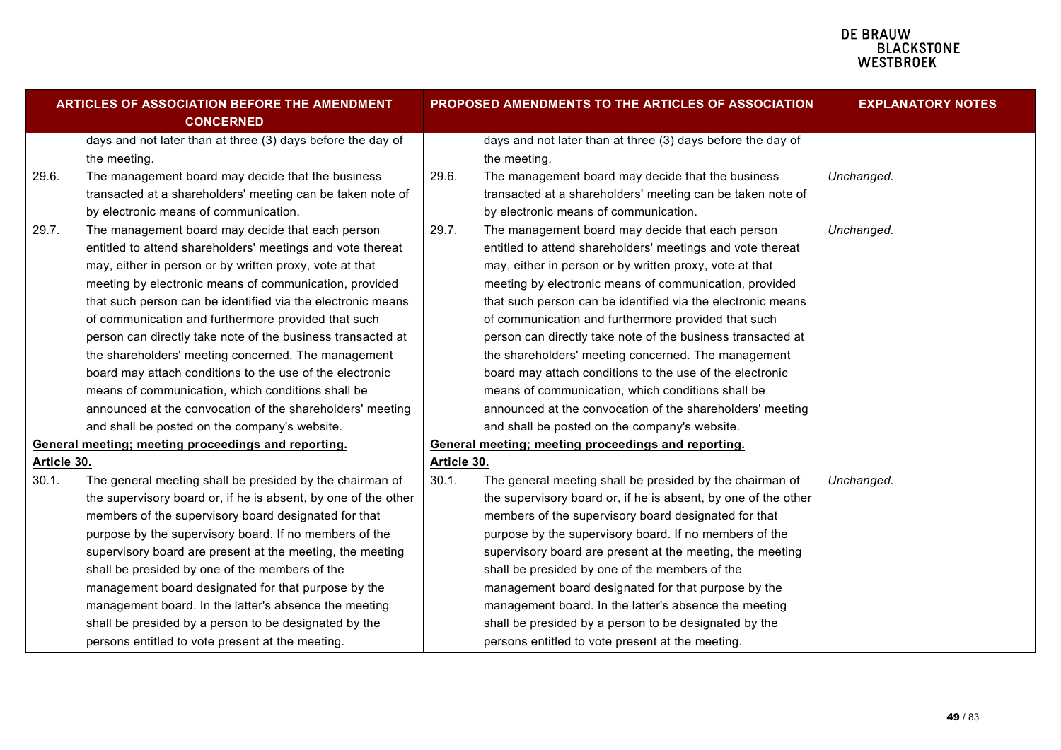|             | ARTICLES OF ASSOCIATION BEFORE THE AMENDMENT<br><b>CONCERNED</b>                                                                                                                                                                                                                                                                                                                                                                                                                                                                                                                                                                                                                                               |             | PROPOSED AMENDMENTS TO THE ARTICLES OF ASSOCIATION                                                                                                                                                                                                                                                                                                                                                                                                                                                                                                                                                                                                                                                             | <b>EXPLANATORY NOTES</b> |
|-------------|----------------------------------------------------------------------------------------------------------------------------------------------------------------------------------------------------------------------------------------------------------------------------------------------------------------------------------------------------------------------------------------------------------------------------------------------------------------------------------------------------------------------------------------------------------------------------------------------------------------------------------------------------------------------------------------------------------------|-------------|----------------------------------------------------------------------------------------------------------------------------------------------------------------------------------------------------------------------------------------------------------------------------------------------------------------------------------------------------------------------------------------------------------------------------------------------------------------------------------------------------------------------------------------------------------------------------------------------------------------------------------------------------------------------------------------------------------------|--------------------------|
|             | days and not later than at three (3) days before the day of<br>the meeting.                                                                                                                                                                                                                                                                                                                                                                                                                                                                                                                                                                                                                                    |             | days and not later than at three (3) days before the day of<br>the meeting.                                                                                                                                                                                                                                                                                                                                                                                                                                                                                                                                                                                                                                    |                          |
| 29.6.       | The management board may decide that the business<br>transacted at a shareholders' meeting can be taken note of<br>by electronic means of communication.                                                                                                                                                                                                                                                                                                                                                                                                                                                                                                                                                       | 29.6.       | The management board may decide that the business<br>transacted at a shareholders' meeting can be taken note of<br>by electronic means of communication.                                                                                                                                                                                                                                                                                                                                                                                                                                                                                                                                                       | Unchanged.               |
| 29.7.       | The management board may decide that each person<br>entitled to attend shareholders' meetings and vote thereat<br>may, either in person or by written proxy, vote at that<br>meeting by electronic means of communication, provided<br>that such person can be identified via the electronic means<br>of communication and furthermore provided that such<br>person can directly take note of the business transacted at<br>the shareholders' meeting concerned. The management<br>board may attach conditions to the use of the electronic<br>means of communication, which conditions shall be<br>announced at the convocation of the shareholders' meeting<br>and shall be posted on the company's website. | 29.7.       | The management board may decide that each person<br>entitled to attend shareholders' meetings and vote thereat<br>may, either in person or by written proxy, vote at that<br>meeting by electronic means of communication, provided<br>that such person can be identified via the electronic means<br>of communication and furthermore provided that such<br>person can directly take note of the business transacted at<br>the shareholders' meeting concerned. The management<br>board may attach conditions to the use of the electronic<br>means of communication, which conditions shall be<br>announced at the convocation of the shareholders' meeting<br>and shall be posted on the company's website. | Unchanged.               |
| Article 30. | General meeting; meeting proceedings and reporting.                                                                                                                                                                                                                                                                                                                                                                                                                                                                                                                                                                                                                                                            | Article 30. | General meeting; meeting proceedings and reporting.                                                                                                                                                                                                                                                                                                                                                                                                                                                                                                                                                                                                                                                            |                          |
| 30.1.       | The general meeting shall be presided by the chairman of<br>the supervisory board or, if he is absent, by one of the other<br>members of the supervisory board designated for that<br>purpose by the supervisory board. If no members of the<br>supervisory board are present at the meeting, the meeting<br>shall be presided by one of the members of the<br>management board designated for that purpose by the<br>management board. In the latter's absence the meeting<br>shall be presided by a person to be designated by the<br>persons entitled to vote present at the meeting.                                                                                                                       | 30.1.       | The general meeting shall be presided by the chairman of<br>the supervisory board or, if he is absent, by one of the other<br>members of the supervisory board designated for that<br>purpose by the supervisory board. If no members of the<br>supervisory board are present at the meeting, the meeting<br>shall be presided by one of the members of the<br>management board designated for that purpose by the<br>management board. In the latter's absence the meeting<br>shall be presided by a person to be designated by the<br>persons entitled to vote present at the meeting.                                                                                                                       | Unchanged.               |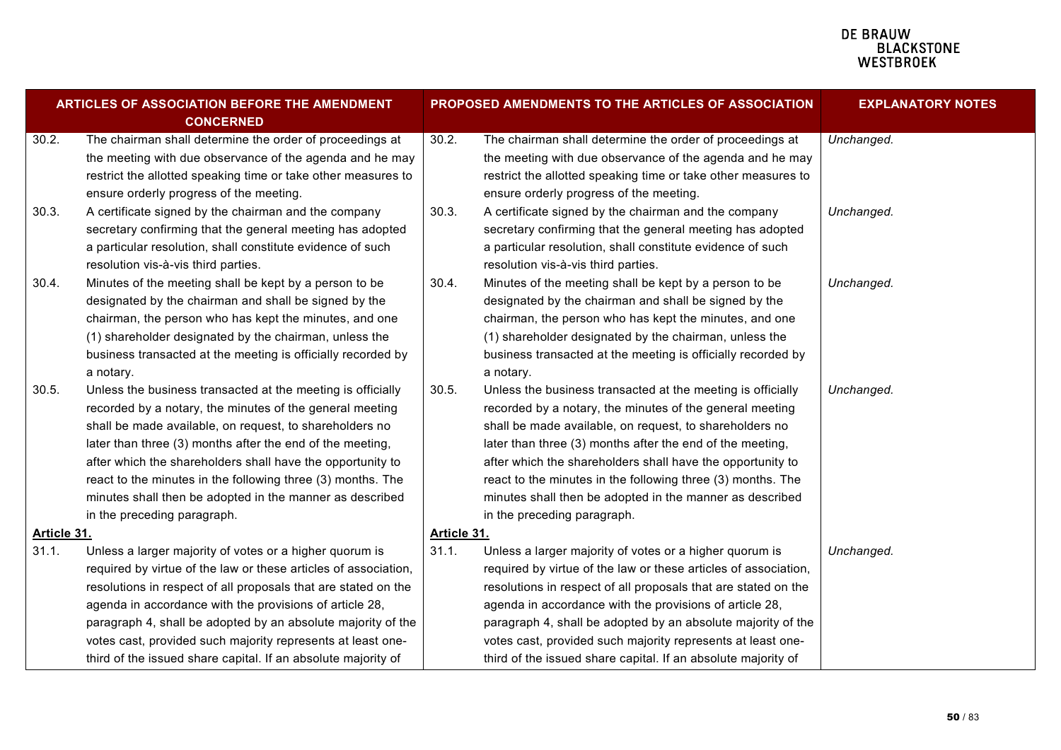| <b>ARTICLES OF ASSOCIATION BEFORE THE AMENDMENT</b><br><b>CONCERNED</b> |                                                                                                                                                                                                                                                                                                                                                                                                                                                                         |                      | PROPOSED AMENDMENTS TO THE ARTICLES OF ASSOCIATION                                                                                                                                                                                                                                                                                                                                                                                                                      | <b>EXPLANATORY NOTES</b> |
|-------------------------------------------------------------------------|-------------------------------------------------------------------------------------------------------------------------------------------------------------------------------------------------------------------------------------------------------------------------------------------------------------------------------------------------------------------------------------------------------------------------------------------------------------------------|----------------------|-------------------------------------------------------------------------------------------------------------------------------------------------------------------------------------------------------------------------------------------------------------------------------------------------------------------------------------------------------------------------------------------------------------------------------------------------------------------------|--------------------------|
| 30.2.                                                                   | The chairman shall determine the order of proceedings at<br>the meeting with due observance of the agenda and he may<br>restrict the allotted speaking time or take other measures to<br>ensure orderly progress of the meeting.                                                                                                                                                                                                                                        | 30.2.                | The chairman shall determine the order of proceedings at<br>the meeting with due observance of the agenda and he may<br>restrict the allotted speaking time or take other measures to<br>ensure orderly progress of the meeting.                                                                                                                                                                                                                                        | Unchanged.               |
| 30.3.                                                                   | A certificate signed by the chairman and the company<br>secretary confirming that the general meeting has adopted<br>a particular resolution, shall constitute evidence of such<br>resolution vis-à-vis third parties.                                                                                                                                                                                                                                                  | 30.3.                | A certificate signed by the chairman and the company<br>secretary confirming that the general meeting has adopted<br>a particular resolution, shall constitute evidence of such<br>resolution vis-à-vis third parties.                                                                                                                                                                                                                                                  | Unchanged.               |
| 30.4.                                                                   | Minutes of the meeting shall be kept by a person to be<br>designated by the chairman and shall be signed by the<br>chairman, the person who has kept the minutes, and one<br>(1) shareholder designated by the chairman, unless the<br>business transacted at the meeting is officially recorded by<br>a notary.                                                                                                                                                        | 30.4.                | Minutes of the meeting shall be kept by a person to be<br>designated by the chairman and shall be signed by the<br>chairman, the person who has kept the minutes, and one<br>(1) shareholder designated by the chairman, unless the<br>business transacted at the meeting is officially recorded by<br>a notary.                                                                                                                                                        | Unchanged.               |
| 30.5.<br>Article 31.                                                    | Unless the business transacted at the meeting is officially<br>recorded by a notary, the minutes of the general meeting<br>shall be made available, on request, to shareholders no<br>later than three (3) months after the end of the meeting,<br>after which the shareholders shall have the opportunity to<br>react to the minutes in the following three (3) months. The<br>minutes shall then be adopted in the manner as described<br>in the preceding paragraph. | 30.5.<br>Article 31. | Unless the business transacted at the meeting is officially<br>recorded by a notary, the minutes of the general meeting<br>shall be made available, on request, to shareholders no<br>later than three (3) months after the end of the meeting,<br>after which the shareholders shall have the opportunity to<br>react to the minutes in the following three (3) months. The<br>minutes shall then be adopted in the manner as described<br>in the preceding paragraph. | Unchanged.               |
| 31.1.                                                                   | Unless a larger majority of votes or a higher quorum is<br>required by virtue of the law or these articles of association,<br>resolutions in respect of all proposals that are stated on the<br>agenda in accordance with the provisions of article 28,<br>paragraph 4, shall be adopted by an absolute majority of the<br>votes cast, provided such majority represents at least one-<br>third of the issued share capital. If an absolute majority of                 | 31.1.                | Unless a larger majority of votes or a higher quorum is<br>required by virtue of the law or these articles of association,<br>resolutions in respect of all proposals that are stated on the<br>agenda in accordance with the provisions of article 28,<br>paragraph 4, shall be adopted by an absolute majority of the<br>votes cast, provided such majority represents at least one-<br>third of the issued share capital. If an absolute majority of                 | Unchanged.               |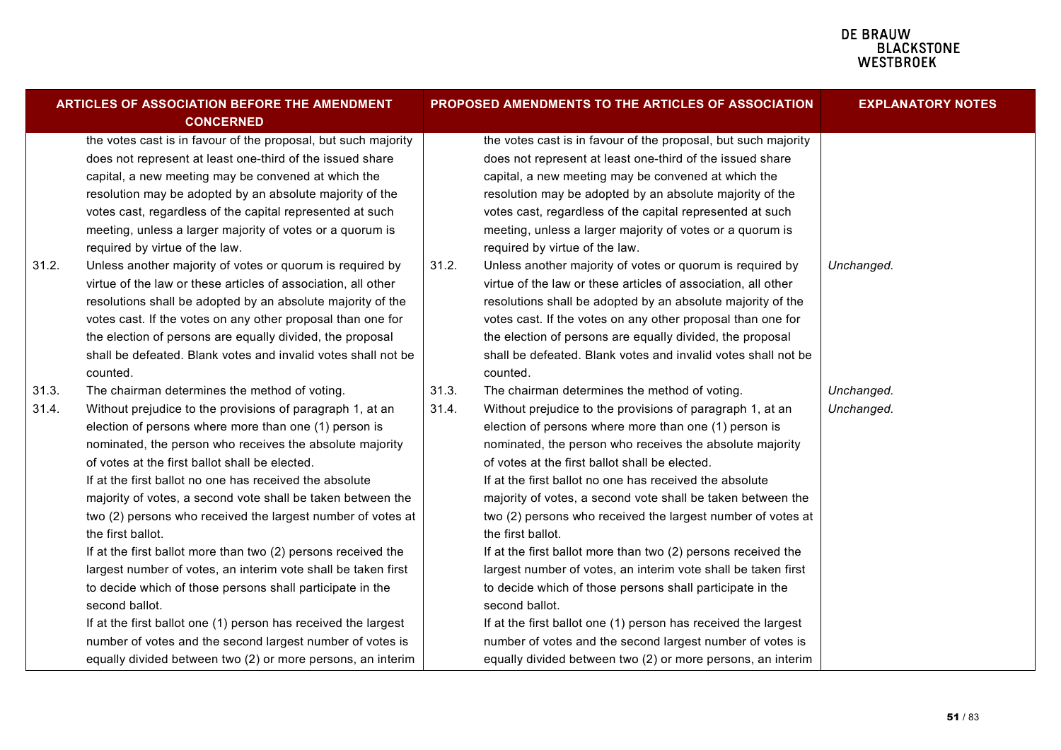| <b>ARTICLES OF ASSOCIATION BEFORE THE AMENDMENT</b><br><b>CONCERNED</b>                                                                                                                                                                                                                                                                                                                                                                                                                                                                                                                                                                                                                                                                                                                                                                                                                                                          | PROPOSED AMENDMENTS TO THE ARTICLES OF ASSOCIATION                                                                                                                                                                                                                                                                                                                                                                                                                                                                                                                                                                                                                                                                                                                                                                                                                                                                               | <b>EXPLANATORY NOTES</b> |
|----------------------------------------------------------------------------------------------------------------------------------------------------------------------------------------------------------------------------------------------------------------------------------------------------------------------------------------------------------------------------------------------------------------------------------------------------------------------------------------------------------------------------------------------------------------------------------------------------------------------------------------------------------------------------------------------------------------------------------------------------------------------------------------------------------------------------------------------------------------------------------------------------------------------------------|----------------------------------------------------------------------------------------------------------------------------------------------------------------------------------------------------------------------------------------------------------------------------------------------------------------------------------------------------------------------------------------------------------------------------------------------------------------------------------------------------------------------------------------------------------------------------------------------------------------------------------------------------------------------------------------------------------------------------------------------------------------------------------------------------------------------------------------------------------------------------------------------------------------------------------|--------------------------|
| the votes cast is in favour of the proposal, but such majority<br>does not represent at least one-third of the issued share<br>capital, a new meeting may be convened at which the<br>resolution may be adopted by an absolute majority of the<br>votes cast, regardless of the capital represented at such<br>meeting, unless a larger majority of votes or a quorum is<br>required by virtue of the law.<br>Unless another majority of votes or quorum is required by<br>31.2.<br>virtue of the law or these articles of association, all other<br>resolutions shall be adopted by an absolute majority of the<br>votes cast. If the votes on any other proposal than one for<br>the election of persons are equally divided, the proposal<br>shall be defeated. Blank votes and invalid votes shall not be<br>counted.                                                                                                        | the votes cast is in favour of the proposal, but such majority<br>does not represent at least one-third of the issued share<br>capital, a new meeting may be convened at which the<br>resolution may be adopted by an absolute majority of the<br>votes cast, regardless of the capital represented at such<br>meeting, unless a larger majority of votes or a quorum is<br>required by virtue of the law.<br>Unless another majority of votes or quorum is required by<br>31.2.<br>virtue of the law or these articles of association, all other<br>resolutions shall be adopted by an absolute majority of the<br>votes cast. If the votes on any other proposal than one for<br>the election of persons are equally divided, the proposal<br>shall be defeated. Blank votes and invalid votes shall not be<br>counted.                                                                                                        | Unchanged.               |
| 31.3.<br>The chairman determines the method of voting.<br>Without prejudice to the provisions of paragraph 1, at an<br>31.4.<br>election of persons where more than one (1) person is<br>nominated, the person who receives the absolute majority<br>of votes at the first ballot shall be elected.<br>If at the first ballot no one has received the absolute<br>majority of votes, a second vote shall be taken between the<br>two (2) persons who received the largest number of votes at<br>the first ballot.<br>If at the first ballot more than two (2) persons received the<br>largest number of votes, an interim vote shall be taken first<br>to decide which of those persons shall participate in the<br>second ballot.<br>If at the first ballot one (1) person has received the largest<br>number of votes and the second largest number of votes is<br>equally divided between two (2) or more persons, an interim | 31.3.<br>The chairman determines the method of voting.<br>31.4.<br>Without prejudice to the provisions of paragraph 1, at an<br>election of persons where more than one (1) person is<br>nominated, the person who receives the absolute majority<br>of votes at the first ballot shall be elected.<br>If at the first ballot no one has received the absolute<br>majority of votes, a second vote shall be taken between the<br>two (2) persons who received the largest number of votes at<br>the first ballot.<br>If at the first ballot more than two (2) persons received the<br>largest number of votes, an interim vote shall be taken first<br>to decide which of those persons shall participate in the<br>second ballot.<br>If at the first ballot one (1) person has received the largest<br>number of votes and the second largest number of votes is<br>equally divided between two (2) or more persons, an interim | Unchanged.<br>Unchanged. |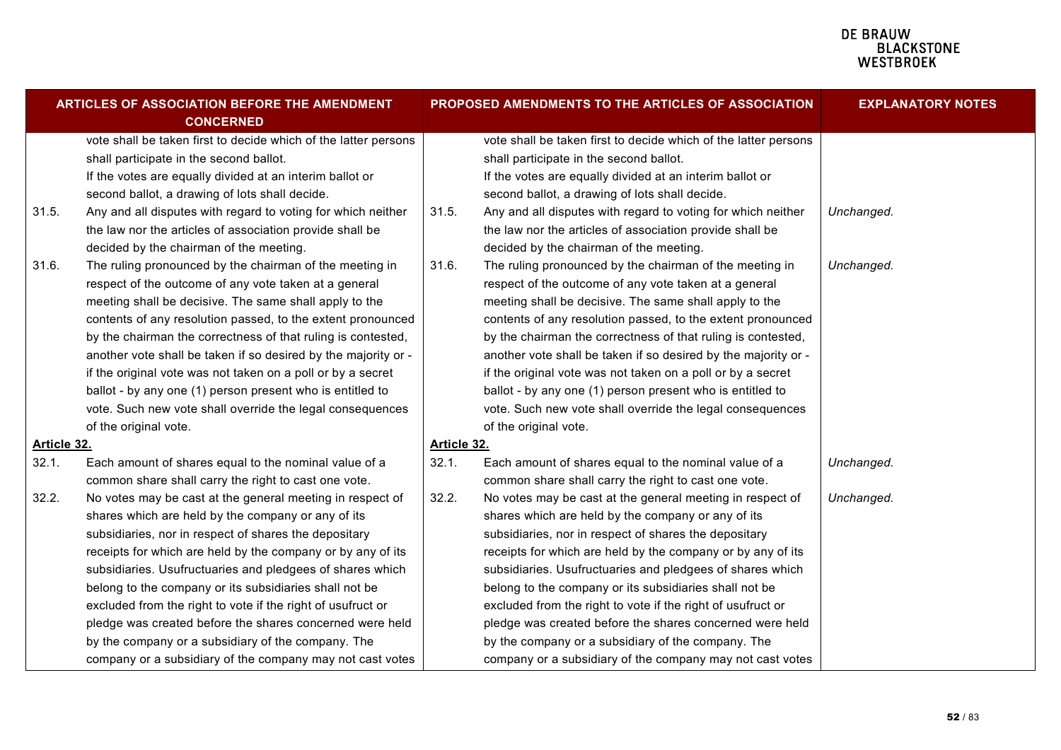|             | <b>ARTICLES OF ASSOCIATION BEFORE THE AMENDMENT</b><br><b>CONCERNED</b> |             | PROPOSED AMENDMENTS TO THE ARTICLES OF ASSOCIATION              | <b>EXPLANATORY NOTES</b> |
|-------------|-------------------------------------------------------------------------|-------------|-----------------------------------------------------------------|--------------------------|
|             | vote shall be taken first to decide which of the latter persons         |             | vote shall be taken first to decide which of the latter persons |                          |
|             | shall participate in the second ballot.                                 |             | shall participate in the second ballot.                         |                          |
|             | If the votes are equally divided at an interim ballot or                |             | If the votes are equally divided at an interim ballot or        |                          |
|             | second ballot, a drawing of lots shall decide.                          |             | second ballot, a drawing of lots shall decide.                  |                          |
| 31.5.       | Any and all disputes with regard to voting for which neither            | 31.5.       | Any and all disputes with regard to voting for which neither    | Unchanged.               |
|             | the law nor the articles of association provide shall be                |             | the law nor the articles of association provide shall be        |                          |
|             | decided by the chairman of the meeting.                                 |             | decided by the chairman of the meeting.                         |                          |
| 31.6.       | The ruling pronounced by the chairman of the meeting in                 | 31.6.       | The ruling pronounced by the chairman of the meeting in         | Unchanged.               |
|             | respect of the outcome of any vote taken at a general                   |             | respect of the outcome of any vote taken at a general           |                          |
|             | meeting shall be decisive. The same shall apply to the                  |             | meeting shall be decisive. The same shall apply to the          |                          |
|             | contents of any resolution passed, to the extent pronounced             |             | contents of any resolution passed, to the extent pronounced     |                          |
|             | by the chairman the correctness of that ruling is contested,            |             | by the chairman the correctness of that ruling is contested,    |                          |
|             | another vote shall be taken if so desired by the majority or -          |             | another vote shall be taken if so desired by the majority or -  |                          |
|             | if the original vote was not taken on a poll or by a secret             |             | if the original vote was not taken on a poll or by a secret     |                          |
|             | ballot - by any one (1) person present who is entitled to               |             | ballot - by any one (1) person present who is entitled to       |                          |
|             | vote. Such new vote shall override the legal consequences               |             | vote. Such new vote shall override the legal consequences       |                          |
|             | of the original vote.                                                   |             | of the original vote.                                           |                          |
| Article 32. |                                                                         | Article 32. |                                                                 |                          |
| 32.1.       | Each amount of shares equal to the nominal value of a                   | 32.1.       | Each amount of shares equal to the nominal value of a           | Unchanged.               |
|             | common share shall carry the right to cast one vote.                    |             | common share shall carry the right to cast one vote.            |                          |
| 32.2.       | No votes may be cast at the general meeting in respect of               | 32.2.       | No votes may be cast at the general meeting in respect of       | Unchanged.               |
|             | shares which are held by the company or any of its                      |             | shares which are held by the company or any of its              |                          |
|             | subsidiaries, nor in respect of shares the depositary                   |             | subsidiaries, nor in respect of shares the depositary           |                          |
|             | receipts for which are held by the company or by any of its             |             | receipts for which are held by the company or by any of its     |                          |
|             | subsidiaries. Usufructuaries and pledgees of shares which               |             | subsidiaries. Usufructuaries and pledgees of shares which       |                          |
|             | belong to the company or its subsidiaries shall not be                  |             | belong to the company or its subsidiaries shall not be          |                          |
|             | excluded from the right to vote if the right of usufruct or             |             | excluded from the right to vote if the right of usufruct or     |                          |
|             | pledge was created before the shares concerned were held                |             | pledge was created before the shares concerned were held        |                          |
|             | by the company or a subsidiary of the company. The                      |             | by the company or a subsidiary of the company. The              |                          |
|             | company or a subsidiary of the company may not cast votes               |             | company or a subsidiary of the company may not cast votes       |                          |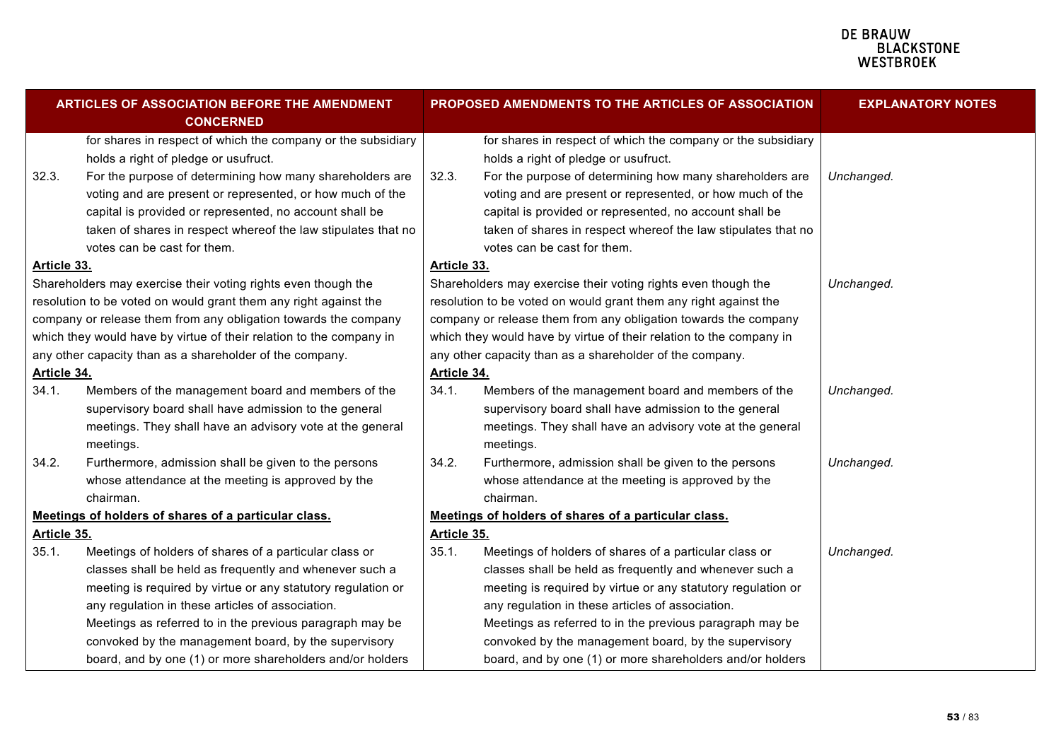| <b>ARTICLES OF ASSOCIATION BEFORE THE AMENDMENT</b><br><b>CONCERNED</b>                                                                                                                                                                                                                                                                                |                                                                                                                                                                                                                                                                                                                                                                                                                        |                                                                                                                                                                                                                                                                                                                                                        | PROPOSED AMENDMENTS TO THE ARTICLES OF ASSOCIATION                                                                                                                                                                                                                                                                                                                                                                     | <b>EXPLANATORY NOTES</b> |
|--------------------------------------------------------------------------------------------------------------------------------------------------------------------------------------------------------------------------------------------------------------------------------------------------------------------------------------------------------|------------------------------------------------------------------------------------------------------------------------------------------------------------------------------------------------------------------------------------------------------------------------------------------------------------------------------------------------------------------------------------------------------------------------|--------------------------------------------------------------------------------------------------------------------------------------------------------------------------------------------------------------------------------------------------------------------------------------------------------------------------------------------------------|------------------------------------------------------------------------------------------------------------------------------------------------------------------------------------------------------------------------------------------------------------------------------------------------------------------------------------------------------------------------------------------------------------------------|--------------------------|
| 32.3.                                                                                                                                                                                                                                                                                                                                                  | for shares in respect of which the company or the subsidiary<br>holds a right of pledge or usufruct.<br>For the purpose of determining how many shareholders are<br>voting and are present or represented, or how much of the<br>capital is provided or represented, no account shall be<br>taken of shares in respect whereof the law stipulates that no<br>votes can be cast for them.                               | 32.3.                                                                                                                                                                                                                                                                                                                                                  | for shares in respect of which the company or the subsidiary<br>holds a right of pledge or usufruct.<br>For the purpose of determining how many shareholders are<br>voting and are present or represented, or how much of the<br>capital is provided or represented, no account shall be<br>taken of shares in respect whereof the law stipulates that no<br>votes can be cast for them.                               | Unchanged.               |
| Article 33.                                                                                                                                                                                                                                                                                                                                            |                                                                                                                                                                                                                                                                                                                                                                                                                        | Article 33.                                                                                                                                                                                                                                                                                                                                            |                                                                                                                                                                                                                                                                                                                                                                                                                        |                          |
| Shareholders may exercise their voting rights even though the<br>resolution to be voted on would grant them any right against the<br>company or release them from any obligation towards the company<br>which they would have by virtue of their relation to the company in<br>any other capacity than as a shareholder of the company.<br>Article 34. |                                                                                                                                                                                                                                                                                                                                                                                                                        | Shareholders may exercise their voting rights even though the<br>resolution to be voted on would grant them any right against the<br>company or release them from any obligation towards the company<br>which they would have by virtue of their relation to the company in<br>any other capacity than as a shareholder of the company.<br>Article 34. |                                                                                                                                                                                                                                                                                                                                                                                                                        | Unchanged.               |
| 34.1.                                                                                                                                                                                                                                                                                                                                                  | Members of the management board and members of the<br>supervisory board shall have admission to the general<br>meetings. They shall have an advisory vote at the general<br>meetings.                                                                                                                                                                                                                                  | 34.1.                                                                                                                                                                                                                                                                                                                                                  | Members of the management board and members of the<br>supervisory board shall have admission to the general<br>meetings. They shall have an advisory vote at the general<br>meetings.                                                                                                                                                                                                                                  | Unchanged.               |
| 34.2.                                                                                                                                                                                                                                                                                                                                                  | Furthermore, admission shall be given to the persons<br>whose attendance at the meeting is approved by the<br>chairman.                                                                                                                                                                                                                                                                                                | 34.2.                                                                                                                                                                                                                                                                                                                                                  | Furthermore, admission shall be given to the persons<br>whose attendance at the meeting is approved by the<br>chairman.                                                                                                                                                                                                                                                                                                | Unchanged.               |
|                                                                                                                                                                                                                                                                                                                                                        | Meetings of holders of shares of a particular class.                                                                                                                                                                                                                                                                                                                                                                   | Meetings of holders of shares of a particular class.                                                                                                                                                                                                                                                                                                   |                                                                                                                                                                                                                                                                                                                                                                                                                        |                          |
| Article 35.                                                                                                                                                                                                                                                                                                                                            |                                                                                                                                                                                                                                                                                                                                                                                                                        | Article 35.                                                                                                                                                                                                                                                                                                                                            |                                                                                                                                                                                                                                                                                                                                                                                                                        |                          |
| 35.1.                                                                                                                                                                                                                                                                                                                                                  | Meetings of holders of shares of a particular class or<br>classes shall be held as frequently and whenever such a<br>meeting is required by virtue or any statutory regulation or<br>any regulation in these articles of association.<br>Meetings as referred to in the previous paragraph may be<br>convoked by the management board, by the supervisory<br>board, and by one (1) or more shareholders and/or holders | 35.1.                                                                                                                                                                                                                                                                                                                                                  | Meetings of holders of shares of a particular class or<br>classes shall be held as frequently and whenever such a<br>meeting is required by virtue or any statutory regulation or<br>any regulation in these articles of association.<br>Meetings as referred to in the previous paragraph may be<br>convoked by the management board, by the supervisory<br>board, and by one (1) or more shareholders and/or holders | Unchanged.               |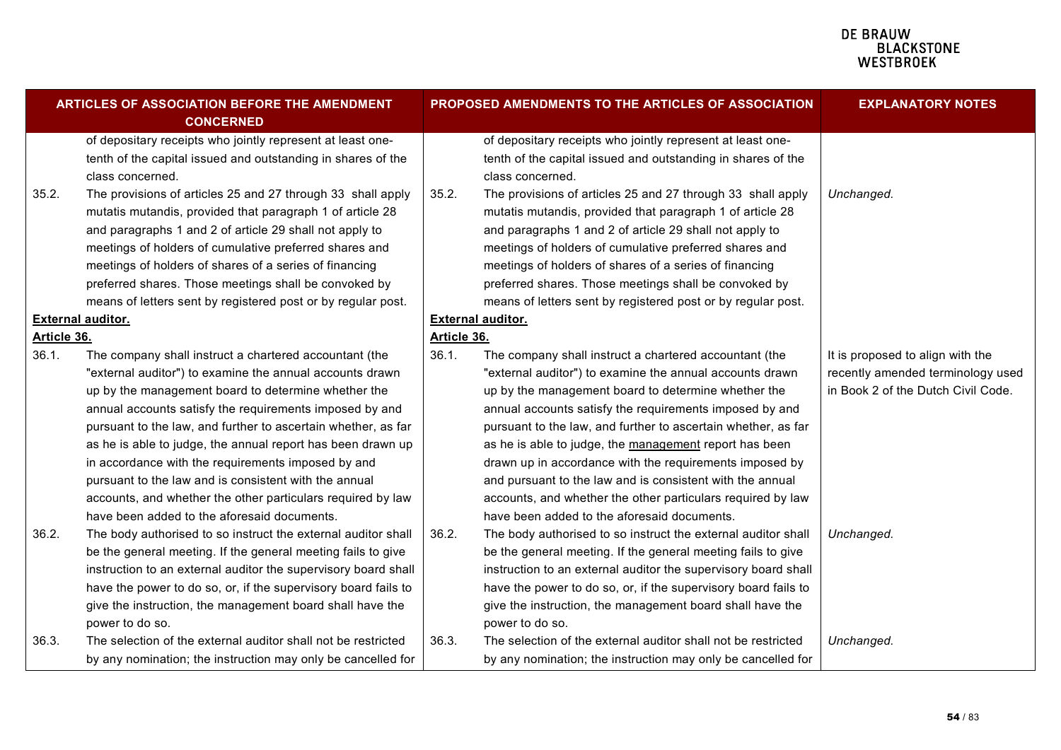| <b>ARTICLES OF ASSOCIATION BEFORE THE AMENDMENT</b><br><b>CONCERNED</b> |                                                                                                                                                                                                                                                                                                                                                                                                                                                                                                                                                                                                   |             | PROPOSED AMENDMENTS TO THE ARTICLES OF ASSOCIATION                                                                                                                                                                                                                                                                                                                                                                                                                                                                                                                                                    | <b>EXPLANATORY NOTES</b>                                                                                    |
|-------------------------------------------------------------------------|---------------------------------------------------------------------------------------------------------------------------------------------------------------------------------------------------------------------------------------------------------------------------------------------------------------------------------------------------------------------------------------------------------------------------------------------------------------------------------------------------------------------------------------------------------------------------------------------------|-------------|-------------------------------------------------------------------------------------------------------------------------------------------------------------------------------------------------------------------------------------------------------------------------------------------------------------------------------------------------------------------------------------------------------------------------------------------------------------------------------------------------------------------------------------------------------------------------------------------------------|-------------------------------------------------------------------------------------------------------------|
| 35.2.                                                                   | of depositary receipts who jointly represent at least one-<br>tenth of the capital issued and outstanding in shares of the<br>class concerned.<br>The provisions of articles 25 and 27 through 33 shall apply                                                                                                                                                                                                                                                                                                                                                                                     | 35.2.       | of depositary receipts who jointly represent at least one-<br>tenth of the capital issued and outstanding in shares of the<br>class concerned.<br>The provisions of articles 25 and 27 through 33 shall apply                                                                                                                                                                                                                                                                                                                                                                                         | Unchanged.                                                                                                  |
|                                                                         | mutatis mutandis, provided that paragraph 1 of article 28<br>and paragraphs 1 and 2 of article 29 shall not apply to<br>meetings of holders of cumulative preferred shares and<br>meetings of holders of shares of a series of financing<br>preferred shares. Those meetings shall be convoked by<br>means of letters sent by registered post or by regular post.                                                                                                                                                                                                                                 |             | mutatis mutandis, provided that paragraph 1 of article 28<br>and paragraphs 1 and 2 of article 29 shall not apply to<br>meetings of holders of cumulative preferred shares and<br>meetings of holders of shares of a series of financing<br>preferred shares. Those meetings shall be convoked by<br>means of letters sent by registered post or by regular post.                                                                                                                                                                                                                                     |                                                                                                             |
|                                                                         | <b>External auditor.</b>                                                                                                                                                                                                                                                                                                                                                                                                                                                                                                                                                                          |             | <b>External auditor.</b>                                                                                                                                                                                                                                                                                                                                                                                                                                                                                                                                                                              |                                                                                                             |
| <u>Article 36.</u>                                                      |                                                                                                                                                                                                                                                                                                                                                                                                                                                                                                                                                                                                   | Article 36. |                                                                                                                                                                                                                                                                                                                                                                                                                                                                                                                                                                                                       |                                                                                                             |
| 36.1.                                                                   | The company shall instruct a chartered accountant (the<br>"external auditor") to examine the annual accounts drawn<br>up by the management board to determine whether the<br>annual accounts satisfy the requirements imposed by and<br>pursuant to the law, and further to ascertain whether, as far<br>as he is able to judge, the annual report has been drawn up<br>in accordance with the requirements imposed by and<br>pursuant to the law and is consistent with the annual<br>accounts, and whether the other particulars required by law<br>have been added to the aforesaid documents. | 36.1.       | The company shall instruct a chartered accountant (the<br>"external auditor") to examine the annual accounts drawn<br>up by the management board to determine whether the<br>annual accounts satisfy the requirements imposed by and<br>pursuant to the law, and further to ascertain whether, as far<br>as he is able to judge, the management report has been<br>drawn up in accordance with the requirements imposed by<br>and pursuant to the law and is consistent with the annual<br>accounts, and whether the other particulars required by law<br>have been added to the aforesaid documents. | It is proposed to align with the<br>recently amended terminology used<br>in Book 2 of the Dutch Civil Code. |
| 36.2.                                                                   | The body authorised to so instruct the external auditor shall<br>be the general meeting. If the general meeting fails to give<br>instruction to an external auditor the supervisory board shall<br>have the power to do so, or, if the supervisory board fails to<br>give the instruction, the management board shall have the<br>power to do so.                                                                                                                                                                                                                                                 | 36.2.       | The body authorised to so instruct the external auditor shall<br>be the general meeting. If the general meeting fails to give<br>instruction to an external auditor the supervisory board shall<br>have the power to do so, or, if the supervisory board fails to<br>give the instruction, the management board shall have the<br>power to do so.                                                                                                                                                                                                                                                     | Unchanged.                                                                                                  |
| 36.3.                                                                   | The selection of the external auditor shall not be restricted<br>by any nomination; the instruction may only be cancelled for                                                                                                                                                                                                                                                                                                                                                                                                                                                                     | 36.3.       | The selection of the external auditor shall not be restricted<br>by any nomination; the instruction may only be cancelled for                                                                                                                                                                                                                                                                                                                                                                                                                                                                         | Unchanged.                                                                                                  |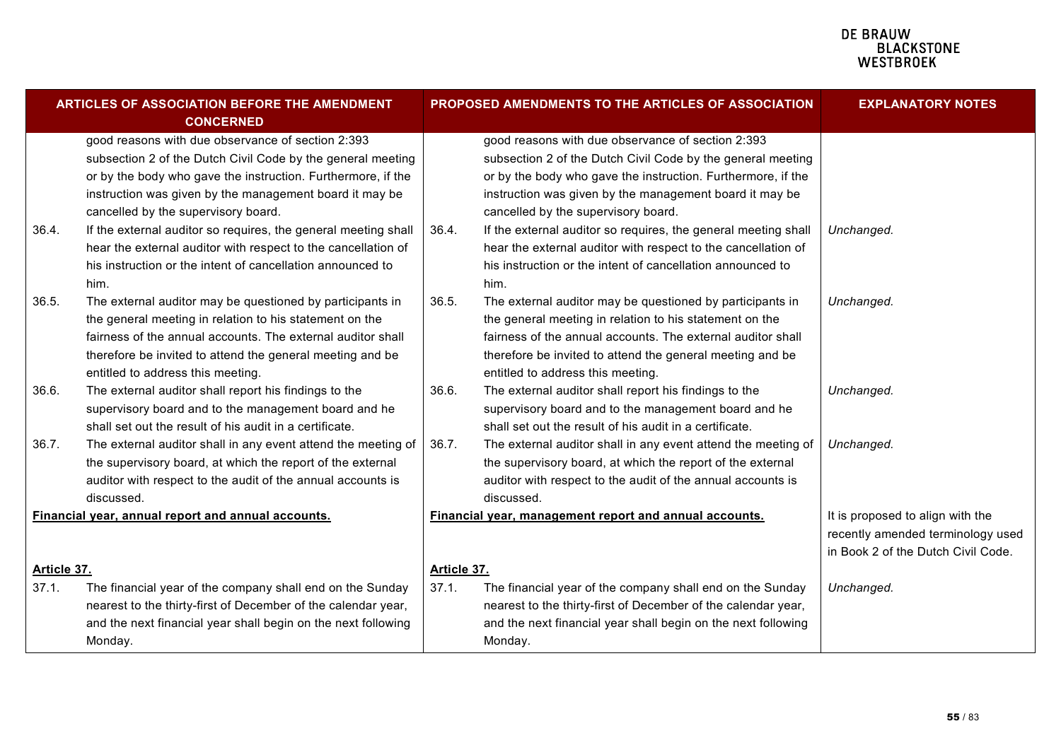|                      | ARTICLES OF ASSOCIATION BEFORE THE AMENDMENT<br><b>CONCERNED</b>                                                                                                                                                                                                                      |                      | PROPOSED AMENDMENTS TO THE ARTICLES OF ASSOCIATION                                                                                                                                                                                                                                    | <b>EXPLANATORY NOTES</b>                                                                                    |
|----------------------|---------------------------------------------------------------------------------------------------------------------------------------------------------------------------------------------------------------------------------------------------------------------------------------|----------------------|---------------------------------------------------------------------------------------------------------------------------------------------------------------------------------------------------------------------------------------------------------------------------------------|-------------------------------------------------------------------------------------------------------------|
|                      | good reasons with due observance of section 2:393<br>subsection 2 of the Dutch Civil Code by the general meeting<br>or by the body who gave the instruction. Furthermore, if the<br>instruction was given by the management board it may be<br>cancelled by the supervisory board.    |                      | good reasons with due observance of section 2:393<br>subsection 2 of the Dutch Civil Code by the general meeting<br>or by the body who gave the instruction. Furthermore, if the<br>instruction was given by the management board it may be<br>cancelled by the supervisory board.    |                                                                                                             |
| 36.4.                | If the external auditor so requires, the general meeting shall<br>hear the external auditor with respect to the cancellation of<br>his instruction or the intent of cancellation announced to<br>him.                                                                                 | 36.4.                | If the external auditor so requires, the general meeting shall<br>hear the external auditor with respect to the cancellation of<br>his instruction or the intent of cancellation announced to<br>him.                                                                                 | Unchanged.                                                                                                  |
| 36.5.                | The external auditor may be questioned by participants in<br>the general meeting in relation to his statement on the<br>fairness of the annual accounts. The external auditor shall<br>therefore be invited to attend the general meeting and be<br>entitled to address this meeting. | 36.5.                | The external auditor may be questioned by participants in<br>the general meeting in relation to his statement on the<br>fairness of the annual accounts. The external auditor shall<br>therefore be invited to attend the general meeting and be<br>entitled to address this meeting. | Unchanged.                                                                                                  |
| 36.6.                | The external auditor shall report his findings to the<br>supervisory board and to the management board and he<br>shall set out the result of his audit in a certificate.                                                                                                              | 36.6.                | The external auditor shall report his findings to the<br>supervisory board and to the management board and he<br>shall set out the result of his audit in a certificate.                                                                                                              | Unchanged.                                                                                                  |
| 36.7.                | The external auditor shall in any event attend the meeting of<br>the supervisory board, at which the report of the external<br>auditor with respect to the audit of the annual accounts is<br>discussed.                                                                              | 36.7.                | The external auditor shall in any event attend the meeting of<br>the supervisory board, at which the report of the external<br>auditor with respect to the audit of the annual accounts is<br>discussed.                                                                              | Unchanged.                                                                                                  |
|                      | Financial year, annual report and annual accounts.                                                                                                                                                                                                                                    |                      | Financial year, management report and annual accounts.                                                                                                                                                                                                                                | It is proposed to align with the<br>recently amended terminology used<br>in Book 2 of the Dutch Civil Code. |
| Article 37.<br>37.1. | The financial year of the company shall end on the Sunday<br>nearest to the thirty-first of December of the calendar year,<br>and the next financial year shall begin on the next following<br>Monday.                                                                                | Article 37.<br>37.1. | The financial year of the company shall end on the Sunday<br>nearest to the thirty-first of December of the calendar year,<br>and the next financial year shall begin on the next following<br>Monday.                                                                                | Unchanged.                                                                                                  |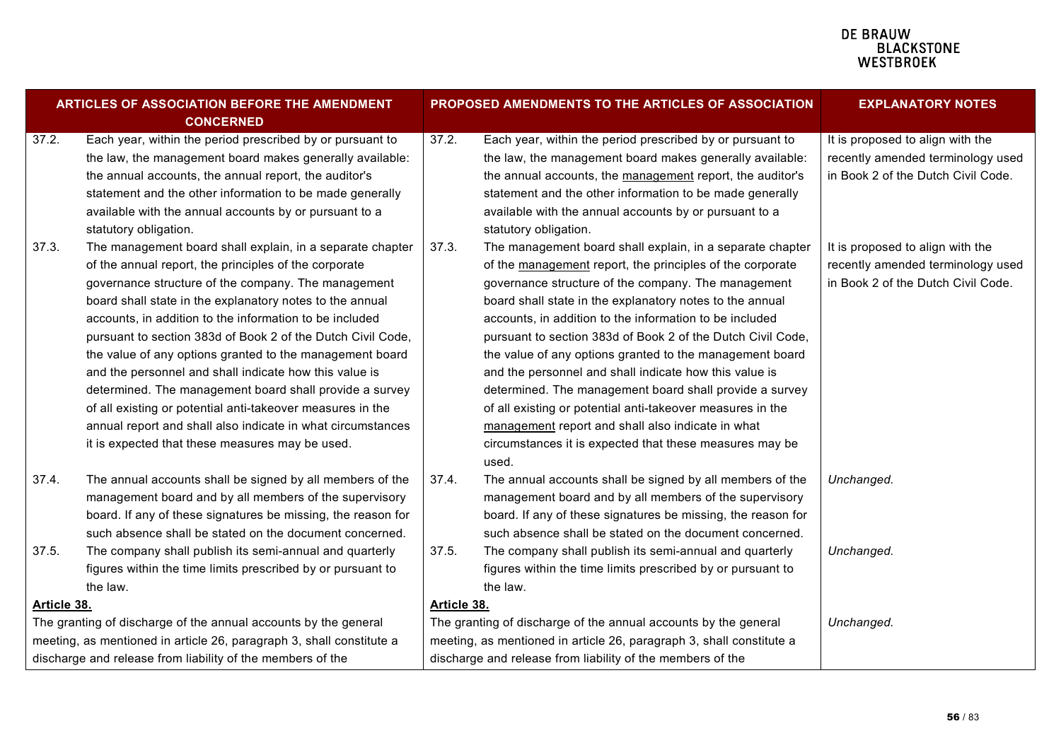|                     | ARTICLES OF ASSOCIATION BEFORE THE AMENDMENT<br><b>CONCERNED</b>                                                                                                                                                                                                                                                                                                                                                                                                                                                                                                                                                                                                                                                                 |             | PROPOSED AMENDMENTS TO THE ARTICLES OF ASSOCIATION                                                                                                                                                                                                                                                                                                                                                                                                                                                                                                                                                                                                                                                                                          | <b>EXPLANATORY NOTES</b>                                                                                    |
|---------------------|----------------------------------------------------------------------------------------------------------------------------------------------------------------------------------------------------------------------------------------------------------------------------------------------------------------------------------------------------------------------------------------------------------------------------------------------------------------------------------------------------------------------------------------------------------------------------------------------------------------------------------------------------------------------------------------------------------------------------------|-------------|---------------------------------------------------------------------------------------------------------------------------------------------------------------------------------------------------------------------------------------------------------------------------------------------------------------------------------------------------------------------------------------------------------------------------------------------------------------------------------------------------------------------------------------------------------------------------------------------------------------------------------------------------------------------------------------------------------------------------------------------|-------------------------------------------------------------------------------------------------------------|
| $\overline{37.2}$ . | Each year, within the period prescribed by or pursuant to<br>the law, the management board makes generally available:<br>the annual accounts, the annual report, the auditor's<br>statement and the other information to be made generally<br>available with the annual accounts by or pursuant to a<br>statutory obligation.                                                                                                                                                                                                                                                                                                                                                                                                    | 37.2.       | Each year, within the period prescribed by or pursuant to<br>the law, the management board makes generally available:<br>the annual accounts, the management report, the auditor's<br>statement and the other information to be made generally<br>available with the annual accounts by or pursuant to a<br>statutory obligation.                                                                                                                                                                                                                                                                                                                                                                                                           | It is proposed to align with the<br>recently amended terminology used<br>in Book 2 of the Dutch Civil Code. |
| 37.3.               | The management board shall explain, in a separate chapter<br>of the annual report, the principles of the corporate<br>governance structure of the company. The management<br>board shall state in the explanatory notes to the annual<br>accounts, in addition to the information to be included<br>pursuant to section 383d of Book 2 of the Dutch Civil Code,<br>the value of any options granted to the management board<br>and the personnel and shall indicate how this value is<br>determined. The management board shall provide a survey<br>of all existing or potential anti-takeover measures in the<br>annual report and shall also indicate in what circumstances<br>it is expected that these measures may be used. | 37.3.       | The management board shall explain, in a separate chapter<br>of the management report, the principles of the corporate<br>governance structure of the company. The management<br>board shall state in the explanatory notes to the annual<br>accounts, in addition to the information to be included<br>pursuant to section 383d of Book 2 of the Dutch Civil Code,<br>the value of any options granted to the management board<br>and the personnel and shall indicate how this value is<br>determined. The management board shall provide a survey<br>of all existing or potential anti-takeover measures in the<br>management report and shall also indicate in what<br>circumstances it is expected that these measures may be<br>used. | It is proposed to align with the<br>recently amended terminology used<br>in Book 2 of the Dutch Civil Code. |
| 37.4.               | The annual accounts shall be signed by all members of the<br>management board and by all members of the supervisory<br>board. If any of these signatures be missing, the reason for<br>such absence shall be stated on the document concerned.                                                                                                                                                                                                                                                                                                                                                                                                                                                                                   | 37.4.       | The annual accounts shall be signed by all members of the<br>management board and by all members of the supervisory<br>board. If any of these signatures be missing, the reason for<br>such absence shall be stated on the document concerned.                                                                                                                                                                                                                                                                                                                                                                                                                                                                                              | Unchanged.                                                                                                  |
| 37.5.               | The company shall publish its semi-annual and quarterly<br>figures within the time limits prescribed by or pursuant to<br>the law.                                                                                                                                                                                                                                                                                                                                                                                                                                                                                                                                                                                               | 37.5.       | The company shall publish its semi-annual and quarterly<br>figures within the time limits prescribed by or pursuant to<br>the law.                                                                                                                                                                                                                                                                                                                                                                                                                                                                                                                                                                                                          | Unchanged.                                                                                                  |
| Article 38.         |                                                                                                                                                                                                                                                                                                                                                                                                                                                                                                                                                                                                                                                                                                                                  | Article 38. |                                                                                                                                                                                                                                                                                                                                                                                                                                                                                                                                                                                                                                                                                                                                             |                                                                                                             |
|                     | The granting of discharge of the annual accounts by the general                                                                                                                                                                                                                                                                                                                                                                                                                                                                                                                                                                                                                                                                  |             | The granting of discharge of the annual accounts by the general                                                                                                                                                                                                                                                                                                                                                                                                                                                                                                                                                                                                                                                                             | Unchanged.                                                                                                  |
|                     | meeting, as mentioned in article 26, paragraph 3, shall constitute a                                                                                                                                                                                                                                                                                                                                                                                                                                                                                                                                                                                                                                                             |             | meeting, as mentioned in article 26, paragraph 3, shall constitute a                                                                                                                                                                                                                                                                                                                                                                                                                                                                                                                                                                                                                                                                        |                                                                                                             |
|                     | discharge and release from liability of the members of the                                                                                                                                                                                                                                                                                                                                                                                                                                                                                                                                                                                                                                                                       |             | discharge and release from liability of the members of the                                                                                                                                                                                                                                                                                                                                                                                                                                                                                                                                                                                                                                                                                  |                                                                                                             |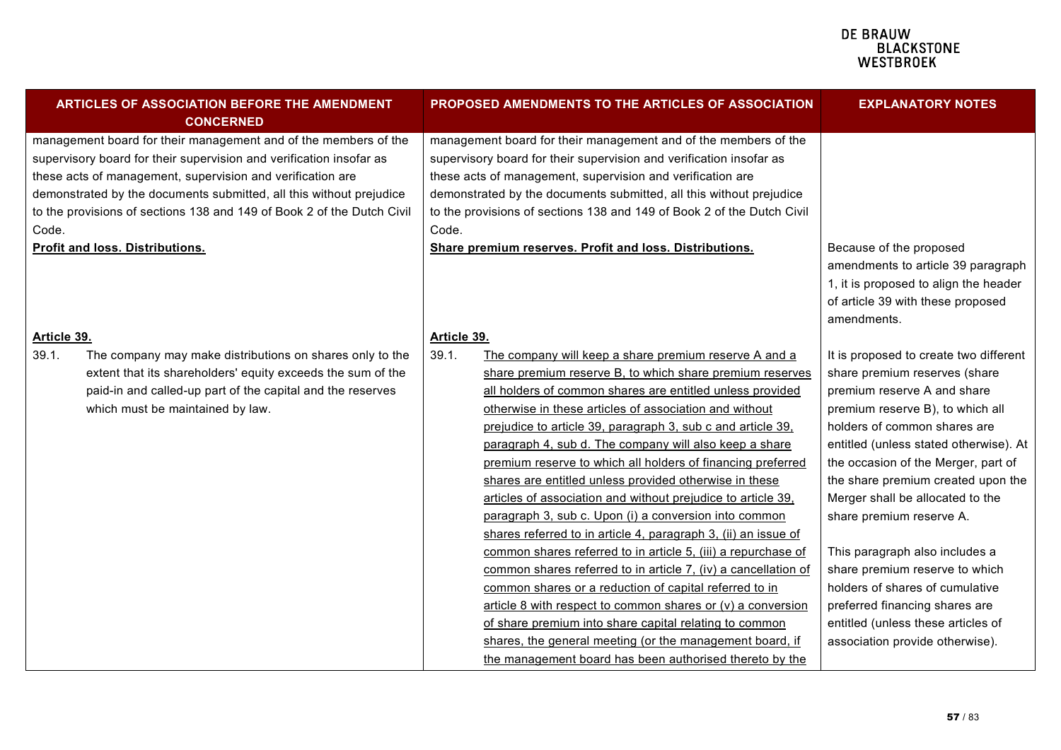| ARTICLES OF ASSOCIATION BEFORE THE AMENDMENT<br><b>CONCERNED</b>                                                                                                                                                                                                                                                                                               |       | PROPOSED AMENDMENTS TO THE ARTICLES OF ASSOCIATION                                                                                                                                                                                                                                                                                                                                                                                                                                                                                                                                                                                                                                                                                                                                                                                                                                                                                                                                                                                                                                                                                   | <b>EXPLANATORY NOTES</b>                                                                                                                                                                                                                                                                                                                                                                                                                                                                                                                                                            |
|----------------------------------------------------------------------------------------------------------------------------------------------------------------------------------------------------------------------------------------------------------------------------------------------------------------------------------------------------------------|-------|--------------------------------------------------------------------------------------------------------------------------------------------------------------------------------------------------------------------------------------------------------------------------------------------------------------------------------------------------------------------------------------------------------------------------------------------------------------------------------------------------------------------------------------------------------------------------------------------------------------------------------------------------------------------------------------------------------------------------------------------------------------------------------------------------------------------------------------------------------------------------------------------------------------------------------------------------------------------------------------------------------------------------------------------------------------------------------------------------------------------------------------|-------------------------------------------------------------------------------------------------------------------------------------------------------------------------------------------------------------------------------------------------------------------------------------------------------------------------------------------------------------------------------------------------------------------------------------------------------------------------------------------------------------------------------------------------------------------------------------|
| management board for their management and of the members of the<br>supervisory board for their supervision and verification insofar as<br>these acts of management, supervision and verification are<br>demonstrated by the documents submitted, all this without prejudice<br>to the provisions of sections 138 and 149 of Book 2 of the Dutch Civil<br>Code. |       | management board for their management and of the members of the<br>supervisory board for their supervision and verification insofar as<br>these acts of management, supervision and verification are<br>demonstrated by the documents submitted, all this without prejudice<br>to the provisions of sections 138 and 149 of Book 2 of the Dutch Civil                                                                                                                                                                                                                                                                                                                                                                                                                                                                                                                                                                                                                                                                                                                                                                                |                                                                                                                                                                                                                                                                                                                                                                                                                                                                                                                                                                                     |
| Profit and loss. Distributions.                                                                                                                                                                                                                                                                                                                                |       | Share premium reserves. Profit and loss. Distributions.                                                                                                                                                                                                                                                                                                                                                                                                                                                                                                                                                                                                                                                                                                                                                                                                                                                                                                                                                                                                                                                                              | Because of the proposed<br>amendments to article 39 paragraph<br>1, it is proposed to align the header<br>of article 39 with these proposed<br>amendments.                                                                                                                                                                                                                                                                                                                                                                                                                          |
| Article 39.                                                                                                                                                                                                                                                                                                                                                    |       | Article 39.                                                                                                                                                                                                                                                                                                                                                                                                                                                                                                                                                                                                                                                                                                                                                                                                                                                                                                                                                                                                                                                                                                                          |                                                                                                                                                                                                                                                                                                                                                                                                                                                                                                                                                                                     |
| 39.1.<br>The company may make distributions on shares only to the<br>extent that its shareholders' equity exceeds the sum of the<br>paid-in and called-up part of the capital and the reserves<br>which must be maintained by law.                                                                                                                             | 39.1. | The company will keep a share premium reserve A and a<br>share premium reserve B, to which share premium reserves<br>all holders of common shares are entitled unless provided<br>otherwise in these articles of association and without<br>prejudice to article 39, paragraph 3, sub c and article 39,<br>paragraph 4, sub d. The company will also keep a share<br>premium reserve to which all holders of financing preferred<br>shares are entitled unless provided otherwise in these<br>articles of association and without prejudice to article 39,<br>paragraph 3, sub c. Upon (i) a conversion into common<br>shares referred to in article 4, paragraph 3, (ii) an issue of<br>common shares referred to in article 5, (iii) a repurchase of<br>common shares referred to in article 7, (iv) a cancellation of<br>common shares or a reduction of capital referred to in<br>article 8 with respect to common shares or $(v)$ a conversion<br>of share premium into share capital relating to common<br>shares, the general meeting (or the management board, if<br>the management board has been authorised thereto by the | It is proposed to create two different<br>share premium reserves (share<br>premium reserve A and share<br>premium reserve B), to which all<br>holders of common shares are<br>entitled (unless stated otherwise). At<br>the occasion of the Merger, part of<br>the share premium created upon the<br>Merger shall be allocated to the<br>share premium reserve A.<br>This paragraph also includes a<br>share premium reserve to which<br>holders of shares of cumulative<br>preferred financing shares are<br>entitled (unless these articles of<br>association provide otherwise). |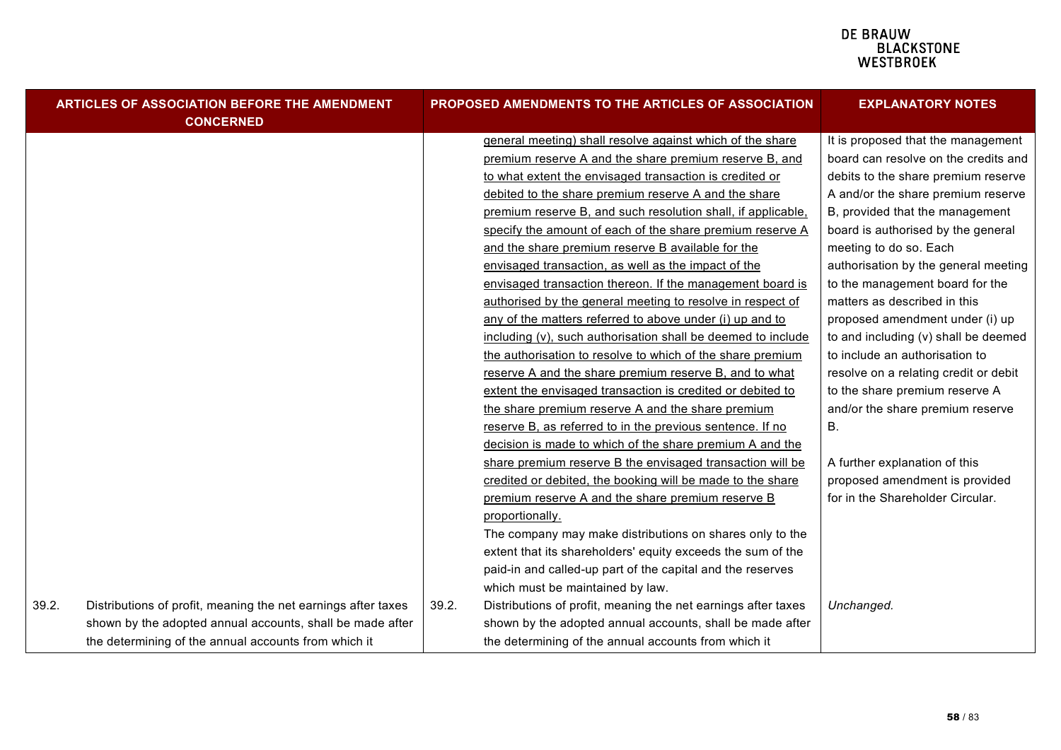|       | ARTICLES OF ASSOCIATION BEFORE THE AMENDMENT<br><b>CONCERNED</b> |       | PROPOSED AMENDMENTS TO THE ARTICLES OF ASSOCIATION            | <b>EXPLANATORY NOTES</b>              |
|-------|------------------------------------------------------------------|-------|---------------------------------------------------------------|---------------------------------------|
|       |                                                                  |       | general meeting) shall resolve against which of the share     | It is proposed that the management    |
|       |                                                                  |       | premium reserve A and the share premium reserve B, and        | board can resolve on the credits and  |
|       |                                                                  |       | to what extent the envisaged transaction is credited or       | debits to the share premium reserve   |
|       |                                                                  |       | debited to the share premium reserve A and the share          | A and/or the share premium reserve    |
|       |                                                                  |       | premium reserve B, and such resolution shall, if applicable,  | B, provided that the management       |
|       |                                                                  |       | specify the amount of each of the share premium reserve A     | board is authorised by the general    |
|       |                                                                  |       | and the share premium reserve B available for the             | meeting to do so. Each                |
|       |                                                                  |       | envisaged transaction, as well as the impact of the           | authorisation by the general meeting  |
|       |                                                                  |       | envisaged transaction thereon. If the management board is     | to the management board for the       |
|       |                                                                  |       | authorised by the general meeting to resolve in respect of    | matters as described in this          |
|       |                                                                  |       | any of the matters referred to above under (i) up and to      | proposed amendment under (i) up       |
|       |                                                                  |       | including (v), such authorisation shall be deemed to include  | to and including (v) shall be deemed  |
|       |                                                                  |       | the authorisation to resolve to which of the share premium    | to include an authorisation to        |
|       |                                                                  |       | reserve A and the share premium reserve B, and to what        | resolve on a relating credit or debit |
|       |                                                                  |       | extent the envisaged transaction is credited or debited to    | to the share premium reserve A        |
|       |                                                                  |       | the share premium reserve A and the share premium             | and/or the share premium reserve      |
|       |                                                                  |       | reserve B, as referred to in the previous sentence. If no     | Β.                                    |
|       |                                                                  |       | decision is made to which of the share premium A and the      |                                       |
|       |                                                                  |       | share premium reserve B the envisaged transaction will be     | A further explanation of this         |
|       |                                                                  |       | credited or debited, the booking will be made to the share    | proposed amendment is provided        |
|       |                                                                  |       | premium reserve A and the share premium reserve B             | for in the Shareholder Circular.      |
|       |                                                                  |       | proportionally.                                               |                                       |
|       |                                                                  |       | The company may make distributions on shares only to the      |                                       |
|       |                                                                  |       | extent that its shareholders' equity exceeds the sum of the   |                                       |
|       |                                                                  |       | paid-in and called-up part of the capital and the reserves    |                                       |
|       |                                                                  |       | which must be maintained by law.                              |                                       |
| 39.2. | Distributions of profit, meaning the net earnings after taxes    | 39.2. | Distributions of profit, meaning the net earnings after taxes | Unchanged.                            |
|       | shown by the adopted annual accounts, shall be made after        |       | shown by the adopted annual accounts, shall be made after     |                                       |
|       | the determining of the annual accounts from which it             |       | the determining of the annual accounts from which it          |                                       |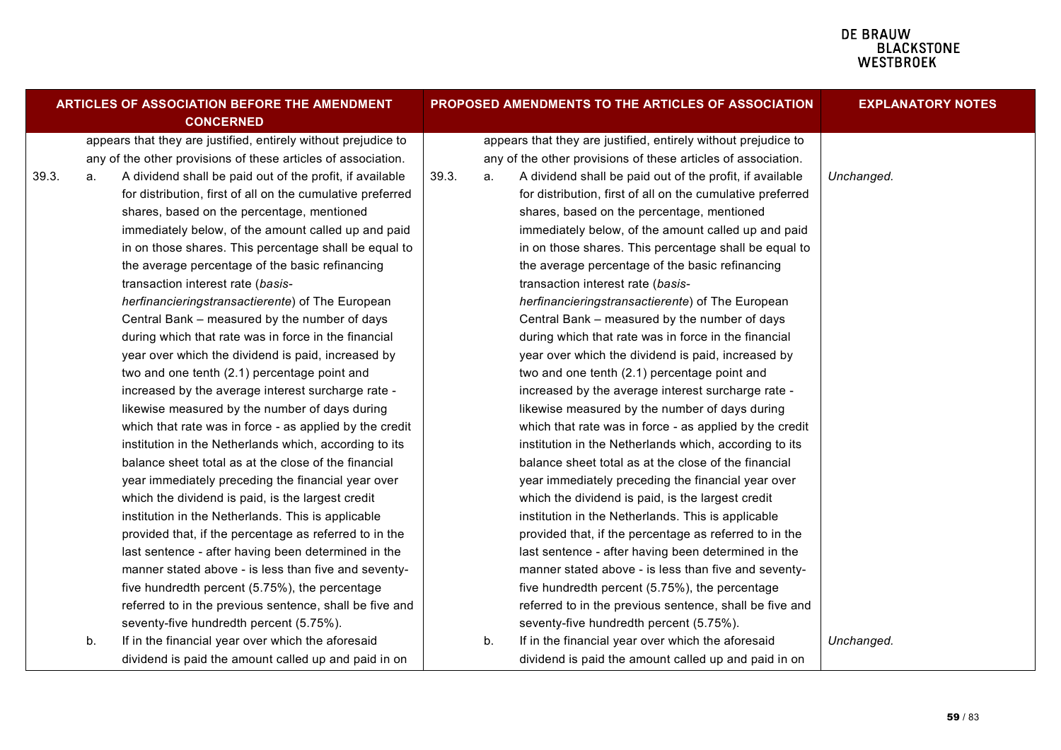| <b>ARTICLES OF ASSOCIATION BEFORE THE AMENDMENT</b><br><b>CONCERNED</b> |    |                                                                |       |    | PROPOSED AMENDMENTS TO THE ARTICLES OF ASSOCIATION             | <b>EXPLANATORY NOTES</b> |
|-------------------------------------------------------------------------|----|----------------------------------------------------------------|-------|----|----------------------------------------------------------------|--------------------------|
|                                                                         |    | appears that they are justified, entirely without prejudice to |       |    | appears that they are justified, entirely without prejudice to |                          |
|                                                                         |    | any of the other provisions of these articles of association.  |       |    | any of the other provisions of these articles of association.  |                          |
| 39.3.                                                                   | а. | A dividend shall be paid out of the profit, if available       | 39.3. | a. | A dividend shall be paid out of the profit, if available       | Unchanged.               |
|                                                                         |    | for distribution, first of all on the cumulative preferred     |       |    | for distribution, first of all on the cumulative preferred     |                          |
|                                                                         |    | shares, based on the percentage, mentioned                     |       |    | shares, based on the percentage, mentioned                     |                          |
|                                                                         |    | immediately below, of the amount called up and paid            |       |    | immediately below, of the amount called up and paid            |                          |
|                                                                         |    | in on those shares. This percentage shall be equal to          |       |    | in on those shares. This percentage shall be equal to          |                          |
|                                                                         |    | the average percentage of the basic refinancing                |       |    | the average percentage of the basic refinancing                |                          |
|                                                                         |    | transaction interest rate (basis-                              |       |    | transaction interest rate (basis-                              |                          |
|                                                                         |    | herfinancieringstransactierente) of The European               |       |    | herfinancieringstransactierente) of The European               |                          |
|                                                                         |    | Central Bank – measured by the number of days                  |       |    | Central Bank - measured by the number of days                  |                          |
|                                                                         |    | during which that rate was in force in the financial           |       |    | during which that rate was in force in the financial           |                          |
|                                                                         |    | year over which the dividend is paid, increased by             |       |    | year over which the dividend is paid, increased by             |                          |
|                                                                         |    | two and one tenth (2.1) percentage point and                   |       |    | two and one tenth (2.1) percentage point and                   |                          |
|                                                                         |    | increased by the average interest surcharge rate -             |       |    | increased by the average interest surcharge rate -             |                          |
|                                                                         |    | likewise measured by the number of days during                 |       |    | likewise measured by the number of days during                 |                          |
|                                                                         |    | which that rate was in force - as applied by the credit        |       |    | which that rate was in force - as applied by the credit        |                          |
|                                                                         |    | institution in the Netherlands which, according to its         |       |    | institution in the Netherlands which, according to its         |                          |
|                                                                         |    | balance sheet total as at the close of the financial           |       |    | balance sheet total as at the close of the financial           |                          |
|                                                                         |    | year immediately preceding the financial year over             |       |    | year immediately preceding the financial year over             |                          |
|                                                                         |    | which the dividend is paid, is the largest credit              |       |    | which the dividend is paid, is the largest credit              |                          |
|                                                                         |    | institution in the Netherlands. This is applicable             |       |    | institution in the Netherlands. This is applicable             |                          |
|                                                                         |    | provided that, if the percentage as referred to in the         |       |    | provided that, if the percentage as referred to in the         |                          |
|                                                                         |    | last sentence - after having been determined in the            |       |    | last sentence - after having been determined in the            |                          |
|                                                                         |    | manner stated above - is less than five and seventy-           |       |    | manner stated above - is less than five and seventy-           |                          |
|                                                                         |    | five hundredth percent (5.75%), the percentage                 |       |    | five hundredth percent (5.75%), the percentage                 |                          |
|                                                                         |    | referred to in the previous sentence, shall be five and        |       |    | referred to in the previous sentence, shall be five and        |                          |
|                                                                         |    | seventy-five hundredth percent (5.75%).                        |       |    | seventy-five hundredth percent (5.75%).                        |                          |
|                                                                         | b. | If in the financial year over which the aforesaid              |       | b. | If in the financial year over which the aforesaid              | Unchanged.               |
|                                                                         |    | dividend is paid the amount called up and paid in on           |       |    | dividend is paid the amount called up and paid in on           |                          |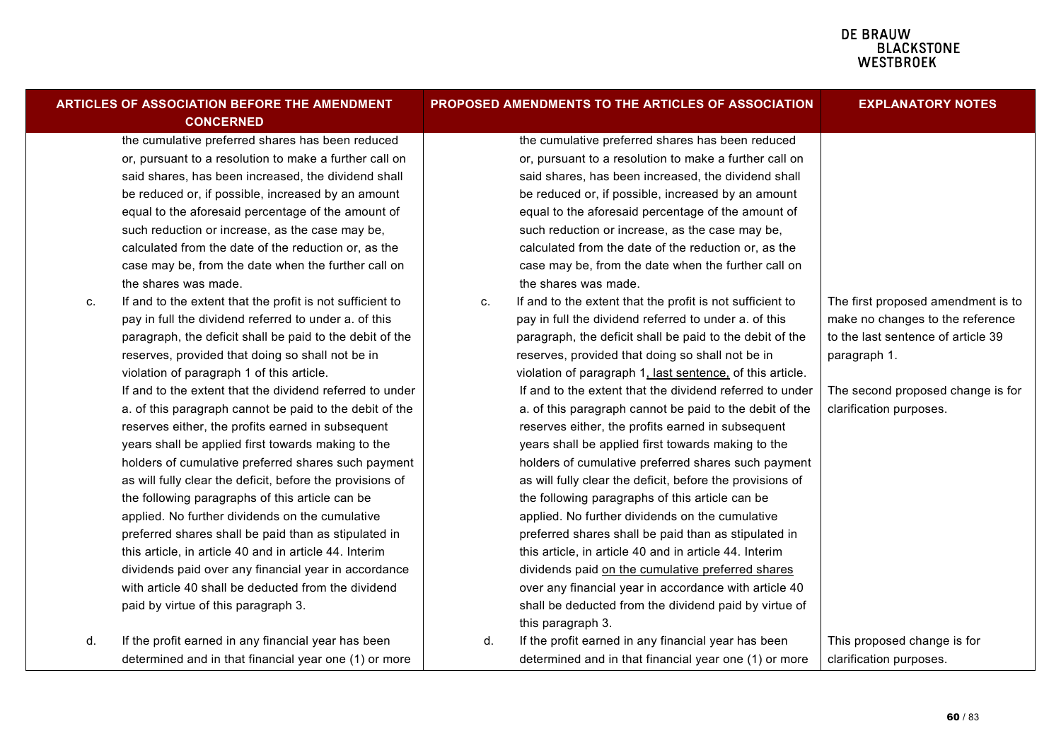|    | ARTICLES OF ASSOCIATION BEFORE THE AMENDMENT<br><b>CONCERNED</b> |    | PROPOSED AMENDMENTS TO THE ARTICLES OF ASSOCIATION        | <b>EXPLANATORY NOTES</b>           |
|----|------------------------------------------------------------------|----|-----------------------------------------------------------|------------------------------------|
|    | the cumulative preferred shares has been reduced                 |    | the cumulative preferred shares has been reduced          |                                    |
|    | or, pursuant to a resolution to make a further call on           |    | or, pursuant to a resolution to make a further call on    |                                    |
|    | said shares, has been increased, the dividend shall              |    | said shares, has been increased, the dividend shall       |                                    |
|    | be reduced or, if possible, increased by an amount               |    | be reduced or, if possible, increased by an amount        |                                    |
|    | equal to the aforesaid percentage of the amount of               |    | equal to the aforesaid percentage of the amount of        |                                    |
|    | such reduction or increase, as the case may be,                  |    | such reduction or increase, as the case may be,           |                                    |
|    | calculated from the date of the reduction or, as the             |    | calculated from the date of the reduction or, as the      |                                    |
|    | case may be, from the date when the further call on              |    | case may be, from the date when the further call on       |                                    |
|    | the shares was made.                                             |    | the shares was made.                                      |                                    |
| C. | If and to the extent that the profit is not sufficient to        | C. | If and to the extent that the profit is not sufficient to | The first proposed amendment is to |
|    | pay in full the dividend referred to under a. of this            |    | pay in full the dividend referred to under a. of this     | make no changes to the reference   |
|    | paragraph, the deficit shall be paid to the debit of the         |    | paragraph, the deficit shall be paid to the debit of the  | to the last sentence of article 39 |
|    | reserves, provided that doing so shall not be in                 |    | reserves, provided that doing so shall not be in          | paragraph 1.                       |
|    | violation of paragraph 1 of this article.                        |    | violation of paragraph 1, last sentence, of this article. |                                    |
|    | If and to the extent that the dividend referred to under         |    | If and to the extent that the dividend referred to under  | The second proposed change is for  |
|    | a. of this paragraph cannot be paid to the debit of the          |    | a. of this paragraph cannot be paid to the debit of the   | clarification purposes.            |
|    | reserves either, the profits earned in subsequent                |    | reserves either, the profits earned in subsequent         |                                    |
|    | years shall be applied first towards making to the               |    | years shall be applied first towards making to the        |                                    |
|    | holders of cumulative preferred shares such payment              |    | holders of cumulative preferred shares such payment       |                                    |
|    | as will fully clear the deficit, before the provisions of        |    | as will fully clear the deficit, before the provisions of |                                    |
|    | the following paragraphs of this article can be                  |    | the following paragraphs of this article can be           |                                    |
|    | applied. No further dividends on the cumulative                  |    | applied. No further dividends on the cumulative           |                                    |
|    | preferred shares shall be paid than as stipulated in             |    | preferred shares shall be paid than as stipulated in      |                                    |
|    | this article, in article 40 and in article 44. Interim           |    | this article, in article 40 and in article 44. Interim    |                                    |
|    | dividends paid over any financial year in accordance             |    | dividends paid on the cumulative preferred shares         |                                    |
|    | with article 40 shall be deducted from the dividend              |    | over any financial year in accordance with article 40     |                                    |
|    | paid by virtue of this paragraph 3.                              |    | shall be deducted from the dividend paid by virtue of     |                                    |
|    |                                                                  |    | this paragraph 3.                                         |                                    |
| d. | If the profit earned in any financial year has been              | d. | If the profit earned in any financial year has been       | This proposed change is for        |
|    | determined and in that financial year one (1) or more            |    | determined and in that financial year one (1) or more     | clarification purposes.            |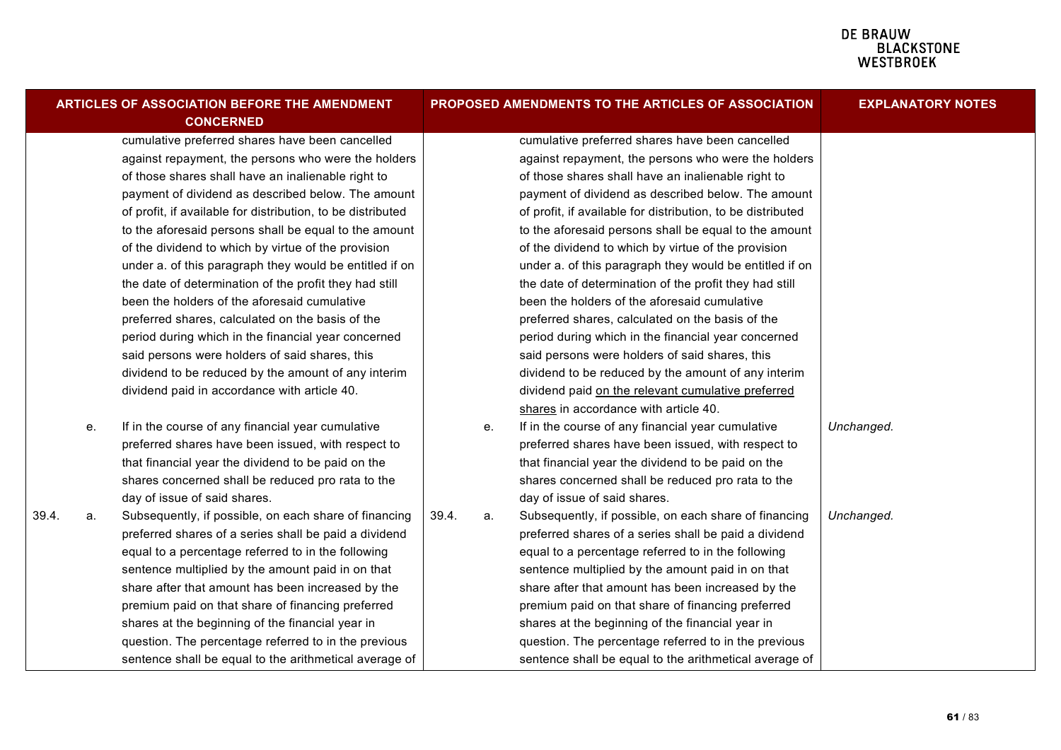|       |    | <b>ARTICLES OF ASSOCIATION BEFORE THE AMENDMENT</b><br><b>CONCERNED</b> |       |    | PROPOSED AMENDMENTS TO THE ARTICLES OF ASSOCIATION          | <b>EXPLANATORY NOTES</b> |
|-------|----|-------------------------------------------------------------------------|-------|----|-------------------------------------------------------------|--------------------------|
|       |    | cumulative preferred shares have been cancelled                         |       |    | cumulative preferred shares have been cancelled             |                          |
|       |    | against repayment, the persons who were the holders                     |       |    | against repayment, the persons who were the holders         |                          |
|       |    | of those shares shall have an inalienable right to                      |       |    | of those shares shall have an inalienable right to          |                          |
|       |    | payment of dividend as described below. The amount                      |       |    | payment of dividend as described below. The amount          |                          |
|       |    | of profit, if available for distribution, to be distributed             |       |    | of profit, if available for distribution, to be distributed |                          |
|       |    | to the aforesaid persons shall be equal to the amount                   |       |    | to the aforesaid persons shall be equal to the amount       |                          |
|       |    | of the dividend to which by virtue of the provision                     |       |    | of the dividend to which by virtue of the provision         |                          |
|       |    | under a. of this paragraph they would be entitled if on                 |       |    | under a. of this paragraph they would be entitled if on     |                          |
|       |    | the date of determination of the profit they had still                  |       |    | the date of determination of the profit they had still      |                          |
|       |    | been the holders of the aforesaid cumulative                            |       |    | been the holders of the aforesaid cumulative                |                          |
|       |    | preferred shares, calculated on the basis of the                        |       |    | preferred shares, calculated on the basis of the            |                          |
|       |    | period during which in the financial year concerned                     |       |    | period during which in the financial year concerned         |                          |
|       |    | said persons were holders of said shares, this                          |       |    | said persons were holders of said shares, this              |                          |
|       |    | dividend to be reduced by the amount of any interim                     |       |    | dividend to be reduced by the amount of any interim         |                          |
|       |    | dividend paid in accordance with article 40.                            |       |    | dividend paid on the relevant cumulative preferred          |                          |
|       |    |                                                                         |       |    | shares in accordance with article 40.                       |                          |
|       | е. | If in the course of any financial year cumulative                       |       | е. | If in the course of any financial year cumulative           | Unchanged.               |
|       |    | preferred shares have been issued, with respect to                      |       |    | preferred shares have been issued, with respect to          |                          |
|       |    | that financial year the dividend to be paid on the                      |       |    | that financial year the dividend to be paid on the          |                          |
|       |    | shares concerned shall be reduced pro rata to the                       |       |    | shares concerned shall be reduced pro rata to the           |                          |
|       |    | day of issue of said shares.                                            |       |    | day of issue of said shares.                                |                          |
| 39.4. | а. | Subsequently, if possible, on each share of financing                   | 39.4. | a. | Subsequently, if possible, on each share of financing       | Unchanged.               |
|       |    | preferred shares of a series shall be paid a dividend                   |       |    | preferred shares of a series shall be paid a dividend       |                          |
|       |    | equal to a percentage referred to in the following                      |       |    | equal to a percentage referred to in the following          |                          |
|       |    | sentence multiplied by the amount paid in on that                       |       |    | sentence multiplied by the amount paid in on that           |                          |
|       |    | share after that amount has been increased by the                       |       |    | share after that amount has been increased by the           |                          |
|       |    | premium paid on that share of financing preferred                       |       |    | premium paid on that share of financing preferred           |                          |
|       |    | shares at the beginning of the financial year in                        |       |    | shares at the beginning of the financial year in            |                          |
|       |    | question. The percentage referred to in the previous                    |       |    | question. The percentage referred to in the previous        |                          |
|       |    | sentence shall be equal to the arithmetical average of                  |       |    | sentence shall be equal to the arithmetical average of      |                          |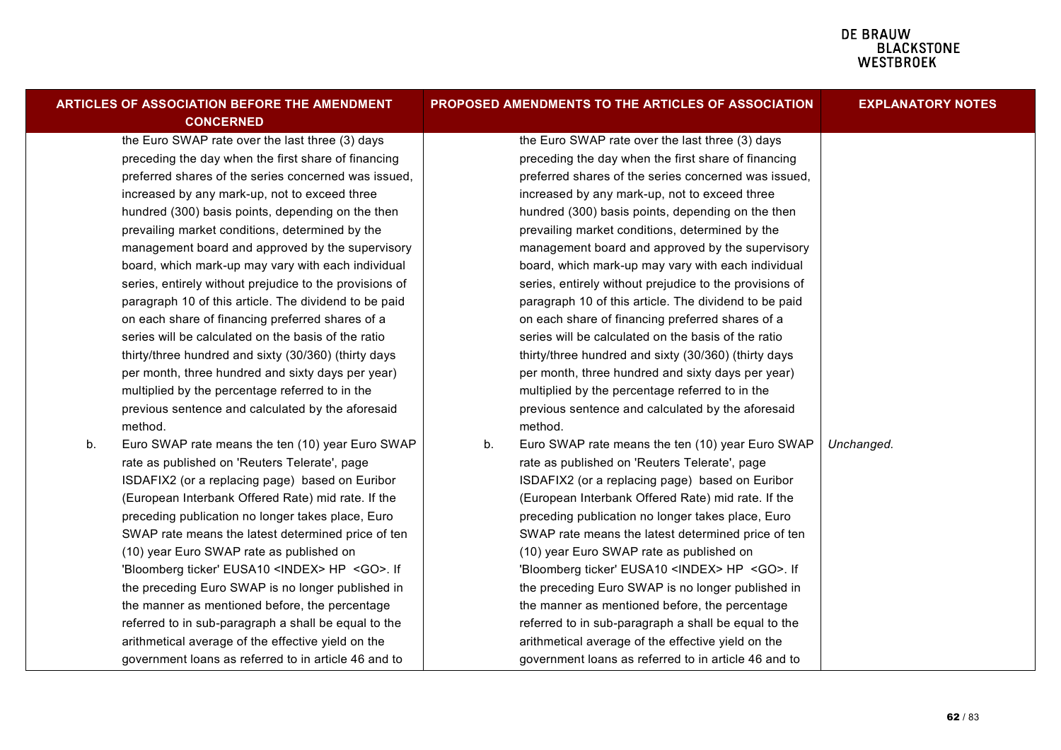|    | <b>ARTICLES OF ASSOCIATION BEFORE THE AMENDMENT</b><br><b>CONCERNED</b> |    | PROPOSED AMENDMENTS TO THE ARTICLES OF ASSOCIATION         | <b>EXPLANATORY NOTES</b> |
|----|-------------------------------------------------------------------------|----|------------------------------------------------------------|--------------------------|
|    | the Euro SWAP rate over the last three (3) days                         |    | the Euro SWAP rate over the last three (3) days            |                          |
|    | preceding the day when the first share of financing                     |    | preceding the day when the first share of financing        |                          |
|    | preferred shares of the series concerned was issued,                    |    | preferred shares of the series concerned was issued,       |                          |
|    | increased by any mark-up, not to exceed three                           |    | increased by any mark-up, not to exceed three              |                          |
|    | hundred (300) basis points, depending on the then                       |    | hundred (300) basis points, depending on the then          |                          |
|    | prevailing market conditions, determined by the                         |    | prevailing market conditions, determined by the            |                          |
|    | management board and approved by the supervisory                        |    | management board and approved by the supervisory           |                          |
|    | board, which mark-up may vary with each individual                      |    | board, which mark-up may vary with each individual         |                          |
|    | series, entirely without prejudice to the provisions of                 |    | series, entirely without prejudice to the provisions of    |                          |
|    | paragraph 10 of this article. The dividend to be paid                   |    | paragraph 10 of this article. The dividend to be paid      |                          |
|    | on each share of financing preferred shares of a                        |    | on each share of financing preferred shares of a           |                          |
|    | series will be calculated on the basis of the ratio                     |    | series will be calculated on the basis of the ratio        |                          |
|    | thirty/three hundred and sixty (30/360) (thirty days                    |    | thirty/three hundred and sixty (30/360) (thirty days       |                          |
|    | per month, three hundred and sixty days per year)                       |    | per month, three hundred and sixty days per year)          |                          |
|    | multiplied by the percentage referred to in the                         |    | multiplied by the percentage referred to in the            |                          |
|    | previous sentence and calculated by the aforesaid                       |    | previous sentence and calculated by the aforesaid          |                          |
|    | method.                                                                 |    | method.                                                    |                          |
| b. | Euro SWAP rate means the ten (10) year Euro SWAP                        | b. | Euro SWAP rate means the ten (10) year Euro SWAP           | Unchanged.               |
|    | rate as published on 'Reuters Telerate', page                           |    | rate as published on 'Reuters Telerate', page              |                          |
|    | ISDAFIX2 (or a replacing page) based on Euribor                         |    | ISDAFIX2 (or a replacing page) based on Euribor            |                          |
|    | (European Interbank Offered Rate) mid rate. If the                      |    | (European Interbank Offered Rate) mid rate. If the         |                          |
|    | preceding publication no longer takes place, Euro                       |    | preceding publication no longer takes place, Euro          |                          |
|    | SWAP rate means the latest determined price of ten                      |    | SWAP rate means the latest determined price of ten         |                          |
|    | (10) year Euro SWAP rate as published on                                |    | (10) year Euro SWAP rate as published on                   |                          |
|    | 'Bloomberg ticker' EUSA10 <index> HP <go>. If</go></index>              |    | 'Bloomberg ticker' EUSA10 <index> HP <go>. If</go></index> |                          |
|    | the preceding Euro SWAP is no longer published in                       |    | the preceding Euro SWAP is no longer published in          |                          |
|    | the manner as mentioned before, the percentage                          |    | the manner as mentioned before, the percentage             |                          |
|    | referred to in sub-paragraph a shall be equal to the                    |    | referred to in sub-paragraph a shall be equal to the       |                          |
|    | arithmetical average of the effective yield on the                      |    | arithmetical average of the effective yield on the         |                          |
|    | government loans as referred to in article 46 and to                    |    | government loans as referred to in article 46 and to       |                          |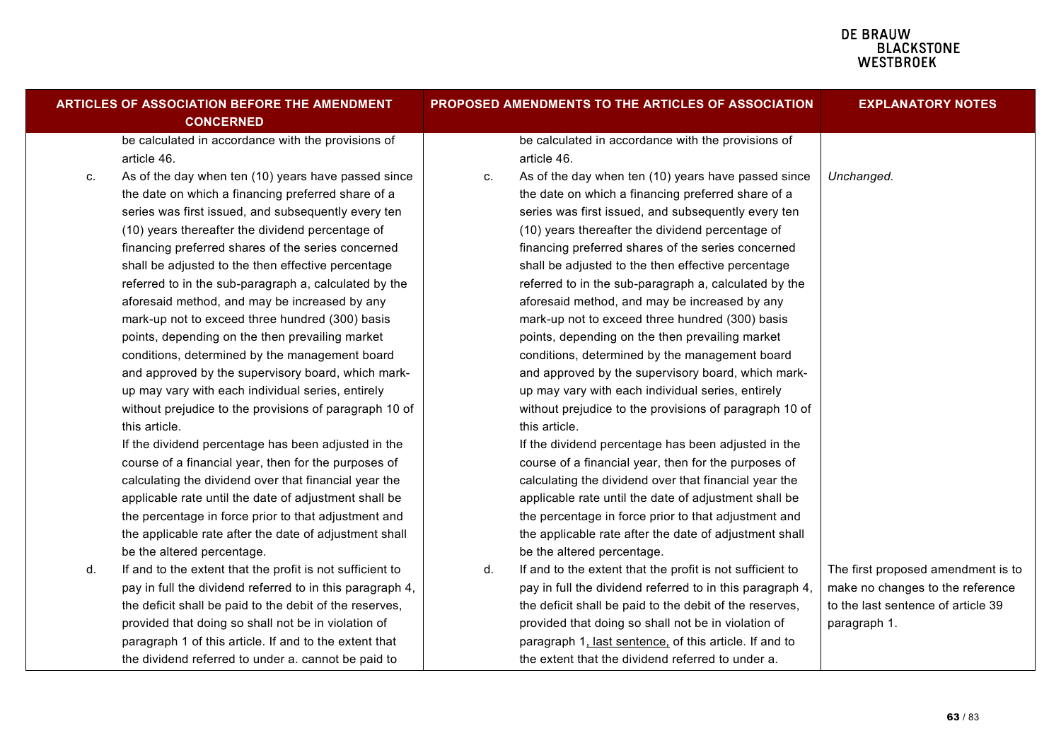|    | ARTICLES OF ASSOCIATION BEFORE THE AMENDMENT<br><b>CONCERNED</b> |    | PROPOSED AMENDMENTS TO THE ARTICLES OF ASSOCIATION        | <b>EXPLANATORY NOTES</b>           |
|----|------------------------------------------------------------------|----|-----------------------------------------------------------|------------------------------------|
|    | be calculated in accordance with the provisions of               |    | be calculated in accordance with the provisions of        |                                    |
|    | article 46.                                                      |    | article 46.                                               |                                    |
| C. | As of the day when ten (10) years have passed since              | C. | As of the day when ten (10) years have passed since       | Unchanged.                         |
|    | the date on which a financing preferred share of a               |    | the date on which a financing preferred share of a        |                                    |
|    | series was first issued, and subsequently every ten              |    | series was first issued, and subsequently every ten       |                                    |
|    | (10) years thereafter the dividend percentage of                 |    | (10) years thereafter the dividend percentage of          |                                    |
|    | financing preferred shares of the series concerned               |    | financing preferred shares of the series concerned        |                                    |
|    | shall be adjusted to the then effective percentage               |    | shall be adjusted to the then effective percentage        |                                    |
|    | referred to in the sub-paragraph a, calculated by the            |    | referred to in the sub-paragraph a, calculated by the     |                                    |
|    | aforesaid method, and may be increased by any                    |    | aforesaid method, and may be increased by any             |                                    |
|    | mark-up not to exceed three hundred (300) basis                  |    | mark-up not to exceed three hundred (300) basis           |                                    |
|    | points, depending on the then prevailing market                  |    | points, depending on the then prevailing market           |                                    |
|    | conditions, determined by the management board                   |    | conditions, determined by the management board            |                                    |
|    | and approved by the supervisory board, which mark-               |    | and approved by the supervisory board, which mark-        |                                    |
|    | up may vary with each individual series, entirely                |    | up may vary with each individual series, entirely         |                                    |
|    | without prejudice to the provisions of paragraph 10 of           |    | without prejudice to the provisions of paragraph 10 of    |                                    |
|    | this article.                                                    |    | this article.                                             |                                    |
|    | If the dividend percentage has been adjusted in the              |    | If the dividend percentage has been adjusted in the       |                                    |
|    | course of a financial year, then for the purposes of             |    | course of a financial year, then for the purposes of      |                                    |
|    | calculating the dividend over that financial year the            |    | calculating the dividend over that financial year the     |                                    |
|    | applicable rate until the date of adjustment shall be            |    | applicable rate until the date of adjustment shall be     |                                    |
|    | the percentage in force prior to that adjustment and             |    | the percentage in force prior to that adjustment and      |                                    |
|    | the applicable rate after the date of adjustment shall           |    | the applicable rate after the date of adjustment shall    |                                    |
|    | be the altered percentage.                                       |    | be the altered percentage.                                |                                    |
| d. | If and to the extent that the profit is not sufficient to        | d. | If and to the extent that the profit is not sufficient to | The first proposed amendment is to |
|    | pay in full the dividend referred to in this paragraph 4,        |    | pay in full the dividend referred to in this paragraph 4, | make no changes to the reference   |
|    | the deficit shall be paid to the debit of the reserves,          |    | the deficit shall be paid to the debit of the reserves,   | to the last sentence of article 39 |
|    | provided that doing so shall not be in violation of              |    | provided that doing so shall not be in violation of       | paragraph 1.                       |
|    | paragraph 1 of this article. If and to the extent that           |    | paragraph 1, last sentence, of this article. If and to    |                                    |
|    | the dividend referred to under a. cannot be paid to              |    | the extent that the dividend referred to under a.         |                                    |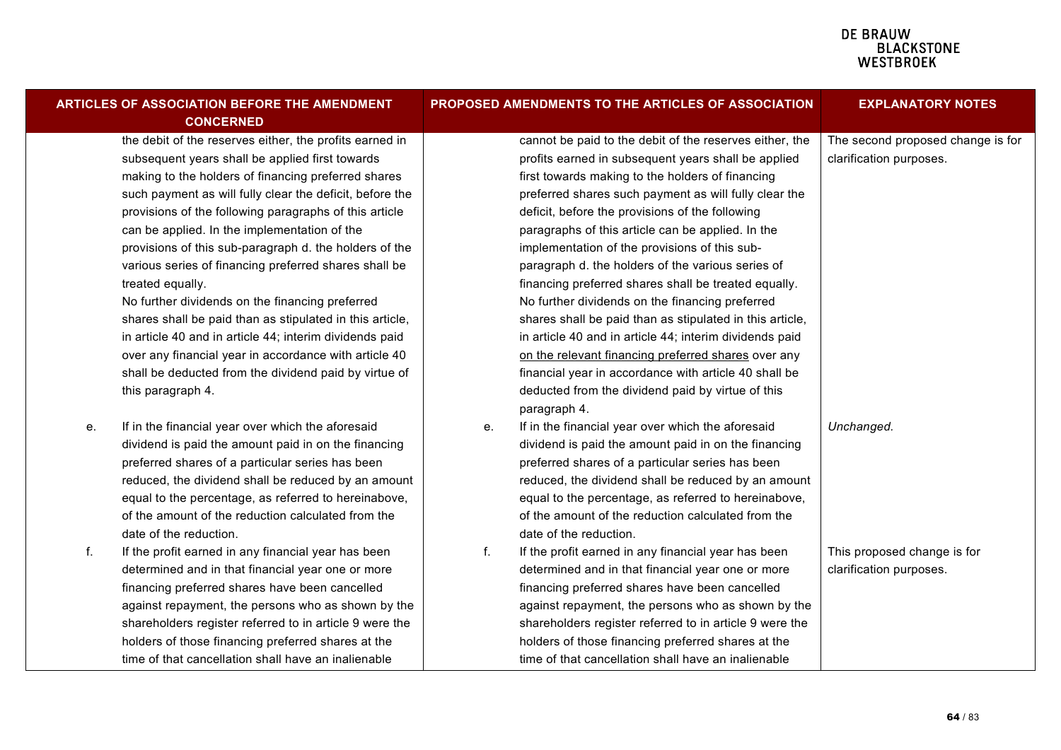|    | <b>ARTICLES OF ASSOCIATION BEFORE THE AMENDMENT</b><br><b>CONCERNED</b> |    | PROPOSED AMENDMENTS TO THE ARTICLES OF ASSOCIATION       | <b>EXPLANATORY NOTES</b>          |  |
|----|-------------------------------------------------------------------------|----|----------------------------------------------------------|-----------------------------------|--|
|    | the debit of the reserves either, the profits earned in                 |    | cannot be paid to the debit of the reserves either, the  | The second proposed change is for |  |
|    | subsequent years shall be applied first towards                         |    | profits earned in subsequent years shall be applied      | clarification purposes.           |  |
|    | making to the holders of financing preferred shares                     |    | first towards making to the holders of financing         |                                   |  |
|    | such payment as will fully clear the deficit, before the                |    | preferred shares such payment as will fully clear the    |                                   |  |
|    | provisions of the following paragraphs of this article                  |    | deficit, before the provisions of the following          |                                   |  |
|    | can be applied. In the implementation of the                            |    | paragraphs of this article can be applied. In the        |                                   |  |
|    | provisions of this sub-paragraph d. the holders of the                  |    | implementation of the provisions of this sub-            |                                   |  |
|    | various series of financing preferred shares shall be                   |    | paragraph d. the holders of the various series of        |                                   |  |
|    | treated equally.                                                        |    | financing preferred shares shall be treated equally.     |                                   |  |
|    | No further dividends on the financing preferred                         |    | No further dividends on the financing preferred          |                                   |  |
|    | shares shall be paid than as stipulated in this article,                |    | shares shall be paid than as stipulated in this article, |                                   |  |
|    | in article 40 and in article 44; interim dividends paid                 |    | in article 40 and in article 44; interim dividends paid  |                                   |  |
|    | over any financial year in accordance with article 40                   |    | on the relevant financing preferred shares over any      |                                   |  |
|    | shall be deducted from the dividend paid by virtue of                   |    | financial year in accordance with article 40 shall be    |                                   |  |
|    | this paragraph 4.                                                       |    | deducted from the dividend paid by virtue of this        |                                   |  |
|    |                                                                         |    | paragraph 4.                                             |                                   |  |
| е. | If in the financial year over which the aforesaid                       | е. | If in the financial year over which the aforesaid        | Unchanged.                        |  |
|    | dividend is paid the amount paid in on the financing                    |    | dividend is paid the amount paid in on the financing     |                                   |  |
|    | preferred shares of a particular series has been                        |    | preferred shares of a particular series has been         |                                   |  |
|    | reduced, the dividend shall be reduced by an amount                     |    | reduced, the dividend shall be reduced by an amount      |                                   |  |
|    | equal to the percentage, as referred to hereinabove,                    |    | equal to the percentage, as referred to hereinabove,     |                                   |  |
|    | of the amount of the reduction calculated from the                      |    | of the amount of the reduction calculated from the       |                                   |  |
|    | date of the reduction.                                                  |    | date of the reduction.                                   |                                   |  |
| f. | If the profit earned in any financial year has been                     | f. | If the profit earned in any financial year has been      | This proposed change is for       |  |
|    | determined and in that financial year one or more                       |    | determined and in that financial year one or more        | clarification purposes.           |  |
|    | financing preferred shares have been cancelled                          |    | financing preferred shares have been cancelled           |                                   |  |
|    | against repayment, the persons who as shown by the                      |    | against repayment, the persons who as shown by the       |                                   |  |
|    | shareholders register referred to in article 9 were the                 |    | shareholders register referred to in article 9 were the  |                                   |  |
|    | holders of those financing preferred shares at the                      |    | holders of those financing preferred shares at the       |                                   |  |
|    | time of that cancellation shall have an inalienable                     |    | time of that cancellation shall have an inalienable      |                                   |  |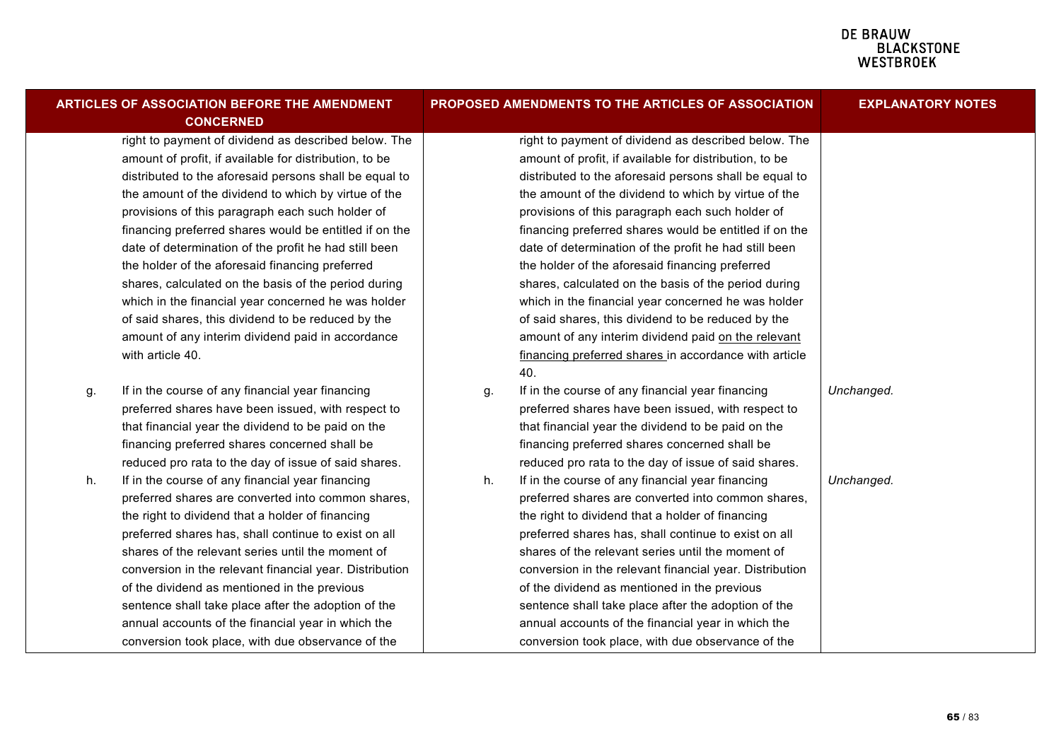|    | ARTICLES OF ASSOCIATION BEFORE THE AMENDMENT<br><b>CONCERNED</b> |    | PROPOSED AMENDMENTS TO THE ARTICLES OF ASSOCIATION      | <b>EXPLANATORY NOTES</b> |
|----|------------------------------------------------------------------|----|---------------------------------------------------------|--------------------------|
|    | right to payment of dividend as described below. The             |    | right to payment of dividend as described below. The    |                          |
|    | amount of profit, if available for distribution, to be           |    | amount of profit, if available for distribution, to be  |                          |
|    | distributed to the aforesaid persons shall be equal to           |    | distributed to the aforesaid persons shall be equal to  |                          |
|    | the amount of the dividend to which by virtue of the             |    | the amount of the dividend to which by virtue of the    |                          |
|    | provisions of this paragraph each such holder of                 |    | provisions of this paragraph each such holder of        |                          |
|    | financing preferred shares would be entitled if on the           |    | financing preferred shares would be entitled if on the  |                          |
|    | date of determination of the profit he had still been            |    | date of determination of the profit he had still been   |                          |
|    | the holder of the aforesaid financing preferred                  |    | the holder of the aforesaid financing preferred         |                          |
|    | shares, calculated on the basis of the period during             |    | shares, calculated on the basis of the period during    |                          |
|    | which in the financial year concerned he was holder              |    | which in the financial year concerned he was holder     |                          |
|    | of said shares, this dividend to be reduced by the               |    | of said shares, this dividend to be reduced by the      |                          |
|    | amount of any interim dividend paid in accordance                |    | amount of any interim dividend paid on the relevant     |                          |
|    | with article 40.                                                 |    | financing preferred shares in accordance with article   |                          |
|    |                                                                  |    | 40.                                                     |                          |
| g. | If in the course of any financial year financing                 | g. | If in the course of any financial year financing        | Unchanged.               |
|    | preferred shares have been issued, with respect to               |    | preferred shares have been issued, with respect to      |                          |
|    | that financial year the dividend to be paid on the               |    | that financial year the dividend to be paid on the      |                          |
|    | financing preferred shares concerned shall be                    |    | financing preferred shares concerned shall be           |                          |
|    | reduced pro rata to the day of issue of said shares.             |    | reduced pro rata to the day of issue of said shares.    |                          |
| h. | If in the course of any financial year financing                 | h. | If in the course of any financial year financing        | Unchanged.               |
|    | preferred shares are converted into common shares,               |    | preferred shares are converted into common shares,      |                          |
|    | the right to dividend that a holder of financing                 |    | the right to dividend that a holder of financing        |                          |
|    | preferred shares has, shall continue to exist on all             |    | preferred shares has, shall continue to exist on all    |                          |
|    | shares of the relevant series until the moment of                |    | shares of the relevant series until the moment of       |                          |
|    | conversion in the relevant financial year. Distribution          |    | conversion in the relevant financial year. Distribution |                          |
|    | of the dividend as mentioned in the previous                     |    | of the dividend as mentioned in the previous            |                          |
|    | sentence shall take place after the adoption of the              |    | sentence shall take place after the adoption of the     |                          |
|    | annual accounts of the financial year in which the               |    | annual accounts of the financial year in which the      |                          |
|    | conversion took place, with due observance of the                |    | conversion took place, with due observance of the       |                          |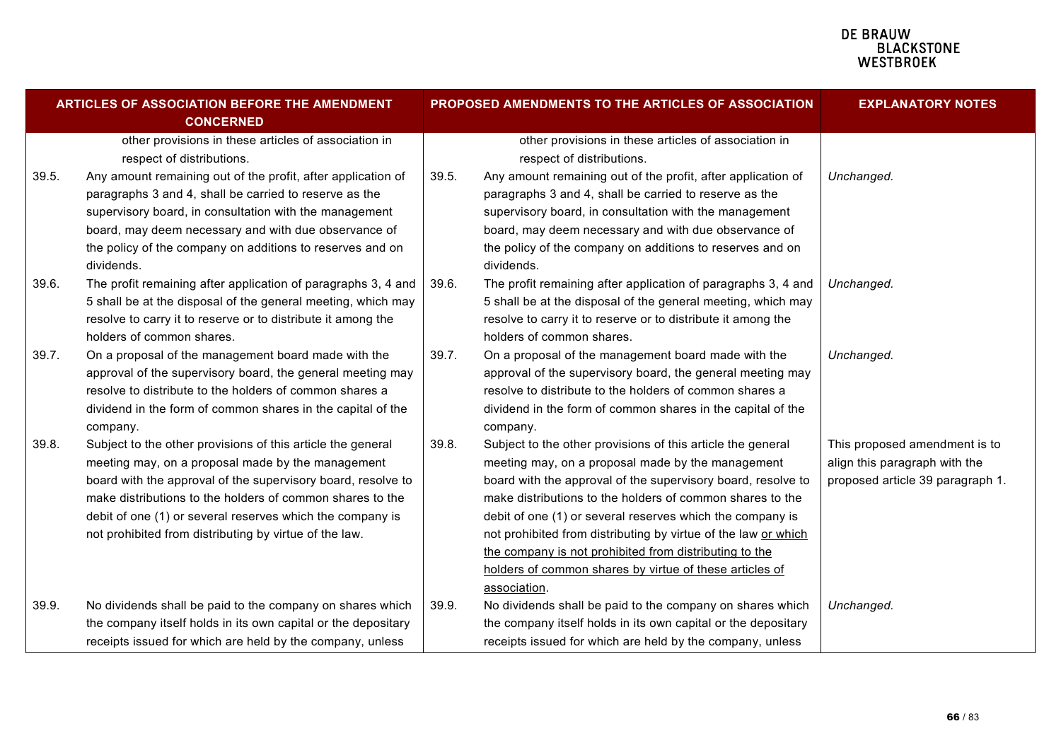| ARTICLES OF ASSOCIATION BEFORE THE AMENDMENT<br><b>CONCERNED</b> |                                                                                                                                                                                                                                                                                                                                                                      |       | PROPOSED AMENDMENTS TO THE ARTICLES OF ASSOCIATION                                                                                                                                                                                                                                                                                                                                                                                                                                                                | <b>EXPLANATORY NOTES</b>                                                                           |
|------------------------------------------------------------------|----------------------------------------------------------------------------------------------------------------------------------------------------------------------------------------------------------------------------------------------------------------------------------------------------------------------------------------------------------------------|-------|-------------------------------------------------------------------------------------------------------------------------------------------------------------------------------------------------------------------------------------------------------------------------------------------------------------------------------------------------------------------------------------------------------------------------------------------------------------------------------------------------------------------|----------------------------------------------------------------------------------------------------|
| 39.5.                                                            | other provisions in these articles of association in<br>respect of distributions.<br>Any amount remaining out of the profit, after application of<br>paragraphs 3 and 4, shall be carried to reserve as the<br>supervisory board, in consultation with the management<br>board, may deem necessary and with due observance of                                        | 39.5. | other provisions in these articles of association in<br>respect of distributions.<br>Any amount remaining out of the profit, after application of<br>paragraphs 3 and 4, shall be carried to reserve as the<br>supervisory board, in consultation with the management<br>board, may deem necessary and with due observance of                                                                                                                                                                                     | Unchanged.                                                                                         |
|                                                                  | the policy of the company on additions to reserves and on<br>dividends.                                                                                                                                                                                                                                                                                              |       | the policy of the company on additions to reserves and on<br>dividends.                                                                                                                                                                                                                                                                                                                                                                                                                                           |                                                                                                    |
| 39.6.                                                            | The profit remaining after application of paragraphs 3, 4 and<br>5 shall be at the disposal of the general meeting, which may<br>resolve to carry it to reserve or to distribute it among the<br>holders of common shares.                                                                                                                                           | 39.6. | The profit remaining after application of paragraphs 3, 4 and<br>5 shall be at the disposal of the general meeting, which may<br>resolve to carry it to reserve or to distribute it among the<br>holders of common shares.                                                                                                                                                                                                                                                                                        | Unchanged.                                                                                         |
| 39.7.                                                            | On a proposal of the management board made with the<br>approval of the supervisory board, the general meeting may<br>resolve to distribute to the holders of common shares a<br>dividend in the form of common shares in the capital of the<br>company.                                                                                                              | 39.7. | On a proposal of the management board made with the<br>approval of the supervisory board, the general meeting may<br>resolve to distribute to the holders of common shares a<br>dividend in the form of common shares in the capital of the<br>company.                                                                                                                                                                                                                                                           | Unchanged.                                                                                         |
| 39.8.                                                            | Subject to the other provisions of this article the general<br>meeting may, on a proposal made by the management<br>board with the approval of the supervisory board, resolve to<br>make distributions to the holders of common shares to the<br>debit of one (1) or several reserves which the company is<br>not prohibited from distributing by virtue of the law. | 39.8. | Subject to the other provisions of this article the general<br>meeting may, on a proposal made by the management<br>board with the approval of the supervisory board, resolve to<br>make distributions to the holders of common shares to the<br>debit of one (1) or several reserves which the company is<br>not prohibited from distributing by virtue of the law or which<br>the company is not prohibited from distributing to the<br>holders of common shares by virtue of these articles of<br>association. | This proposed amendment is to<br>align this paragraph with the<br>proposed article 39 paragraph 1. |
| 39.9.                                                            | No dividends shall be paid to the company on shares which<br>the company itself holds in its own capital or the depositary<br>receipts issued for which are held by the company, unless                                                                                                                                                                              | 39.9. | No dividends shall be paid to the company on shares which<br>the company itself holds in its own capital or the depositary<br>receipts issued for which are held by the company, unless                                                                                                                                                                                                                                                                                                                           | Unchanged.                                                                                         |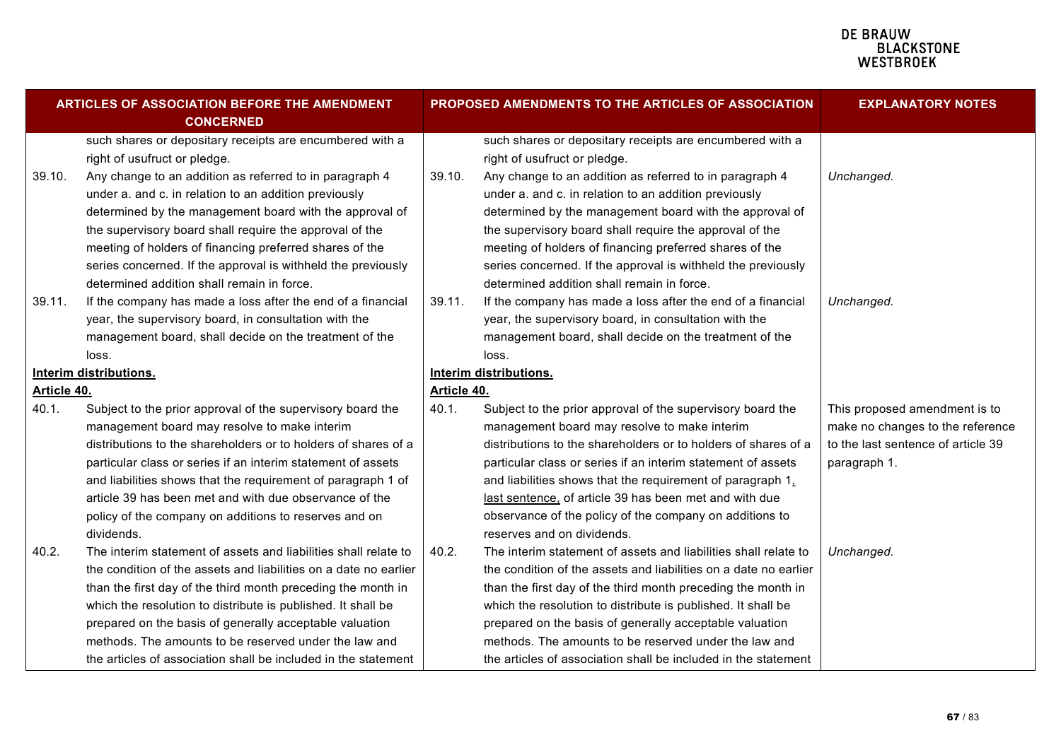| <b>ARTICLES OF ASSOCIATION BEFORE THE AMENDMENT</b><br><b>CONCERNED</b> |                                                                                                                                                                                                                                                                                             | PROPOSED AMENDMENTS TO THE ARTICLES OF ASSOCIATION |                                                                                                                                                                                                                                                                                             | <b>EXPLANATORY NOTES</b>           |
|-------------------------------------------------------------------------|---------------------------------------------------------------------------------------------------------------------------------------------------------------------------------------------------------------------------------------------------------------------------------------------|----------------------------------------------------|---------------------------------------------------------------------------------------------------------------------------------------------------------------------------------------------------------------------------------------------------------------------------------------------|------------------------------------|
| 39.10.                                                                  | such shares or depositary receipts are encumbered with a<br>right of usufruct or pledge.<br>Any change to an addition as referred to in paragraph 4<br>under a. and c. in relation to an addition previously                                                                                | 39.10.                                             | such shares or depositary receipts are encumbered with a<br>right of usufruct or pledge.<br>Any change to an addition as referred to in paragraph 4<br>under a. and c. in relation to an addition previously                                                                                | Unchanged.                         |
|                                                                         | determined by the management board with the approval of<br>the supervisory board shall require the approval of the<br>meeting of holders of financing preferred shares of the<br>series concerned. If the approval is withheld the previously<br>determined addition shall remain in force. |                                                    | determined by the management board with the approval of<br>the supervisory board shall require the approval of the<br>meeting of holders of financing preferred shares of the<br>series concerned. If the approval is withheld the previously<br>determined addition shall remain in force. |                                    |
| 39.11.                                                                  | If the company has made a loss after the end of a financial<br>year, the supervisory board, in consultation with the<br>management board, shall decide on the treatment of the<br>loss.                                                                                                     | 39.11.                                             | If the company has made a loss after the end of a financial<br>year, the supervisory board, in consultation with the<br>management board, shall decide on the treatment of the<br>loss.                                                                                                     | Unchanged.                         |
| <b>Interim distributions.</b>                                           |                                                                                                                                                                                                                                                                                             |                                                    | Interim distributions.                                                                                                                                                                                                                                                                      |                                    |
| Article 40.                                                             |                                                                                                                                                                                                                                                                                             | Article 40.                                        |                                                                                                                                                                                                                                                                                             |                                    |
| 40.1.                                                                   | Subject to the prior approval of the supervisory board the                                                                                                                                                                                                                                  | 40.1.                                              | Subject to the prior approval of the supervisory board the                                                                                                                                                                                                                                  | This proposed amendment is to      |
|                                                                         | management board may resolve to make interim                                                                                                                                                                                                                                                |                                                    | management board may resolve to make interim                                                                                                                                                                                                                                                | make no changes to the reference   |
|                                                                         | distributions to the shareholders or to holders of shares of a                                                                                                                                                                                                                              |                                                    | distributions to the shareholders or to holders of shares of a                                                                                                                                                                                                                              | to the last sentence of article 39 |
|                                                                         | particular class or series if an interim statement of assets                                                                                                                                                                                                                                |                                                    | particular class or series if an interim statement of assets                                                                                                                                                                                                                                | paragraph 1.                       |
|                                                                         | and liabilities shows that the requirement of paragraph 1 of                                                                                                                                                                                                                                |                                                    | and liabilities shows that the requirement of paragraph 1,                                                                                                                                                                                                                                  |                                    |
|                                                                         | article 39 has been met and with due observance of the                                                                                                                                                                                                                                      |                                                    | last sentence, of article 39 has been met and with due                                                                                                                                                                                                                                      |                                    |
|                                                                         | policy of the company on additions to reserves and on                                                                                                                                                                                                                                       |                                                    | observance of the policy of the company on additions to                                                                                                                                                                                                                                     |                                    |
|                                                                         | dividends.                                                                                                                                                                                                                                                                                  |                                                    | reserves and on dividends.                                                                                                                                                                                                                                                                  |                                    |
| 40.2.                                                                   | The interim statement of assets and liabilities shall relate to                                                                                                                                                                                                                             | 40.2.                                              | The interim statement of assets and liabilities shall relate to                                                                                                                                                                                                                             | Unchanged.                         |
|                                                                         | the condition of the assets and liabilities on a date no earlier                                                                                                                                                                                                                            |                                                    | the condition of the assets and liabilities on a date no earlier                                                                                                                                                                                                                            |                                    |
|                                                                         | than the first day of the third month preceding the month in                                                                                                                                                                                                                                |                                                    | than the first day of the third month preceding the month in                                                                                                                                                                                                                                |                                    |
|                                                                         | which the resolution to distribute is published. It shall be                                                                                                                                                                                                                                |                                                    | which the resolution to distribute is published. It shall be                                                                                                                                                                                                                                |                                    |
|                                                                         | prepared on the basis of generally acceptable valuation                                                                                                                                                                                                                                     |                                                    | prepared on the basis of generally acceptable valuation                                                                                                                                                                                                                                     |                                    |
|                                                                         | methods. The amounts to be reserved under the law and                                                                                                                                                                                                                                       |                                                    | methods. The amounts to be reserved under the law and                                                                                                                                                                                                                                       |                                    |
|                                                                         | the articles of association shall be included in the statement                                                                                                                                                                                                                              |                                                    | the articles of association shall be included in the statement                                                                                                                                                                                                                              |                                    |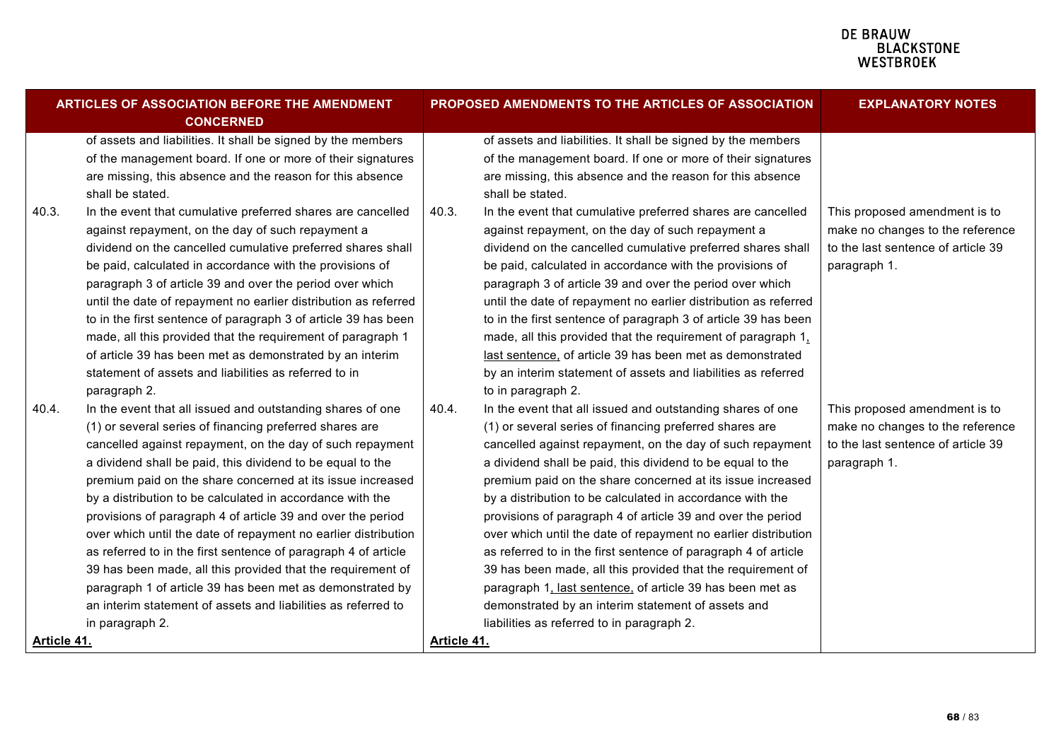| ARTICLES OF ASSOCIATION BEFORE THE AMENDMENT<br><b>CONCERNED</b>                                                                                                                                                                                                                                                                                                                                                                                                                                                                                                                                                                                                                                                                                                                                        | PROPOSED AMENDMENTS TO THE ARTICLES OF ASSOCIATION                                                                                                                                                                                                                                                                                                                                                                                                                                                                                                                                                                                                                                                                                                                                                                      | <b>EXPLANATORY NOTES</b>                                                                                                |
|---------------------------------------------------------------------------------------------------------------------------------------------------------------------------------------------------------------------------------------------------------------------------------------------------------------------------------------------------------------------------------------------------------------------------------------------------------------------------------------------------------------------------------------------------------------------------------------------------------------------------------------------------------------------------------------------------------------------------------------------------------------------------------------------------------|-------------------------------------------------------------------------------------------------------------------------------------------------------------------------------------------------------------------------------------------------------------------------------------------------------------------------------------------------------------------------------------------------------------------------------------------------------------------------------------------------------------------------------------------------------------------------------------------------------------------------------------------------------------------------------------------------------------------------------------------------------------------------------------------------------------------------|-------------------------------------------------------------------------------------------------------------------------|
| of assets and liabilities. It shall be signed by the members<br>of the management board. If one or more of their signatures<br>are missing, this absence and the reason for this absence<br>shall be stated.                                                                                                                                                                                                                                                                                                                                                                                                                                                                                                                                                                                            | of assets and liabilities. It shall be signed by the members<br>of the management board. If one or more of their signatures<br>are missing, this absence and the reason for this absence<br>shall be stated.                                                                                                                                                                                                                                                                                                                                                                                                                                                                                                                                                                                                            |                                                                                                                         |
| In the event that cumulative preferred shares are cancelled<br>40.3.<br>against repayment, on the day of such repayment a<br>dividend on the cancelled cumulative preferred shares shall<br>be paid, calculated in accordance with the provisions of<br>paragraph 3 of article 39 and over the period over which<br>until the date of repayment no earlier distribution as referred<br>to in the first sentence of paragraph 3 of article 39 has been<br>made, all this provided that the requirement of paragraph 1<br>of article 39 has been met as demonstrated by an interim<br>statement of assets and liabilities as referred to in<br>paragraph 2.                                                                                                                                               | 40.3.<br>In the event that cumulative preferred shares are cancelled<br>against repayment, on the day of such repayment a<br>dividend on the cancelled cumulative preferred shares shall<br>be paid, calculated in accordance with the provisions of<br>paragraph 3 of article 39 and over the period over which<br>until the date of repayment no earlier distribution as referred<br>to in the first sentence of paragraph 3 of article 39 has been<br>made, all this provided that the requirement of paragraph 1,<br>last sentence, of article 39 has been met as demonstrated<br>by an interim statement of assets and liabilities as referred<br>to in paragraph 2.                                                                                                                                               | This proposed amendment is to<br>make no changes to the reference<br>to the last sentence of article 39<br>paragraph 1. |
| In the event that all issued and outstanding shares of one<br>40.4.<br>(1) or several series of financing preferred shares are<br>cancelled against repayment, on the day of such repayment<br>a dividend shall be paid, this dividend to be equal to the<br>premium paid on the share concerned at its issue increased<br>by a distribution to be calculated in accordance with the<br>provisions of paragraph 4 of article 39 and over the period<br>over which until the date of repayment no earlier distribution<br>as referred to in the first sentence of paragraph 4 of article<br>39 has been made, all this provided that the requirement of<br>paragraph 1 of article 39 has been met as demonstrated by<br>an interim statement of assets and liabilities as referred to<br>in paragraph 2. | In the event that all issued and outstanding shares of one<br>40.4.<br>(1) or several series of financing preferred shares are<br>cancelled against repayment, on the day of such repayment<br>a dividend shall be paid, this dividend to be equal to the<br>premium paid on the share concerned at its issue increased<br>by a distribution to be calculated in accordance with the<br>provisions of paragraph 4 of article 39 and over the period<br>over which until the date of repayment no earlier distribution<br>as referred to in the first sentence of paragraph 4 of article<br>39 has been made, all this provided that the requirement of<br>paragraph 1, last sentence, of article 39 has been met as<br>demonstrated by an interim statement of assets and<br>liabilities as referred to in paragraph 2. | This proposed amendment is to<br>make no changes to the reference<br>to the last sentence of article 39<br>paragraph 1. |
| Article 41.                                                                                                                                                                                                                                                                                                                                                                                                                                                                                                                                                                                                                                                                                                                                                                                             | Article 41.                                                                                                                                                                                                                                                                                                                                                                                                                                                                                                                                                                                                                                                                                                                                                                                                             |                                                                                                                         |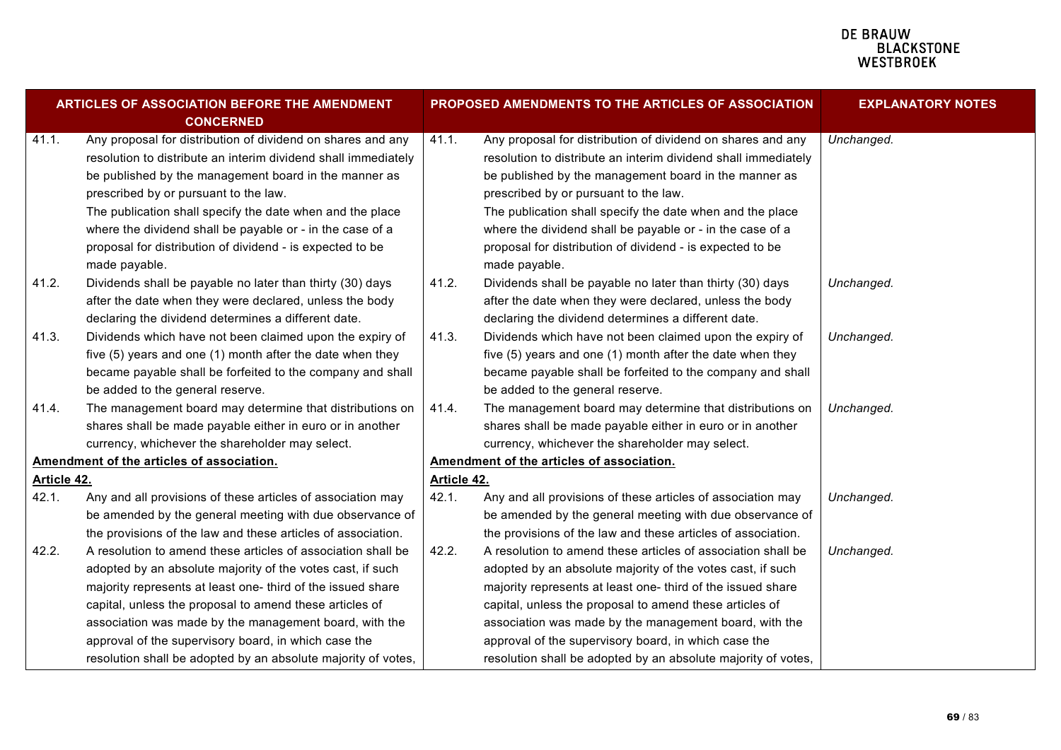| ARTICLES OF ASSOCIATION BEFORE THE AMENDMENT<br><b>CONCERNED</b> |                                                                                                                                                                                                                                                                                                                                                                                                                                         |             | PROPOSED AMENDMENTS TO THE ARTICLES OF ASSOCIATION                                                                                                                                                                                                                                                                                                                                                                                      | <b>EXPLANATORY NOTES</b> |
|------------------------------------------------------------------|-----------------------------------------------------------------------------------------------------------------------------------------------------------------------------------------------------------------------------------------------------------------------------------------------------------------------------------------------------------------------------------------------------------------------------------------|-------------|-----------------------------------------------------------------------------------------------------------------------------------------------------------------------------------------------------------------------------------------------------------------------------------------------------------------------------------------------------------------------------------------------------------------------------------------|--------------------------|
| 41.1.                                                            | Any proposal for distribution of dividend on shares and any<br>resolution to distribute an interim dividend shall immediately<br>be published by the management board in the manner as<br>prescribed by or pursuant to the law.<br>The publication shall specify the date when and the place<br>where the dividend shall be payable or - in the case of a<br>proposal for distribution of dividend - is expected to be<br>made payable. | 41.1.       | Any proposal for distribution of dividend on shares and any<br>resolution to distribute an interim dividend shall immediately<br>be published by the management board in the manner as<br>prescribed by or pursuant to the law.<br>The publication shall specify the date when and the place<br>where the dividend shall be payable or - in the case of a<br>proposal for distribution of dividend - is expected to be<br>made payable. | Unchanged.               |
| 41.2.                                                            | Dividends shall be payable no later than thirty (30) days<br>after the date when they were declared, unless the body<br>declaring the dividend determines a different date.                                                                                                                                                                                                                                                             | 41.2.       | Dividends shall be payable no later than thirty (30) days<br>after the date when they were declared, unless the body<br>declaring the dividend determines a different date.                                                                                                                                                                                                                                                             | Unchanged.               |
| 41.3.                                                            | Dividends which have not been claimed upon the expiry of<br>five (5) years and one (1) month after the date when they<br>became payable shall be forfeited to the company and shall<br>be added to the general reserve.                                                                                                                                                                                                                 | 41.3.       | Dividends which have not been claimed upon the expiry of<br>five (5) years and one (1) month after the date when they<br>became payable shall be forfeited to the company and shall<br>be added to the general reserve.                                                                                                                                                                                                                 | Unchanged.               |
| 41.4.                                                            | The management board may determine that distributions on<br>shares shall be made payable either in euro or in another<br>currency, whichever the shareholder may select.                                                                                                                                                                                                                                                                | 41.4.       | The management board may determine that distributions on<br>shares shall be made payable either in euro or in another<br>currency, whichever the shareholder may select.                                                                                                                                                                                                                                                                | Unchanged.               |
|                                                                  | Amendment of the articles of association.                                                                                                                                                                                                                                                                                                                                                                                               |             | Amendment of the articles of association.                                                                                                                                                                                                                                                                                                                                                                                               |                          |
| Article 42.                                                      |                                                                                                                                                                                                                                                                                                                                                                                                                                         | Article 42. |                                                                                                                                                                                                                                                                                                                                                                                                                                         |                          |
| 42.1.                                                            | Any and all provisions of these articles of association may<br>be amended by the general meeting with due observance of<br>the provisions of the law and these articles of association.                                                                                                                                                                                                                                                 | 42.1.       | Any and all provisions of these articles of association may<br>be amended by the general meeting with due observance of<br>the provisions of the law and these articles of association.                                                                                                                                                                                                                                                 | Unchanged.               |
| 42.2.                                                            | A resolution to amend these articles of association shall be<br>adopted by an absolute majority of the votes cast, if such<br>majority represents at least one- third of the issued share<br>capital, unless the proposal to amend these articles of<br>association was made by the management board, with the<br>approval of the supervisory board, in which case the                                                                  | 42.2.       | A resolution to amend these articles of association shall be<br>adopted by an absolute majority of the votes cast, if such<br>majority represents at least one- third of the issued share<br>capital, unless the proposal to amend these articles of<br>association was made by the management board, with the<br>approval of the supervisory board, in which case the                                                                  | Unchanged.               |
|                                                                  | resolution shall be adopted by an absolute majority of votes,                                                                                                                                                                                                                                                                                                                                                                           |             | resolution shall be adopted by an absolute majority of votes,                                                                                                                                                                                                                                                                                                                                                                           |                          |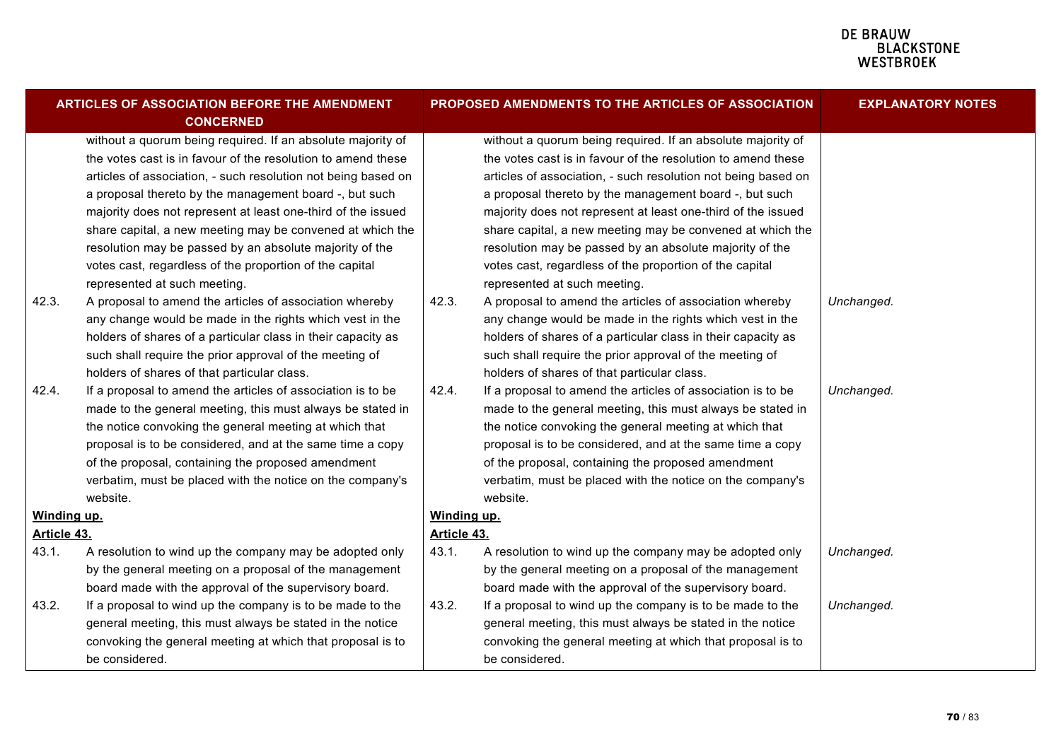| <b>ARTICLES OF ASSOCIATION BEFORE THE AMENDMENT</b><br><b>CONCERNED</b> |                                                                                                                                                                                                                                                                                                                                                                                                                                                |             | <b>PROPOSED AMENDMENTS TO THE ARTICLES OF ASSOCIATION</b>                                                                                                                                                                                                                                                                                                                                                                                      | <b>EXPLANATORY NOTES</b> |
|-------------------------------------------------------------------------|------------------------------------------------------------------------------------------------------------------------------------------------------------------------------------------------------------------------------------------------------------------------------------------------------------------------------------------------------------------------------------------------------------------------------------------------|-------------|------------------------------------------------------------------------------------------------------------------------------------------------------------------------------------------------------------------------------------------------------------------------------------------------------------------------------------------------------------------------------------------------------------------------------------------------|--------------------------|
|                                                                         | without a quorum being required. If an absolute majority of<br>the votes cast is in favour of the resolution to amend these<br>articles of association, - such resolution not being based on<br>a proposal thereto by the management board -, but such<br>majority does not represent at least one-third of the issued<br>share capital, a new meeting may be convened at which the<br>resolution may be passed by an absolute majority of the |             | without a quorum being required. If an absolute majority of<br>the votes cast is in favour of the resolution to amend these<br>articles of association, - such resolution not being based on<br>a proposal thereto by the management board -, but such<br>majority does not represent at least one-third of the issued<br>share capital, a new meeting may be convened at which the<br>resolution may be passed by an absolute majority of the |                          |
|                                                                         | votes cast, regardless of the proportion of the capital<br>represented at such meeting.                                                                                                                                                                                                                                                                                                                                                        |             | votes cast, regardless of the proportion of the capital<br>represented at such meeting.                                                                                                                                                                                                                                                                                                                                                        |                          |
| 42.3.                                                                   | A proposal to amend the articles of association whereby<br>any change would be made in the rights which vest in the<br>holders of shares of a particular class in their capacity as<br>such shall require the prior approval of the meeting of<br>holders of shares of that particular class.                                                                                                                                                  | 42.3.       | A proposal to amend the articles of association whereby<br>any change would be made in the rights which vest in the<br>holders of shares of a particular class in their capacity as<br>such shall require the prior approval of the meeting of<br>holders of shares of that particular class.                                                                                                                                                  | Unchanged.               |
| 42.4.                                                                   | If a proposal to amend the articles of association is to be<br>made to the general meeting, this must always be stated in<br>the notice convoking the general meeting at which that<br>proposal is to be considered, and at the same time a copy<br>of the proposal, containing the proposed amendment<br>verbatim, must be placed with the notice on the company's<br>website.                                                                | 42.4.       | If a proposal to amend the articles of association is to be<br>made to the general meeting, this must always be stated in<br>the notice convoking the general meeting at which that<br>proposal is to be considered, and at the same time a copy<br>of the proposal, containing the proposed amendment<br>verbatim, must be placed with the notice on the company's<br>website.                                                                | Unchanged.               |
| <u>Winding up.</u>                                                      |                                                                                                                                                                                                                                                                                                                                                                                                                                                | Winding up. |                                                                                                                                                                                                                                                                                                                                                                                                                                                |                          |
| Article 43.                                                             |                                                                                                                                                                                                                                                                                                                                                                                                                                                | Article 43. |                                                                                                                                                                                                                                                                                                                                                                                                                                                |                          |
| 43.1.                                                                   | A resolution to wind up the company may be adopted only<br>by the general meeting on a proposal of the management<br>board made with the approval of the supervisory board.                                                                                                                                                                                                                                                                    | 43.1.       | A resolution to wind up the company may be adopted only<br>by the general meeting on a proposal of the management<br>board made with the approval of the supervisory board.                                                                                                                                                                                                                                                                    | Unchanged.               |
| 43.2.                                                                   | If a proposal to wind up the company is to be made to the<br>general meeting, this must always be stated in the notice<br>convoking the general meeting at which that proposal is to<br>be considered.                                                                                                                                                                                                                                         | 43.2.       | If a proposal to wind up the company is to be made to the<br>general meeting, this must always be stated in the notice<br>convoking the general meeting at which that proposal is to<br>be considered.                                                                                                                                                                                                                                         | Unchanged.               |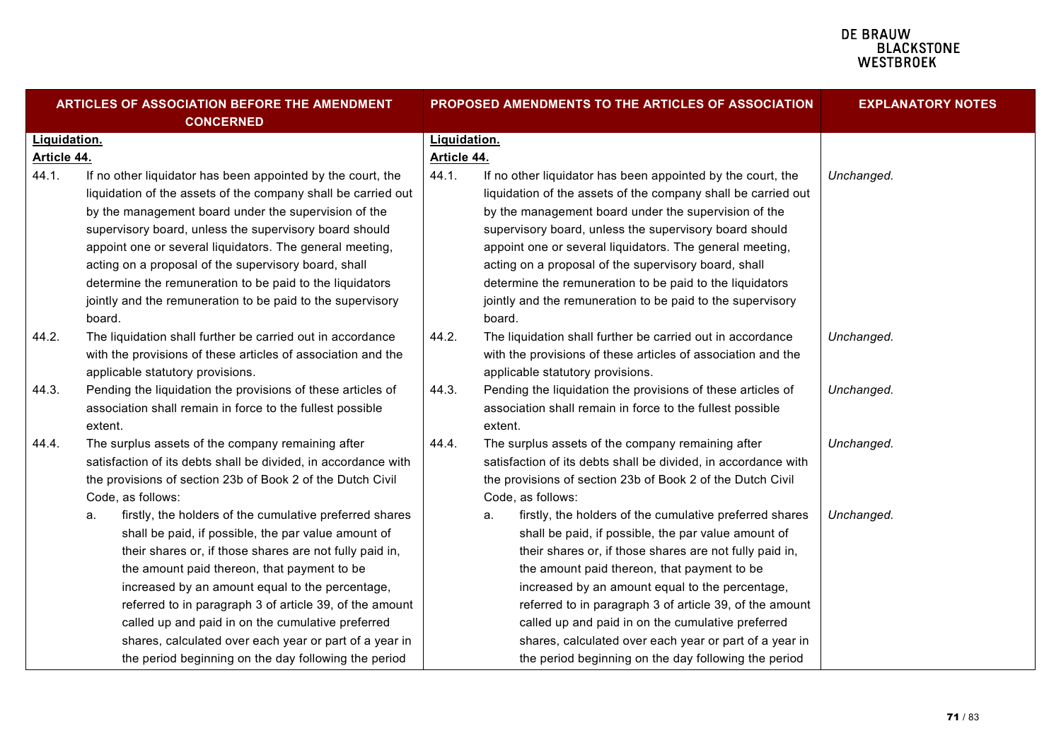| ARTICLES OF ASSOCIATION BEFORE THE AMENDMENT<br><b>CONCERNED</b> |                                                                                                                                                                                                                                                                                                                                                                                                                                                                                                                     |              | PROPOSED AMENDMENTS TO THE ARTICLES OF ASSOCIATION                                                                                                                                                                                                                                                                                                                                                                                                                                                                  | <b>EXPLANATORY NOTES</b> |
|------------------------------------------------------------------|---------------------------------------------------------------------------------------------------------------------------------------------------------------------------------------------------------------------------------------------------------------------------------------------------------------------------------------------------------------------------------------------------------------------------------------------------------------------------------------------------------------------|--------------|---------------------------------------------------------------------------------------------------------------------------------------------------------------------------------------------------------------------------------------------------------------------------------------------------------------------------------------------------------------------------------------------------------------------------------------------------------------------------------------------------------------------|--------------------------|
| Liquidation.                                                     |                                                                                                                                                                                                                                                                                                                                                                                                                                                                                                                     | Liquidation. |                                                                                                                                                                                                                                                                                                                                                                                                                                                                                                                     |                          |
| Article 44.                                                      |                                                                                                                                                                                                                                                                                                                                                                                                                                                                                                                     | Article 44.  |                                                                                                                                                                                                                                                                                                                                                                                                                                                                                                                     |                          |
| 44.1.                                                            | If no other liquidator has been appointed by the court, the                                                                                                                                                                                                                                                                                                                                                                                                                                                         | 44.1.        | If no other liquidator has been appointed by the court, the                                                                                                                                                                                                                                                                                                                                                                                                                                                         | Unchanged.               |
|                                                                  | liquidation of the assets of the company shall be carried out                                                                                                                                                                                                                                                                                                                                                                                                                                                       |              | liquidation of the assets of the company shall be carried out                                                                                                                                                                                                                                                                                                                                                                                                                                                       |                          |
|                                                                  | by the management board under the supervision of the                                                                                                                                                                                                                                                                                                                                                                                                                                                                |              | by the management board under the supervision of the                                                                                                                                                                                                                                                                                                                                                                                                                                                                |                          |
|                                                                  | supervisory board, unless the supervisory board should                                                                                                                                                                                                                                                                                                                                                                                                                                                              |              | supervisory board, unless the supervisory board should                                                                                                                                                                                                                                                                                                                                                                                                                                                              |                          |
|                                                                  | appoint one or several liquidators. The general meeting,                                                                                                                                                                                                                                                                                                                                                                                                                                                            |              | appoint one or several liquidators. The general meeting,                                                                                                                                                                                                                                                                                                                                                                                                                                                            |                          |
|                                                                  | acting on a proposal of the supervisory board, shall                                                                                                                                                                                                                                                                                                                                                                                                                                                                |              | acting on a proposal of the supervisory board, shall                                                                                                                                                                                                                                                                                                                                                                                                                                                                |                          |
|                                                                  | determine the remuneration to be paid to the liquidators                                                                                                                                                                                                                                                                                                                                                                                                                                                            |              | determine the remuneration to be paid to the liquidators                                                                                                                                                                                                                                                                                                                                                                                                                                                            |                          |
|                                                                  | jointly and the remuneration to be paid to the supervisory<br>board.                                                                                                                                                                                                                                                                                                                                                                                                                                                |              | jointly and the remuneration to be paid to the supervisory<br>board.                                                                                                                                                                                                                                                                                                                                                                                                                                                |                          |
| 44.2.                                                            | The liquidation shall further be carried out in accordance<br>with the provisions of these articles of association and the<br>applicable statutory provisions.                                                                                                                                                                                                                                                                                                                                                      | 44.2.        | The liquidation shall further be carried out in accordance<br>with the provisions of these articles of association and the<br>applicable statutory provisions.                                                                                                                                                                                                                                                                                                                                                      | Unchanged.               |
| 44.3.                                                            | Pending the liquidation the provisions of these articles of<br>association shall remain in force to the fullest possible<br>extent.                                                                                                                                                                                                                                                                                                                                                                                 | 44.3.        | Pending the liquidation the provisions of these articles of<br>association shall remain in force to the fullest possible<br>extent.                                                                                                                                                                                                                                                                                                                                                                                 | Unchanged.               |
| 44.4.                                                            | The surplus assets of the company remaining after<br>satisfaction of its debts shall be divided, in accordance with<br>the provisions of section 23b of Book 2 of the Dutch Civil<br>Code, as follows:                                                                                                                                                                                                                                                                                                              | 44.4.        | The surplus assets of the company remaining after<br>satisfaction of its debts shall be divided, in accordance with<br>the provisions of section 23b of Book 2 of the Dutch Civil<br>Code, as follows:                                                                                                                                                                                                                                                                                                              | Unchanged.               |
|                                                                  | firstly, the holders of the cumulative preferred shares<br>a.<br>shall be paid, if possible, the par value amount of<br>their shares or, if those shares are not fully paid in,<br>the amount paid thereon, that payment to be<br>increased by an amount equal to the percentage,<br>referred to in paragraph 3 of article 39, of the amount<br>called up and paid in on the cumulative preferred<br>shares, calculated over each year or part of a year in<br>the period beginning on the day following the period |              | firstly, the holders of the cumulative preferred shares<br>a.<br>shall be paid, if possible, the par value amount of<br>their shares or, if those shares are not fully paid in,<br>the amount paid thereon, that payment to be<br>increased by an amount equal to the percentage,<br>referred to in paragraph 3 of article 39, of the amount<br>called up and paid in on the cumulative preferred<br>shares, calculated over each year or part of a year in<br>the period beginning on the day following the period | Unchanged.               |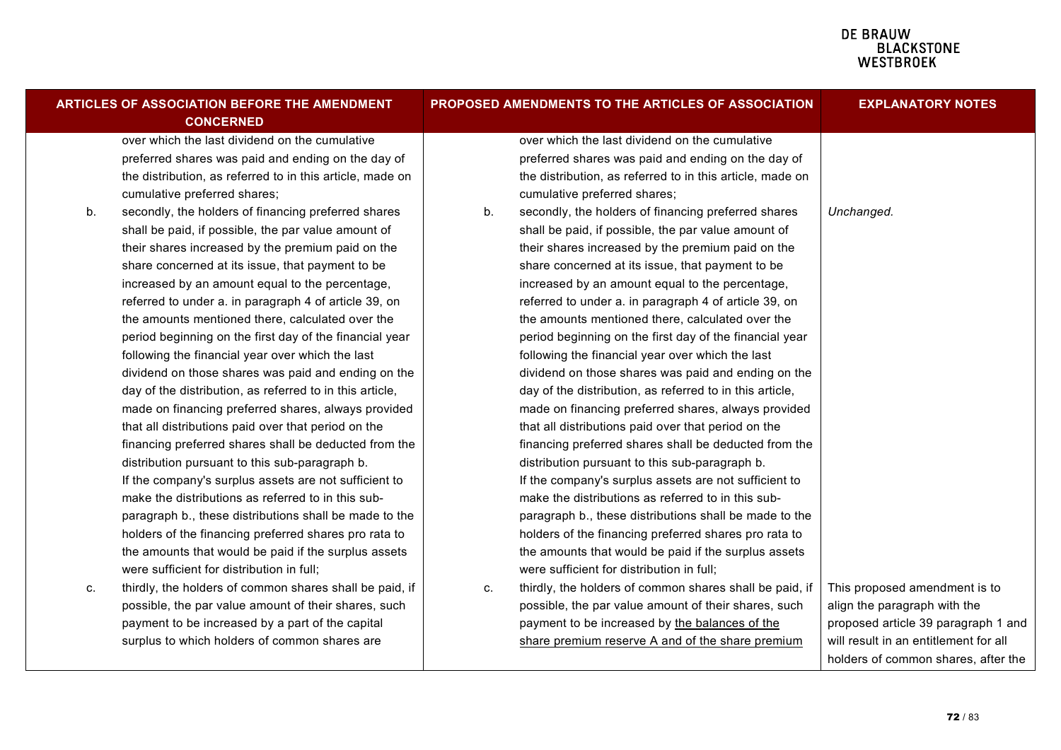|    | <b>ARTICLES OF ASSOCIATION BEFORE THE AMENDMENT</b><br><b>CONCERNED</b> |    | PROPOSED AMENDMENTS TO THE ARTICLES OF ASSOCIATION        | <b>EXPLANATORY NOTES</b>              |
|----|-------------------------------------------------------------------------|----|-----------------------------------------------------------|---------------------------------------|
|    | over which the last dividend on the cumulative                          |    | over which the last dividend on the cumulative            |                                       |
|    | preferred shares was paid and ending on the day of                      |    | preferred shares was paid and ending on the day of        |                                       |
|    | the distribution, as referred to in this article, made on               |    | the distribution, as referred to in this article, made on |                                       |
|    | cumulative preferred shares;                                            |    | cumulative preferred shares;                              |                                       |
| b. | secondly, the holders of financing preferred shares                     | b. | secondly, the holders of financing preferred shares       | Unchanged.                            |
|    | shall be paid, if possible, the par value amount of                     |    | shall be paid, if possible, the par value amount of       |                                       |
|    | their shares increased by the premium paid on the                       |    | their shares increased by the premium paid on the         |                                       |
|    | share concerned at its issue, that payment to be                        |    | share concerned at its issue, that payment to be          |                                       |
|    | increased by an amount equal to the percentage,                         |    | increased by an amount equal to the percentage,           |                                       |
|    | referred to under a. in paragraph 4 of article 39, on                   |    | referred to under a. in paragraph 4 of article 39, on     |                                       |
|    | the amounts mentioned there, calculated over the                        |    | the amounts mentioned there, calculated over the          |                                       |
|    | period beginning on the first day of the financial year                 |    | period beginning on the first day of the financial year   |                                       |
|    | following the financial year over which the last                        |    | following the financial year over which the last          |                                       |
|    | dividend on those shares was paid and ending on the                     |    | dividend on those shares was paid and ending on the       |                                       |
|    | day of the distribution, as referred to in this article,                |    | day of the distribution, as referred to in this article,  |                                       |
|    | made on financing preferred shares, always provided                     |    | made on financing preferred shares, always provided       |                                       |
|    | that all distributions paid over that period on the                     |    | that all distributions paid over that period on the       |                                       |
|    | financing preferred shares shall be deducted from the                   |    | financing preferred shares shall be deducted from the     |                                       |
|    | distribution pursuant to this sub-paragraph b.                          |    | distribution pursuant to this sub-paragraph b.            |                                       |
|    | If the company's surplus assets are not sufficient to                   |    | If the company's surplus assets are not sufficient to     |                                       |
|    | make the distributions as referred to in this sub-                      |    | make the distributions as referred to in this sub-        |                                       |
|    | paragraph b., these distributions shall be made to the                  |    | paragraph b., these distributions shall be made to the    |                                       |
|    | holders of the financing preferred shares pro rata to                   |    | holders of the financing preferred shares pro rata to     |                                       |
|    | the amounts that would be paid if the surplus assets                    |    | the amounts that would be paid if the surplus assets      |                                       |
|    | were sufficient for distribution in full;                               |    | were sufficient for distribution in full;                 |                                       |
| c. | thirdly, the holders of common shares shall be paid, if                 | C. | thirdly, the holders of common shares shall be paid, if   | This proposed amendment is to         |
|    | possible, the par value amount of their shares, such                    |    | possible, the par value amount of their shares, such      | align the paragraph with the          |
|    | payment to be increased by a part of the capital                        |    | payment to be increased by the balances of the            | proposed article 39 paragraph 1 and   |
|    | surplus to which holders of common shares are                           |    | share premium reserve A and of the share premium          | will result in an entitlement for all |
|    |                                                                         |    |                                                           | holders of common shares, after the   |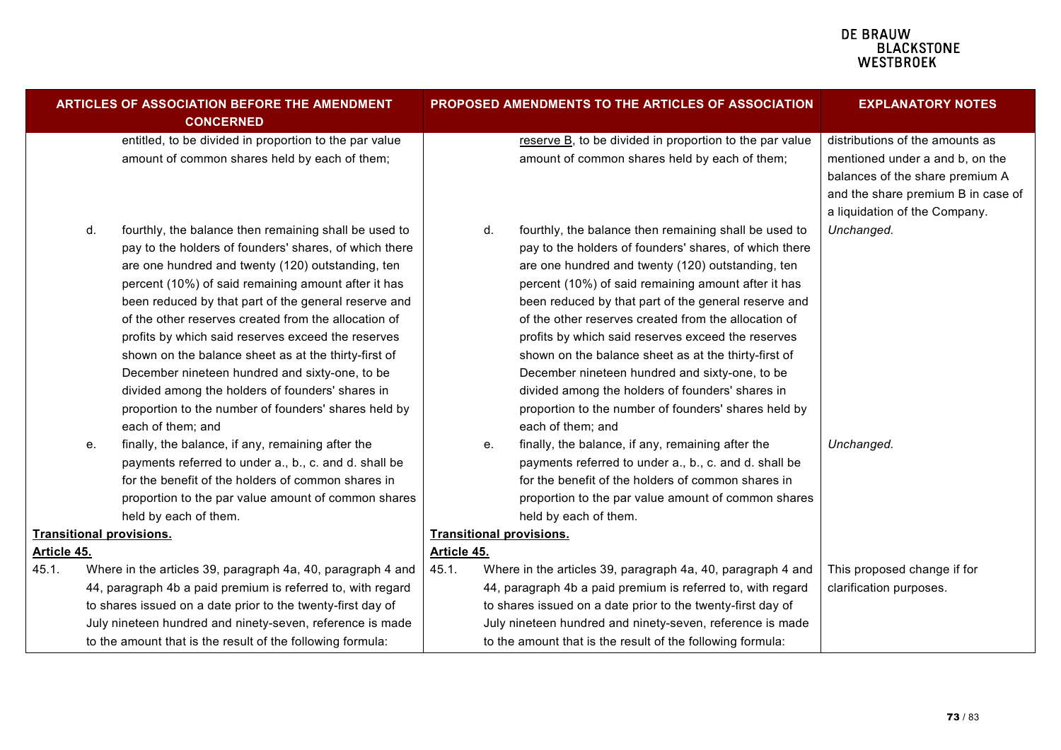|             |          | ARTICLES OF ASSOCIATION BEFORE THE AMENDMENT<br><b>CONCERNED</b>                                                                                                                                                                                                                                                                                                                                                                                                                                                                                                                                                                                                                                  |             |          | PROPOSED AMENDMENTS TO THE ARTICLES OF ASSOCIATION                                                                                                                                                                                                                                                                                                                                                                                                                                                                                                                                                                                                                                                | <b>EXPLANATORY NOTES</b>                                                                                                                                                     |
|-------------|----------|---------------------------------------------------------------------------------------------------------------------------------------------------------------------------------------------------------------------------------------------------------------------------------------------------------------------------------------------------------------------------------------------------------------------------------------------------------------------------------------------------------------------------------------------------------------------------------------------------------------------------------------------------------------------------------------------------|-------------|----------|---------------------------------------------------------------------------------------------------------------------------------------------------------------------------------------------------------------------------------------------------------------------------------------------------------------------------------------------------------------------------------------------------------------------------------------------------------------------------------------------------------------------------------------------------------------------------------------------------------------------------------------------------------------------------------------------------|------------------------------------------------------------------------------------------------------------------------------------------------------------------------------|
|             |          | entitled, to be divided in proportion to the par value<br>amount of common shares held by each of them;                                                                                                                                                                                                                                                                                                                                                                                                                                                                                                                                                                                           |             |          | reserve B, to be divided in proportion to the par value<br>amount of common shares held by each of them;                                                                                                                                                                                                                                                                                                                                                                                                                                                                                                                                                                                          | distributions of the amounts as<br>mentioned under a and b, on the<br>balances of the share premium A<br>and the share premium B in case of<br>a liquidation of the Company. |
|             | d.<br>е. | fourthly, the balance then remaining shall be used to<br>pay to the holders of founders' shares, of which there<br>are one hundred and twenty (120) outstanding, ten<br>percent (10%) of said remaining amount after it has<br>been reduced by that part of the general reserve and<br>of the other reserves created from the allocation of<br>profits by which said reserves exceed the reserves<br>shown on the balance sheet as at the thirty-first of<br>December nineteen hundred and sixty-one, to be<br>divided among the holders of founders' shares in<br>proportion to the number of founders' shares held by<br>each of them; and<br>finally, the balance, if any, remaining after the |             | d.<br>е. | fourthly, the balance then remaining shall be used to<br>pay to the holders of founders' shares, of which there<br>are one hundred and twenty (120) outstanding, ten<br>percent (10%) of said remaining amount after it has<br>been reduced by that part of the general reserve and<br>of the other reserves created from the allocation of<br>profits by which said reserves exceed the reserves<br>shown on the balance sheet as at the thirty-first of<br>December nineteen hundred and sixty-one, to be<br>divided among the holders of founders' shares in<br>proportion to the number of founders' shares held by<br>each of them; and<br>finally, the balance, if any, remaining after the | Unchanged.<br>Unchanged.                                                                                                                                                     |
|             |          | payments referred to under a., b., c. and d. shall be<br>for the benefit of the holders of common shares in<br>proportion to the par value amount of common shares<br>held by each of them.<br><b>Transitional provisions.</b>                                                                                                                                                                                                                                                                                                                                                                                                                                                                    |             |          | payments referred to under a., b., c. and d. shall be<br>for the benefit of the holders of common shares in<br>proportion to the par value amount of common shares<br>held by each of them.<br><b>Transitional provisions.</b>                                                                                                                                                                                                                                                                                                                                                                                                                                                                    |                                                                                                                                                                              |
| Article 45. |          |                                                                                                                                                                                                                                                                                                                                                                                                                                                                                                                                                                                                                                                                                                   | Article 45. |          |                                                                                                                                                                                                                                                                                                                                                                                                                                                                                                                                                                                                                                                                                                   |                                                                                                                                                                              |
| 45.1.       |          | Where in the articles 39, paragraph 4a, 40, paragraph 4 and<br>44, paragraph 4b a paid premium is referred to, with regard<br>to shares issued on a date prior to the twenty-first day of<br>July nineteen hundred and ninety-seven, reference is made<br>to the amount that is the result of the following formula:                                                                                                                                                                                                                                                                                                                                                                              | 45.1.       |          | Where in the articles 39, paragraph 4a, 40, paragraph 4 and<br>44, paragraph 4b a paid premium is referred to, with regard<br>to shares issued on a date prior to the twenty-first day of<br>July nineteen hundred and ninety-seven, reference is made<br>to the amount that is the result of the following formula:                                                                                                                                                                                                                                                                                                                                                                              | This proposed change if for<br>clarification purposes.                                                                                                                       |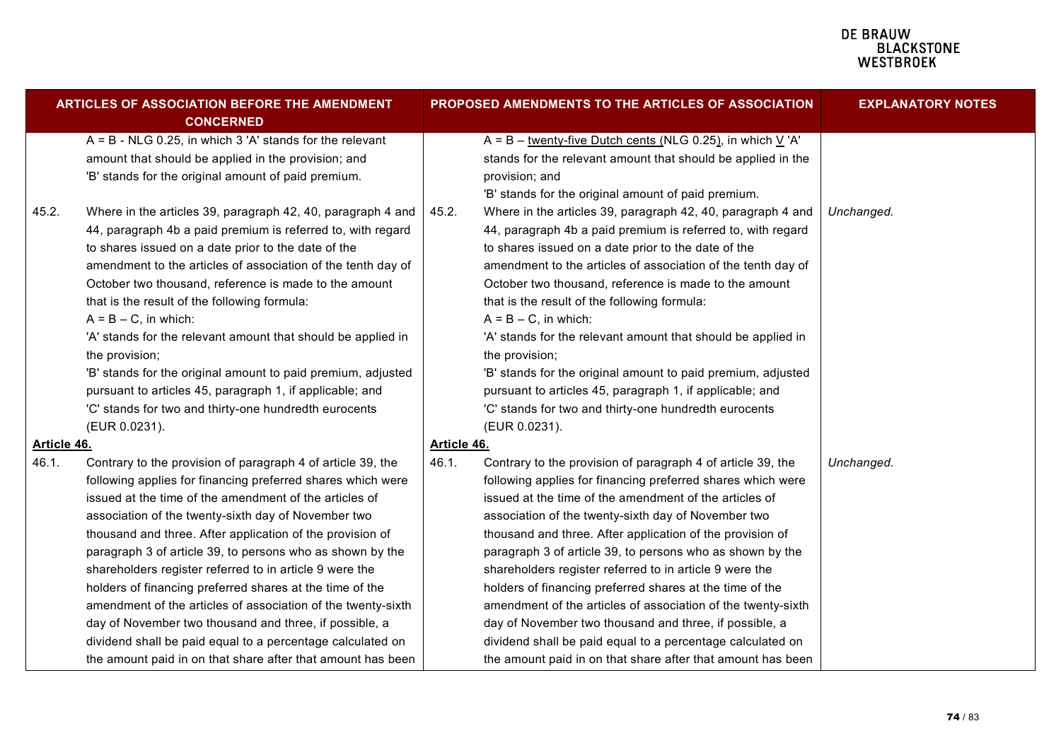| <b>ARTICLES OF ASSOCIATION BEFORE THE AMENDMENT</b><br><b>CONCERNED</b> |                                                                                                                                                                                                                                                                                                                                                                                                                                                                                                                                                                                                                                                                                                                                                     |                      | PROPOSED AMENDMENTS TO THE ARTICLES OF ASSOCIATION                                                                                                                                                                                                                                                                                                                                                                                                                                                                                                                                                                                                                                                                                                  | <b>EXPLANATORY NOTES</b> |  |
|-------------------------------------------------------------------------|-----------------------------------------------------------------------------------------------------------------------------------------------------------------------------------------------------------------------------------------------------------------------------------------------------------------------------------------------------------------------------------------------------------------------------------------------------------------------------------------------------------------------------------------------------------------------------------------------------------------------------------------------------------------------------------------------------------------------------------------------------|----------------------|-----------------------------------------------------------------------------------------------------------------------------------------------------------------------------------------------------------------------------------------------------------------------------------------------------------------------------------------------------------------------------------------------------------------------------------------------------------------------------------------------------------------------------------------------------------------------------------------------------------------------------------------------------------------------------------------------------------------------------------------------------|--------------------------|--|
|                                                                         | $A = B - NLG$ 0.25, in which 3 'A' stands for the relevant<br>amount that should be applied in the provision; and<br>'B' stands for the original amount of paid premium.                                                                                                                                                                                                                                                                                                                                                                                                                                                                                                                                                                            |                      | A = B - twenty-five Dutch cents (NLG 0.25), in which $\underline{V}$ 'A'<br>stands for the relevant amount that should be applied in the<br>provision; and<br>'B' stands for the original amount of paid premium.                                                                                                                                                                                                                                                                                                                                                                                                                                                                                                                                   |                          |  |
| 45.2.                                                                   | Where in the articles 39, paragraph 42, 40, paragraph 4 and<br>44, paragraph 4b a paid premium is referred to, with regard<br>to shares issued on a date prior to the date of the<br>amendment to the articles of association of the tenth day of<br>October two thousand, reference is made to the amount<br>that is the result of the following formula:<br>$A = B - C$ , in which:<br>'A' stands for the relevant amount that should be applied in<br>the provision;<br>'B' stands for the original amount to paid premium, adjusted<br>pursuant to articles 45, paragraph 1, if applicable; and<br>'C' stands for two and thirty-one hundredth eurocents<br>(EUR 0.0231).                                                                       | 45.2.                | Where in the articles 39, paragraph 42, 40, paragraph 4 and<br>44, paragraph 4b a paid premium is referred to, with regard<br>to shares issued on a date prior to the date of the<br>amendment to the articles of association of the tenth day of<br>October two thousand, reference is made to the amount<br>that is the result of the following formula:<br>$A = B - C$ , in which:<br>'A' stands for the relevant amount that should be applied in<br>the provision;<br>'B' stands for the original amount to paid premium, adjusted<br>pursuant to articles 45, paragraph 1, if applicable; and<br>'C' stands for two and thirty-one hundredth eurocents<br>(EUR 0.0231).                                                                       | Unchanged.               |  |
| Article 46.<br>46.1.                                                    | Contrary to the provision of paragraph 4 of article 39, the<br>following applies for financing preferred shares which were<br>issued at the time of the amendment of the articles of<br>association of the twenty-sixth day of November two<br>thousand and three. After application of the provision of<br>paragraph 3 of article 39, to persons who as shown by the<br>shareholders register referred to in article 9 were the<br>holders of financing preferred shares at the time of the<br>amendment of the articles of association of the twenty-sixth<br>day of November two thousand and three, if possible, a<br>dividend shall be paid equal to a percentage calculated on<br>the amount paid in on that share after that amount has been | Article 46.<br>46.1. | Contrary to the provision of paragraph 4 of article 39, the<br>following applies for financing preferred shares which were<br>issued at the time of the amendment of the articles of<br>association of the twenty-sixth day of November two<br>thousand and three. After application of the provision of<br>paragraph 3 of article 39, to persons who as shown by the<br>shareholders register referred to in article 9 were the<br>holders of financing preferred shares at the time of the<br>amendment of the articles of association of the twenty-sixth<br>day of November two thousand and three, if possible, a<br>dividend shall be paid equal to a percentage calculated on<br>the amount paid in on that share after that amount has been | Unchanged.               |  |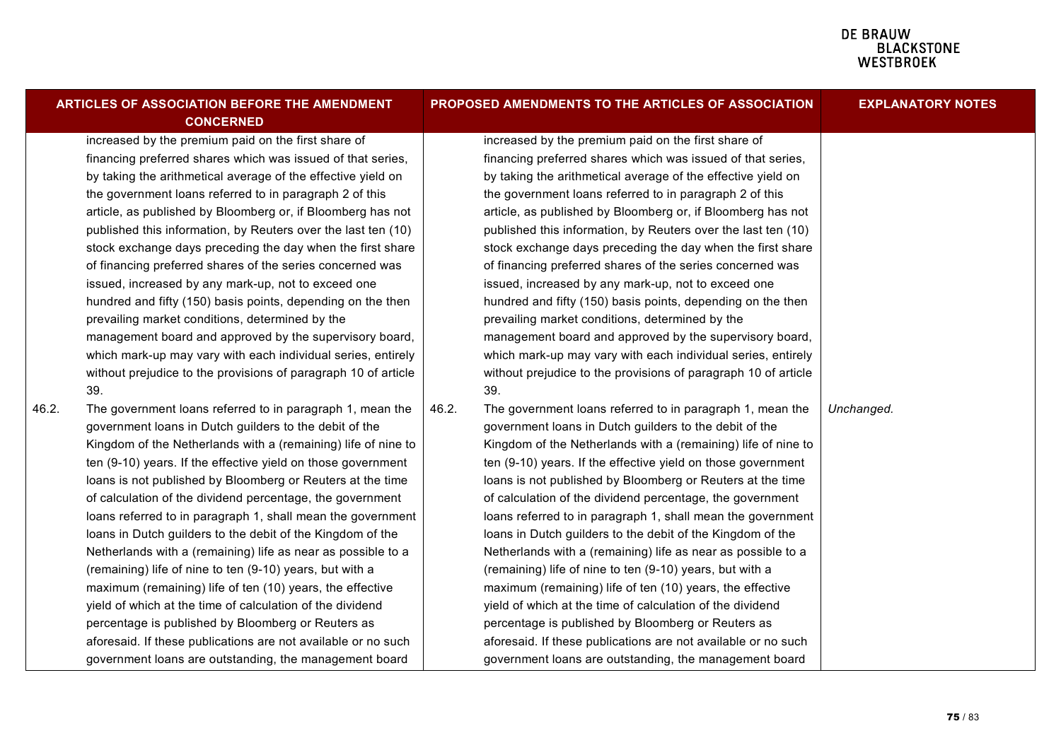| <b>ARTICLES OF ASSOCIATION BEFORE THE AMENDMENT</b><br><b>CONCERNED</b> |                                                                |       | <b>PROPOSED AMENDMENTS TO THE ARTICLES OF ASSOCIATION</b>      | <b>EXPLANATORY NOTES</b> |
|-------------------------------------------------------------------------|----------------------------------------------------------------|-------|----------------------------------------------------------------|--------------------------|
|                                                                         | increased by the premium paid on the first share of            |       | increased by the premium paid on the first share of            |                          |
|                                                                         | financing preferred shares which was issued of that series,    |       | financing preferred shares which was issued of that series,    |                          |
|                                                                         | by taking the arithmetical average of the effective yield on   |       | by taking the arithmetical average of the effective yield on   |                          |
|                                                                         | the government loans referred to in paragraph 2 of this        |       | the government loans referred to in paragraph 2 of this        |                          |
|                                                                         | article, as published by Bloomberg or, if Bloomberg has not    |       | article, as published by Bloomberg or, if Bloomberg has not    |                          |
|                                                                         | published this information, by Reuters over the last ten (10)  |       | published this information, by Reuters over the last ten (10)  |                          |
|                                                                         | stock exchange days preceding the day when the first share     |       | stock exchange days preceding the day when the first share     |                          |
|                                                                         | of financing preferred shares of the series concerned was      |       | of financing preferred shares of the series concerned was      |                          |
|                                                                         | issued, increased by any mark-up, not to exceed one            |       | issued, increased by any mark-up, not to exceed one            |                          |
|                                                                         | hundred and fifty (150) basis points, depending on the then    |       | hundred and fifty (150) basis points, depending on the then    |                          |
|                                                                         | prevailing market conditions, determined by the                |       | prevailing market conditions, determined by the                |                          |
|                                                                         | management board and approved by the supervisory board,        |       | management board and approved by the supervisory board,        |                          |
|                                                                         | which mark-up may vary with each individual series, entirely   |       | which mark-up may vary with each individual series, entirely   |                          |
|                                                                         | without prejudice to the provisions of paragraph 10 of article |       | without prejudice to the provisions of paragraph 10 of article |                          |
|                                                                         | 39.                                                            |       | 39.                                                            |                          |
| 46.2.                                                                   | The government loans referred to in paragraph 1, mean the      | 46.2. | The government loans referred to in paragraph 1, mean the      | Unchanged.               |
|                                                                         | government loans in Dutch guilders to the debit of the         |       | government loans in Dutch guilders to the debit of the         |                          |
|                                                                         | Kingdom of the Netherlands with a (remaining) life of nine to  |       | Kingdom of the Netherlands with a (remaining) life of nine to  |                          |
|                                                                         | ten (9-10) years. If the effective yield on those government   |       | ten (9-10) years. If the effective yield on those government   |                          |
|                                                                         | loans is not published by Bloomberg or Reuters at the time     |       | loans is not published by Bloomberg or Reuters at the time     |                          |
|                                                                         | of calculation of the dividend percentage, the government      |       | of calculation of the dividend percentage, the government      |                          |
|                                                                         | loans referred to in paragraph 1, shall mean the government    |       | loans referred to in paragraph 1, shall mean the government    |                          |
|                                                                         | loans in Dutch guilders to the debit of the Kingdom of the     |       | loans in Dutch guilders to the debit of the Kingdom of the     |                          |
|                                                                         | Netherlands with a (remaining) life as near as possible to a   |       | Netherlands with a (remaining) life as near as possible to a   |                          |
|                                                                         | (remaining) life of nine to ten (9-10) years, but with a       |       | (remaining) life of nine to ten (9-10) years, but with a       |                          |
|                                                                         | maximum (remaining) life of ten (10) years, the effective      |       | maximum (remaining) life of ten (10) years, the effective      |                          |
|                                                                         | yield of which at the time of calculation of the dividend      |       | yield of which at the time of calculation of the dividend      |                          |
|                                                                         | percentage is published by Bloomberg or Reuters as             |       | percentage is published by Bloomberg or Reuters as             |                          |
|                                                                         | aforesaid. If these publications are not available or no such  |       | aforesaid. If these publications are not available or no such  |                          |
|                                                                         | government loans are outstanding, the management board         |       | government loans are outstanding, the management board         |                          |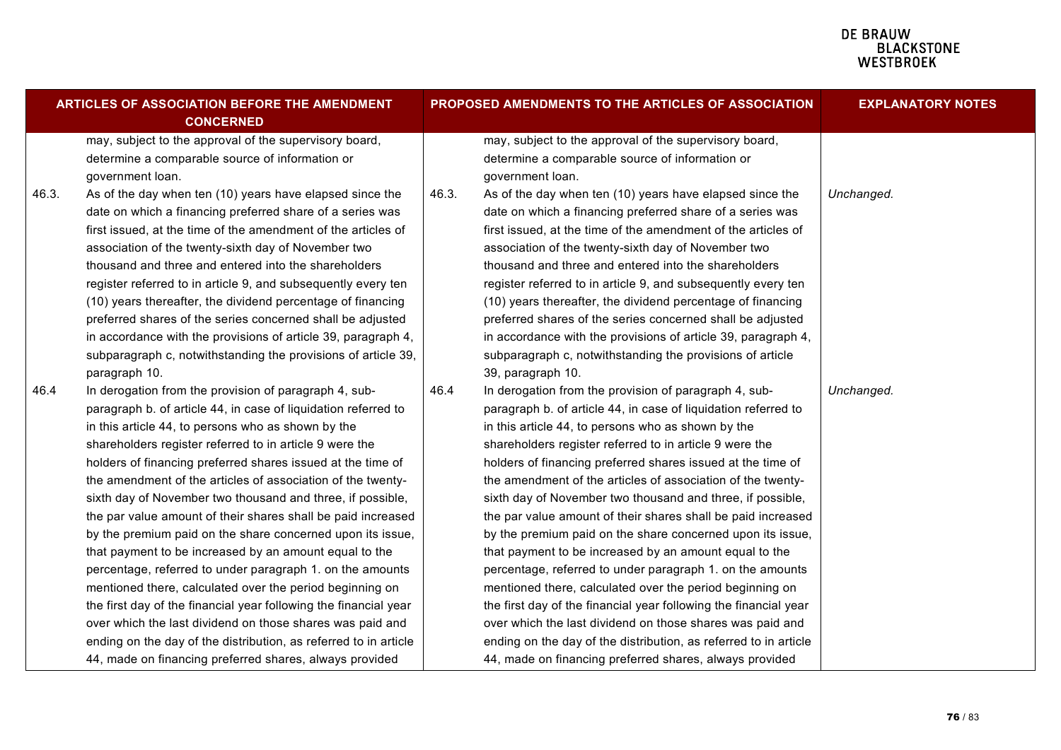| <b>ARTICLES OF ASSOCIATION BEFORE THE AMENDMENT</b><br><b>CONCERNED</b> |                                                                  |       | PROPOSED AMENDMENTS TO THE ARTICLES OF ASSOCIATION               | <b>EXPLANATORY NOTES</b> |
|-------------------------------------------------------------------------|------------------------------------------------------------------|-------|------------------------------------------------------------------|--------------------------|
|                                                                         | may, subject to the approval of the supervisory board,           |       | may, subject to the approval of the supervisory board,           |                          |
|                                                                         | determine a comparable source of information or                  |       | determine a comparable source of information or                  |                          |
|                                                                         | government loan.                                                 |       | government loan.                                                 |                          |
| 46.3.                                                                   | As of the day when ten (10) years have elapsed since the         | 46.3. | As of the day when ten (10) years have elapsed since the         | Unchanged.               |
|                                                                         | date on which a financing preferred share of a series was        |       | date on which a financing preferred share of a series was        |                          |
|                                                                         | first issued, at the time of the amendment of the articles of    |       | first issued, at the time of the amendment of the articles of    |                          |
|                                                                         | association of the twenty-sixth day of November two              |       | association of the twenty-sixth day of November two              |                          |
|                                                                         | thousand and three and entered into the shareholders             |       | thousand and three and entered into the shareholders             |                          |
|                                                                         | register referred to in article 9, and subsequently every ten    |       | register referred to in article 9, and subsequently every ten    |                          |
|                                                                         | (10) years thereafter, the dividend percentage of financing      |       | (10) years thereafter, the dividend percentage of financing      |                          |
|                                                                         | preferred shares of the series concerned shall be adjusted       |       | preferred shares of the series concerned shall be adjusted       |                          |
|                                                                         | in accordance with the provisions of article 39, paragraph 4,    |       | in accordance with the provisions of article 39, paragraph 4,    |                          |
|                                                                         | subparagraph c, notwithstanding the provisions of article 39,    |       | subparagraph c, notwithstanding the provisions of article        |                          |
|                                                                         | paragraph 10.                                                    |       | 39, paragraph 10.                                                |                          |
| 46.4                                                                    | In derogation from the provision of paragraph 4, sub-            | 46.4  | In derogation from the provision of paragraph 4, sub-            | Unchanged.               |
|                                                                         | paragraph b. of article 44, in case of liquidation referred to   |       | paragraph b. of article 44, in case of liquidation referred to   |                          |
|                                                                         | in this article 44, to persons who as shown by the               |       | in this article 44, to persons who as shown by the               |                          |
|                                                                         | shareholders register referred to in article 9 were the          |       | shareholders register referred to in article 9 were the          |                          |
|                                                                         | holders of financing preferred shares issued at the time of      |       | holders of financing preferred shares issued at the time of      |                          |
|                                                                         | the amendment of the articles of association of the twenty-      |       | the amendment of the articles of association of the twenty-      |                          |
|                                                                         | sixth day of November two thousand and three, if possible,       |       | sixth day of November two thousand and three, if possible,       |                          |
|                                                                         | the par value amount of their shares shall be paid increased     |       | the par value amount of their shares shall be paid increased     |                          |
|                                                                         | by the premium paid on the share concerned upon its issue,       |       | by the premium paid on the share concerned upon its issue,       |                          |
|                                                                         | that payment to be increased by an amount equal to the           |       | that payment to be increased by an amount equal to the           |                          |
|                                                                         | percentage, referred to under paragraph 1. on the amounts        |       | percentage, referred to under paragraph 1. on the amounts        |                          |
|                                                                         | mentioned there, calculated over the period beginning on         |       | mentioned there, calculated over the period beginning on         |                          |
|                                                                         | the first day of the financial year following the financial year |       | the first day of the financial year following the financial year |                          |
|                                                                         | over which the last dividend on those shares was paid and        |       | over which the last dividend on those shares was paid and        |                          |
|                                                                         | ending on the day of the distribution, as referred to in article |       | ending on the day of the distribution, as referred to in article |                          |
|                                                                         | 44, made on financing preferred shares, always provided          |       | 44, made on financing preferred shares, always provided          |                          |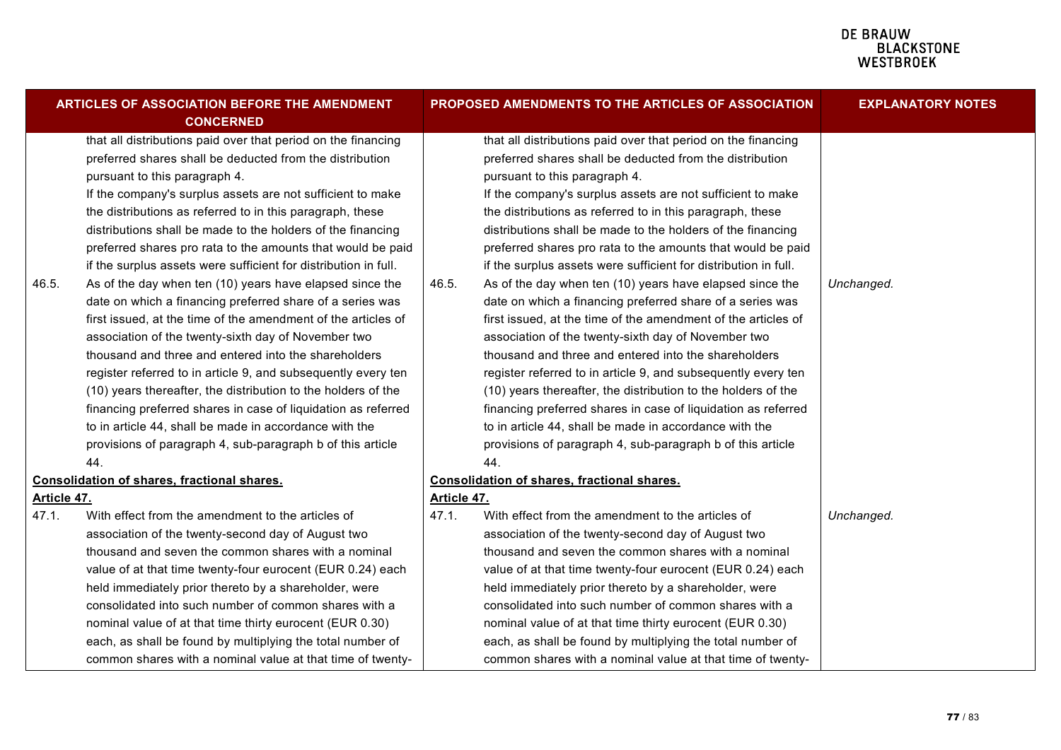| <b>ARTICLES OF ASSOCIATION BEFORE THE AMENDMENT</b><br><b>CONCERNED</b> |                                                                                                                                                                                                                                                                                                                                                                                                                                                                                                                                                                                                                                                                                                                                                                                                                                                                                                                                                                                                                                                                                                                                   |             | PROPOSED AMENDMENTS TO THE ARTICLES OF ASSOCIATION                                                                                                                                                                                                                                                                                                                                                                                                                                                                                                                                                                                                                                                                                                                                                                                                                                                                                                                                                                                                                                                                                | <b>EXPLANATORY NOTES</b> |
|-------------------------------------------------------------------------|-----------------------------------------------------------------------------------------------------------------------------------------------------------------------------------------------------------------------------------------------------------------------------------------------------------------------------------------------------------------------------------------------------------------------------------------------------------------------------------------------------------------------------------------------------------------------------------------------------------------------------------------------------------------------------------------------------------------------------------------------------------------------------------------------------------------------------------------------------------------------------------------------------------------------------------------------------------------------------------------------------------------------------------------------------------------------------------------------------------------------------------|-------------|-----------------------------------------------------------------------------------------------------------------------------------------------------------------------------------------------------------------------------------------------------------------------------------------------------------------------------------------------------------------------------------------------------------------------------------------------------------------------------------------------------------------------------------------------------------------------------------------------------------------------------------------------------------------------------------------------------------------------------------------------------------------------------------------------------------------------------------------------------------------------------------------------------------------------------------------------------------------------------------------------------------------------------------------------------------------------------------------------------------------------------------|--------------------------|
| 46.5.                                                                   | that all distributions paid over that period on the financing<br>preferred shares shall be deducted from the distribution<br>pursuant to this paragraph 4.<br>If the company's surplus assets are not sufficient to make<br>the distributions as referred to in this paragraph, these<br>distributions shall be made to the holders of the financing<br>preferred shares pro rata to the amounts that would be paid<br>if the surplus assets were sufficient for distribution in full.<br>As of the day when ten (10) years have elapsed since the<br>date on which a financing preferred share of a series was<br>first issued, at the time of the amendment of the articles of<br>association of the twenty-sixth day of November two<br>thousand and three and entered into the shareholders<br>register referred to in article 9, and subsequently every ten<br>(10) years thereafter, the distribution to the holders of the<br>financing preferred shares in case of liquidation as referred<br>to in article 44, shall be made in accordance with the<br>provisions of paragraph 4, sub-paragraph b of this article<br>44. | 46.5.       | that all distributions paid over that period on the financing<br>preferred shares shall be deducted from the distribution<br>pursuant to this paragraph 4.<br>If the company's surplus assets are not sufficient to make<br>the distributions as referred to in this paragraph, these<br>distributions shall be made to the holders of the financing<br>preferred shares pro rata to the amounts that would be paid<br>if the surplus assets were sufficient for distribution in full.<br>As of the day when ten (10) years have elapsed since the<br>date on which a financing preferred share of a series was<br>first issued, at the time of the amendment of the articles of<br>association of the twenty-sixth day of November two<br>thousand and three and entered into the shareholders<br>register referred to in article 9, and subsequently every ten<br>(10) years thereafter, the distribution to the holders of the<br>financing preferred shares in case of liquidation as referred<br>to in article 44, shall be made in accordance with the<br>provisions of paragraph 4, sub-paragraph b of this article<br>44. | Unchanged.               |
|                                                                         | <b>Consolidation of shares, fractional shares.</b>                                                                                                                                                                                                                                                                                                                                                                                                                                                                                                                                                                                                                                                                                                                                                                                                                                                                                                                                                                                                                                                                                |             | <b>Consolidation of shares, fractional shares.</b>                                                                                                                                                                                                                                                                                                                                                                                                                                                                                                                                                                                                                                                                                                                                                                                                                                                                                                                                                                                                                                                                                |                          |
| <u>Article 47.</u>                                                      |                                                                                                                                                                                                                                                                                                                                                                                                                                                                                                                                                                                                                                                                                                                                                                                                                                                                                                                                                                                                                                                                                                                                   | Article 47. |                                                                                                                                                                                                                                                                                                                                                                                                                                                                                                                                                                                                                                                                                                                                                                                                                                                                                                                                                                                                                                                                                                                                   |                          |
| 47.1.                                                                   | With effect from the amendment to the articles of<br>association of the twenty-second day of August two<br>thousand and seven the common shares with a nominal<br>value of at that time twenty-four eurocent (EUR 0.24) each<br>held immediately prior thereto by a shareholder, were<br>consolidated into such number of common shares with a<br>nominal value of at that time thirty eurocent (EUR 0.30)<br>each, as shall be found by multiplying the total number of<br>common shares with a nominal value at that time of twenty-                                                                                                                                                                                                                                                                                                                                                                                                                                                                                                                                                                                            | 47.1.       | With effect from the amendment to the articles of<br>association of the twenty-second day of August two<br>thousand and seven the common shares with a nominal<br>value of at that time twenty-four eurocent (EUR 0.24) each<br>held immediately prior thereto by a shareholder, were<br>consolidated into such number of common shares with a<br>nominal value of at that time thirty eurocent (EUR 0.30)<br>each, as shall be found by multiplying the total number of<br>common shares with a nominal value at that time of twenty-                                                                                                                                                                                                                                                                                                                                                                                                                                                                                                                                                                                            | Unchanged.               |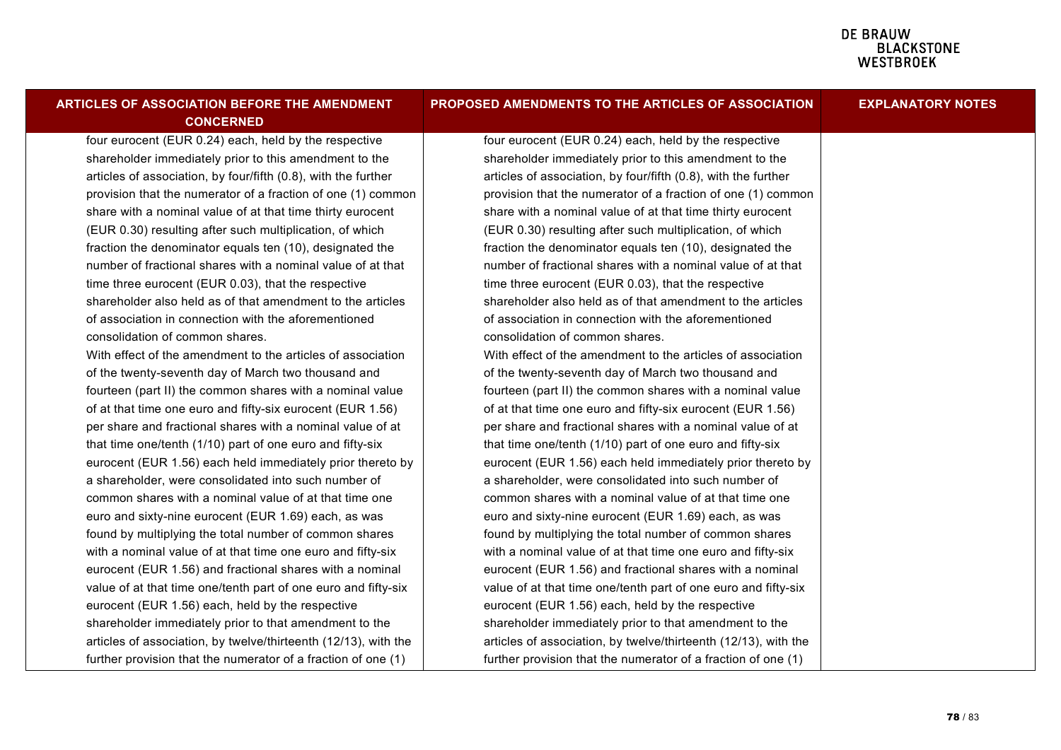| <b>ARTICLES OF ASSOCIATION BEFORE THE AMENDMENT</b><br><b>CONCERNED</b> | PROPOSED AMENDMENTS TO THE ARTICLES OF ASSOCIATION              | <b>EXPLANATORY NOTES</b> |
|-------------------------------------------------------------------------|-----------------------------------------------------------------|--------------------------|
| four eurocent (EUR 0.24) each, held by the respective                   | four eurocent (EUR 0.24) each, held by the respective           |                          |
| shareholder immediately prior to this amendment to the                  | shareholder immediately prior to this amendment to the          |                          |
| articles of association, by four/fifth (0.8), with the further          | articles of association, by four/fifth (0.8), with the further  |                          |
| provision that the numerator of a fraction of one (1) common            | provision that the numerator of a fraction of one (1) common    |                          |
| share with a nominal value of at that time thirty eurocent              | share with a nominal value of at that time thirty eurocent      |                          |
| (EUR 0.30) resulting after such multiplication, of which                | (EUR 0.30) resulting after such multiplication, of which        |                          |
| fraction the denominator equals ten (10), designated the                | fraction the denominator equals ten (10), designated the        |                          |
| number of fractional shares with a nominal value of at that             | number of fractional shares with a nominal value of at that     |                          |
| time three eurocent (EUR 0.03), that the respective                     | time three eurocent (EUR 0.03), that the respective             |                          |
| shareholder also held as of that amendment to the articles              | shareholder also held as of that amendment to the articles      |                          |
| of association in connection with the aforementioned                    | of association in connection with the aforementioned            |                          |
| consolidation of common shares.                                         | consolidation of common shares.                                 |                          |
| With effect of the amendment to the articles of association             | With effect of the amendment to the articles of association     |                          |
| of the twenty-seventh day of March two thousand and                     | of the twenty-seventh day of March two thousand and             |                          |
| fourteen (part II) the common shares with a nominal value               | fourteen (part II) the common shares with a nominal value       |                          |
| of at that time one euro and fifty-six eurocent (EUR 1.56)              | of at that time one euro and fifty-six eurocent (EUR 1.56)      |                          |
| per share and fractional shares with a nominal value of at              | per share and fractional shares with a nominal value of at      |                          |
| that time one/tenth (1/10) part of one euro and fifty-six               | that time one/tenth (1/10) part of one euro and fifty-six       |                          |
| eurocent (EUR 1.56) each held immediately prior thereto by              | eurocent (EUR 1.56) each held immediately prior thereto by      |                          |
| a shareholder, were consolidated into such number of                    | a shareholder, were consolidated into such number of            |                          |
| common shares with a nominal value of at that time one                  | common shares with a nominal value of at that time one          |                          |
| euro and sixty-nine eurocent (EUR 1.69) each, as was                    | euro and sixty-nine eurocent (EUR 1.69) each, as was            |                          |
| found by multiplying the total number of common shares                  | found by multiplying the total number of common shares          |                          |
| with a nominal value of at that time one euro and fifty-six             | with a nominal value of at that time one euro and fifty-six     |                          |
| eurocent (EUR 1.56) and fractional shares with a nominal                | eurocent (EUR 1.56) and fractional shares with a nominal        |                          |
| value of at that time one/tenth part of one euro and fifty-six          | value of at that time one/tenth part of one euro and fifty-six  |                          |
| eurocent (EUR 1.56) each, held by the respective                        | eurocent (EUR 1.56) each, held by the respective                |                          |
| shareholder immediately prior to that amendment to the                  | shareholder immediately prior to that amendment to the          |                          |
| articles of association, by twelve/thirteenth (12/13), with the         | articles of association, by twelve/thirteenth (12/13), with the |                          |
| further provision that the numerator of a fraction of one (1)           | further provision that the numerator of a fraction of one (1)   |                          |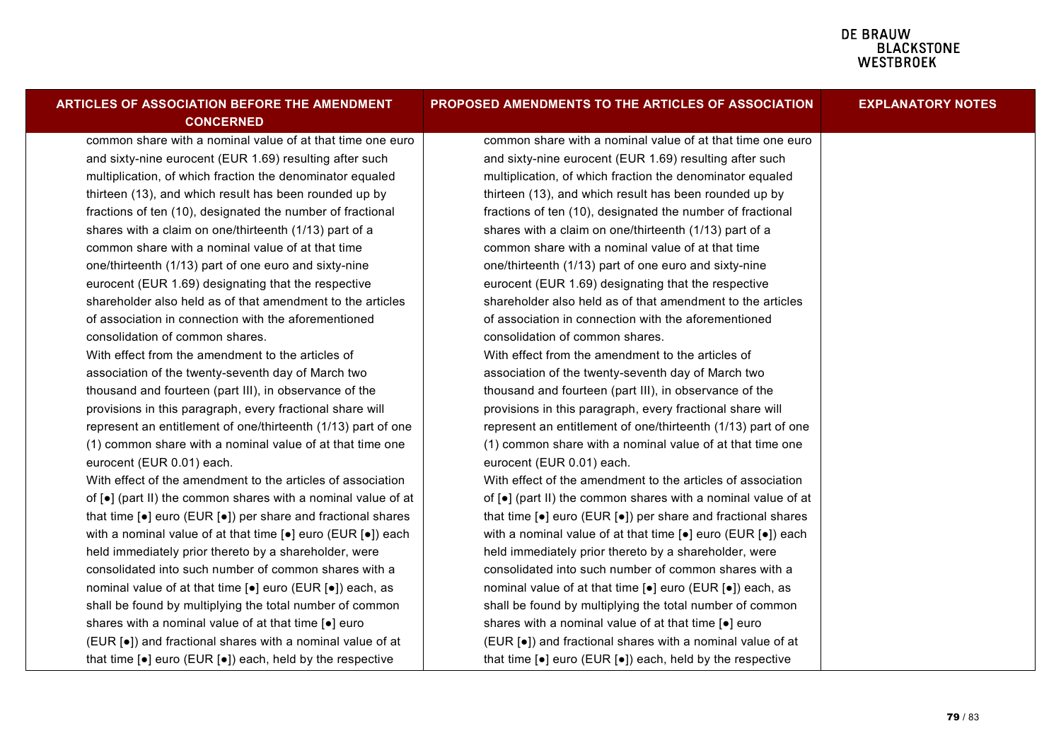| <b>ARTICLES OF ASSOCIATION BEFORE THE AMENDMENT</b><br><b>CONCERNED</b>                               | PROPOSED AMENDMENTS TO THE ARTICLES OF ASSOCIATION                                                    | <b>EXPLANATORY NOTES</b> |
|-------------------------------------------------------------------------------------------------------|-------------------------------------------------------------------------------------------------------|--------------------------|
| common share with a nominal value of at that time one euro                                            | common share with a nominal value of at that time one euro                                            |                          |
| and sixty-nine eurocent (EUR 1.69) resulting after such                                               | and sixty-nine eurocent (EUR 1.69) resulting after such                                               |                          |
| multiplication, of which fraction the denominator equaled                                             | multiplication, of which fraction the denominator equaled                                             |                          |
| thirteen (13), and which result has been rounded up by                                                | thirteen (13), and which result has been rounded up by                                                |                          |
| fractions of ten (10), designated the number of fractional                                            | fractions of ten (10), designated the number of fractional                                            |                          |
| shares with a claim on one/thirteenth (1/13) part of a                                                | shares with a claim on one/thirteenth (1/13) part of a                                                |                          |
| common share with a nominal value of at that time                                                     | common share with a nominal value of at that time                                                     |                          |
| one/thirteenth (1/13) part of one euro and sixty-nine                                                 | one/thirteenth (1/13) part of one euro and sixty-nine                                                 |                          |
| eurocent (EUR 1.69) designating that the respective                                                   | eurocent (EUR 1.69) designating that the respective                                                   |                          |
| shareholder also held as of that amendment to the articles                                            | shareholder also held as of that amendment to the articles                                            |                          |
| of association in connection with the aforementioned                                                  | of association in connection with the aforementioned                                                  |                          |
| consolidation of common shares.                                                                       | consolidation of common shares.                                                                       |                          |
| With effect from the amendment to the articles of                                                     | With effect from the amendment to the articles of                                                     |                          |
| association of the twenty-seventh day of March two                                                    | association of the twenty-seventh day of March two                                                    |                          |
| thousand and fourteen (part III), in observance of the                                                | thousand and fourteen (part III), in observance of the                                                |                          |
| provisions in this paragraph, every fractional share will                                             | provisions in this paragraph, every fractional share will                                             |                          |
| represent an entitlement of one/thirteenth (1/13) part of one                                         | represent an entitlement of one/thirteenth (1/13) part of one                                         |                          |
| (1) common share with a nominal value of at that time one                                             | (1) common share with a nominal value of at that time one                                             |                          |
| eurocent (EUR 0.01) each.                                                                             | eurocent (EUR 0.01) each.                                                                             |                          |
| With effect of the amendment to the articles of association                                           | With effect of the amendment to the articles of association                                           |                          |
| of [•] (part II) the common shares with a nominal value of at                                         | of [•] (part II) the common shares with a nominal value of at                                         |                          |
| that time $[\bullet]$ euro (EUR $[\bullet]$ ) per share and fractional shares                         | that time $[\bullet]$ euro (EUR $[\bullet]$ ) per share and fractional shares                         |                          |
| with a nominal value of at that time $\lceil \bullet \rceil$ euro (EUR $\lceil \bullet \rceil$ ) each | with a nominal value of at that time $\lceil \bullet \rceil$ euro (EUR $\lceil \bullet \rceil$ ) each |                          |
| held immediately prior thereto by a shareholder, were                                                 | held immediately prior thereto by a shareholder, were                                                 |                          |
| consolidated into such number of common shares with a                                                 | consolidated into such number of common shares with a                                                 |                          |
| nominal value of at that time [ $\bullet$ ] euro (EUR [ $\bullet$ ]) each, as                         | nominal value of at that time [ $\bullet$ ] euro (EUR [ $\bullet$ ]) each, as                         |                          |
| shall be found by multiplying the total number of common                                              | shall be found by multiplying the total number of common                                              |                          |
| shares with a nominal value of at that time [.] euro                                                  | shares with a nominal value of at that time [.] euro                                                  |                          |
| (EUR [•]) and fractional shares with a nominal value of at                                            | (EUR [•]) and fractional shares with a nominal value of at                                            |                          |
| that time $\lceil \bullet \rceil$ euro (EUR $\lceil \bullet \rceil$ ) each, held by the respective    | that time $\lceil \bullet \rceil$ euro (EUR $\lceil \bullet \rceil$ ) each, held by the respective    |                          |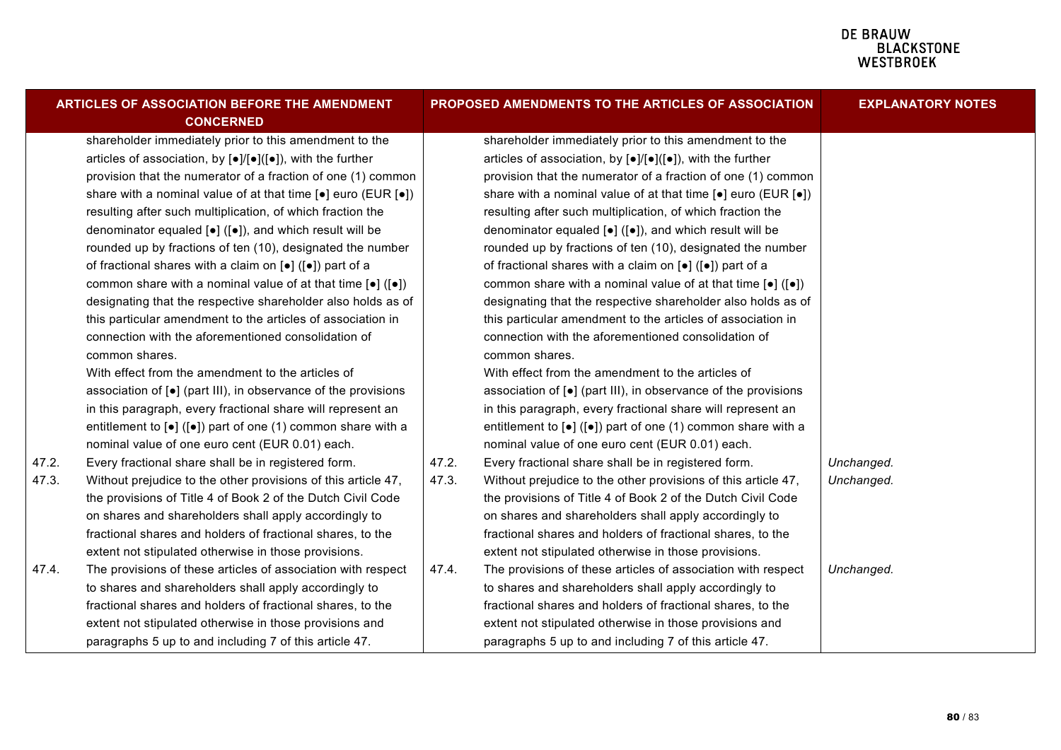|       | <b>ARTICLES OF ASSOCIATION BEFORE THE AMENDMENT</b><br><b>CONCERNED</b>                                                       |       | PROPOSED AMENDMENTS TO THE ARTICLES OF ASSOCIATION                                                                           | <b>EXPLANATORY NOTES</b> |
|-------|-------------------------------------------------------------------------------------------------------------------------------|-------|------------------------------------------------------------------------------------------------------------------------------|--------------------------|
|       | shareholder immediately prior to this amendment to the                                                                        |       | shareholder immediately prior to this amendment to the                                                                       |                          |
|       | articles of association, by $\lbrack \bullet \rbrack / \lbrack \bullet \rbrack / \lbrack \bullet \rbrack$ ), with the further |       | articles of association, by $\lbrack \bullet \rbrack / \lbrack \bullet \rbrack (\lbrack \bullet \rbrack)$ , with the further |                          |
|       | provision that the numerator of a fraction of one (1) common                                                                  |       | provision that the numerator of a fraction of one (1) common                                                                 |                          |
|       | share with a nominal value of at that time $\left[\bullet\right]$ euro (EUR $\left[\bullet\right]$ )                          |       | share with a nominal value of at that time $\left[\bullet\right]$ euro (EUR $\left[\bullet\right]$ )                         |                          |
|       | resulting after such multiplication, of which fraction the                                                                    |       | resulting after such multiplication, of which fraction the                                                                   |                          |
|       | denominator equaled $\lceil \bullet \rceil$ ( $\lceil \bullet \rceil$ ), and which result will be                             |       | denominator equaled $\lceil \bullet \rceil$ ( $\lceil \bullet \rceil$ ), and which result will be                            |                          |
|       | rounded up by fractions of ten (10), designated the number                                                                    |       | rounded up by fractions of ten (10), designated the number                                                                   |                          |
|       | of fractional shares with a claim on [ $\bullet$ ] ( $\lceil\bullet\rceil$ ) part of a                                        |       | of fractional shares with a claim on [•] ([•]) part of a                                                                     |                          |
|       | common share with a nominal value of at that time $[\bullet]$ ( $[\bullet]$ )                                                 |       | common share with a nominal value of at that time $\lbrack \bullet \rbrack$ ( $\lbrack \bullet \rbrack$ )                    |                          |
|       | designating that the respective shareholder also holds as of                                                                  |       | designating that the respective shareholder also holds as of                                                                 |                          |
|       | this particular amendment to the articles of association in                                                                   |       | this particular amendment to the articles of association in                                                                  |                          |
|       | connection with the aforementioned consolidation of                                                                           |       | connection with the aforementioned consolidation of                                                                          |                          |
|       | common shares.                                                                                                                |       | common shares.                                                                                                               |                          |
|       | With effect from the amendment to the articles of                                                                             |       | With effect from the amendment to the articles of                                                                            |                          |
|       | association of [•] (part III), in observance of the provisions                                                                |       | association of [•] (part III), in observance of the provisions                                                               |                          |
|       | in this paragraph, every fractional share will represent an                                                                   |       | in this paragraph, every fractional share will represent an                                                                  |                          |
|       | entitlement to $\lbrack \bullet \rbrack$ ( $\lbrack \bullet \rbrack$ ) part of one (1) common share with a                    |       | entitlement to $\lbrack \bullet \rbrack$ ( $\lbrack \bullet \rbrack$ ) part of one (1) common share with a                   |                          |
|       | nominal value of one euro cent (EUR 0.01) each.                                                                               |       | nominal value of one euro cent (EUR 0.01) each.                                                                              |                          |
| 47.2. | Every fractional share shall be in registered form.                                                                           | 47.2. | Every fractional share shall be in registered form.                                                                          | Unchanged.               |
| 47.3. | Without prejudice to the other provisions of this article 47,                                                                 | 47.3. | Without prejudice to the other provisions of this article 47,                                                                | Unchanged.               |
|       | the provisions of Title 4 of Book 2 of the Dutch Civil Code                                                                   |       | the provisions of Title 4 of Book 2 of the Dutch Civil Code                                                                  |                          |
|       | on shares and shareholders shall apply accordingly to                                                                         |       | on shares and shareholders shall apply accordingly to                                                                        |                          |
|       | fractional shares and holders of fractional shares, to the                                                                    |       | fractional shares and holders of fractional shares, to the                                                                   |                          |
|       | extent not stipulated otherwise in those provisions.                                                                          |       | extent not stipulated otherwise in those provisions.                                                                         |                          |
| 47.4. | The provisions of these articles of association with respect                                                                  | 47.4. | The provisions of these articles of association with respect                                                                 | Unchanged.               |
|       | to shares and shareholders shall apply accordingly to                                                                         |       | to shares and shareholders shall apply accordingly to                                                                        |                          |
|       | fractional shares and holders of fractional shares, to the                                                                    |       | fractional shares and holders of fractional shares, to the                                                                   |                          |
|       | extent not stipulated otherwise in those provisions and                                                                       |       | extent not stipulated otherwise in those provisions and                                                                      |                          |
|       | paragraphs 5 up to and including 7 of this article 47.                                                                        |       | paragraphs 5 up to and including 7 of this article 47.                                                                       |                          |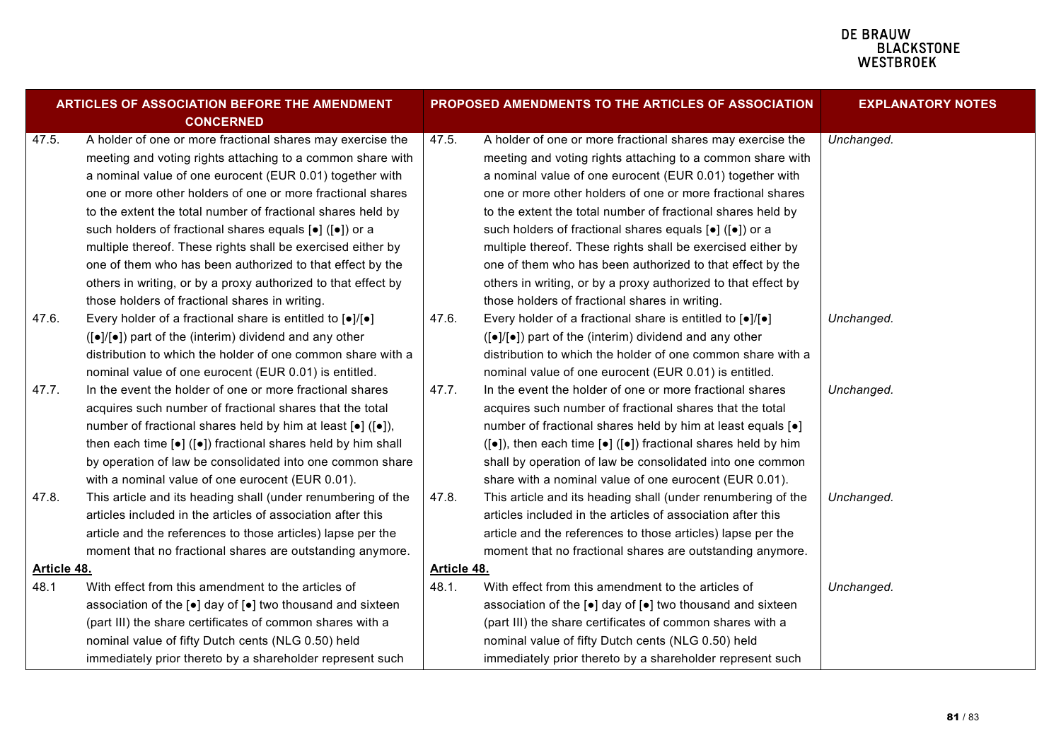| ARTICLES OF ASSOCIATION BEFORE THE AMENDMENT<br><b>CONCERNED</b> |                                                                                                      |             | PROPOSED AMENDMENTS TO THE ARTICLES OF ASSOCIATION                                                | <b>EXPLANATORY NOTES</b> |
|------------------------------------------------------------------|------------------------------------------------------------------------------------------------------|-------------|---------------------------------------------------------------------------------------------------|--------------------------|
| 47.5.                                                            | A holder of one or more fractional shares may exercise the                                           | 47.5.       | A holder of one or more fractional shares may exercise the                                        | Unchanged.               |
|                                                                  | meeting and voting rights attaching to a common share with                                           |             | meeting and voting rights attaching to a common share with                                        |                          |
|                                                                  | a nominal value of one eurocent (EUR 0.01) together with                                             |             | a nominal value of one eurocent (EUR 0.01) together with                                          |                          |
|                                                                  | one or more other holders of one or more fractional shares                                           |             | one or more other holders of one or more fractional shares                                        |                          |
|                                                                  | to the extent the total number of fractional shares held by                                          |             | to the extent the total number of fractional shares held by                                       |                          |
|                                                                  | such holders of fractional shares equals [•] ([•]) or a                                              |             | such holders of fractional shares equals [•] ([•]) or a                                           |                          |
|                                                                  | multiple thereof. These rights shall be exercised either by                                          |             | multiple thereof. These rights shall be exercised either by                                       |                          |
|                                                                  | one of them who has been authorized to that effect by the                                            |             | one of them who has been authorized to that effect by the                                         |                          |
|                                                                  | others in writing, or by a proxy authorized to that effect by                                        |             | others in writing, or by a proxy authorized to that effect by                                     |                          |
|                                                                  | those holders of fractional shares in writing.                                                       |             | those holders of fractional shares in writing.                                                    |                          |
| 47.6.                                                            | Every holder of a fractional share is entitled to $\lceil \bullet \rceil / \lceil \bullet \rceil$    | 47.6.       | Every holder of a fractional share is entitled to $\lceil \bullet \rceil / \lceil \bullet \rceil$ | Unchanged.               |
|                                                                  | $([•] / [•])$ part of the (interim) dividend and any other                                           |             | $([•] / [•])$ part of the (interim) dividend and any other                                        |                          |
|                                                                  | distribution to which the holder of one common share with a                                          |             | distribution to which the holder of one common share with a                                       |                          |
|                                                                  | nominal value of one eurocent (EUR 0.01) is entitled.                                                |             | nominal value of one eurocent (EUR 0.01) is entitled.                                             |                          |
| 47.7.                                                            | In the event the holder of one or more fractional shares                                             | 47.7.       | In the event the holder of one or more fractional shares                                          | Unchanged.               |
|                                                                  | acquires such number of fractional shares that the total                                             |             | acquires such number of fractional shares that the total                                          |                          |
|                                                                  | number of fractional shares held by him at least $[•]$ ( $[•]$ ),                                    |             | number of fractional shares held by him at least equals [ $\bullet$ ]                             |                          |
|                                                                  | then each time $\left[\bullet\right]$ ( $\left[\bullet\right]$ ) fractional shares held by him shall |             | $([•])$ , then each time $[•]$ ( $[•]$ ) fractional shares held by him                            |                          |
|                                                                  | by operation of law be consolidated into one common share                                            |             | shall by operation of law be consolidated into one common                                         |                          |
|                                                                  | with a nominal value of one eurocent (EUR 0.01).                                                     |             | share with a nominal value of one eurocent (EUR 0.01).                                            |                          |
| 47.8.                                                            | This article and its heading shall (under renumbering of the                                         | 47.8.       | This article and its heading shall (under renumbering of the                                      | Unchanged.               |
|                                                                  | articles included in the articles of association after this                                          |             | articles included in the articles of association after this                                       |                          |
|                                                                  | article and the references to those articles) lapse per the                                          |             | article and the references to those articles) lapse per the                                       |                          |
|                                                                  | moment that no fractional shares are outstanding anymore.                                            |             | moment that no fractional shares are outstanding anymore.                                         |                          |
| Article 48.                                                      |                                                                                                      | Article 48. |                                                                                                   |                          |
| 48.1                                                             | With effect from this amendment to the articles of                                                   | 48.1.       | With effect from this amendment to the articles of                                                | Unchanged.               |
|                                                                  | association of the [•] day of [•] two thousand and sixteen                                           |             | association of the [ $\bullet$ ] day of [ $\bullet$ ] two thousand and sixteen                    |                          |
|                                                                  | (part III) the share certificates of common shares with a                                            |             | (part III) the share certificates of common shares with a                                         |                          |
|                                                                  | nominal value of fifty Dutch cents (NLG 0.50) held                                                   |             | nominal value of fifty Dutch cents (NLG 0.50) held                                                |                          |
|                                                                  | immediately prior thereto by a shareholder represent such                                            |             | immediately prior thereto by a shareholder represent such                                         |                          |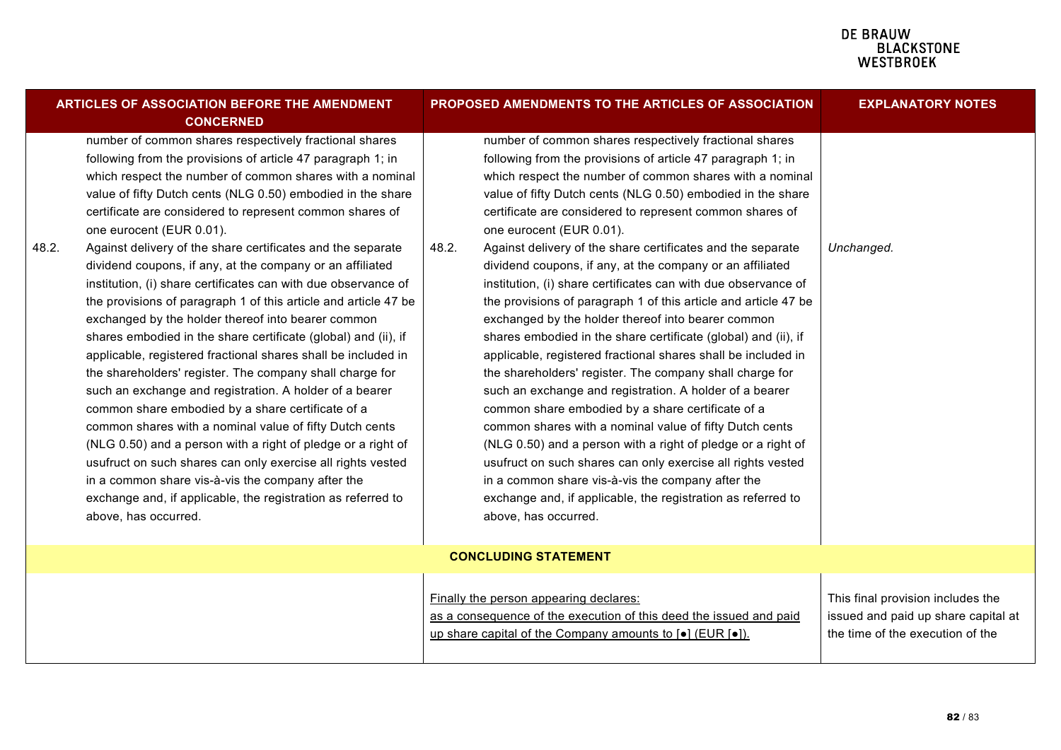## **DE BRAUW EDINACTOR**<br>BLACKSTONE<br>WESTBROEK

| <b>ARTICLES OF ASSOCIATION BEFORE THE AMENDMENT</b><br><b>CONCERNED</b> |                                                                                                                                                                                                                                                                                                                                                                                                                                                                                                                                                                                                                                                                                                                                                                                                                                                                                                                                                                                                                                                                                                                                                                                                                                                                                                                       |       | PROPOSED AMENDMENTS TO THE ARTICLES OF ASSOCIATION                                                                                                                                                                                                                                                                                                                                                                                                                                                                                                                                                                                                                                                                                                                                                                                                                                                                                                                                                                                                                                                                                                                                                                                                                                                                    | <b>EXPLANATORY NOTES</b>                                                                                     |
|-------------------------------------------------------------------------|-----------------------------------------------------------------------------------------------------------------------------------------------------------------------------------------------------------------------------------------------------------------------------------------------------------------------------------------------------------------------------------------------------------------------------------------------------------------------------------------------------------------------------------------------------------------------------------------------------------------------------------------------------------------------------------------------------------------------------------------------------------------------------------------------------------------------------------------------------------------------------------------------------------------------------------------------------------------------------------------------------------------------------------------------------------------------------------------------------------------------------------------------------------------------------------------------------------------------------------------------------------------------------------------------------------------------|-------|-----------------------------------------------------------------------------------------------------------------------------------------------------------------------------------------------------------------------------------------------------------------------------------------------------------------------------------------------------------------------------------------------------------------------------------------------------------------------------------------------------------------------------------------------------------------------------------------------------------------------------------------------------------------------------------------------------------------------------------------------------------------------------------------------------------------------------------------------------------------------------------------------------------------------------------------------------------------------------------------------------------------------------------------------------------------------------------------------------------------------------------------------------------------------------------------------------------------------------------------------------------------------------------------------------------------------|--------------------------------------------------------------------------------------------------------------|
| 48.2.                                                                   | number of common shares respectively fractional shares<br>following from the provisions of article 47 paragraph 1; in<br>which respect the number of common shares with a nominal<br>value of fifty Dutch cents (NLG 0.50) embodied in the share<br>certificate are considered to represent common shares of<br>one eurocent (EUR 0.01).<br>Against delivery of the share certificates and the separate<br>dividend coupons, if any, at the company or an affiliated<br>institution, (i) share certificates can with due observance of<br>the provisions of paragraph 1 of this article and article 47 be<br>exchanged by the holder thereof into bearer common<br>shares embodied in the share certificate (global) and (ii), if<br>applicable, registered fractional shares shall be included in<br>the shareholders' register. The company shall charge for<br>such an exchange and registration. A holder of a bearer<br>common share embodied by a share certificate of a<br>common shares with a nominal value of fifty Dutch cents<br>(NLG 0.50) and a person with a right of pledge or a right of<br>usufruct on such shares can only exercise all rights vested<br>in a common share vis-à-vis the company after the<br>exchange and, if applicable, the registration as referred to<br>above, has occurred. | 48.2. | number of common shares respectively fractional shares<br>following from the provisions of article 47 paragraph 1; in<br>which respect the number of common shares with a nominal<br>value of fifty Dutch cents (NLG 0.50) embodied in the share<br>certificate are considered to represent common shares of<br>one eurocent (EUR 0.01).<br>Against delivery of the share certificates and the separate<br>dividend coupons, if any, at the company or an affiliated<br>institution, (i) share certificates can with due observance of<br>the provisions of paragraph 1 of this article and article 47 be<br>exchanged by the holder thereof into bearer common<br>shares embodied in the share certificate (global) and (ii), if<br>applicable, registered fractional shares shall be included in<br>the shareholders' register. The company shall charge for<br>such an exchange and registration. A holder of a bearer<br>common share embodied by a share certificate of a<br>common shares with a nominal value of fifty Dutch cents<br>(NLG 0.50) and a person with a right of pledge or a right of<br>usufruct on such shares can only exercise all rights vested<br>in a common share vis-à-vis the company after the<br>exchange and, if applicable, the registration as referred to<br>above, has occurred. | Unchanged.                                                                                                   |
|                                                                         |                                                                                                                                                                                                                                                                                                                                                                                                                                                                                                                                                                                                                                                                                                                                                                                                                                                                                                                                                                                                                                                                                                                                                                                                                                                                                                                       |       | <b>CONCLUDING STATEMENT</b>                                                                                                                                                                                                                                                                                                                                                                                                                                                                                                                                                                                                                                                                                                                                                                                                                                                                                                                                                                                                                                                                                                                                                                                                                                                                                           |                                                                                                              |
|                                                                         |                                                                                                                                                                                                                                                                                                                                                                                                                                                                                                                                                                                                                                                                                                                                                                                                                                                                                                                                                                                                                                                                                                                                                                                                                                                                                                                       |       | Finally the person appearing declares:<br>as a consequence of the execution of this deed the issued and paid<br>up share capital of the Company amounts to $\lceil \bullet \rceil$ (EUR $\lceil \bullet \rceil$ ).                                                                                                                                                                                                                                                                                                                                                                                                                                                                                                                                                                                                                                                                                                                                                                                                                                                                                                                                                                                                                                                                                                    | This final provision includes the<br>issued and paid up share capital at<br>the time of the execution of the |